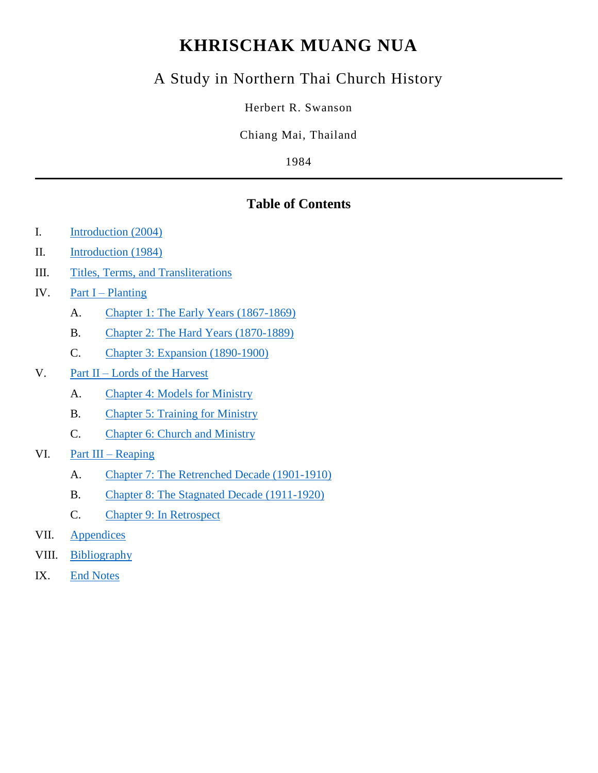# **KHRISCHAK MUANG NUA**

# A Study in Northern Thai Church History

Herbert R. Swanson

Chiang Mai, Thailand

1984

# **Table of Contents**

| Introduction (2004) |  |
|---------------------|--|
|                     |  |

- II. [Introduction \(1984\)](#page-2-0)
- III. [Titles, Terms, and Transliterations](#page-6-0)
- IV. Part I [Planting](#page-6-1)
	- A. [Chapter 1: The Early Years \(1867-1869\)](#page-7-0)
	- B. [Chapter 2: The Hard Years \(1870-1889\)](#page-17-0)
	- C. [Chapter 3: Expansion \(1890-1900\)](#page-27-0)
- V. Part II [Lords of the Harvest](#page-37-0)
	- A. [Chapter 4: Models for Ministry](#page-38-0)
	- B. [Chapter 5: Training for Ministry](#page-48-0)
	- C. [Chapter 6: Church and Ministry](#page-57-0)
- VI. [Part III –](#page-69-0) Reaping
	- A. [Chapter 7: The Retrenched Decade \(1901-1910\)](#page-69-1)
	- B. [Chapter 8: The Stagnated Decade \(1911-1920\)](#page-78-0)
	- C. [Chapter 9: In Retrospect](#page-88-0)
- VII. [Appendices](#page-98-0)
- VIII. [Bibliography](#page-100-0)
- IX. [End Notes](#page-103-0)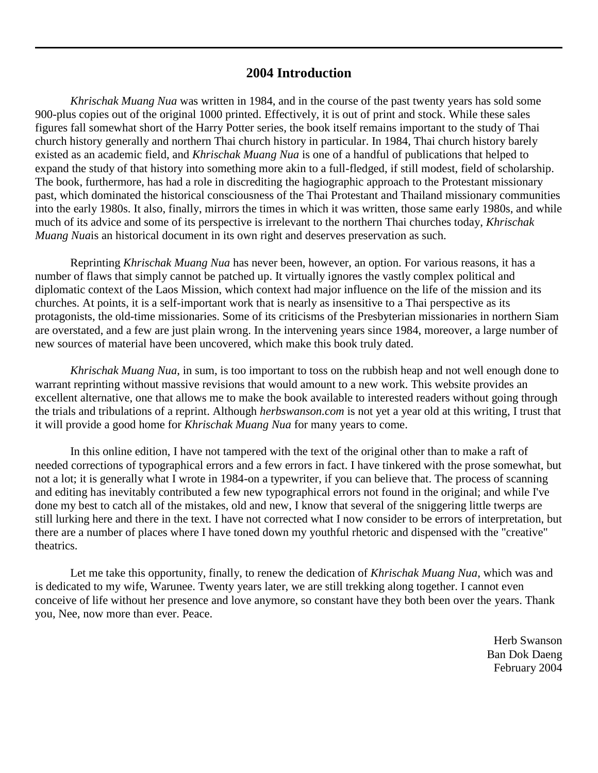# **2004 Introduction**

<span id="page-1-0"></span>*Khrischak Muang Nua* was written in 1984, and in the course of the past twenty years has sold some 900-plus copies out of the original 1000 printed. Effectively, it is out of print and stock. While these sales figures fall somewhat short of the Harry Potter series, the book itself remains important to the study of Thai church history generally and northern Thai church history in particular. In 1984, Thai church history barely existed as an academic field, and *Khrischak Muang Nua* is one of a handful of publications that helped to expand the study of that history into something more akin to a full-fledged, if still modest, field of scholarship. The book, furthermore, has had a role in discrediting the hagiographic approach to the Protestant missionary past, which dominated the historical consciousness of the Thai Protestant and Thailand missionary communities into the early 1980s. It also, finally, mirrors the times in which it was written, those same early 1980s, and while much of its advice and some of its perspective is irrelevant to the northern Thai churches today, *Khrischak Muang Nua*is an historical document in its own right and deserves preservation as such.

Reprinting *Khrischak Muang Nua* has never been, however, an option. For various reasons, it has a number of flaws that simply cannot be patched up. It virtually ignores the vastly complex political and diplomatic context of the Laos Mission, which context had major influence on the life of the mission and its churches. At points, it is a self-important work that is nearly as insensitive to a Thai perspective as its protagonists, the old-time missionaries. Some of its criticisms of the Presbyterian missionaries in northern Siam are overstated, and a few are just plain wrong. In the intervening years since 1984, moreover, a large number of new sources of material have been uncovered, which make this book truly dated.

*Khrischak Muang Nua*, in sum, is too important to toss on the rubbish heap and not well enough done to warrant reprinting without massive revisions that would amount to a new work. This website provides an excellent alternative, one that allows me to make the book available to interested readers without going through the trials and tribulations of a reprint. Although *herbswanson.com* is not yet a year old at this writing, I trust that it will provide a good home for *Khrischak Muang Nua* for many years to come.

In this online edition, I have not tampered with the text of the original other than to make a raft of needed corrections of typographical errors and a few errors in fact. I have tinkered with the prose somewhat, but not a lot; it is generally what I wrote in 1984-on a typewriter, if you can believe that. The process of scanning and editing has inevitably contributed a few new typographical errors not found in the original; and while I've done my best to catch all of the mistakes, old and new, I know that several of the sniggering little twerps are still lurking here and there in the text. I have not corrected what I now consider to be errors of interpretation, but there are a number of places where I have toned down my youthful rhetoric and dispensed with the "creative" theatrics.

Let me take this opportunity, finally, to renew the dedication of *Khrischak Muang Nua*, which was and is dedicated to my wife, Warunee. Twenty years later, we are still trekking along together. I cannot even conceive of life without her presence and love anymore, so constant have they both been over the years. Thank you, Nee, now more than ever. Peace.

> Herb Swanson Ban Dok Daeng February 2004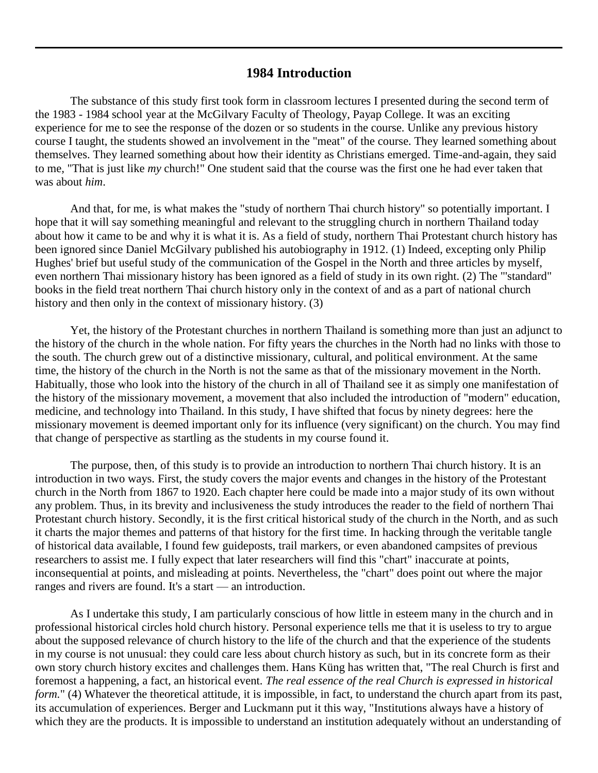# **1984 Introduction**

<span id="page-2-0"></span>The substance of this study first took form in classroom lectures I presented during the second term of the 1983 - 1984 school year at the McGilvary Faculty of Theology, Payap College. It was an exciting experience for me to see the response of the dozen or so students in the course. Unlike any previous history course I taught, the students showed an involvement in the "meat" of the course. They learned something about themselves. They learned something about how their identity as Christians emerged. Time-and-again, they said to me*,* "That is just like *my* church!" One student said that the course was the first one he had ever taken that was about *him*.

And that, for me, is what makes the "study of northern Thai church history" so potentially important. I hope that it will say something meaningful and relevant to the struggling church in northern Thailand today about how it came to be and why it is what it is. As a field of study, northern Thai Protestant church history has been ignored since Daniel McGilvary published his autobiography in 1912. [\(1\)](http://herbswanson.com/post.php?pid=47#i1) Indeed, excepting only Philip Hughes' brief but useful study of the communication of the Gospel in the North and three articles by myself, even northern Thai missionary history has been ignored as a field of study in its own right. [\(2\)](http://herbswanson.com/post.php?pid=47#i2) The "'standard" books in the field treat northern Thai church history only in the context of and as a part of national church history and then only in the context of missionary history. [\(3\)](http://herbswanson.com/post.php?pid=47#i3)

Yet, the history of the Protestant churches in northern Thailand is something more than just an adjunct to the history of the church in the whole nation. For fifty years the churches in the North had no links with those to the south. The church grew out of a distinctive missionary, cultural, and political environment. At the same time, the history of the church in the North is not the same as that of the missionary movement in the North. Habitually, those who look into the history of the church in all of Thailand see it as simply one manifestation of the history of the missionary movement, a movement that also included the introduction of "modern" education, medicine, and technology into Thailand. In this study, I have shifted that focus by ninety degrees: here the missionary movement is deemed important only for its influence (very significant) on the church. You may find that change of perspective as startling as the students in my course found it.

The purpose, then, of this study is to provide an introduction to northern Thai church history. It is an introduction in two ways. First, the study covers the major events and changes in the history of the Protestant church in the North from 1867 to 1920. Each chapter here could be made into a major study of its own without any problem. Thus, in its brevity and inclusiveness the study introduces the reader to the field of northern Thai Protestant church history. Secondly, it is the first critical historical study of the church in the North, and as such it charts the major themes and patterns of that history for the first time. In hacking through the veritable tangle of historical data available, I found few guideposts, trail markers, or even abandoned campsites of previous researchers to assist me. I fully expect that later researchers will find this "chart" inaccurate at points, inconsequential at points, and misleading at points. Nevertheless, the "chart" does point out where the major ranges and rivers are found. It's a start — an introduction.

As I undertake this study, I am particularly conscious of how little in esteem many in the church and in professional historical circles hold church history. Personal experience tells me that it is useless to try to argue about the supposed relevance of church history to the life of the church and that the experience of the students in my course is not unusual: they could care less about church history as such, but in its concrete form as their own story church history excites and challenges them. Hans Küng has written that, "The real Church is first and foremost a happening, a fact, an historical event. *The real essence of the real Church is expressed in historical form.*" [\(4\)](http://herbswanson.com/post.php?pid=47#i4) Whatever the theoretical attitude, it is impossible, in fact, to understand the church apart from its past, its accumulation of experiences. Berger and Luckmann put it this way, "Institutions always have a history of which they are the products. It is impossible to understand an institution adequately without an understanding of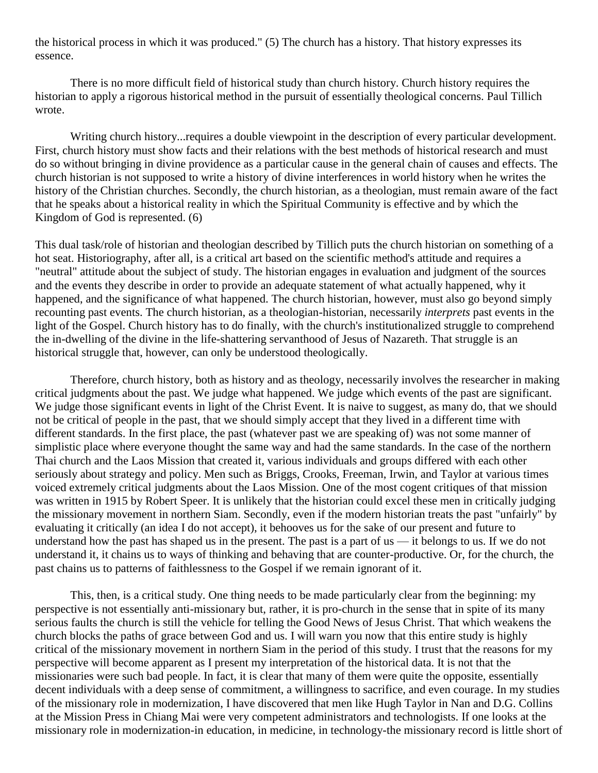the historical process in which it was produced." [\(5\)](http://herbswanson.com/post.php?pid=47#i5) The church has a history. That history expresses its essence.

There is no more difficult field of historical study than church history. Church history requires the historian to apply a rigorous historical method in the pursuit of essentially theological concerns. Paul Tillich wrote.

Writing church history...requires a double viewpoint in the description of every particular development. First, church history must show facts and their relations with the best methods of historical research and must do so without bringing in divine providence as a particular cause in the general chain of causes and effects. The church historian is not supposed to write a history of divine interferences in world history when he writes the history of the Christian churches. Secondly, the church historian, as a theologian, must remain aware of the fact that he speaks about a historical reality in which the Spiritual Community is effective and by which the Kingdom of God is represented. [\(6\)](http://herbswanson.com/post.php?pid=47#i6)

This dual task/role of historian and theologian described by Tillich puts the church historian on something of a hot seat. Historiography, after all, is a critical art based on the scientific method's attitude and requires a "neutral" attitude about the subject of study. The historian engages in evaluation and judgment of the sources and the events they describe in order to provide an adequate statement of what actually happened, why it happened, and the significance of what happened. The church historian, however, must also go beyond simply recounting past events. The church historian, as a theologian-historian, necessarily *interprets* past events in the light of the Gospel. Church history has to do finally, with the church's institutionalized struggle to comprehend the in-dwelling of the divine in the life-shattering servanthood of Jesus of Nazareth. That struggle is an historical struggle that, however, can only be understood theologically.

Therefore, church history, both as history and as theology, necessarily involves the researcher in making critical judgments about the past. We judge what happened. We judge which events of the past are significant. We judge those significant events in light of the Christ Event. It is naive to suggest, as many do, that we should not be critical of people in the past, that we should simply accept that they lived in a different time with different standards. In the first place, the past (whatever past we are speaking of) was not some manner of simplistic place where everyone thought the same way and had the same standards. In the case of the northern Thai church and the Laos Mission that created it, various individuals and groups differed with each other seriously about strategy and policy. Men such as Briggs, Crooks, Freeman, Irwin, and Taylor at various times voiced extremely critical judgments about the Laos Mission. One of the most cogent critiques of that mission was written in 1915 by Robert Speer. It is unlikely that the historian could excel these men in critically judging the missionary movement in northern Siam. Secondly, even if the modern historian treats the past "unfairly" by evaluating it critically (an idea I do not accept), it behooves us for the sake of our present and future to understand how the past has shaped us in the present. The past is a part of us — it belongs to us. If we do not understand it, it chains us to ways of thinking and behaving that are counter-productive. Or, for the church, the past chains us to patterns of faithlessness to the Gospel if we remain ignorant of it.

This, then, is a critical study. One thing needs to be made particularly clear from the beginning: my perspective is not essentially anti-missionary but, rather, it is pro-church in the sense that in spite of its many serious faults the church is still the vehicle for telling the Good News of Jesus Christ. That which weakens the church blocks the paths of grace between God and us. I will warn you now that this entire study is highly critical of the missionary movement in northern Siam in the period of this study. I trust that the reasons for my perspective will become apparent as I present my interpretation of the historical data. It is not that the missionaries were such bad people. In fact, it is clear that many of them were quite the opposite, essentially decent individuals with a deep sense of commitment, a willingness to sacrifice, and even courage. In my studies of the missionary role in modernization, I have discovered that men like Hugh Taylor in Nan and D.G. Collins at the Mission Press in Chiang Mai were very competent administrators and technologists. If one looks at the missionary role in modernization-in education, in medicine, in technology-the missionary record is little short of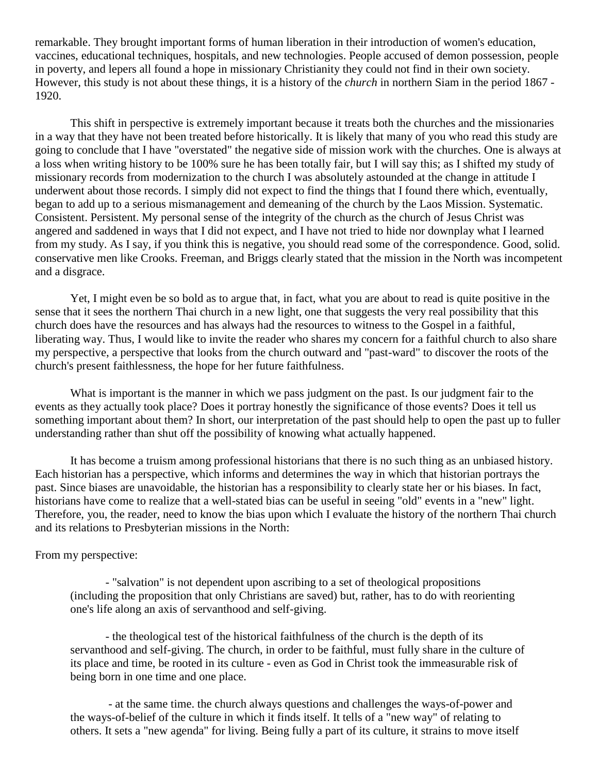remarkable. They brought important forms of human liberation in their introduction of women's education, vaccines, educational techniques, hospitals, and new technologies. People accused of demon possession, people in poverty, and lepers all found a hope in missionary Christianity they could not find in their own society. However, this study is not about these things, it is a history of the *church* in northern Siam in the period 1867 - 1920.

This shift in perspective is extremely important because it treats both the churches and the missionaries in a way that they have not been treated before historically. It is likely that many of you who read this study are going to conclude that I have "overstated" the negative side of mission work with the churches. One is always at a loss when writing history to be 100% sure he has been totally fair, but I will say this; as I shifted my study of missionary records from modernization to the church I was absolutely astounded at the change in attitude I underwent about those records. I simply did not expect to find the things that I found there which, eventually, began to add up to a serious mismanagement and demeaning of the church by the Laos Mission. Systematic. Consistent. Persistent. My personal sense of the integrity of the church as the church of Jesus Christ was angered and saddened in ways that I did not expect, and I have not tried to hide nor downplay what I learned from my study. As I say, if you think this is negative, you should read some of the correspondence. Good, solid. conservative men like Crooks. Freeman, and Briggs clearly stated that the mission in the North was incompetent and a disgrace.

Yet, I might even be so bold as to argue that, in fact, what you are about to read is quite positive in the sense that it sees the northern Thai church in a new light, one that suggests the very real possibility that this church does have the resources and has always had the resources to witness to the Gospel in a faithful, liberating way. Thus, I would like to invite the reader who shares my concern for a faithful church to also share my perspective, a perspective that looks from the church outward and "past-ward" to discover the roots of the church's present faithlessness, the hope for her future faithfulness.

What is important is the manner in which we pass judgment on the past. Is our judgment fair to the events as they actually took place? Does it portray honestly the significance of those events? Does it tell us something important about them? In short, our interpretation of the past should help to open the past up to fuller understanding rather than shut off the possibility of knowing what actually happened.

It has become a truism among professional historians that there is no such thing as an unbiased history. Each historian has a perspective, which informs and determines the way in which that historian portrays the past. Since biases are unavoidable, the historian has a responsibility to clearly state her or his biases. In fact, historians have come to realize that a well-stated bias can be useful in seeing "old" events in a "new" light. Therefore, you, the reader, need to know the bias upon which I evaluate the history of the northern Thai church and its relations to Presbyterian missions in the North:

### From my perspective:

- "salvation" is not dependent upon ascribing to a set of theological propositions (including the proposition that only Christians are saved) but, rather, has to do with reorienting one's life along an axis of servanthood and self-giving.

- the theological test of the historical faithfulness of the church is the depth of its servanthood and self-giving. The church, in order to be faithful, must fully share in the culture of its place and time, be rooted in its culture - even as God in Christ took the immeasurable risk of being born in one time and one place.

- at the same time. the church always questions and challenges the ways-of-power and the ways-of-belief of the culture in which it finds itself. It tells of a "new way" of relating to others. It sets a "new agenda" for living. Being fully a part of its culture, it strains to move itself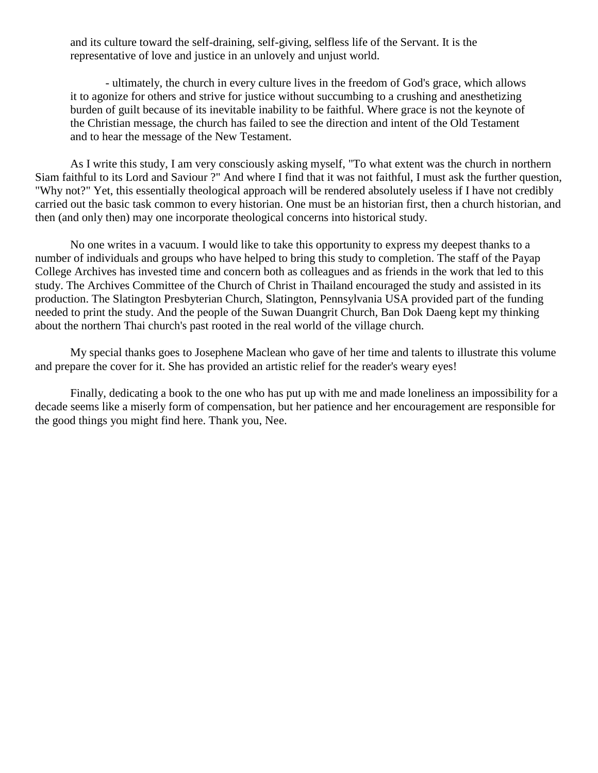and its culture toward the self-draining, self-giving, selfless life of the Servant. It is the representative of love and justice in an unlovely and unjust world.

- ultimately, the church in every culture lives in the freedom of God's grace, which allows it to agonize for others and strive for justice without succumbing to a crushing and anesthetizing burden of guilt because of its inevitable inability to be faithful. Where grace is not the keynote of the Christian message, the church has failed to see the direction and intent of the Old Testament and to hear the message of the New Testament.

As I write this study, I am very consciously asking myself, "To what extent was the church in northern Siam faithful to its Lord and Saviour ?" And where I find that it was not faithful, I must ask the further question, "Why not?" Yet, this essentially theological approach will be rendered absolutely useless if I have not credibly carried out the basic task common to every historian. One must be an historian first, then a church historian, and then (and only then) may one incorporate theological concerns into historical study.

No one writes in a vacuum. I would like to take this opportunity to express my deepest thanks to a number of individuals and groups who have helped to bring this study to completion. The staff of the Payap College Archives has invested time and concern both as colleagues and as friends in the work that led to this study. The Archives Committee of the Church of Christ in Thailand encouraged the study and assisted in its production. The Slatington Presbyterian Church, Slatington, Pennsylvania USA provided part of the funding needed to print the study. And the people of the Suwan Duangrit Church, Ban Dok Daeng kept my thinking about the northern Thai church's past rooted in the real world of the village church.

My special thanks goes to Josephene Maclean who gave of her time and talents to illustrate this volume and prepare the cover for it. She has provided an artistic relief for the reader's weary eyes!

Finally, dedicating a book to the one who has put up with me and made loneliness an impossibility for a decade seems like a miserly form of compensation, but her patience and her encouragement are responsible for the good things you might find here. Thank you, Nee.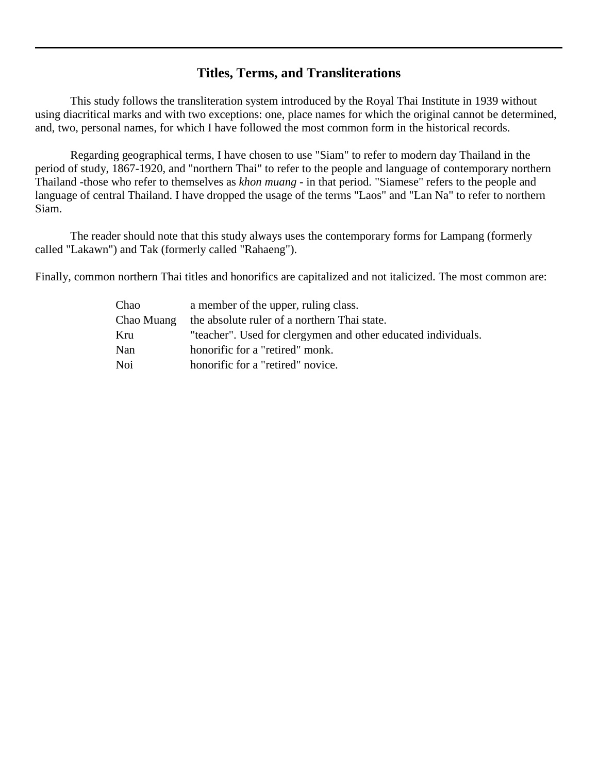# **Titles, Terms, and Transliterations**

<span id="page-6-0"></span>This study follows the transliteration system introduced by the Royal Thai Institute in 1939 without using diacritical marks and with two exceptions: one, place names for which the original cannot be determined, and, two, personal names, for which I have followed the most common form in the historical records.

Regarding geographical terms, I have chosen to use "Siam" to refer to modern day Thailand in the period of study, 1867-1920, and "northern Thai" to refer to the people and language of contemporary northern Thailand -those who refer to themselves as *khon muang* - in that period. "Siamese" refers to the people and language of central Thailand. I have dropped the usage of the terms "Laos" and "Lan Na" to refer to northern Siam.

The reader should note that this study always uses the contemporary forms for Lampang (formerly called "Lakawn") and Tak (formerly called "Rahaeng").

Finally, common northern Thai titles and honorifics are capitalized and not italicized. The most common are:

<span id="page-6-1"></span>

| Chao       | a member of the upper, ruling class.                          |
|------------|---------------------------------------------------------------|
| Chao Muang | the absolute ruler of a northern Thai state.                  |
| Kru        | "teacher". Used for clergymen and other educated individuals. |
| Nan        | honorific for a "retired" monk.                               |
| Noi        | honorific for a "retired" novice.                             |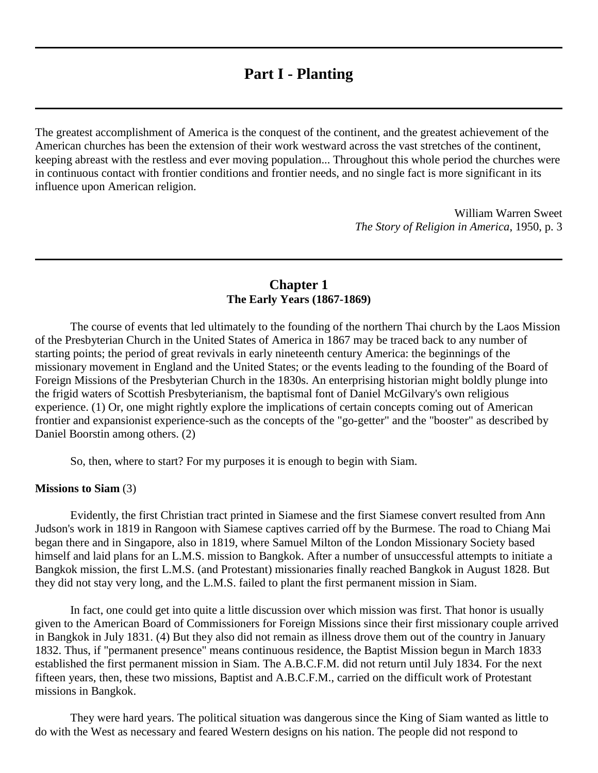# **Part I - Planting**

The greatest accomplishment of America is the conquest of the continent, and the greatest achievement of the American churches has been the extension of their work westward across the vast stretches of the continent, keeping abreast with the restless and ever moving population... Throughout this whole period the churches were in continuous contact with frontier conditions and frontier needs, and no single fact is more significant in its influence upon American religion.

> William Warren Sweet *The Story of Religion in America*, 1950, p. 3

# **Chapter 1 The Early Years (1867-1869)**

<span id="page-7-0"></span>The course of events that led ultimately to the founding of the northern Thai church by the Laos Mission of the Presbyterian Church in the United States of America in 1867 may be traced back to any number of starting points; the period of great revivals in early nineteenth century America: the beginnings of the missionary movement in England and the United States; or the events leading to the founding of the Board of Foreign Missions of the Presbyterian Church in the 1830s. An enterprising historian might boldly plunge into the frigid waters of Scottish Presbyterianism, the baptismal font of Daniel McGilvary's own religious experience. [\(1\)](http://herbswanson.com/post.php?pid=47#c1e1) Or, one might rightly explore the implications of certain concepts coming out of American frontier and expansionist experience-such as the concepts of the "go-getter" and the "booster" as described by Daniel Boorstin among others. [\(2\)](http://herbswanson.com/post.php?pid=47#c1e2)

So, then, where to start? For my purposes it is enough to begin with Siam.

### **Missions to Siam** [\(3\)](http://herbswanson.com/post.php?pid=47#c1e3)

Evidently, the first Christian tract printed in Siamese and the first Siamese convert resulted from Ann Judson's work in 1819 in Rangoon with Siamese captives carried off by the Burmese. The road to Chiang Mai began there and in Singapore, also in 1819, where Samuel Milton of the London Missionary Society based himself and laid plans for an L.M.S. mission to Bangkok. After a number of unsuccessful attempts to initiate a Bangkok mission, the first L.M.S. (and Protestant) missionaries finally reached Bangkok in August 1828. But they did not stay very long, and the L.M.S. failed to plant the first permanent mission in Siam.

In fact, one could get into quite a little discussion over which mission was first. That honor is usually given to the American Board of Commissioners for Foreign Missions since their first missionary couple arrived in Bangkok in July 1831. [\(4\)](http://herbswanson.com/post.php?pid=47#c1e4) But they also did not remain as illness drove them out of the country in January 1832. Thus, if "permanent presence" means continuous residence, the Baptist Mission begun in March 1833 established the first permanent mission in Siam. The A.B.C.F.M. did not return until July 1834. For the next fifteen years, then, these two missions, Baptist and A.B.C.F.M., carried on the difficult work of Protestant missions in Bangkok.

They were hard years. The political situation was dangerous since the King of Siam wanted as little to do with the West as necessary and feared Western designs on his nation. The people did not respond to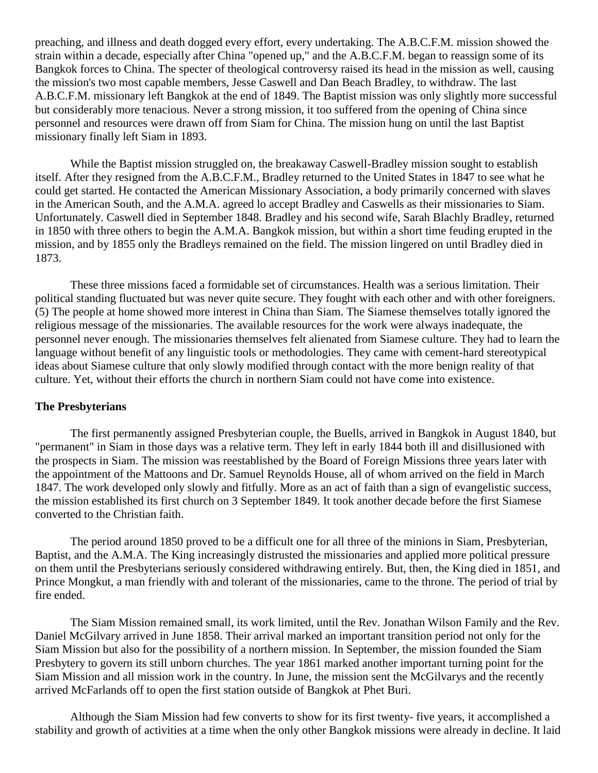preaching, and illness and death dogged every effort, every undertaking. The A.B.C.F.M. mission showed the strain within a decade, especially after China "opened up," and the A.B.C.F.M. began to reassign some of its Bangkok forces to China. The specter of theological controversy raised its head in the mission as well, causing the mission's two most capable members, Jesse Caswell and Dan Beach Bradley, to withdraw. The last A.B.C.F.M. missionary left Bangkok at the end of 1849. The Baptist mission was only slightly more successful but considerably more tenacious. Never a strong mission, it too suffered from the opening of China since personnel and resources were drawn off from Siam for China. The mission hung on until the last Baptist missionary finally left Siam in 1893.

While the Baptist mission struggled on, the breakaway Caswell-Bradley mission sought to establish itself. After they resigned from the A.B.C.F.M., Bradley returned to the United States in 1847 to see what he could get started. He contacted the American Missionary Association, a body primarily concerned with slaves in the American South, and the A.M.A. agreed lo accept Bradley and Caswells as their missionaries to Siam. Unfortunately. Caswell died in September 1848. Bradley and his second wife, Sarah Blachly Bradley, returned in 1850 with three others to begin the A.M.A. Bangkok mission, but within a short time feuding erupted in the mission, and by 1855 only the Bradleys remained on the field. The mission lingered on until Bradley died in 1873.

These three missions faced a formidable set of circumstances. Health was a serious limitation. Their political standing fluctuated but was never quite secure. They fought with each other and with other foreigners. [\(5\)](http://herbswanson.com/post.php?pid=47#c1e5) The people at home showed more interest in China than Siam. The Siamese themselves totally ignored the religious message of the missionaries. The available resources for the work were always inadequate, the personnel never enough. The missionaries themselves felt alienated from Siamese culture. They had to learn the language without benefit of any linguistic tools or methodologies. They came with cement-hard stereotypical ideas about Siamese culture that only slowly modified through contact with the more benign reality of that culture. Yet, without their efforts the church in northern Siam could not have come into existence.

### **The Presbyterians**

The first permanently assigned Presbyterian couple, the Buells, arrived in Bangkok in August 1840, but "permanent" in Siam in those days was a relative term. They left in early 1844 both ill and disillusioned with the prospects in Siam. The mission was reestablished by the Board of Foreign Missions three years later with the appointment of the Mattoons and Dr. Samuel Reynolds House, all of whom arrived on the field in March 1847. The work developed only slowly and fitfully. More as an act of faith than a sign of evangelistic success, the mission established its first church on 3 September 1849. It took another decade before the first Siamese converted to the Christian faith.

The period around 1850 proved to be a difficult one for all three of the minions in Siam, Presbyterian, Baptist, and the A.M.A. The King increasingly distrusted the missionaries and applied more political pressure on them until the Presbyterians seriously considered withdrawing entirely. But, then, the King died in 1851, and Prince Mongkut, a man friendly with and tolerant of the missionaries, came to the throne. The period of trial by fire ended.

The Siam Mission remained small, its work limited, until the Rev. Jonathan Wilson Family and the Rev. Daniel McGilvary arrived in June 1858. Their arrival marked an important transition period not only for the Siam Mission but also for the possibility of a northern mission. In September, the mission founded the Siam Presbytery to govern its still unborn churches. The year 1861 marked another important turning point for the Siam Mission and all mission work in the country. In June, the mission sent the McGilvarys and the recently arrived McFarlands off to open the first station outside of Bangkok at Phet Buri.

Although the Siam Mission had few converts to show for its first twenty- five years, it accomplished a stability and growth of activities at a time when the only other Bangkok missions were already in decline. It laid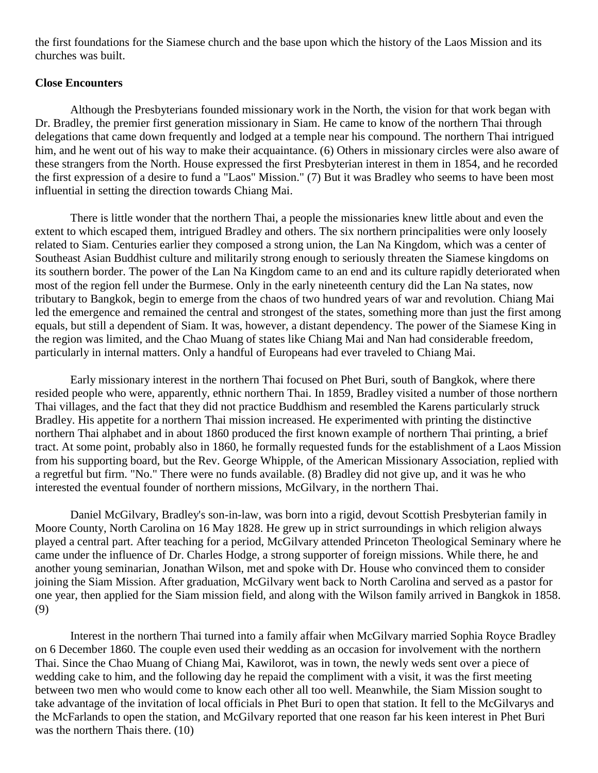the first foundations for the Siamese church and the base upon which the history of the Laos Mission and its churches was built.

## **Close Encounters**

Although the Presbyterians founded missionary work in the North, the vision for that work began with Dr. Bradley, the premier first generation missionary in Siam. He came to know of the northern Thai through delegations that came down frequently and lodged at a temple near his compound. The northern Thai intrigued him, and he went out of his way to make their acquaintance. [\(6\)](http://herbswanson.com/post.php?pid=47#c1e6) Others in missionary circles were also aware of these strangers from the North. House expressed the first Presbyterian interest in them in 1854, and he recorded the first expression of a desire to fund a "Laos" Mission." [\(7\)](http://herbswanson.com/post.php?pid=47#c1e7) But it was Bradley who seems to have been most influential in setting the direction towards Chiang Mai.

There is little wonder that the northern Thai, a people the missionaries knew little about and even the extent to which escaped them, intrigued Bradley and others. The six northern principalities were only loosely related to Siam. Centuries earlier they composed a strong union, the Lan Na Kingdom, which was a center of Southeast Asian Buddhist culture and militarily strong enough to seriously threaten the Siamese kingdoms on its southern border. The power of the Lan Na Kingdom came to an end and its culture rapidly deteriorated when most of the region fell under the Burmese. Only in the early nineteenth century did the Lan Na states, now tributary to Bangkok, begin to emerge from the chaos of two hundred years of war and revolution. Chiang Mai led the emergence and remained the central and strongest of the states, something more than just the first among equals, but still a dependent of Siam. It was, however, a distant dependency. The power of the Siamese King in the region was limited, and the Chao Muang of states like Chiang Mai and Nan had considerable freedom, particularly in internal matters. Only a handful of Europeans had ever traveled to Chiang Mai.

Early missionary interest in the northern Thai focused on Phet Buri, south of Bangkok, where there resided people who were, apparently, ethnic northern Thai. In 1859, Bradley visited a number of those northern Thai villages, and the fact that they did not practice Buddhism and resembled the Karens particularly struck Bradley. His appetite for a northern Thai mission increased. He experimented with printing the distinctive northern Thai alphabet and in about 1860 produced the first known example of northern Thai printing, a brief tract. At some point, probably also in 1860, he formally requested funds for the establishment of a Laos Mission from his supporting board, but the Rev. George Whipple, of the American Missionary Association, replied with a regretful but firm. "No." There were no funds available. [\(8\)](http://herbswanson.com/post.php?pid=47#c1e8) Bradley did not give up, and it was he who interested the eventual founder of northern missions, McGilvary, in the northern Thai.

Daniel McGilvary, Bradley's son-in-law, was born into a rigid, devout Scottish Presbyterian family in Moore County, North Carolina on 16 May 1828. He grew up in strict surroundings in which religion always played a central part. After teaching for a period, McGilvary attended Princeton Theological Seminary where he came under the influence of Dr. Charles Hodge, a strong supporter of foreign missions. While there, he and another young seminarian, Jonathan Wilson, met and spoke with Dr. House who convinced them to consider joining the Siam Mission. After graduation, McGilvary went back to North Carolina and served as a pastor for one year, then applied for the Siam mission field, and along with the Wilson family arrived in Bangkok in 1858. [\(9\)](http://herbswanson.com/post.php?pid=47#c1e9)

Interest in the northern Thai turned into a family affair when McGilvary married Sophia Royce Bradley on 6 December 1860. The couple even used their wedding as an occasion for involvement with the northern Thai. Since the Chao Muang of Chiang Mai, Kawilorot, was in town, the newly weds sent over a piece of wedding cake to him, and the following day he repaid the compliment with a visit, it was the first meeting between two men who would come to know each other all too well. Meanwhile, the Siam Mission sought to take advantage of the invitation of local officials in Phet Buri to open that station. It fell to the McGilvarys and the McFarlands to open the station, and McGilvary reported that one reason far his keen interest in Phet Buri was the northern Thais there. [\(10\)](http://herbswanson.com/post.php?pid=47#c1e10)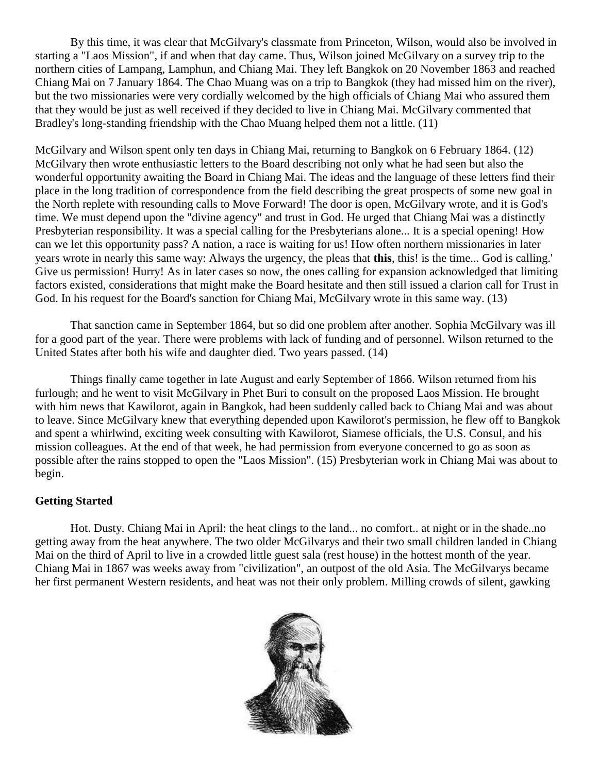By this time, it was clear that McGilvary's classmate from Princeton, Wilson, would also be involved in starting a "Laos Mission", if and when that day came. Thus, Wilson joined McGilvary on a survey trip to the northern cities of Lampang, Lamphun, and Chiang Mai. They left Bangkok on 20 November 1863 and reached Chiang Mai on 7 January 1864. The Chao Muang was on a trip to Bangkok (they had missed him on the river), but the two missionaries were very cordially welcomed by the high officials of Chiang Mai who assured them that they would be just as well received if they decided to live in Chiang Mai. McGilvary commented that Bradley's long-standing friendship with the Chao Muang helped them not a little. [\(11\)](http://herbswanson.com/post.php?pid=47#c1e11)

McGilvary and Wilson spent only ten days in Chiang Mai, returning to Bangkok on 6 February 1864. [\(12\)](http://herbswanson.com/post.php?pid=47#c1e12) McGilvary then wrote enthusiastic letters to the Board describing not only what he had seen but also the wonderful opportunity awaiting the Board in Chiang Mai. The ideas and the language of these letters find their place in the long tradition of correspondence from the field describing the great prospects of some new goal in the North replete with resounding calls to Move Forward! The door is open, McGilvary wrote, and it is God's time. We must depend upon the "divine agency" and trust in God. He urged that Chiang Mai was a distinctly Presbyterian responsibility. It was a special calling for the Presbyterians alone... It is a special opening! How can we let this opportunity pass? A nation, a race is waiting for us! How often northern missionaries in later years wrote in nearly this same way: Always the urgency, the pleas that **this**, this! is the time... God is calling.' Give us permission! Hurry! As in later cases so now, the ones calling for expansion acknowledged that limiting factors existed, considerations that might make the Board hesitate and then still issued a clarion call for Trust in God. In his request for the Board's sanction for Chiang Mai, McGilvary wrote in this same way. [\(13\)](http://herbswanson.com/post.php?pid=47#c1e13)

That sanction came in September 1864, but so did one problem after another. Sophia McGilvary was ill for a good part of the year. There were problems with lack of funding and of personnel. Wilson returned to the United States after both his wife and daughter died. Two years passed. [\(14\)](http://herbswanson.com/post.php?pid=47#c1e14)

Things finally came together in late August and early September of 1866. Wilson returned from his furlough; and he went to visit McGilvary in Phet Buri to consult on the proposed Laos Mission. He brought with him news that Kawilorot, again in Bangkok, had been suddenly called back to Chiang Mai and was about to leave. Since McGilvary knew that everything depended upon Kawilorot's permission, he flew off to Bangkok and spent a whirlwind, exciting week consulting with Kawilorot, Siamese officials, the U.S. Consul, and his mission colleagues. At the end of that week, he had permission from everyone concerned to go as soon as possible after the rains stopped to open the "Laos Mission". [\(15\)](http://herbswanson.com/post.php?pid=47#c1e15) Presbyterian work in Chiang Mai was about to begin.

## **Getting Started**

Hot. Dusty. Chiang Mai in April: the heat clings to the land... no comfort.. at night or in the shade..no getting away from the heat anywhere. The two older McGilvarys and their two small children landed in Chiang Mai on the third of April to live in a crowded little guest sala (rest house) in the hottest month of the year. Chiang Mai in 1867 was weeks away from "civilization", an outpost of the old Asia. The McGilvarys became her first permanent Western residents, and heat was not their only problem. Milling crowds of silent, gawking

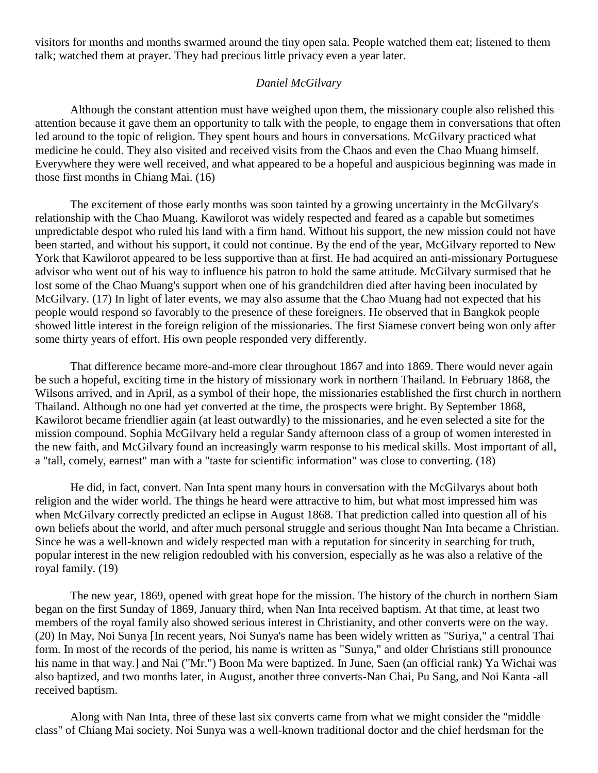visitors for months and months swarmed around the tiny open sala. People watched them eat; listened to them talk; watched them at prayer. They had precious little privacy even a year later.

## *Daniel McGilvary*

Although the constant attention must have weighed upon them, the missionary couple also relished this attention because it gave them an opportunity to talk with the people, to engage them in conversations that often led around to the topic of religion. They spent hours and hours in conversations. McGilvary practiced what medicine he could. They also visited and received visits from the Chaos and even the Chao Muang himself. Everywhere they were well received, and what appeared to be a hopeful and auspicious beginning was made in those first months in Chiang Mai. [\(16\)](http://herbswanson.com/post.php?pid=47#c1e16)

The excitement of those early months was soon tainted by a growing uncertainty in the McGilvary's relationship with the Chao Muang. Kawilorot was widely respected and feared as a capable but sometimes unpredictable despot who ruled his land with a firm hand. Without his support, the new mission could not have been started, and without his support, it could not continue. By the end of the year, McGilvary reported to New York that Kawilorot appeared to be less supportive than at first. He had acquired an anti-missionary Portuguese advisor who went out of his way to influence his patron to hold the same attitude. McGilvary surmised that he lost some of the Chao Muang's support when one of his grandchildren died after having been inoculated by McGilvary. [\(17\)](http://herbswanson.com/post.php?pid=47#c1e17) In light of later events, we may also assume that the Chao Muang had not expected that his people would respond so favorably to the presence of these foreigners. He observed that in Bangkok people showed little interest in the foreign religion of the missionaries. The first Siamese convert being won only after some thirty years of effort. His own people responded very differently.

That difference became more-and-more clear throughout 1867 and into 1869. There would never again be such a hopeful, exciting time in the history of missionary work in northern Thailand. In February 1868, the Wilsons arrived, and in April, as a symbol of their hope, the missionaries established the first church in northern Thailand. Although no one had yet converted at the time, the prospects were bright. By September 1868, Kawilorot became friendlier again (at least outwardly) to the missionaries, and he even selected a site for the mission compound. Sophia McGilvary held a regular Sandy afternoon class of a group of women interested in the new faith, and McGilvary found an increasingly warm response to his medical skills. Most important of all, a "tall, comely, earnest" man with a "taste for scientific information" was close to converting. [\(18\)](http://herbswanson.com/post.php?pid=47#c1e18)

He did, in fact, convert. Nan Inta spent many hours in conversation with the McGilvarys about both religion and the wider world. The things he heard were attractive to him, but what most impressed him was when McGilvary correctly predicted an eclipse in August 1868. That prediction called into question all of his own beliefs about the world, and after much personal struggle and serious thought Nan Inta became a Christian. Since he was a well-known and widely respected man with a reputation for sincerity in searching for truth, popular interest in the new religion redoubled with his conversion, especially as he was also a relative of the royal family. [\(19\)](http://herbswanson.com/post.php?pid=47#c1e19)

The new year, 1869, opened with great hope for the mission. The history of the church in northern Siam began on the first Sunday of 1869, January third, when Nan Inta received baptism. At that time, at least two members of the royal family also showed serious interest in Christianity, and other converts were on the way. [\(20\)](http://herbswanson.com/post.php?pid=47#c1e20) In May, Noi Sunya [In recent years, Noi Sunya's name has been widely written as "Suriya," a central Thai form. In most of the records of the period, his name is written as "Sunya," and older Christians still pronounce his name in that way.] and Nai ("Mr.") Boon Ma were baptized. In June, Saen (an official rank) Ya Wichai was also baptized, and two months later, in August, another three converts-Nan Chai, Pu Sang, and Noi Kanta -all received baptism.

Along with Nan Inta, three of these last six converts came from what we might consider the "middle class" of Chiang Mai society. Noi Sunya was a well-known traditional doctor and the chief herdsman for the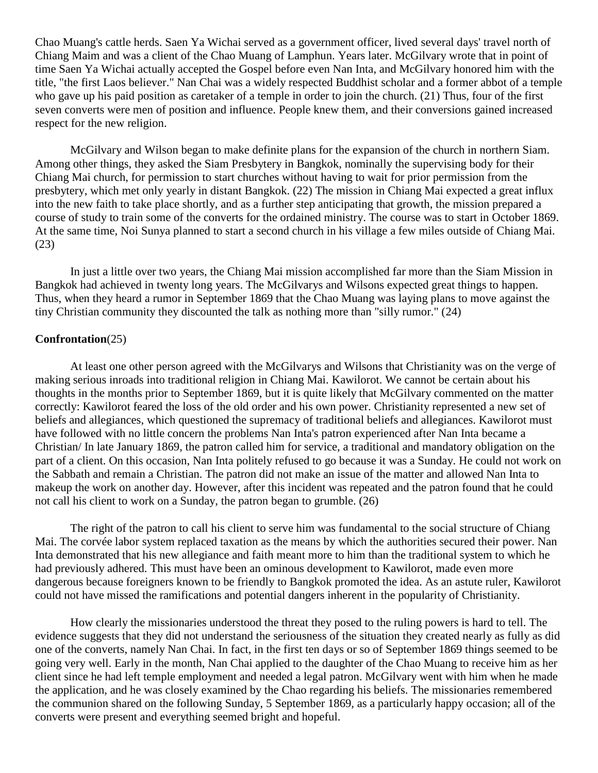Chao Muang's cattle herds. Saen Ya Wichai served as a government officer, lived several days' travel north of Chiang Maim and was a client of the Chao Muang of Lamphun. Years later. McGilvary wrote that in point of time Saen Ya Wichai actually accepted the Gospel before even Nan Inta, and McGilvary honored him with the title, "the first Laos believer." Nan Chai was a widely respected Buddhist scholar and a former abbot of a temple who gave up his paid position as caretaker of a temple in order to join the church. [\(21\)](http://herbswanson.com/post.php?pid=47#c1e21) Thus, four of the first seven converts were men of position and influence. People knew them, and their conversions gained increased respect for the new religion.

McGilvary and Wilson began to make definite plans for the expansion of the church in northern Siam. Among other things, they asked the Siam Presbytery in Bangkok, nominally the supervising body for their Chiang Mai church, for permission to start churches without having to wait for prior permission from the presbytery, which met only yearly in distant Bangkok. [\(22\)](http://herbswanson.com/post.php?pid=47#c1e22) The mission in Chiang Mai expected a great influx into the new faith to take place shortly, and as a further step anticipating that growth, the mission prepared a course of study to train some of the converts for the ordained ministry. The course was to start in October 1869. At the same time, Noi Sunya planned to start a second church in his village a few miles outside of Chiang Mai. [\(23\)](http://herbswanson.com/post.php?pid=47#c1e23)

In just a little over two years, the Chiang Mai mission accomplished far more than the Siam Mission in Bangkok had achieved in twenty long years. The McGilvarys and Wilsons expected great things to happen. Thus, when they heard a rumor in September 1869 that the Chao Muang was laying plans to move against the tiny Christian community they discounted the talk as nothing more than "silly rumor." [\(24\)](http://herbswanson.com/post.php?pid=47#c1e24)

## **Confrontation**[\(25\)](http://herbswanson.com/post.php?pid=47#c1e25)

At least one other person agreed with the McGilvarys and Wilsons that Christianity was on the verge of making serious inroads into traditional religion in Chiang Mai. Kawilorot. We cannot be certain about his thoughts in the months prior to September 1869, but it is quite likely that McGilvary commented on the matter correctly: Kawilorot feared the loss of the old order and his own power. Christianity represented a new set of beliefs and allegiances, which questioned the supremacy of traditional beliefs and allegiances. Kawilorot must have followed with no little concern the problems Nan Inta's patron experienced after Nan Inta became a Christian/ In late January 1869, the patron called him for service, a traditional and mandatory obligation on the part of a client. On this occasion, Nan Inta politely refused to go because it was a Sunday. He could not work on the Sabbath and remain a Christian. The patron did not make an issue of the matter and allowed Nan Inta to makeup the work on another day. However, after this incident was repeated and the patron found that he could not call his client to work on a Sunday, the patron began to grumble. [\(26\)](http://herbswanson.com/post.php?pid=47#c1e26)

The right of the patron to call his client to serve him was fundamental to the social structure of Chiang Mai. The corvée labor system replaced taxation as the means by which the authorities secured their power. Nan Inta demonstrated that his new allegiance and faith meant more to him than the traditional system to which he had previously adhered. This must have been an ominous development to Kawilorot, made even more dangerous because foreigners known to be friendly to Bangkok promoted the idea. As an astute ruler, Kawilorot could not have missed the ramifications and potential dangers inherent in the popularity of Christianity.

How clearly the missionaries understood the threat they posed to the ruling powers is hard to tell. The evidence suggests that they did not understand the seriousness of the situation they created nearly as fully as did one of the converts, namely Nan Chai. In fact, in the first ten days or so of September 1869 things seemed to be going very well. Early in the month, Nan Chai applied to the daughter of the Chao Muang to receive him as her client since he had left temple employment and needed a legal patron. McGilvary went with him when he made the application, and he was closely examined by the Chao regarding his beliefs. The missionaries remembered the communion shared on the following Sunday, 5 September 1869, as a particularly happy occasion; all of the converts were present and everything seemed bright and hopeful.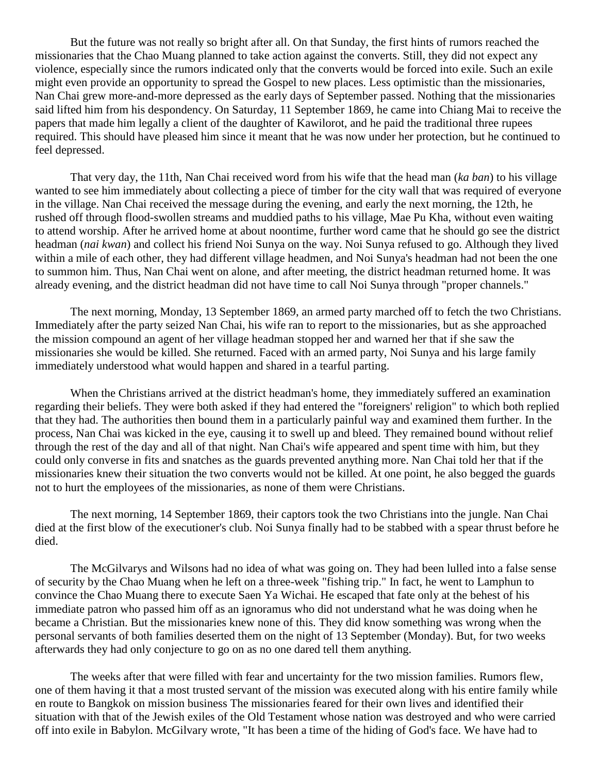But the future was not really so bright after all. On that Sunday, the first hints of rumors reached the missionaries that the Chao Muang planned to take action against the converts. Still, they did not expect any violence, especially since the rumors indicated only that the converts would be forced into exile. Such an exile might even provide an opportunity to spread the Gospel to new places. Less optimistic than the missionaries, Nan Chai grew more-and-more depressed as the early days of September passed. Nothing that the missionaries said lifted him from his despondency. On Saturday, 11 September 1869, he came into Chiang Mai to receive the papers that made him legally a client of the daughter of Kawilorot, and he paid the traditional three rupees required. This should have pleased him since it meant that he was now under her protection, but he continued to feel depressed.

That very day, the 11th, Nan Chai received word from his wife that the head man (*ka ban*) to his village wanted to see him immediately about collecting a piece of timber for the city wall that was required of everyone in the village. Nan Chai received the message during the evening, and early the next morning, the 12th, he rushed off through flood-swollen streams and muddied paths to his village, Mae Pu Kha, without even waiting to attend worship. After he arrived home at about noontime, further word came that he should go see the district headman (*nai kwan*) and collect his friend Noi Sunya on the way. Noi Sunya refused to go. Although they lived within a mile of each other, they had different village headmen, and Noi Sunya's headman had not been the one to summon him. Thus, Nan Chai went on alone, and after meeting, the district headman returned home. It was already evening, and the district headman did not have time to call Noi Sunya through "proper channels."

The next morning, Monday, 13 September 1869, an armed party marched off to fetch the two Christians. Immediately after the party seized Nan Chai, his wife ran to report to the missionaries, but as she approached the mission compound an agent of her village headman stopped her and warned her that if she saw the missionaries she would be killed. She returned. Faced with an armed party, Noi Sunya and his large family immediately understood what would happen and shared in a tearful parting.

When the Christians arrived at the district headman's home, they immediately suffered an examination regarding their beliefs. They were both asked if they had entered the "foreigners' religion" to which both replied that they had. The authorities then bound them in a particularly painful way and examined them further. In the process, Nan Chai was kicked in the eye, causing it to swell up and bleed. They remained bound without relief through the rest of the day and all of that night. Nan Chai's wife appeared and spent time with him, but they could only converse in fits and snatches as the guards prevented anything more. Nan Chai told her that if the missionaries knew their situation the two converts would not be killed. At one point, he also begged the guards not to hurt the employees of the missionaries, as none of them were Christians.

The next morning, 14 September 1869, their captors took the two Christians into the jungle. Nan Chai died at the first blow of the executioner's club. Noi Sunya finally had to be stabbed with a spear thrust before he died.

The McGilvarys and Wilsons had no idea of what was going on. They had been lulled into a false sense of security by the Chao Muang when he left on a three-week "fishing trip." In fact, he went to Lamphun to convince the Chao Muang there to execute Saen Ya Wichai. He escaped that fate only at the behest of his immediate patron who passed him off as an ignoramus who did not understand what he was doing when he became a Christian. But the missionaries knew none of this. They did know something was wrong when the personal servants of both families deserted them on the night of 13 September (Monday). But, for two weeks afterwards they had only conjecture to go on as no one dared tell them anything.

The weeks after that were filled with fear and uncertainty for the two mission families. Rumors flew, one of them having it that a most trusted servant of the mission was executed along with his entire family while en route to Bangkok on mission business The missionaries feared for their own lives and identified their situation with that of the Jewish exiles of the Old Testament whose nation was destroyed and who were carried off into exile in Babylon. McGilvary wrote, "It has been a time of the hiding of God's face. We have had to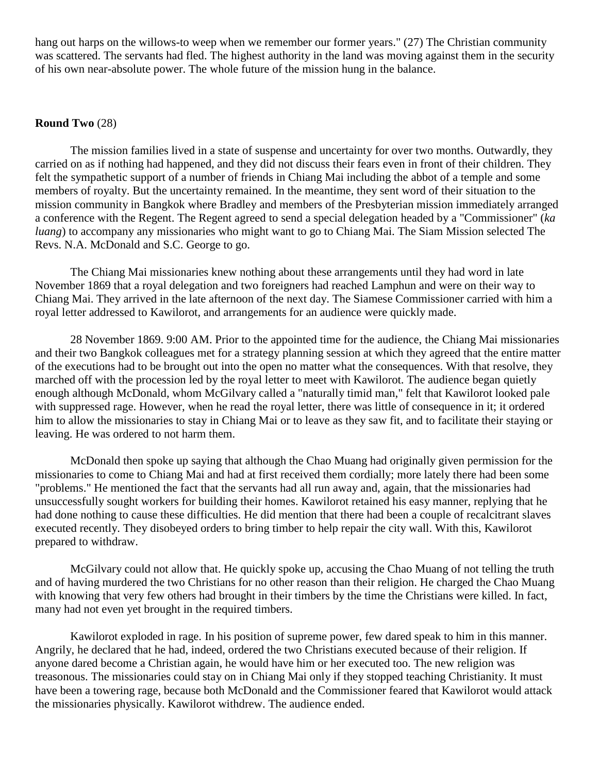hang out harps on the willows-to weep when we remember our former years." [\(27\)](http://herbswanson.com/post.php?pid=47#c1e27) The Christian community was scattered. The servants had fled. The highest authority in the land was moving against them in the security of his own near-absolute power. The whole future of the mission hung in the balance.

## **Round Two** [\(28\)](http://herbswanson.com/post.php?pid=47#c1e28)

The mission families lived in a state of suspense and uncertainty for over two months. Outwardly, they carried on as if nothing had happened, and they did not discuss their fears even in front of their children. They felt the sympathetic support of a number of friends in Chiang Mai including the abbot of a temple and some members of royalty. But the uncertainty remained. In the meantime, they sent word of their situation to the mission community in Bangkok where Bradley and members of the Presbyterian mission immediately arranged a conference with the Regent. The Regent agreed to send a special delegation headed by a "Commissioner" (*ka luang*) to accompany any missionaries who might want to go to Chiang Mai. The Siam Mission selected The Revs. N.A. McDonald and S.C. George to go.

The Chiang Mai missionaries knew nothing about these arrangements until they had word in late November 1869 that a royal delegation and two foreigners had reached Lamphun and were on their way to Chiang Mai. They arrived in the late afternoon of the next day. The Siamese Commissioner carried with him a royal letter addressed to Kawilorot, and arrangements for an audience were quickly made.

28 November 1869. 9:00 AM. Prior to the appointed time for the audience, the Chiang Mai missionaries and their two Bangkok colleagues met for a strategy planning session at which they agreed that the entire matter of the executions had to be brought out into the open no matter what the consequences. With that resolve, they marched off with the procession led by the royal letter to meet with Kawilorot. The audience began quietly enough although McDonald, whom McGilvary called a "naturally timid man," felt that Kawilorot looked pale with suppressed rage. However, when he read the royal letter, there was little of consequence in it; it ordered him to allow the missionaries to stay in Chiang Mai or to leave as they saw fit, and to facilitate their staying or leaving. He was ordered to not harm them.

McDonald then spoke up saying that although the Chao Muang had originally given permission for the missionaries to come to Chiang Mai and had at first received them cordially; more lately there had been some "problems." He mentioned the fact that the servants had all run away and, again, that the missionaries had unsuccessfully sought workers for building their homes. Kawilorot retained his easy manner, replying that he had done nothing to cause these difficulties. He did mention that there had been a couple of recalcitrant slaves executed recently. They disobeyed orders to bring timber to help repair the city wall. With this, Kawilorot prepared to withdraw.

McGilvary could not allow that. He quickly spoke up, accusing the Chao Muang of not telling the truth and of having murdered the two Christians for no other reason than their religion. He charged the Chao Muang with knowing that very few others had brought in their timbers by the time the Christians were killed. In fact, many had not even yet brought in the required timbers.

Kawilorot exploded in rage. In his position of supreme power, few dared speak to him in this manner. Angrily, he declared that he had, indeed, ordered the two Christians executed because of their religion. If anyone dared become a Christian again, he would have him or her executed too. The new religion was treasonous. The missionaries could stay on in Chiang Mai only if they stopped teaching Christianity. It must have been a towering rage, because both McDonald and the Commissioner feared that Kawilorot would attack the missionaries physically. Kawilorot withdrew. The audience ended.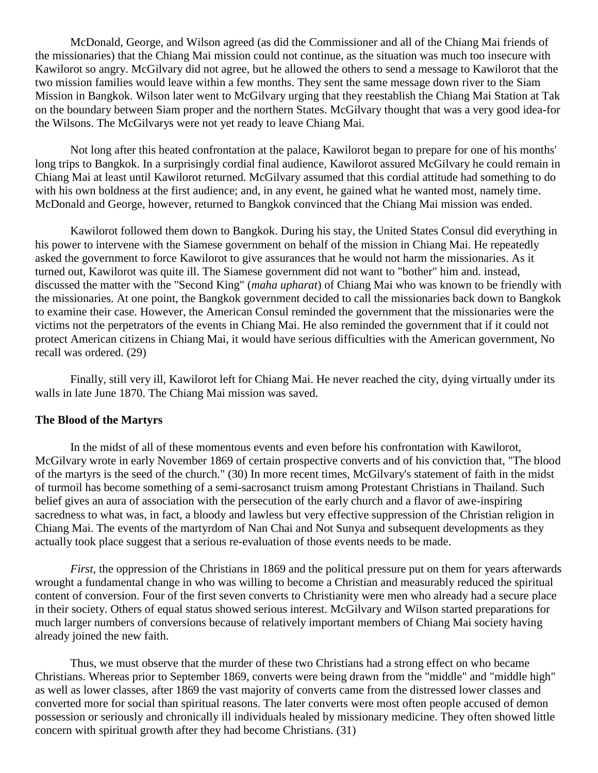McDonald, George, and Wilson agreed (as did the Commissioner and all of the Chiang Mai friends of the missionaries) that the Chiang Mai mission could not continue, as the situation was much too insecure with Kawilorot so angry. McGilvary did not agree, but he allowed the others to send a message to Kawilorot that the two mission families would leave within a few months. They sent the same message down river to the Siam Mission in Bangkok. Wilson later went to McGilvary urging that they reestablish the Chiang Mai Station at Tak on the boundary between Siam proper and the northern States. McGilvary thought that was a very good idea-for the Wilsons. The McGilvarys were not yet ready to leave Chiang Mai.

Not long after this heated confrontation at the palace, Kawilorot began to prepare for one of his months' long trips to Bangkok. In a surprisingly cordial final audience, Kawilorot assured McGilvary he could remain in Chiang Mai at least until Kawilorot returned. McGilvary assumed that this cordial attitude had something to do with his own boldness at the first audience; and, in any event, he gained what he wanted most, namely time. McDonald and George, however, returned to Bangkok convinced that the Chiang Mai mission was ended.

Kawilorot followed them down to Bangkok. During his stay, the United States Consul did everything in his power to intervene with the Siamese government on behalf of the mission in Chiang Mai. He repeatedly asked the government to force Kawilorot to give assurances that he would not harm the missionaries. As it turned out, Kawilorot was quite ill. The Siamese government did not want to "bother" him and. instead, discussed the matter with the "Second King" (*maha upharat*) of Chiang Mai who was known to be friendly with the missionaries. At one point, the Bangkok government decided to call the missionaries back down to Bangkok to examine their case. However, the American Consul reminded the government that the missionaries were the victims not the perpetrators of the events in Chiang Mai. He also reminded the government that if it could not protect American citizens in Chiang Mai, it would have serious difficulties with the American government, No recall was ordered. [\(29\)](http://herbswanson.com/post.php?pid=47#c1e29)

Finally, still very ill, Kawilorot left for Chiang Mai. He never reached the city, dying virtually under its walls in late June 1870. The Chiang Mai mission was saved.

### **The Blood of the Martyrs**

In the midst of all of these momentous events and even before his confrontation with Kawilorot, McGilvary wrote in early November 1869 of certain prospective converts and of his conviction that, "The blood of the martyrs is the seed of the church." [\(30\)](http://herbswanson.com/post.php?pid=47#c1e30) In more recent times, McGilvary's statement of faith in the midst of turmoil has become something of a semi-sacrosanct truism among Protestant Christians in Thailand. Such belief gives an aura of association with the persecution of the early church and a flavor of awe-inspiring sacredness to what was, in fact, a bloody and lawless but very effective suppression of the Christian religion in Chiang Mai. The events of the martyrdom of Nan Chai and Not Sunya and subsequent developments as they actually took place suggest that a serious re-evaluation of those events needs to be made.

*First,* the oppression of the Christians in 1869 and the political pressure put on them for years afterwards wrought a fundamental change in who was willing to become a Christian and measurably reduced the spiritual content of conversion. Four of the first seven converts to Christianity were men who already had a secure place in their society. Others of equal status showed serious interest. McGilvary and Wilson started preparations for much larger numbers of conversions because of relatively important members of Chiang Mai society having already joined the new faith.

Thus, we must observe that the murder of these two Christians had a strong effect on who became Christians. Whereas prior to September 1869, converts were being drawn from the "middle" and "middle high" as well as lower classes, after 1869 the vast majority of converts came from the distressed lower classes and converted more for social than spiritual reasons. The later converts were most often people accused of demon possession or seriously and chronically ill individuals healed by missionary medicine. They often showed little concern with spiritual growth after they had become Christians. [\(31\)](http://herbswanson.com/post.php?pid=47#c1e31)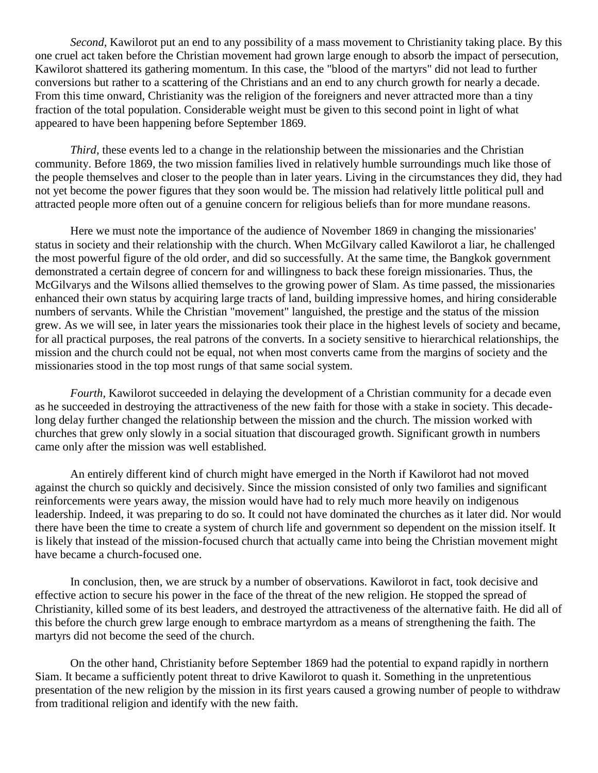*Second,* Kawilorot put an end to any possibility of a mass movement to Christianity taking place. By this one cruel act taken before the Christian movement had grown large enough to absorb the impact of persecution, Kawilorot shattered its gathering momentum. In this case, the "blood of the martyrs" did not lead to further conversions but rather to a scattering of the Christians and an end to any church growth for nearly a decade. From this time onward, Christianity was the religion of the foreigners and never attracted more than a tiny fraction of the total population. Considerable weight must be given to this second point in light of what appeared to have been happening before September 1869.

*Third*, these events led to a change in the relationship between the missionaries and the Christian community. Before 1869, the two mission families lived in relatively humble surroundings much like those of the people themselves and closer to the people than in later years. Living in the circumstances they did, they had not yet become the power figures that they soon would be. The mission had relatively little political pull and attracted people more often out of a genuine concern for religious beliefs than for more mundane reasons.

Here we must note the importance of the audience of November 1869 in changing the missionaries' status in society and their relationship with the church. When McGilvary called Kawilorot a liar, he challenged the most powerful figure of the old order, and did so successfully. At the same time, the Bangkok government demonstrated a certain degree of concern for and willingness to back these foreign missionaries. Thus, the McGilvarys and the Wilsons allied themselves to the growing power of Slam. As time passed, the missionaries enhanced their own status by acquiring large tracts of land, building impressive homes, and hiring considerable numbers of servants. While the Christian "movement" languished, the prestige and the status of the mission grew. As we will see, in later years the missionaries took their place in the highest levels of society and became, for all practical purposes, the real patrons of the converts. In a society sensitive to hierarchical relationships, the mission and the church could not be equal, not when most converts came from the margins of society and the missionaries stood in the top most rungs of that same social system.

*Fourth*, Kawilorot succeeded in delaying the development of a Christian community for a decade even as he succeeded in destroying the attractiveness of the new faith for those with a stake in society. This decadelong delay further changed the relationship between the mission and the church. The mission worked with churches that grew only slowly in a social situation that discouraged growth. Significant growth in numbers came only after the mission was well established.

An entirely different kind of church might have emerged in the North if Kawilorot had not moved against the church so quickly and decisively. Since the mission consisted of only two families and significant reinforcements were years away, the mission would have had to rely much more heavily on indigenous leadership. Indeed, it was preparing to do so. It could not have dominated the churches as it later did. Nor would there have been the time to create a system of church life and government so dependent on the mission itself. It is likely that instead of the mission-focused church that actually came into being the Christian movement might have became a church-focused one.

In conclusion, then, we are struck by a number of observations. Kawilorot in fact, took decisive and effective action to secure his power in the face of the threat of the new religion. He stopped the spread of Christianity, killed some of its best leaders, and destroyed the attractiveness of the alternative faith. He did all of this before the church grew large enough to embrace martyrdom as a means of strengthening the faith. The martyrs did not become the seed of the church.

On the other hand, Christianity before September 1869 had the potential to expand rapidly in northern Siam. It became a sufficiently potent threat to drive Kawilorot to quash it. Something in the unpretentious presentation of the new religion by the mission in its first years caused a growing number of people to withdraw from traditional religion and identify with the new faith.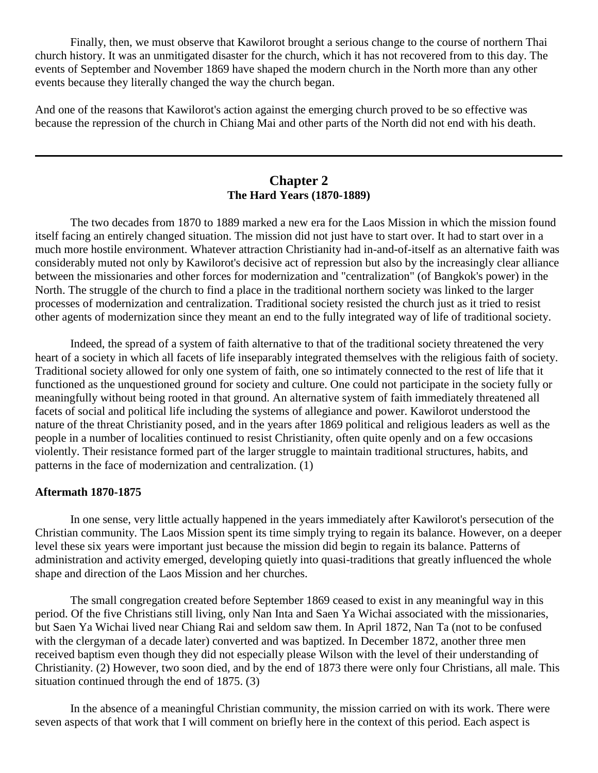Finally, then, we must observe that Kawilorot brought a serious change to the course of northern Thai church history. It was an unmitigated disaster for the church, which it has not recovered from to this day. The events of September and November 1869 have shaped the modern church in the North more than any other events because they literally changed the way the church began.

And one of the reasons that Kawilorot's action against the emerging church proved to be so effective was because the repression of the church in Chiang Mai and other parts of the North did not end with his death.

# **Chapter 2 The Hard Years (1870-1889)**

<span id="page-17-0"></span>The two decades from 1870 to 1889 marked a new era for the Laos Mission in which the mission found itself facing an entirely changed situation. The mission did not just have to start over. It had to start over in a much more hostile environment. Whatever attraction Christianity had in-and-of-itself as an alternative faith was considerably muted not only by Kawilorot's decisive act of repression but also by the increasingly clear alliance between the missionaries and other forces for modernization and "centralization" (of Bangkok's power) in the North. The struggle of the church to find a place in the traditional northern society was linked to the larger processes of modernization and centralization. Traditional society resisted the church just as it tried to resist other agents of modernization since they meant an end to the fully integrated way of life of traditional society.

Indeed, the spread of a system of faith alternative to that of the traditional society threatened the very heart of a society in which all facets of life inseparably integrated themselves with the religious faith of society. Traditional society allowed for only one system of faith, one so intimately connected to the rest of life that it functioned as the unquestioned ground for society and culture. One could not participate in the society fully or meaningfully without being rooted in that ground. An alternative system of faith immediately threatened all facets of social and political life including the systems of allegiance and power. Kawilorot understood the nature of the threat Christianity posed, and in the years after 1869 political and religious leaders as well as the people in a number of localities continued to resist Christianity, often quite openly and on a few occasions violently. Their resistance formed part of the larger struggle to maintain traditional structures, habits, and patterns in the face of modernization and centralization. [\(1\)](http://herbswanson.com/post.php?pid=47#c2e1)

### **Aftermath 1870-1875**

In one sense, very little actually happened in the years immediately after Kawilorot's persecution of the Christian community. The Laos Mission spent its time simply trying to regain its balance. However, on a deeper level these six years were important just because the mission did begin to regain its balance. Patterns of administration and activity emerged, developing quietly into quasi-traditions that greatly influenced the whole shape and direction of the Laos Mission and her churches.

The small congregation created before September 1869 ceased to exist in any meaningful way in this period. Of the five Christians still living, only Nan Inta and Saen Ya Wichai associated with the missionaries, but Saen Ya Wichai lived near Chiang Rai and seldom saw them. In April 1872, Nan Ta (not to be confused with the clergyman of a decade later) converted and was baptized. In December 1872, another three men received baptism even though they did not especially please Wilson with the level of their understanding of Christianity. [\(2\)](http://herbswanson.com/post.php?pid=47#c2e2) However, two soon died, and by the end of 1873 there were only four Christians, all male. This situation continued through the end of 1875. [\(3\)](http://herbswanson.com/post.php?pid=47#c2e3)

In the absence of a meaningful Christian community, the mission carried on with its work. There were seven aspects of that work that I will comment on briefly here in the context of this period. Each aspect is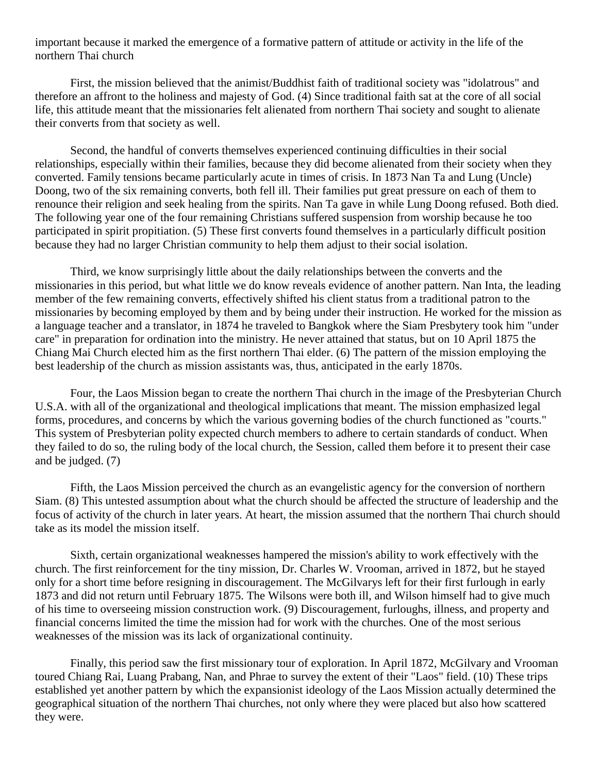important because it marked the emergence of a formative pattern of attitude or activity in the life of the northern Thai church

First, the mission believed that the animist/Buddhist faith of traditional society was "idolatrous" and therefore an affront to the holiness and majesty of God. [\(4\)](http://herbswanson.com/post.php?pid=47#c2e4) Since traditional faith sat at the core of all social life, this attitude meant that the missionaries felt alienated from northern Thai society and sought to alienate their converts from that society as well.

Second, the handful of converts themselves experienced continuing difficulties in their social relationships, especially within their families, because they did become alienated from their society when they converted. Family tensions became particularly acute in times of crisis. In 1873 Nan Ta and Lung (Uncle) Doong, two of the six remaining converts, both fell ill. Their families put great pressure on each of them to renounce their religion and seek healing from the spirits. Nan Ta gave in while Lung Doong refused. Both died. The following year one of the four remaining Christians suffered suspension from worship because he too participated in spirit propitiation. [\(5\)](http://herbswanson.com/post.php?pid=47#c2e5) These first converts found themselves in a particularly difficult position because they had no larger Christian community to help them adjust to their social isolation.

Third, we know surprisingly little about the daily relationships between the converts and the missionaries in this period, but what little we do know reveals evidence of another pattern. Nan Inta, the leading member of the few remaining converts, effectively shifted his client status from a traditional patron to the missionaries by becoming employed by them and by being under their instruction. He worked for the mission as a language teacher and a translator, in 1874 he traveled to Bangkok where the Siam Presbytery took him "under care" in preparation for ordination into the ministry. He never attained that status, but on 10 April 1875 the Chiang Mai Church elected him as the first northern Thai elder. [\(6\)](http://herbswanson.com/post.php?pid=47#c2e6) The pattern of the mission employing the best leadership of the church as mission assistants was, thus, anticipated in the early 1870s.

Four, the Laos Mission began to create the northern Thai church in the image of the Presbyterian Church U.S.A. with all of the organizational and theological implications that meant. The mission emphasized legal forms, procedures, and concerns by which the various governing bodies of the church functioned as "courts." This system of Presbyterian polity expected church members to adhere to certain standards of conduct. When they failed to do so, the ruling body of the local church, the Session, called them before it to present their case and be judged. [\(7\)](http://herbswanson.com/post.php?pid=47#c2e7)

Fifth, the Laos Mission perceived the church as an evangelistic agency for the conversion of northern Siam. [\(8\)](http://herbswanson.com/post.php?pid=47#c2e8) This untested assumption about what the church should be affected the structure of leadership and the focus of activity of the church in later years. At heart, the mission assumed that the northern Thai church should take as its model the mission itself.

Sixth, certain organizational weaknesses hampered the mission's ability to work effectively with the church. The first reinforcement for the tiny mission, Dr. Charles W. Vrooman, arrived in 1872, but he stayed only for a short time before resigning in discouragement. The McGilvarys left for their first furlough in early 1873 and did not return until February 1875. The Wilsons were both ill, and Wilson himself had to give much of his time to overseeing mission construction work. [\(9\)](http://herbswanson.com/post.php?pid=47#c2e9) Discouragement, furloughs, illness, and property and financial concerns limited the time the mission had for work with the churches. One of the most serious weaknesses of the mission was its lack of organizational continuity.

Finally, this period saw the first missionary tour of exploration. In April 1872, McGilvary and Vrooman toured Chiang Rai, Luang Prabang, Nan, and Phrae to survey the extent of their "Laos" field. [\(10\)](http://herbswanson.com/post.php?pid=47#c2e10) These trips established yet another pattern by which the expansionist ideology of the Laos Mission actually determined the geographical situation of the northern Thai churches, not only where they were placed but also how scattered they were.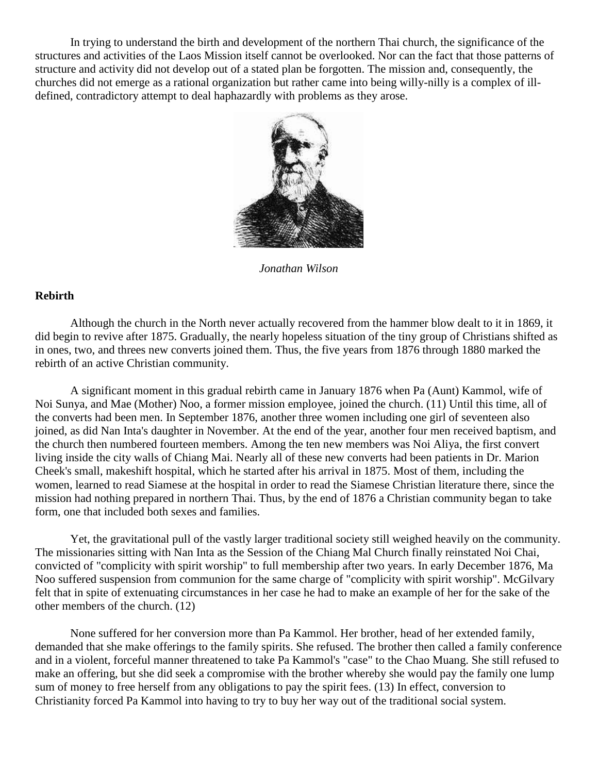In trying to understand the birth and development of the northern Thai church, the significance of the structures and activities of the Laos Mission itself cannot be overlooked. Nor can the fact that those patterns of structure and activity did not develop out of a stated plan be forgotten. The mission and, consequently, the churches did not emerge as a rational organization but rather came into being willy-nilly is a complex of illdefined, contradictory attempt to deal haphazardly with problems as they arose.



*Jonathan Wilson*

## **Rebirth**

Although the church in the North never actually recovered from the hammer blow dealt to it in 1869, it did begin to revive after 1875. Gradually, the nearly hopeless situation of the tiny group of Christians shifted as in ones, two, and threes new converts joined them. Thus, the five years from 1876 through 1880 marked the rebirth of an active Christian community.

A significant moment in this gradual rebirth came in January 1876 when Pa (Aunt) Kammol, wife of Noi Sunya, and Mae (Mother) Noo, a former mission employee, joined the church. [\(11\)](http://herbswanson.com/post.php?pid=47#c2e11) Until this time, all of the converts had been men. In September 1876, another three women including one girl of seventeen also joined, as did Nan Inta's daughter in November. At the end of the year, another four men received baptism, and the church then numbered fourteen members. Among the ten new members was Noi Aliya, the first convert living inside the city walls of Chiang Mai. Nearly all of these new converts had been patients in Dr. Marion Cheek's small, makeshift hospital, which he started after his arrival in 1875. Most of them, including the women, learned to read Siamese at the hospital in order to read the Siamese Christian literature there, since the mission had nothing prepared in northern Thai. Thus, by the end of 1876 a Christian community began to take form, one that included both sexes and families.

Yet, the gravitational pull of the vastly larger traditional society still weighed heavily on the community. The missionaries sitting with Nan Inta as the Session of the Chiang Mal Church finally reinstated Noi Chai, convicted of "complicity with spirit worship" to full membership after two years. In early December 1876, Ma Noo suffered suspension from communion for the same charge of "complicity with spirit worship". McGilvary felt that in spite of extenuating circumstances in her case he had to make an example of her for the sake of the other members of the church. [\(12\)](http://herbswanson.com/post.php?pid=47#c2e12)

None suffered for her conversion more than Pa Kammol. Her brother, head of her extended family, demanded that she make offerings to the family spirits. She refused. The brother then called a family conference and in a violent, forceful manner threatened to take Pa Kammol's "case" to the Chao Muang. She still refused to make an offering, but she did seek a compromise with the brother whereby she would pay the family one lump sum of money to free herself from any obligations to pay the spirit fees. [\(13\)](http://herbswanson.com/post.php?pid=47#c2e13) In effect, conversion to Christianity forced Pa Kammol into having to try to buy her way out of the traditional social system.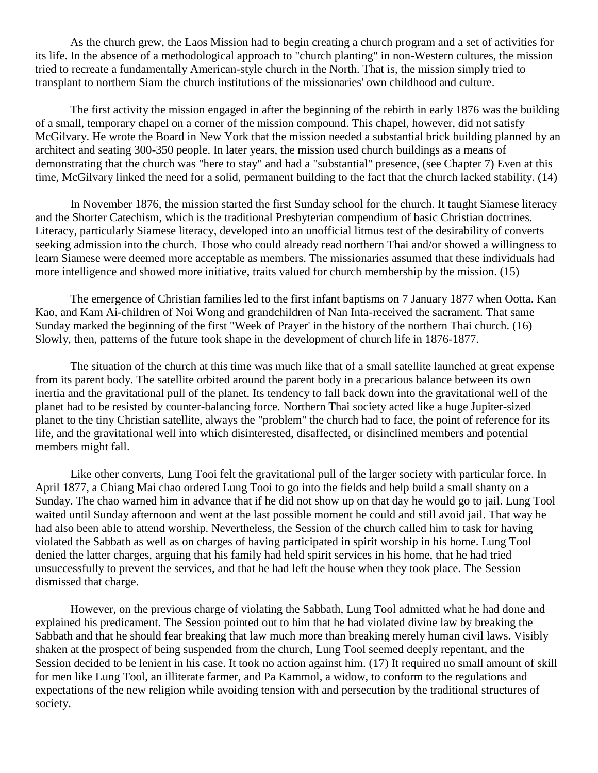As the church grew, the Laos Mission had to begin creating a church program and a set of activities for its life. In the absence of a methodological approach to "church planting" in non-Western cultures, the mission tried to recreate a fundamentally American-style church in the North. That is, the mission simply tried to transplant to northern Siam the church institutions of the missionaries' own childhood and culture.

The first activity the mission engaged in after the beginning of the rebirth in early 1876 was the building of a small, temporary chapel on a corner of the mission compound. This chapel, however, did not satisfy McGilvary. He wrote the Board in New York that the mission needed a substantial brick building planned by an architect and seating 300-350 people. In later years, the mission used church buildings as a means of demonstrating that the church was "here to stay" and had a "substantial" presence, (see Chapter 7) Even at this time, McGilvary linked the need for a solid, permanent building to the fact that the church lacked stability. [\(14\)](http://herbswanson.com/post.php?pid=47#c2e14)

In November 1876, the mission started the first Sunday school for the church. It taught Siamese literacy and the Shorter Catechism, which is the traditional Presbyterian compendium of basic Christian doctrines. Literacy, particularly Siamese literacy, developed into an unofficial litmus test of the desirability of converts seeking admission into the church. Those who could already read northern Thai and/or showed a willingness to learn Siamese were deemed more acceptable as members. The missionaries assumed that these individuals had more intelligence and showed more initiative, traits valued for church membership by the mission. [\(15\)](http://herbswanson.com/post.php?pid=47#c2e15)

The emergence of Christian families led to the first infant baptisms on 7 January 1877 when Ootta. Kan Kao, and Kam Ai-children of Noi Wong and grandchildren of Nan Inta-received the sacrament. That same Sunday marked the beginning of the first "Week of Prayer' in the history of the northern Thai church. [\(16\)](http://herbswanson.com/post.php?pid=47#c2e16) Slowly, then, patterns of the future took shape in the development of church life in 1876-1877.

The situation of the church at this time was much like that of a small satellite launched at great expense from its parent body. The satellite orbited around the parent body in a precarious balance between its own inertia and the gravitational pull of the planet. Its tendency to fall back down into the gravitational well of the planet had to be resisted by counter-balancing force. Northern Thai society acted like a huge Jupiter-sized planet to the tiny Christian satellite, always the "problem" the church had to face, the point of reference for its life, and the gravitational well into which disinterested, disaffected, or disinclined members and potential members might fall.

Like other converts, Lung Tooi felt the gravitational pull of the larger society with particular force. In April 1877, a Chiang Mai chao ordered Lung Tooi to go into the fields and help build a small shanty on a Sunday. The chao warned him in advance that if he did not show up on that day he would go to jail. Lung Tool waited until Sunday afternoon and went at the last possible moment he could and still avoid jail. That way he had also been able to attend worship. Nevertheless, the Session of the church called him to task for having violated the Sabbath as well as on charges of having participated in spirit worship in his home. Lung Tool denied the latter charges, arguing that his family had held spirit services in his home, that he had tried unsuccessfully to prevent the services, and that he had left the house when they took place. The Session dismissed that charge.

However, on the previous charge of violating the Sabbath, Lung Tool admitted what he had done and explained his predicament. The Session pointed out to him that he had violated divine law by breaking the Sabbath and that he should fear breaking that law much more than breaking merely human civil laws. Visibly shaken at the prospect of being suspended from the church, Lung Tool seemed deeply repentant, and the Session decided to be lenient in his case. It took no action against him. [\(17\)](http://herbswanson.com/post.php?pid=47#c2e17) It required no small amount of skill for men like Lung Tool, an illiterate farmer, and Pa Kammol, a widow, to conform to the regulations and expectations of the new religion while avoiding tension with and persecution by the traditional structures of society.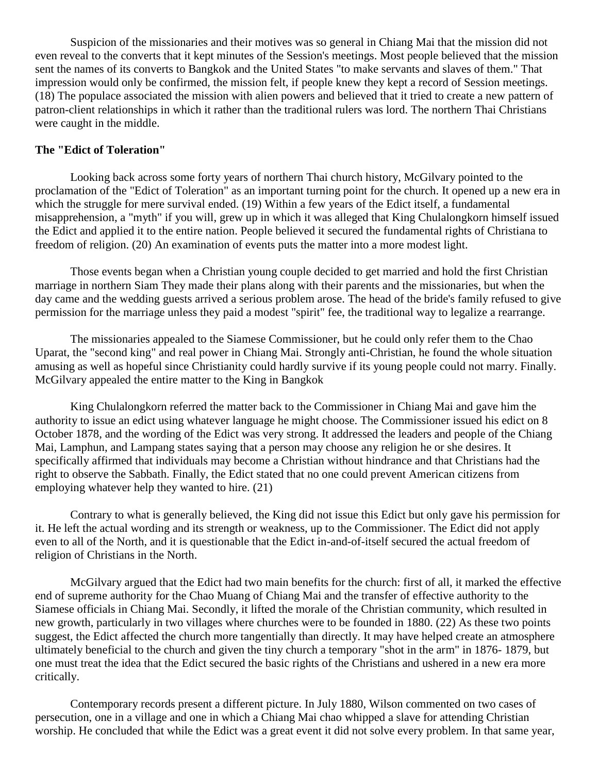Suspicion of the missionaries and their motives was so general in Chiang Mai that the mission did not even reveal to the converts that it kept minutes of the Session's meetings. Most people believed that the mission sent the names of its converts to Bangkok and the United States "to make servants and slaves of them." That impression would only be confirmed, the mission felt, if people knew they kept a record of Session meetings. [\(18\)](http://herbswanson.com/post.php?pid=47#c2e18) The populace associated the mission with alien powers and believed that it tried to create a new pattern of patron-client relationships in which it rather than the traditional rulers was lord. The northern Thai Christians were caught in the middle.

### **The "Edict of Toleration"**

Looking back across some forty years of northern Thai church history, McGilvary pointed to the proclamation of the "Edict of Toleration" as an important turning point for the church. It opened up a new era in which the struggle for mere survival ended. [\(19\)](http://herbswanson.com/post.php?pid=47#c2e19) Within a few years of the Edict itself, a fundamental misapprehension, a "myth" if you will, grew up in which it was alleged that King Chulalongkorn himself issued the Edict and applied it to the entire nation. People believed it secured the fundamental rights of Christiana to freedom of religion. [\(20\)](http://herbswanson.com/post.php?pid=47#c2e20) An examination of events puts the matter into a more modest light.

Those events began when a Christian young couple decided to get married and hold the first Christian marriage in northern Siam They made their plans along with their parents and the missionaries, but when the day came and the wedding guests arrived a serious problem arose. The head of the bride's family refused to give permission for the marriage unless they paid a modest "spirit" fee, the traditional way to legalize a rearrange.

The missionaries appealed to the Siamese Commissioner, but he could only refer them to the Chao Uparat, the "second king" and real power in Chiang Mai. Strongly anti-Christian, he found the whole situation amusing as well as hopeful since Christianity could hardly survive if its young people could not marry. Finally. McGilvary appealed the entire matter to the King in Bangkok

King Chulalongkorn referred the matter back to the Commissioner in Chiang Mai and gave him the authority to issue an edict using whatever language he might choose. The Commissioner issued his edict on 8 October 1878, and the wording of the Edict was very strong. It addressed the leaders and people of the Chiang Mai, Lamphun, and Lampang states saying that a person may choose any religion he or she desires. It specifically affirmed that individuals may become a Christian without hindrance and that Christians had the right to observe the Sabbath. Finally, the Edict stated that no one could prevent American citizens from employing whatever help they wanted to hire. [\(21\)](http://herbswanson.com/post.php?pid=47#c2e21)

Contrary to what is generally believed, the King did not issue this Edict but only gave his permission for it. He left the actual wording and its strength or weakness, up to the Commissioner. The Edict did not apply even to all of the North, and it is questionable that the Edict in-and-of-itself secured the actual freedom of religion of Christians in the North.

McGilvary argued that the Edict had two main benefits for the church: first of all, it marked the effective end of supreme authority for the Chao Muang of Chiang Mai and the transfer of effective authority to the Siamese officials in Chiang Mai. Secondly, it lifted the morale of the Christian community, which resulted in new growth, particularly in two villages where churches were to be founded in 1880. [\(22\)](http://herbswanson.com/post.php?pid=47#c2e22) As these two points suggest, the Edict affected the church more tangentially than directly. It may have helped create an atmosphere ultimately beneficial to the church and given the tiny church a temporary "shot in the arm" in 1876- 1879, but one must treat the idea that the Edict secured the basic rights of the Christians and ushered in a new era more critically.

Contemporary records present a different picture. In July 1880, Wilson commented on two cases of persecution, one in a village and one in which a Chiang Mai chao whipped a slave for attending Christian worship. He concluded that while the Edict was a great event it did not solve every problem. In that same year,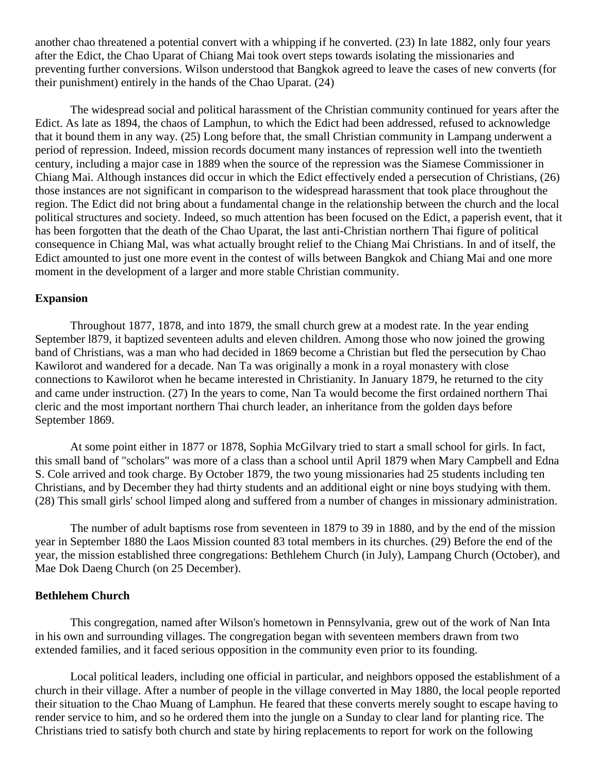another chao threatened a potential convert with a whipping if he converted. [\(23\)](http://herbswanson.com/post.php?pid=47#c2e23) In late 1882, only four years after the Edict, the Chao Uparat of Chiang Mai took overt steps towards isolating the missionaries and preventing further conversions. Wilson understood that Bangkok agreed to leave the cases of new converts (for their punishment) entirely in the hands of the Chao Uparat. [\(24\)](http://herbswanson.com/post.php?pid=47#c2e24)

The widespread social and political harassment of the Christian community continued for years after the Edict. As late as 1894, the chaos of Lamphun, to which the Edict had been addressed, refused to acknowledge that it bound them in any way. [\(25\)](http://herbswanson.com/post.php?pid=47#c2e25) Long before that, the small Christian community in Lampang underwent a period of repression. Indeed, mission records document many instances of repression well into the twentieth century, including a major case in 1889 when the source of the repression was the Siamese Commissioner in Chiang Mai. Although instances did occur in which the Edict effectively ended a persecution of Christians, [\(26\)](http://herbswanson.com/post.php?pid=47#c2e26) those instances are not significant in comparison to the widespread harassment that took place throughout the region. The Edict did not bring about a fundamental change in the relationship between the church and the local political structures and society. Indeed, so much attention has been focused on the Edict, a paperish event, that it has been forgotten that the death of the Chao Uparat, the last anti-Christian northern Thai figure of political consequence in Chiang Mal, was what actually brought relief to the Chiang Mai Christians. In and of itself, the Edict amounted to just one more event in the contest of wills between Bangkok and Chiang Mai and one more moment in the development of a larger and more stable Christian community.

#### **Expansion**

Throughout 1877, 1878, and into 1879, the small church grew at a modest rate. In the year ending September l879, it baptized seventeen adults and eleven children. Among those who now joined the growing band of Christians, was a man who had decided in 1869 become a Christian but fled the persecution by Chao Kawilorot and wandered for a decade. Nan Ta was originally a monk in a royal monastery with close connections to Kawilorot when he became interested in Christianity. In January 1879, he returned to the city and came under instruction. [\(27\)](http://herbswanson.com/post.php?pid=47#c2e27) In the years to come, Nan Ta would become the first ordained northern Thai cleric and the most important northern Thai church leader, an inheritance from the golden days before September 1869.

At some point either in 1877 or 1878, Sophia McGilvary tried to start a small school for girls. In fact, this small band of "scholars" was more of a class than a school until April 1879 when Mary Campbell and Edna S. Cole arrived and took charge. By October 1879, the two young missionaries had 25 students including ten Christians, and by December they had thirty students and an additional eight or nine boys studying with them. [\(28\)](http://herbswanson.com/post.php?pid=47#c2e28) This small girls' school limped along and suffered from a number of changes in missionary administration.

The number of adult baptisms rose from seventeen in 1879 to 39 in 1880, and by the end of the mission year in September 1880 the Laos Mission counted 83 total members in its churches. [\(29\)](http://herbswanson.com/post.php?pid=47#c2e29) Before the end of the year, the mission established three congregations: Bethlehem Church (in July), Lampang Church (October), and Mae Dok Daeng Church (on 25 December).

## **Bethlehem Church**

This congregation, named after Wilson's hometown in Pennsylvania, grew out of the work of Nan Inta in his own and surrounding villages. The congregation began with seventeen members drawn from two extended families, and it faced serious opposition in the community even prior to its founding.

Local political leaders, including one official in particular, and neighbors opposed the establishment of a church in their village. After a number of people in the village converted in May 1880, the local people reported their situation to the Chao Muang of Lamphun. He feared that these converts merely sought to escape having to render service to him, and so he ordered them into the jungle on a Sunday to clear land for planting rice. The Christians tried to satisfy both church and state by hiring replacements to report for work on the following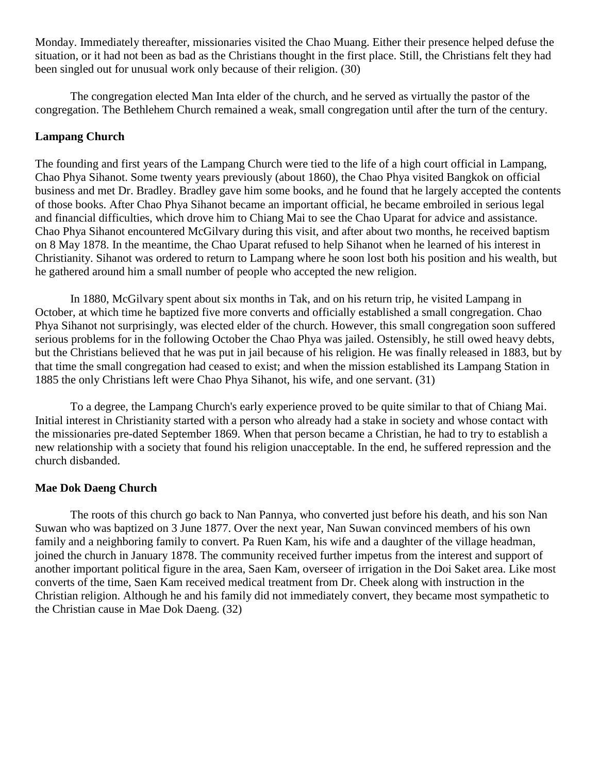Monday. Immediately thereafter, missionaries visited the Chao Muang. Either their presence helped defuse the situation, or it had not been as bad as the Christians thought in the first place. Still, the Christians felt they had been singled out for unusual work only because of their religion. [\(30\)](http://herbswanson.com/post.php?pid=47#c2e30)

The congregation elected Man Inta elder of the church, and he served as virtually the pastor of the congregation. The Bethlehem Church remained a weak, small congregation until after the turn of the century.

# **Lampang Church**

The founding and first years of the Lampang Church were tied to the life of a high court official in Lampang, Chao Phya Sihanot. Some twenty years previously (about 1860), the Chao Phya visited Bangkok on official business and met Dr. Bradley. Bradley gave him some books, and he found that he largely accepted the contents of those books. After Chao Phya Sihanot became an important official, he became embroiled in serious legal and financial difficulties, which drove him to Chiang Mai to see the Chao Uparat for advice and assistance. Chao Phya Sihanot encountered McGilvary during this visit, and after about two months, he received baptism on 8 May 1878. In the meantime, the Chao Uparat refused to help Sihanot when he learned of his interest in Christianity. Sihanot was ordered to return to Lampang where he soon lost both his position and his wealth, but he gathered around him a small number of people who accepted the new religion.

In 1880, McGilvary spent about six months in Tak, and on his return trip, he visited Lampang in October, at which time he baptized five more converts and officially established a small congregation. Chao Phya Sihanot not surprisingly, was elected elder of the church. However, this small congregation soon suffered serious problems for in the following October the Chao Phya was jailed. Ostensibly, he still owed heavy debts, but the Christians believed that he was put in jail because of his religion. He was finally released in 1883, but by that time the small congregation had ceased to exist; and when the mission established its Lampang Station in 1885 the only Christians left were Chao Phya Sihanot, his wife, and one servant. [\(31\)](http://herbswanson.com/post.php?pid=47#c2e31)

To a degree, the Lampang Church's early experience proved to be quite similar to that of Chiang Mai. Initial interest in Christianity started with a person who already had a stake in society and whose contact with the missionaries pre-dated September 1869. When that person became a Christian, he had to try to establish a new relationship with a society that found his religion unacceptable. In the end, he suffered repression and the church disbanded.

## **Mae Dok Daeng Church**

The roots of this church go back to Nan Pannya, who converted just before his death, and his son Nan Suwan who was baptized on 3 June 1877. Over the next year, Nan Suwan convinced members of his own family and a neighboring family to convert. Pa Ruen Kam, his wife and a daughter of the village headman, joined the church in January 1878. The community received further impetus from the interest and support of another important political figure in the area, Saen Kam, overseer of irrigation in the Doi Saket area. Like most converts of the time, Saen Kam received medical treatment from Dr. Cheek along with instruction in the Christian religion. Although he and his family did not immediately convert, they became most sympathetic to the Christian cause in Mae Dok Daeng. [\(32\)](http://herbswanson.com/post.php?pid=47#c2e32)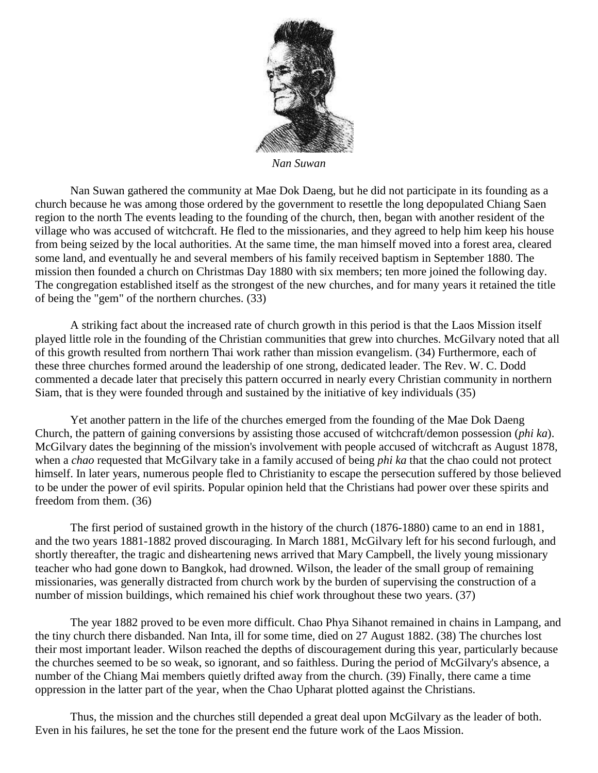

*Nan Suwan*

Nan Suwan gathered the community at Mae Dok Daeng, but he did not participate in its founding as a church because he was among those ordered by the government to resettle the long depopulated Chiang Saen region to the north The events leading to the founding of the church, then, began with another resident of the village who was accused of witchcraft. He fled to the missionaries, and they agreed to help him keep his house from being seized by the local authorities. At the same time, the man himself moved into a forest area, cleared some land, and eventually he and several members of his family received baptism in September 1880. The mission then founded a church on Christmas Day 1880 with six members; ten more joined the following day. The congregation established itself as the strongest of the new churches, and for many years it retained the title of being the "gem" of the northern churches. [\(33\)](http://herbswanson.com/post.php?pid=47#c2e33)

A striking fact about the increased rate of church growth in this period is that the Laos Mission itself played little role in the founding of the Christian communities that grew into churches. McGilvary noted that all of this growth resulted from northern Thai work rather than mission evangelism. [\(34\)](http://herbswanson.com/post.php?pid=47#c2e34) Furthermore, each of these three churches formed around the leadership of one strong, dedicated leader. The Rev. W. C. Dodd commented a decade later that precisely this pattern occurred in nearly every Christian community in northern Siam, that is they were founded through and sustained by the initiative of key individuals [\(35\)](http://herbswanson.com/post.php?pid=47#c2e35)

Yet another pattern in the life of the churches emerged from the founding of the Mae Dok Daeng Church, the pattern of gaining conversions by assisting those accused of witchcraft/demon possession (*phi ka*). McGilvary dates the beginning of the mission's involvement with people accused of witchcraft as August 1878, when a *chao* requested that McGilvary take in a family accused of being *phi ka* that the chao could not protect himself. In later years, numerous people fled to Christianity to escape the persecution suffered by those believed to be under the power of evil spirits. Popular opinion held that the Christians had power over these spirits and freedom from them. [\(36\)](http://herbswanson.com/post.php?pid=47#c2e36)

The first period of sustained growth in the history of the church (1876-1880) came to an end in 1881, and the two years 1881-1882 proved discouraging. In March 1881, McGilvary left for his second furlough, and shortly thereafter, the tragic and disheartening news arrived that Mary Campbell, the lively young missionary teacher who had gone down to Bangkok, had drowned. Wilson, the leader of the small group of remaining missionaries, was generally distracted from church work by the burden of supervising the construction of a number of mission buildings, which remained his chief work throughout these two years. [\(37\)](http://herbswanson.com/post.php?pid=47#c2e37)

The year 1882 proved to be even more difficult. Chao Phya Sihanot remained in chains in Lampang, and the tiny church there disbanded. Nan Inta, ill for some time, died on 27 August 1882. [\(38\)](http://herbswanson.com/post.php?pid=47#c2e38) The churches lost their most important leader. Wilson reached the depths of discouragement during this year, particularly because the churches seemed to be so weak, so ignorant, and so faithless. During the period of McGilvary's absence, a number of the Chiang Mai members quietly drifted away from the church. [\(39\)](http://herbswanson.com/post.php?pid=47#c2e39) Finally, there came a time oppression in the latter part of the year, when the Chao Upharat plotted against the Christians.

Thus, the mission and the churches still depended a great deal upon McGilvary as the leader of both. Even in his failures, he set the tone for the present end the future work of the Laos Mission.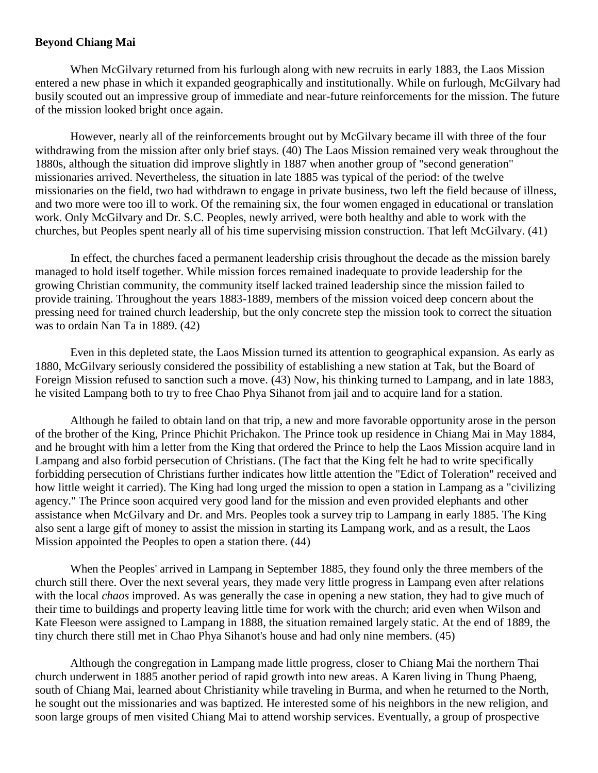## **Beyond Chiang Mai**

When McGilvary returned from his furlough along with new recruits in early 1883, the Laos Mission entered a new phase in which it expanded geographically and institutionally. While on furlough, McGilvary had busily scouted out an impressive group of immediate and near-future reinforcements for the mission. The future of the mission looked bright once again.

However, nearly all of the reinforcements brought out by McGilvary became ill with three of the four withdrawing from the mission after only brief stays. [\(40\)](http://herbswanson.com/post.php?pid=47#c2e40) The Laos Mission remained very weak throughout the 1880s, although the situation did improve slightly in 1887 when another group of "second generation" missionaries arrived. Nevertheless, the situation in late 1885 was typical of the period: of the twelve missionaries on the field, two had withdrawn to engage in private business, two left the field because of illness, and two more were too ill to work. Of the remaining six, the four women engaged in educational or translation work. Only McGilvary and Dr. S.C. Peoples, newly arrived, were both healthy and able to work with the churches, but Peoples spent nearly all of his time supervising mission construction. That left McGilvary. [\(41\)](http://herbswanson.com/post.php?pid=47#c2e41)

In effect, the churches faced a permanent leadership crisis throughout the decade as the mission barely managed to hold itself together. While mission forces remained inadequate to provide leadership for the growing Christian community, the community itself lacked trained leadership since the mission failed to provide training. Throughout the years 1883-1889, members of the mission voiced deep concern about the pressing need for trained church leadership, but the only concrete step the mission took to correct the situation was to ordain Nan Ta in 1889. [\(42\)](http://herbswanson.com/post.php?pid=47#c2e42)

Even in this depleted state, the Laos Mission turned its attention to geographical expansion. As early as 1880, McGilvary seriously considered the possibility of establishing a new station at Tak, but the Board of Foreign Mission refused to sanction such a move. [\(43\)](http://herbswanson.com/post.php?pid=47#c2e43) Now, his thinking turned to Lampang, and in late 1883, he visited Lampang both to try to free Chao Phya Sihanot from jail and to acquire land for a station.

Although he failed to obtain land on that trip, a new and more favorable opportunity arose in the person of the brother of the King, Prince Phichit Prichakon. The Prince took up residence in Chiang Mai in May 1884, and he brought with him a letter from the King that ordered the Prince to help the Laos Mission acquire land in Lampang and also forbid persecution of Christians. (The fact that the King felt he had to write specifically forbidding persecution of Christians further indicates how little attention the "Edict of Toleration" received and how little weight it carried). The King had long urged the mission to open a station in Lampang as a "civilizing agency." The Prince soon acquired very good land for the mission and even provided elephants and other assistance when McGilvary and Dr. and Mrs. Peoples took a survey trip to Lampang in early 1885. The King also sent a large gift of money to assist the mission in starting its Lampang work, and as a result, the Laos Mission appointed the Peoples to open a station there. [\(44\)](http://herbswanson.com/post.php?pid=47#c2e44)

When the Peoples' arrived in Lampang in September 1885, they found only the three members of the church still there. Over the next several years, they made very little progress in Lampang even after relations with the local *chaos* improved. As was generally the case in opening a new station, they had to give much of their time to buildings and property leaving little time for work with the church; arid even when Wilson and Kate Fleeson were assigned to Lampang in 1888, the situation remained largely static. At the end of 1889, the tiny church there still met in Chao Phya Sihanot's house and had only nine members. [\(45\)](http://herbswanson.com/post.php?pid=47#c2e45)

Although the congregation in Lampang made little progress, closer to Chiang Mai the northern Thai church underwent in 1885 another period of rapid growth into new areas. A Karen living in Thung Phaeng, south of Chiang Mai, learned about Christianity while traveling in Burma, and when he returned to the North, he sought out the missionaries and was baptized. He interested some of his neighbors in the new religion, and soon large groups of men visited Chiang Mai to attend worship services. Eventually, a group of prospective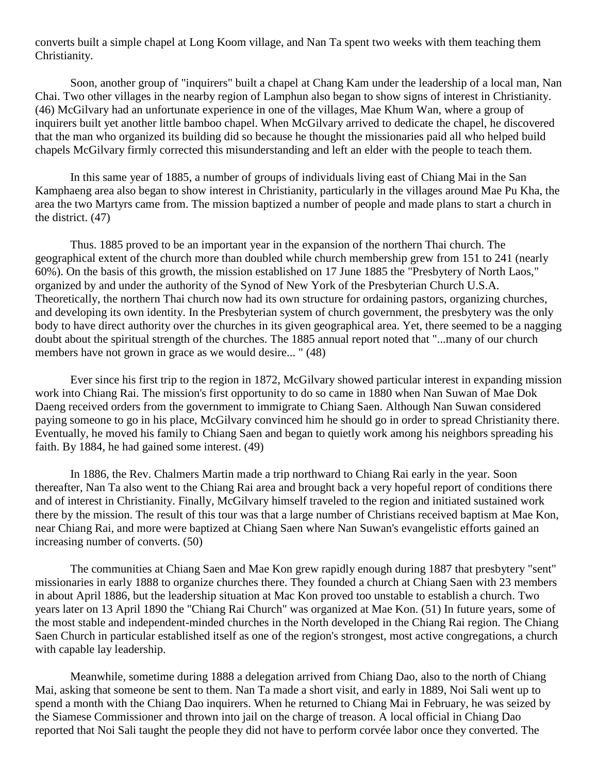converts built a simple chapel at Long Koom village, and Nan Ta spent two weeks with them teaching them Christianity.

Soon, another group of "inquirers" built a chapel at Chang Kam under the leadership of a local man, Nan Chai. Two other villages in the nearby region of Lamphun also began to show signs of interest in Christianity. [\(46\)](http://herbswanson.com/post.php?pid=47#c2e46) McGilvary had an unfortunate experience in one of the villages, Mae Khum Wan, where a group of inquirers built yet another little bamboo chapel. When McGilvary arrived to dedicate the chapel, he discovered that the man who organized its building did so because he thought the missionaries paid all who helped build chapels McGilvary firmly corrected this misunderstanding and left an elder with the people to teach them.

In this same year of 1885, a number of groups of individuals living east of Chiang Mai in the San Kamphaeng area also began to show interest in Christianity, particularly in the villages around Mae Pu Kha, the area the two Martyrs came from. The mission baptized a number of people and made plans to start a church in the district. [\(47\)](http://herbswanson.com/post.php?pid=47#c2e47)

Thus. 1885 proved to be an important year in the expansion of the northern Thai church. The geographical extent of the church more than doubled while church membership grew from 151 to 241 (nearly 60%). On the basis of this growth, the mission established on 17 June 1885 the "Presbytery of North Laos," organized by and under the authority of the Synod of New York of the Presbyterian Church U.S.A. Theoretically, the northern Thai church now had its own structure for ordaining pastors, organizing churches, and developing its own identity. In the Presbyterian system of church government, the presbytery was the only body to have direct authority over the churches in its given geographical area. Yet, there seemed to be a nagging doubt about the spiritual strength of the churches. The 1885 annual report noted that "...many of our church members have not grown in grace as we would desire... " [\(48\)](http://herbswanson.com/post.php?pid=47#c2e48)

Ever since his first trip to the region in 1872, McGilvary showed particular interest in expanding mission work into Chiang Rai. The mission's first opportunity to do so came in 1880 when Nan Suwan of Mae Dok Daeng received orders from the government to immigrate to Chiang Saen. Although Nan Suwan considered paying someone to go in his place, McGilvary convinced him he should go in order to spread Christianity there. Eventually, he moved his family to Chiang Saen and began to quietly work among his neighbors spreading his faith. By 1884, he had gained some interest. [\(49\)](http://herbswanson.com/post.php?pid=47#c2e49)

In 1886, the Rev. Chalmers Martin made a trip northward to Chiang Rai early in the year. Soon thereafter, Nan Ta also went to the Chiang Rai area and brought back a very hopeful report of conditions there and of interest in Christianity. Finally, McGilvary himself traveled to the region and initiated sustained work there by the mission. The result of this tour was that a large number of Christians received baptism at Mae Kon, near Chiang Rai, and more were baptized at Chiang Saen where Nan Suwan's evangelistic efforts gained an increasing number of converts. [\(50\)](http://herbswanson.com/post.php?pid=47#c2e50)

The communities at Chiang Saen and Mae Kon grew rapidly enough during 1887 that presbytery "sent" missionaries in early 1888 to organize churches there. They founded a church at Chiang Saen with 23 members in about April 1886, but the leadership situation at Mac Kon proved too unstable to establish a church. Two years later on 13 April 1890 the "Chiang Rai Church" was organized at Mae Kon. [\(51\)](http://herbswanson.com/post.php?pid=47#c2e51) In future years, some of the most stable and independent-minded churches in the North developed in the Chiang Rai region. The Chiang Saen Church in particular established itself as one of the region's strongest, most active congregations, a church with capable lay leadership.

Meanwhile, sometime during 1888 a delegation arrived from Chiang Dao, also to the north of Chiang Mai, asking that someone be sent to them. Nan Ta made a short visit, and early in 1889, Noi Sali went up to spend a month with the Chiang Dao inquirers. When he returned to Chiang Mai in February, he was seized by the Siamese Commissioner and thrown into jail on the charge of treason. A local official in Chiang Dao reported that Noi Sali taught the people they did not have to perform corvée labor once they converted. The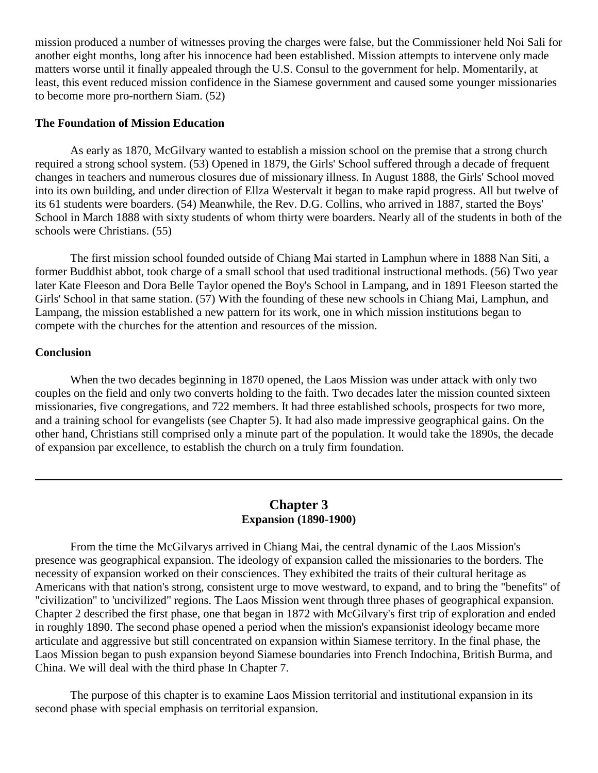mission produced a number of witnesses proving the charges were false, but the Commissioner held Noi Sali for another eight months, long after his innocence had been established. Mission attempts to intervene only made matters worse until it finally appealed through the U.S. Consul to the government for help. Momentarily, at least, this event reduced mission confidence in the Siamese government and caused some younger missionaries to become more pro-northern Siam. [\(52\)](http://herbswanson.com/post.php?pid=47#c2e52)

## **The Foundation of Mission Education**

As early as 1870, McGilvary wanted to establish a mission school on the premise that a strong church required a strong school system. [\(53\)](http://herbswanson.com/post.php?pid=47#c2e53) Opened in 1879, the Girls' School suffered through a decade of frequent changes in teachers and numerous closures due of missionary illness. In August 1888, the Girls' School moved into its own building, and under direction of Ellza Westervalt it began to make rapid progress. All but twelve of its 61 students were boarders. [\(54\)](http://herbswanson.com/post.php?pid=47#c2e54) Meanwhile, the Rev. D.G. Collins, who arrived in 1887, started the Boys' School in March 1888 with sixty students of whom thirty were boarders. Nearly all of the students in both of the schools were Christians. [\(55\)](http://herbswanson.com/post.php?pid=47#c2e55)

The first mission school founded outside of Chiang Mai started in Lamphun where in 1888 Nan Siti, a former Buddhist abbot, took charge of a small school that used traditional instructional methods. [\(56\)](http://herbswanson.com/post.php?pid=47#c2e56) Two year later Kate Fleeson and Dora Belle Taylor opened the Boy's School in Lampang, and in 1891 Fleeson started the Girls' School in that same station. [\(57\)](http://herbswanson.com/post.php?pid=47#c2e57) With the founding of these new schools in Chiang Mai, Lamphun, and Lampang, the mission established a new pattern for its work, one in which mission institutions began to compete with the churches for the attention and resources of the mission.

#### **Conclusion**

When the two decades beginning in 1870 opened, the Laos Mission was under attack with only two couples on the field and only two converts holding to the faith. Two decades later the mission counted sixteen missionaries, five congregations, and 722 members. It had three established schools, prospects for two more, and a training school for evangelists (see Chapter 5). It had also made impressive geographical gains. On the other hand, Christians still comprised only a minute part of the population. It would take the 1890s, the decade of expansion par excellence, to establish the church on a truly firm foundation.

# **Chapter 3 Expansion (1890-1900)**

<span id="page-27-0"></span>From the time the McGilvarys arrived in Chiang Mai, the central dynamic of the Laos Mission's presence was geographical expansion. The ideology of expansion called the missionaries to the borders. The necessity of expansion worked on their consciences. They exhibited the traits of their cultural heritage as Americans with that nation's strong, consistent urge to move westward, to expand, and to bring the "benefits" of "civilization" to 'uncivilized" regions. The Laos Mission went through three phases of geographical expansion. Chapter 2 described the first phase, one that began in 1872 with McGilvary's first trip of exploration and ended in roughly 1890. The second phase opened a period when the mission's expansionist ideology became more articulate and aggressive but still concentrated on expansion within Siamese territory. In the final phase, the Laos Mission began to push expansion beyond Siamese boundaries into French Indochina, British Burma, and China. We will deal with the third phase In Chapter 7.

The purpose of this chapter is to examine Laos Mission territorial and institutional expansion in its second phase with special emphasis on territorial expansion.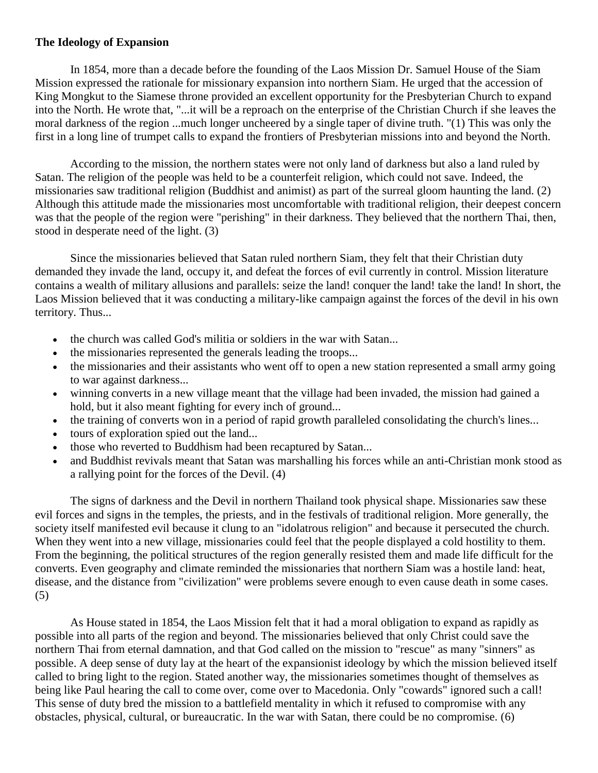## **The Ideology of Expansion**

In 1854, more than a decade before the founding of the Laos Mission Dr. Samuel House of the Siam Mission expressed the rationale for missionary expansion into northern Siam. He urged that the accession of King Mongkut to the Siamese throne provided an excellent opportunity for the Presbyterian Church to expand into the North. He wrote that, "...it will be a reproach on the enterprise of the Christian Church if she leaves the moral darkness of the region ...much longer uncheered by a single taper of divine truth. "[\(1\)](http://herbswanson.com/post.php?pid=47#c3e1) This was only the first in a long line of trumpet calls to expand the frontiers of Presbyterian missions into and beyond the North.

According to the mission, the northern states were not only land of darkness but also a land ruled by Satan. The religion of the people was held to be a counterfeit religion, which could not save. Indeed, the missionaries saw traditional religion (Buddhist and animist) as part of the surreal gloom haunting the land. [\(2\)](http://herbswanson.com/post.php?pid=47#c3e2) Although this attitude made the missionaries most uncomfortable with traditional religion, their deepest concern was that the people of the region were "perishing" in their darkness. They believed that the northern Thai, then, stood in desperate need of the light. [\(3\)](http://herbswanson.com/post.php?pid=47#c3e3)

Since the missionaries believed that Satan ruled northern Siam, they felt that their Christian duty demanded they invade the land, occupy it, and defeat the forces of evil currently in control. Mission literature contains a wealth of military allusions and parallels: seize the land! conquer the land! take the land! In short, the Laos Mission believed that it was conducting a military-like campaign against the forces of the devil in his own territory. Thus...

- the church was called God's militia or soldiers in the war with Satan...
- the missionaries represented the generals leading the troops...
- the missionaries and their assistants who went off to open a new station represented a small army going to war against darkness...
- winning converts in a new village meant that the village had been invaded, the mission had gained a hold, but it also meant fighting for every inch of ground...
- the training of converts won in a period of rapid growth paralleled consolidating the church's lines...
- tours of exploration spied out the land...
- those who reverted to Buddhism had been recaptured by Satan...
- and Buddhist revivals meant that Satan was marshalling his forces while an anti-Christian monk stood as a rallying point for the forces of the Devil. [\(4\)](http://herbswanson.com/post.php?pid=47#c3e4)

The signs of darkness and the Devil in northern Thailand took physical shape. Missionaries saw these evil forces and signs in the temples, the priests, and in the festivals of traditional religion. More generally, the society itself manifested evil because it clung to an "idolatrous religion" and because it persecuted the church. When they went into a new village, missionaries could feel that the people displayed a cold hostility to them. From the beginning, the political structures of the region generally resisted them and made life difficult for the converts. Even geography and climate reminded the missionaries that northern Siam was a hostile land: heat, disease, and the distance from "civilization" were problems severe enough to even cause death in some cases. [\(5\)](http://herbswanson.com/post.php?pid=47#c3e5)

As House stated in 1854, the Laos Mission felt that it had a moral obligation to expand as rapidly as possible into all parts of the region and beyond. The missionaries believed that only Christ could save the northern Thai from eternal damnation, and that God called on the mission to "rescue" as many "sinners" as possible. A deep sense of duty lay at the heart of the expansionist ideology by which the mission believed itself called to bring light to the region. Stated another way, the missionaries sometimes thought of themselves as being like Paul hearing the call to come over, come over to Macedonia. Only "cowards" ignored such a call! This sense of duty bred the mission to a battlefield mentality in which it refused to compromise with any obstacles, physical, cultural, or bureaucratic. In the war with Satan, there could be no compromise. [\(6\)](http://herbswanson.com/post.php?pid=47#c3e6)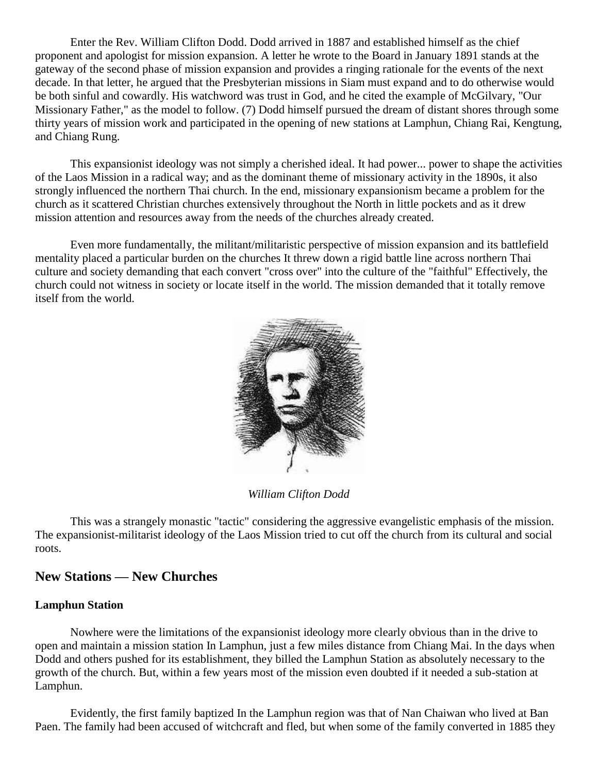Enter the Rev. William Clifton Dodd. Dodd arrived in 1887 and established himself as the chief proponent and apologist for mission expansion. A letter he wrote to the Board in January 1891 stands at the gateway of the second phase of mission expansion and provides a ringing rationale for the events of the next decade. In that letter, he argued that the Presbyterian missions in Siam must expand and to do otherwise would be both sinful and cowardly. His watchword was trust in God, and he cited the example of McGilvary, "Our Missionary Father," as the model to follow. [\(7\)](http://herbswanson.com/post.php?pid=47#c3e7) Dodd himself pursued the dream of distant shores through some thirty years of mission work and participated in the opening of new stations at Lamphun, Chiang Rai, Kengtung, and Chiang Rung.

This expansionist ideology was not simply a cherished ideal. It had power... power to shape the activities of the Laos Mission in a radical way; and as the dominant theme of missionary activity in the 1890s, it also strongly influenced the northern Thai church. In the end, missionary expansionism became a problem for the church as it scattered Christian churches extensively throughout the North in little pockets and as it drew mission attention and resources away from the needs of the churches already created.

Even more fundamentally, the militant/militaristic perspective of mission expansion and its battlefield mentality placed a particular burden on the churches It threw down a rigid battle line across northern Thai culture and society demanding that each convert "cross over" into the culture of the "faithful" Effectively, the church could not witness in society or locate itself in the world. The mission demanded that it totally remove itself from the world.



*William Clifton Dodd*

This was a strangely monastic "tactic" considering the aggressive evangelistic emphasis of the mission. The expansionist-militarist ideology of the Laos Mission tried to cut off the church from its cultural and social roots.

# **New Stations — New Churches**

## **Lamphun Station**

Nowhere were the limitations of the expansionist ideology more clearly obvious than in the drive to open and maintain a mission station In Lamphun, just a few miles distance from Chiang Mai. In the days when Dodd and others pushed for its establishment, they billed the Lamphun Station as absolutely necessary to the growth of the church. But, within a few years most of the mission even doubted if it needed a sub-station at Lamphun.

Evidently, the first family baptized In the Lamphun region was that of Nan Chaiwan who lived at Ban Paen. The family had been accused of witchcraft and fled, but when some of the family converted in 1885 they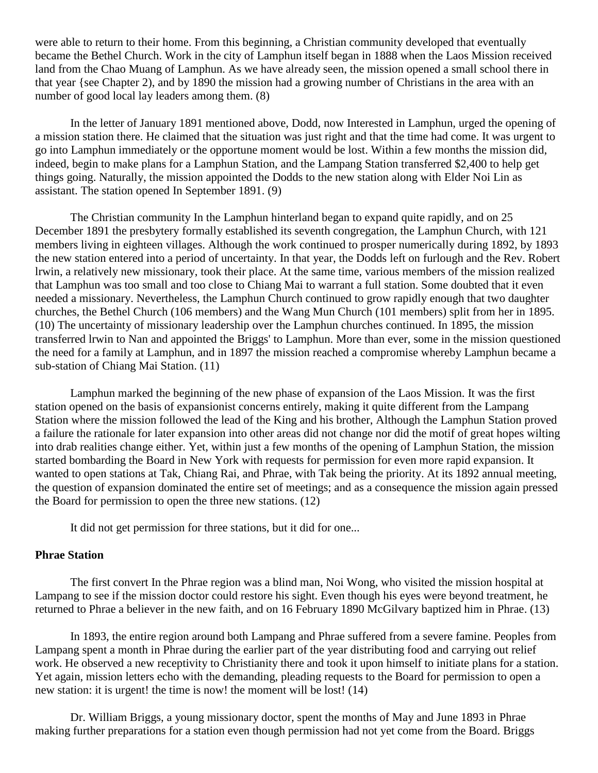were able to return to their home. From this beginning, a Christian community developed that eventually became the Bethel Church. Work in the city of Lamphun itself began in 1888 when the Laos Mission received land from the Chao Muang of Lamphun. As we have already seen, the mission opened a small school there in that year {see Chapter 2), and by 1890 the mission had a growing number of Christians in the area with an number of good local lay leaders among them. [\(8\)](http://herbswanson.com/post.php?pid=47#c3e8)

In the letter of January 1891 mentioned above, Dodd, now Interested in Lamphun, urged the opening of a mission station there. He claimed that the situation was just right and that the time had come. It was urgent to go into Lamphun immediately or the opportune moment would be lost. Within a few months the mission did, indeed, begin to make plans for a Lamphun Station, and the Lampang Station transferred \$2,400 to help get things going. Naturally, the mission appointed the Dodds to the new station along with Elder Noi Lin as assistant. The station opened In September 1891. [\(9\)](http://herbswanson.com/post.php?pid=47#c3e9)

The Christian community In the Lamphun hinterland began to expand quite rapidly, and on 25 December 1891 the presbytery formally established its seventh congregation, the Lamphun Church, with 121 members living in eighteen villages. Although the work continued to prosper numerically during 1892, by 1893 the new station entered into a period of uncertainty. In that year, the Dodds left on furlough and the Rev. Robert lrwin, a relatively new missionary, took their place. At the same time, various members of the mission realized that Lamphun was too small and too close to Chiang Mai to warrant a full station. Some doubted that it even needed a missionary. Nevertheless, the Lamphun Church continued to grow rapidly enough that two daughter churches, the Bethel Church (106 members) and the Wang Mun Church (101 members) split from her in 1895. [\(10\)](http://herbswanson.com/post.php?pid=47#c3e10) The uncertainty of missionary leadership over the Lamphun churches continued. In 1895, the mission transferred lrwin to Nan and appointed the Briggs' to Lamphun. More than ever, some in the mission questioned the need for a family at Lamphun, and in 1897 the mission reached a compromise whereby Lamphun became a sub-station of Chiang Mai Station. [\(11\)](http://herbswanson.com/post.php?pid=47#c3e11)

Lamphun marked the beginning of the new phase of expansion of the Laos Mission. It was the first station opened on the basis of expansionist concerns entirely, making it quite different from the Lampang Station where the mission followed the lead of the King and his brother, Although the Lamphun Station proved a failure the rationale for later expansion into other areas did not change nor did the motif of great hopes wilting into drab realities change either. Yet, within just a few months of the opening of Lamphun Station, the mission started bombarding the Board in New York with requests for permission for even more rapid expansion. It wanted to open stations at Tak, Chiang Rai, and Phrae, with Tak being the priority. At its 1892 annual meeting, the question of expansion dominated the entire set of meetings; and as a consequence the mission again pressed the Board for permission to open the three new stations. [\(12\)](http://herbswanson.com/post.php?pid=47#c3e12)

It did not get permission for three stations, but it did for one...

## **Phrae Station**

The first convert In the Phrae region was a blind man, Noi Wong, who visited the mission hospital at Lampang to see if the mission doctor could restore his sight. Even though his eyes were beyond treatment, he returned to Phrae a believer in the new faith, and on 16 February 1890 McGilvary baptized him in Phrae. [\(13\)](http://herbswanson.com/post.php?pid=47#c3e13)

In 1893, the entire region around both Lampang and Phrae suffered from a severe famine. Peoples from Lampang spent a month in Phrae during the earlier part of the year distributing food and carrying out relief work. He observed a new receptivity to Christianity there and took it upon himself to initiate plans for a station. Yet again, mission letters echo with the demanding, pleading requests to the Board for permission to open a new station: it is urgent! the time is now! the moment will be lost! [\(14\)](http://herbswanson.com/post.php?pid=47#c3e14)

Dr. William Briggs, a young missionary doctor, spent the months of May and June 1893 in Phrae making further preparations for a station even though permission had not yet come from the Board. Briggs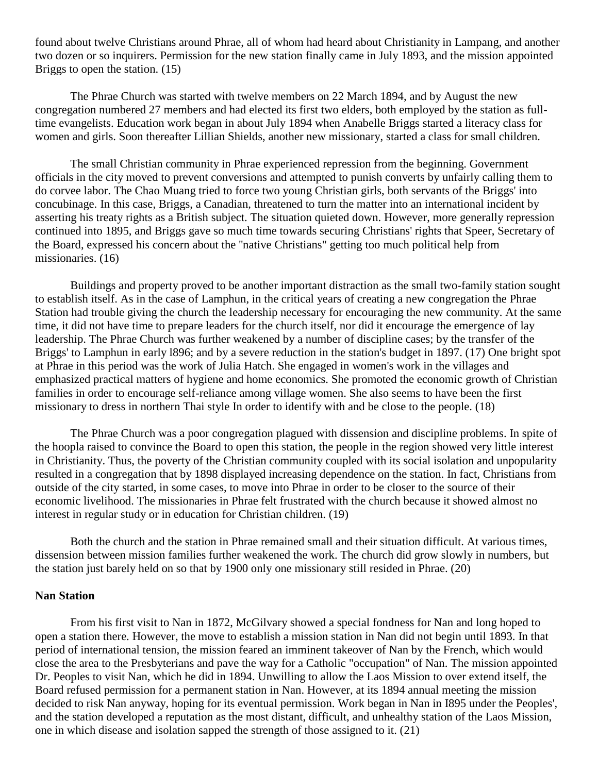found about twelve Christians around Phrae, all of whom had heard about Christianity in Lampang, and another two dozen or so inquirers. Permission for the new station finally came in July 1893, and the mission appointed Briggs to open the station. [\(15\)](http://herbswanson.com/post.php?pid=47#c3e15)

The Phrae Church was started with twelve members on 22 March 1894, and by August the new congregation numbered 27 members and had elected its first two elders, both employed by the station as fulltime evangelists. Education work began in about July 1894 when Anabelle Briggs started a literacy class for women and girls. Soon thereafter Lillian Shields, another new missionary, started a class for small children.

The small Christian community in Phrae experienced repression from the beginning. Government officials in the city moved to prevent conversions and attempted to punish converts by unfairly calling them to do corvee labor. The Chao Muang tried to force two young Christian girls, both servants of the Briggs' into concubinage. In this case, Briggs, a Canadian, threatened to turn the matter into an international incident by asserting his treaty rights as a British subject. The situation quieted down. However, more generally repression continued into 1895, and Briggs gave so much time towards securing Christians' rights that Speer, Secretary of the Board, expressed his concern about the ''native Christians" getting too much political help from missionaries. [\(16\)](http://herbswanson.com/post.php?pid=47#c3e16)

Buildings and property proved to be another important distraction as the small two-family station sought to establish itself. As in the case of Lamphun, in the critical years of creating a new congregation the Phrae Station had trouble giving the church the leadership necessary for encouraging the new community. At the same time, it did not have time to prepare leaders for the church itself, nor did it encourage the emergence of lay leadership. The Phrae Church was further weakened by a number of discipline cases; by the transfer of the Briggs' to Lamphun in early l896; and by a severe reduction in the station's budget in 1897. [\(17\)](http://herbswanson.com/post.php?pid=47#c3e17) One bright spot at Phrae in this period was the work of Julia Hatch. She engaged in women's work in the villages and emphasized practical matters of hygiene and home economics. She promoted the economic growth of Christian families in order to encourage self-reliance among village women. She also seems to have been the first missionary to dress in northern Thai style In order to identify with and be close to the people. [\(18\)](http://herbswanson.com/post.php?pid=47#c3e18)

The Phrae Church was a poor congregation plagued with dissension and discipline problems. In spite of the hoopla raised to convince the Board to open this station, the people in the region showed very little interest in Christianity. Thus, the poverty of the Christian community coupled with its social isolation and unpopularity resulted in a congregation that by 1898 displayed increasing dependence on the station. In fact, Christians from outside of the city started, in some cases, to move into Phrae in order to be closer to the source of their economic livelihood. The missionaries in Phrae felt frustrated with the church because it showed almost no interest in regular study or in education for Christian children. [\(19\)](http://herbswanson.com/post.php?pid=47#c3e19)

Both the church and the station in Phrae remained small and their situation difficult. At various times, dissension between mission families further weakened the work. The church did grow slowly in numbers, but the station just barely held on so that by 1900 only one missionary still resided in Phrae. [\(20\)](http://herbswanson.com/post.php?pid=47#c3e20)

## **Nan Station**

From his first visit to Nan in 1872, McGilvary showed a special fondness for Nan and long hoped to open a station there. However, the move to establish a mission station in Nan did not begin until 1893. In that period of international tension, the mission feared an imminent takeover of Nan by the French, which would close the area to the Presbyterians and pave the way for a Catholic "occupation" of Nan. The mission appointed Dr. Peoples to visit Nan, which he did in 1894. Unwilling to allow the Laos Mission to over extend itself, the Board refused permission for a permanent station in Nan. However, at its 1894 annual meeting the mission decided to risk Nan anyway, hoping for its eventual permission. Work began in Nan in I895 under the Peoples', and the station developed a reputation as the most distant, difficult, and unhealthy station of the Laos Mission, one in which disease and isolation sapped the strength of those assigned to it. [\(21\)](http://herbswanson.com/post.php?pid=47#c3e21)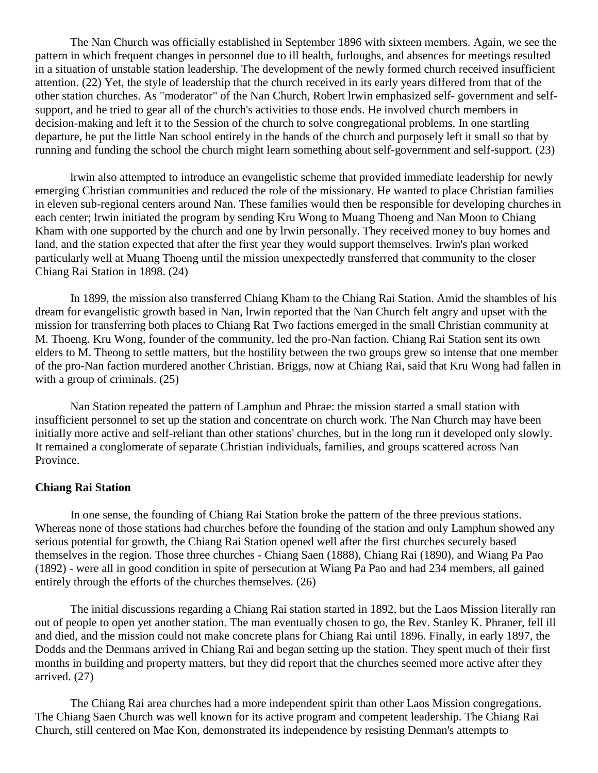The Nan Church was officially established in September 1896 with sixteen members. Again, we see the pattern in which frequent changes in personnel due to ill health, furloughs, and absences for meetings resulted in a situation of unstable station leadership. The development of the newly formed church received insufficient attention. [\(22\)](http://herbswanson.com/post.php?pid=47#c3e22) Yet, the style of leadership that the church received in its early years differed from that of the other station churches. As "moderator" of the Nan Church, Robert lrwin emphasized self- government and selfsupport, and he tried to gear all of the church's activities to those ends. He involved church members in decision-making and left it to the Session of the church to solve congregational problems. In one startling departure, he put the little Nan school entirely in the hands of the church and purposely left it small so that by running and funding the school the church might learn something about self-government and self-support. [\(23\)](http://herbswanson.com/post.php?pid=47#c3e23)

lrwin also attempted to introduce an evangelistic scheme that provided immediate leadership for newly emerging Christian communities and reduced the role of the missionary. He wanted to place Christian families in eleven sub-regional centers around Nan. These families would then be responsible for developing churches in each center; lrwin initiated the program by sending Kru Wong to Muang Thoeng and Nan Moon to Chiang Kham with one supported by the church and one by lrwin personally. They received money to buy homes and land, and the station expected that after the first year they would support themselves. Irwin's plan worked particularly well at Muang Thoeng until the mission unexpectedly transferred that community to the closer Chiang Rai Station in 1898. [\(24\)](http://herbswanson.com/post.php?pid=47#c3e24)

In 1899, the mission also transferred Chiang Kham to the Chiang Rai Station. Amid the shambles of his dream for evangelistic growth based in Nan, lrwin reported that the Nan Church felt angry and upset with the mission for transferring both places to Chiang Rat Two factions emerged in the small Christian community at M. Thoeng. Kru Wong, founder of the community, led the pro-Nan faction. Chiang Rai Station sent its own elders to M. Theong to settle matters, but the hostility between the two groups grew so intense that one member of the pro-Nan faction murdered another Christian. Briggs, now at Chiang Rai, said that Kru Wong had fallen in with a group of criminals.  $(25)$ 

Nan Station repeated the pattern of Lamphun and Phrae: the mission started a small station with insufficient personnel to set up the station and concentrate on church work. The Nan Church may have been initially more active and self-reliant than other stations' churches, but in the long run it developed only slowly. It remained a conglomerate of separate Christian individuals, families, and groups scattered across Nan Province.

#### **Chiang Rai Station**

In one sense, the founding of Chiang Rai Station broke the pattern of the three previous stations. Whereas none of those stations had churches before the founding of the station and only Lamphun showed any serious potential for growth, the Chiang Rai Station opened well after the first churches securely based themselves in the region. Those three churches - Chiang Saen (1888), Chiang Rai (1890), and Wiang Pa Pao (1892) - were all in good condition in spite of persecution at Wiang Pa Pao and had 234 members, all gained entirely through the efforts of the churches themselves. [\(26\)](http://herbswanson.com/post.php?pid=47#c3e26)

The initial discussions regarding a Chiang Rai station started in 1892, but the Laos Mission literally ran out of people to open yet another station. The man eventually chosen to go, the Rev. Stanley K. Phraner, fell ill and died, and the mission could not make concrete plans for Chiang Rai until 1896. Finally, in early 1897, the Dodds and the Denmans arrived in Chiang Rai and began setting up the station. They spent much of their first months in building and property matters, but they did report that the churches seemed more active after they arrived. [\(27\)](http://herbswanson.com/post.php?pid=47#c3e27)

The Chiang Rai area churches had a more independent spirit than other Laos Mission congregations. The Chiang Saen Church was well known for its active program and competent leadership. The Chiang Rai Church, still centered on Mae Kon, demonstrated its independence by resisting Denman's attempts to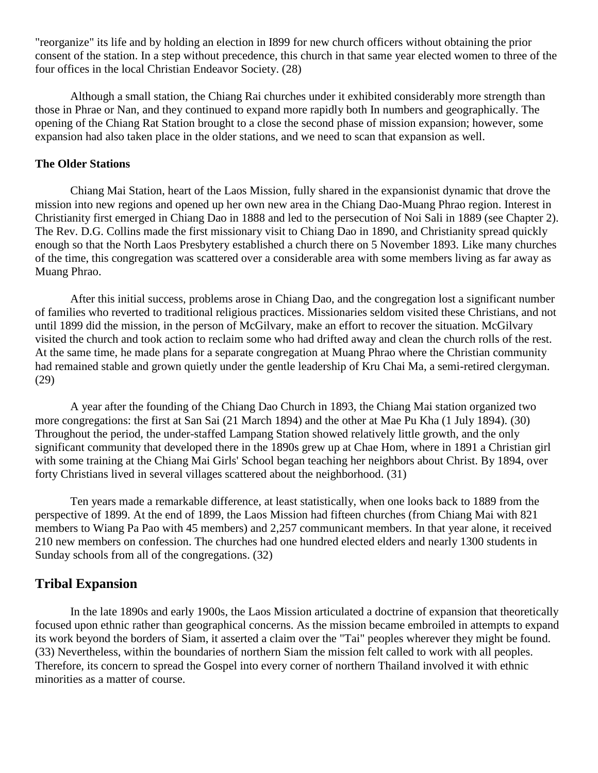"reorganize" its life and by holding an election in I899 for new church officers without obtaining the prior consent of the station. In a step without precedence, this church in that same year elected women to three of the four offices in the local Christian Endeavor Society. [\(28\)](http://herbswanson.com/post.php?pid=47#c3e28)

Although a small station, the Chiang Rai churches under it exhibited considerably more strength than those in Phrae or Nan, and they continued to expand more rapidly both In numbers and geographically. The opening of the Chiang Rat Station brought to a close the second phase of mission expansion; however, some expansion had also taken place in the older stations, and we need to scan that expansion as well.

## **The Older Stations**

Chiang Mai Station, heart of the Laos Mission, fully shared in the expansionist dynamic that drove the mission into new regions and opened up her own new area in the Chiang Dao-Muang Phrao region. Interest in Christianity first emerged in Chiang Dao in 1888 and led to the persecution of Noi Sali in 1889 (see Chapter 2). The Rev. D.G. Collins made the first missionary visit to Chiang Dao in 1890, and Christianity spread quickly enough so that the North Laos Presbytery established a church there on 5 November 1893. Like many churches of the time, this congregation was scattered over a considerable area with some members living as far away as Muang Phrao.

After this initial success, problems arose in Chiang Dao, and the congregation lost a significant number of families who reverted to traditional religious practices. Missionaries seldom visited these Christians, and not until 1899 did the mission, in the person of McGilvary, make an effort to recover the situation. McGilvary visited the church and took action to reclaim some who had drifted away and clean the church rolls of the rest. At the same time, he made plans for a separate congregation at Muang Phrao where the Christian community had remained stable and grown quietly under the gentle leadership of Kru Chai Ma, a semi-retired clergyman. [\(29\)](http://herbswanson.com/post.php?pid=47#c3e29)

A year after the founding of the Chiang Dao Church in 1893, the Chiang Mai station organized two more congregations: the first at San Sai (21 March 1894) and the other at Mae Pu Kha (1 July 1894). [\(30\)](http://herbswanson.com/post.php?pid=47#c3e30) Throughout the period, the under-staffed Lampang Station showed relatively little growth, and the only significant community that developed there in the 1890s grew up at Chae Hom, where in 1891 a Christian girl with some training at the Chiang Mai Girls' School began teaching her neighbors about Christ. By 1894, over forty Christians lived in several villages scattered about the neighborhood. [\(31\)](http://herbswanson.com/post.php?pid=47#c3e31)

Ten years made a remarkable difference, at least statistically, when one looks back to 1889 from the perspective of 1899. At the end of 1899, the Laos Mission had fifteen churches (from Chiang Mai with 821 members to Wiang Pa Pao with 45 members) and 2,257 communicant members. In that year alone, it received 210 new members on confession. The churches had one hundred elected elders and nearly 1300 students in Sunday schools from all of the congregations. [\(32\)](http://herbswanson.com/post.php?pid=47#c3e32)

# **Tribal Expansion**

In the late 1890s and early 1900s, the Laos Mission articulated a doctrine of expansion that theoretically focused upon ethnic rather than geographical concerns. As the mission became embroiled in attempts to expand its work beyond the borders of Siam, it asserted a claim over the "Tai" peoples wherever they might be found. [\(33\)](http://herbswanson.com/post.php?pid=47#c3e33) Nevertheless, within the boundaries of northern Siam the mission felt called to work with all peoples. Therefore, its concern to spread the Gospel into every corner of northern Thailand involved it with ethnic minorities as a matter of course.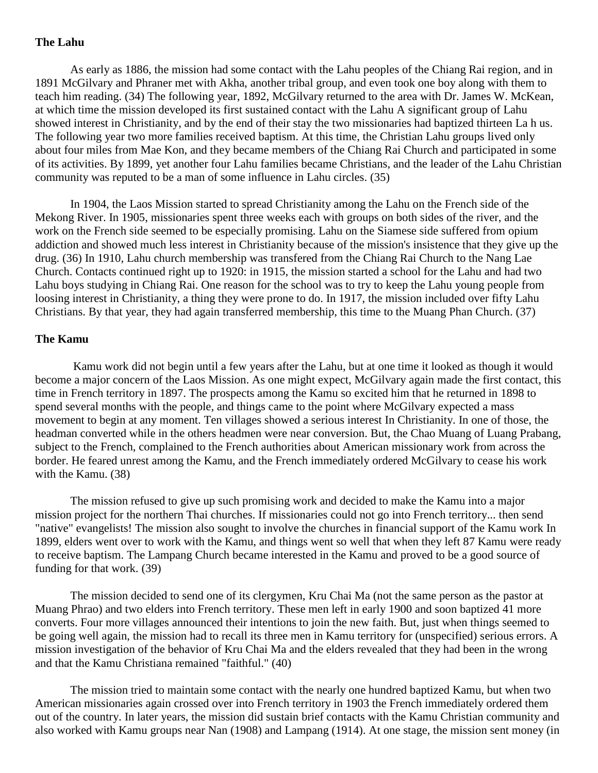## **The Lahu**

As early as 1886, the mission had some contact with the Lahu peoples of the Chiang Rai region, and in 1891 McGilvary and Phraner met with Akha, another tribal group, and even took one boy along with them to teach him reading. [\(34\)](http://herbswanson.com/post.php?pid=47#c3e34) The following year, 1892, McGilvary returned to the area with Dr. James W. McKean, at which time the mission developed its first sustained contact with the Lahu A significant group of Lahu showed interest in Christianity, and by the end of their stay the two missionaries had baptized thirteen La h us. The following year two more families received baptism. At this time, the Christian Lahu groups lived only about four miles from Mae Kon, and they became members of the Chiang Rai Church and participated in some of its activities. By 1899, yet another four Lahu families became Christians, and the leader of the Lahu Christian community was reputed to be a man of some influence in Lahu circles. [\(35\)](http://herbswanson.com/post.php?pid=47#c3e35)

In 1904, the Laos Mission started to spread Christianity among the Lahu on the French side of the Mekong River. In 1905, missionaries spent three weeks each with groups on both sides of the river, and the work on the French side seemed to be especially promising. Lahu on the Siamese side suffered from opium addiction and showed much less interest in Christianity because of the mission's insistence that they give up the drug. [\(36\)](http://herbswanson.com/post.php?pid=47#c3e36) In 1910, Lahu church membership was transfered from the Chiang Rai Church to the Nang Lae Church. Contacts continued right up to 1920: in 1915, the mission started a school for the Lahu and had two Lahu boys studying in Chiang Rai. One reason for the school was to try to keep the Lahu young people from loosing interest in Christianity, a thing they were prone to do. In 1917, the mission included over fifty Lahu Christians. By that year, they had again transferred membership, this time to the Muang Phan Church. [\(37\)](http://herbswanson.com/post.php?pid=47#c3e37)

## **The Kamu**

Kamu work did not begin until a few years after the Lahu, but at one time it looked as though it would become a major concern of the Laos Mission. As one might expect, McGilvary again made the first contact, this time in French territory in 1897. The prospects among the Kamu so excited him that he returned in 1898 to spend several months with the people, and things came to the point where McGilvary expected a mass movement to begin at any moment. Ten villages showed a serious interest In Christianity. In one of those, the headman converted while in the others headmen were near conversion. But, the Chao Muang of Luang Prabang, subject to the French, complained to the French authorities about American missionary work from across the border. He feared unrest among the Kamu, and the French immediately ordered McGilvary to cease his work with the Kamu. [\(38\)](http://herbswanson.com/post.php?pid=47#c3e38)

The mission refused to give up such promising work and decided to make the Kamu into a major mission project for the northern Thai churches. If missionaries could not go into French territory... then send "native" evangelists! The mission also sought to involve the churches in financial support of the Kamu work In 1899, elders went over to work with the Kamu, and things went so well that when they left 87 Kamu were ready to receive baptism. The Lampang Church became interested in the Kamu and proved to be a good source of funding for that work. [\(39\)](http://herbswanson.com/post.php?pid=47#c3e39)

The mission decided to send one of its clergymen, Kru Chai Ma (not the same person as the pastor at Muang Phrao) and two elders into French territory. These men left in early 1900 and soon baptized 41 more converts. Four more villages announced their intentions to join the new faith. But, just when things seemed to be going well again, the mission had to recall its three men in Kamu territory for (unspecified) serious errors. A mission investigation of the behavior of Kru Chai Ma and the elders revealed that they had been in the wrong and that the Kamu Christiana remained "faithful." [\(40\)](http://herbswanson.com/post.php?pid=47#c3e40)

The mission tried to maintain some contact with the nearly one hundred baptized Kamu, but when two American missionaries again crossed over into French territory in 1903 the French immediately ordered them out of the country. In later years, the mission did sustain brief contacts with the Kamu Christian community and also worked with Kamu groups near Nan (1908) and Lampang (1914). At one stage, the mission sent money (in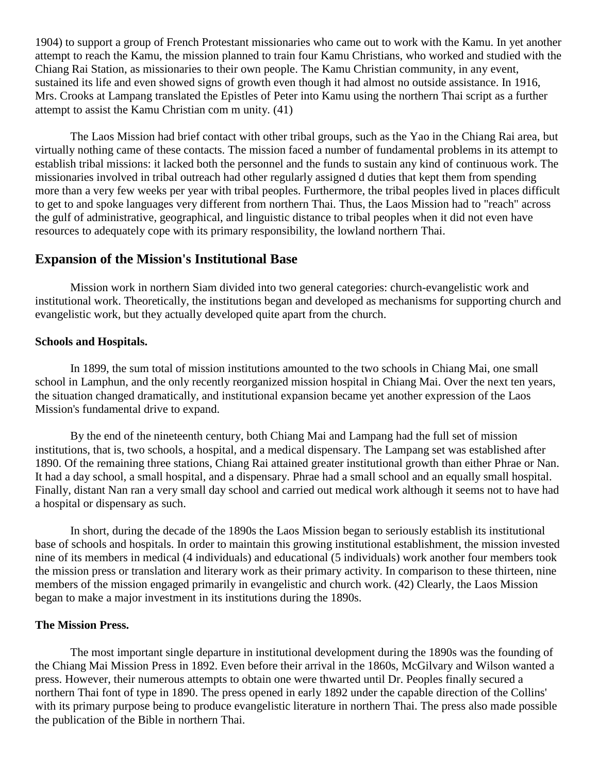1904) to support a group of French Protestant missionaries who came out to work with the Kamu. In yet another attempt to reach the Kamu, the mission planned to train four Kamu Christians, who worked and studied with the Chiang Rai Station, as missionaries to their own people. The Kamu Christian community, in any event, sustained its life and even showed signs of growth even though it had almost no outside assistance. In 1916, Mrs. Crooks at Lampang translated the Epistles of Peter into Kamu using the northern Thai script as a further attempt to assist the Kamu Christian com m unity. [\(41\)](http://herbswanson.com/post.php?pid=47#c3e41)

The Laos Mission had brief contact with other tribal groups, such as the Yao in the Chiang Rai area, but virtually nothing came of these contacts. The mission faced a number of fundamental problems in its attempt to establish tribal missions: it lacked both the personnel and the funds to sustain any kind of continuous work. The missionaries involved in tribal outreach had other regularly assigned d duties that kept them from spending more than a very few weeks per year with tribal peoples. Furthermore, the tribal peoples lived in places difficult to get to and spoke languages very different from northern Thai. Thus, the Laos Mission had to "reach" across the gulf of administrative, geographical, and linguistic distance to tribal peoples when it did not even have resources to adequately cope with its primary responsibility, the lowland northern Thai.

# **Expansion of the Mission's Institutional Base**

Mission work in northern Siam divided into two general categories: church-evangelistic work and institutional work. Theoretically, the institutions began and developed as mechanisms for supporting church and evangelistic work, but they actually developed quite apart from the church.

### **Schools and Hospitals.**

In 1899, the sum total of mission institutions amounted to the two schools in Chiang Mai, one small school in Lamphun, and the only recently reorganized mission hospital in Chiang Mai. Over the next ten years, the situation changed dramatically, and institutional expansion became yet another expression of the Laos Mission's fundamental drive to expand.

By the end of the nineteenth century, both Chiang Mai and Lampang had the full set of mission institutions, that is, two schools, a hospital, and a medical dispensary. The Lampang set was established after 1890. Of the remaining three stations, Chiang Rai attained greater institutional growth than either Phrae or Nan. It had a day school, a small hospital, and a dispensary. Phrae had a small school and an equally small hospital. Finally, distant Nan ran a very small day school and carried out medical work although it seems not to have had a hospital or dispensary as such.

In short, during the decade of the 1890s the Laos Mission began to seriously establish its institutional base of schools and hospitals. In order to maintain this growing institutional establishment, the mission invested nine of its members in medical (4 individuals) and educational (5 individuals) work another four members took the mission press or translation and literary work as their primary activity. In comparison to these thirteen, nine members of the mission engaged primarily in evangelistic and church work. [\(42\)](http://herbswanson.com/post.php?pid=47#c3e42) Clearly, the Laos Mission began to make a major investment in its institutions during the 1890s.

## **The Mission Press.**

The most important single departure in institutional development during the 1890s was the founding of the Chiang Mai Mission Press in 1892. Even before their arrival in the 1860s, McGilvary and Wilson wanted a press. However, their numerous attempts to obtain one were thwarted until Dr. Peoples finally secured a northern Thai font of type in 1890. The press opened in early 1892 under the capable direction of the Collins' with its primary purpose being to produce evangelistic literature in northern Thai. The press also made possible the publication of the Bible in northern Thai.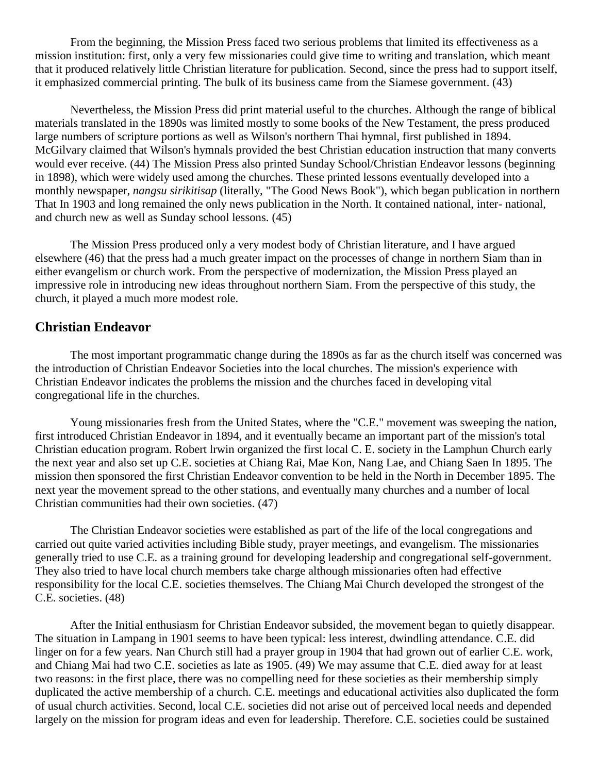From the beginning, the Mission Press faced two serious problems that limited its effectiveness as a mission institution: first, only a very few missionaries could give time to writing and translation, which meant that it produced relatively little Christian literature for publication. Second, since the press had to support itself, it emphasized commercial printing. The bulk of its business came from the Siamese government. [\(43\)](http://herbswanson.com/post.php?pid=47#c3e43)

Nevertheless, the Mission Press did print material useful to the churches. Although the range of biblical materials translated in the 1890s was limited mostly to some books of the New Testament, the press produced large numbers of scripture portions as well as Wilson's northern Thai hymnal, first published in 1894. McGilvary claimed that Wilson's hymnals provided the best Christian education instruction that many converts would ever receive. [\(44\)](http://herbswanson.com/post.php?pid=47#c3e44) The Mission Press also printed Sunday School/Christian Endeavor lessons (beginning in 1898), which were widely used among the churches. These printed lessons eventually developed into a monthly newspaper, *nangsu sirikitisap* (literally, "The Good News Book"), which began publication in northern That In 1903 and long remained the only news publication in the North. It contained national, inter- national, and church new as well as Sunday school lessons. [\(45\)](http://herbswanson.com/post.php?pid=47#c3e45)

The Mission Press produced only a very modest body of Christian literature, and I have argued elsewhere [\(46\)](http://herbswanson.com/post.php?pid=47#c3e46) that the press had a much greater impact on the processes of change in northern Siam than in either evangelism or church work. From the perspective of modernization, the Mission Press played an impressive role in introducing new ideas throughout northern Siam. From the perspective of this study, the church, it played a much more modest role.

## **Christian Endeavor**

The most important programmatic change during the 1890s as far as the church itself was concerned was the introduction of Christian Endeavor Societies into the local churches. The mission's experience with Christian Endeavor indicates the problems the mission and the churches faced in developing vital congregational life in the churches.

Young missionaries fresh from the United States, where the "C.E." movement was sweeping the nation, first introduced Christian Endeavor in 1894, and it eventually became an important part of the mission's total Christian education program. Robert lrwin organized the first local C. E. society in the Lamphun Church early the next year and also set up C.E. societies at Chiang Rai, Mae Kon, Nang Lae, and Chiang Saen In 1895. The mission then sponsored the first Christian Endeavor convention to be held in the North in December 1895. The next year the movement spread to the other stations, and eventually many churches and a number of local Christian communities had their own societies. [\(47\)](http://herbswanson.com/post.php?pid=47#c3e47)

The Christian Endeavor societies were established as part of the life of the local congregations and carried out quite varied activities including Bible study, prayer meetings, and evangelism. The missionaries generally tried to use C.E. as a training ground for developing leadership and congregational self-government. They also tried to have local church members take charge although missionaries often had effective responsibility for the local C.E. societies themselves. The Chiang Mai Church developed the strongest of the C.E. societies. [\(48\)](http://herbswanson.com/post.php?pid=47#c3e48)

After the Initial enthusiasm for Christian Endeavor subsided, the movement began to quietly disappear. The situation in Lampang in 1901 seems to have been typical: less interest, dwindling attendance. C.E. did linger on for a few years. Nan Church still had a prayer group in 1904 that had grown out of earlier C.E. work, and Chiang Mai had two C.E. societies as late as 1905. [\(49\)](http://herbswanson.com/post.php?pid=47#c3e49) We may assume that C.E. died away for at least two reasons: in the first place, there was no compelling need for these societies as their membership simply duplicated the active membership of a church. C.E. meetings and educational activities also duplicated the form of usual church activities. Second, local C.E. societies did not arise out of perceived local needs and depended largely on the mission for program ideas and even for leadership. Therefore. C.E. societies could be sustained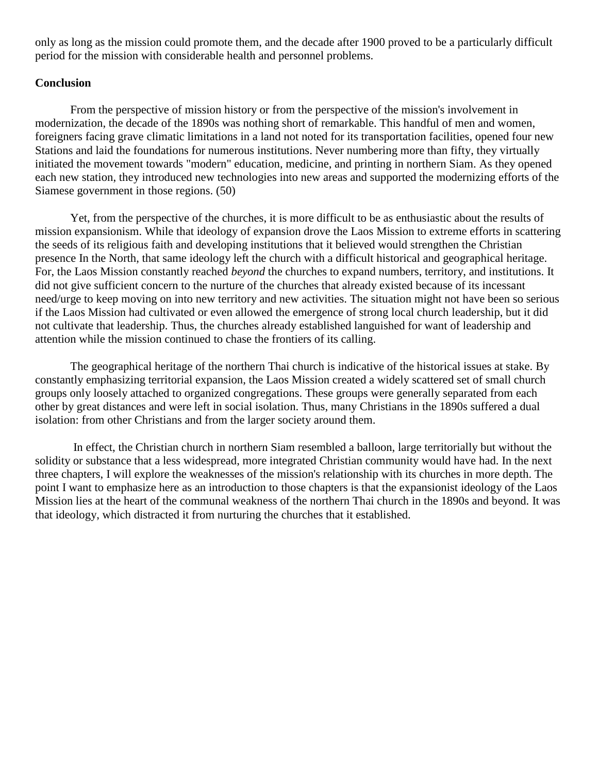only as long as the mission could promote them, and the decade after 1900 proved to be a particularly difficult period for the mission with considerable health and personnel problems.

### **Conclusion**

From the perspective of mission history or from the perspective of the mission's involvement in modernization, the decade of the 1890s was nothing short of remarkable. This handful of men and women, foreigners facing grave climatic limitations in a land not noted for its transportation facilities, opened four new Stations and laid the foundations for numerous institutions. Never numbering more than fifty, they virtually initiated the movement towards "modern" education, medicine, and printing in northern Siam. As they opened each new station, they introduced new technologies into new areas and supported the modernizing efforts of the Siamese government in those regions. [\(50\)](http://herbswanson.com/post.php?pid=47#c3e50)

Yet, from the perspective of the churches, it is more difficult to be as enthusiastic about the results of mission expansionism. While that ideology of expansion drove the Laos Mission to extreme efforts in scattering the seeds of its religious faith and developing institutions that it believed would strengthen the Christian presence In the North, that same ideology left the church with a difficult historical and geographical heritage. For, the Laos Mission constantly reached *beyond* the churches to expand numbers, territory, and institutions. It did not give sufficient concern to the nurture of the churches that already existed because of its incessant need/urge to keep moving on into new territory and new activities. The situation might not have been so serious if the Laos Mission had cultivated or even allowed the emergence of strong local church leadership, but it did not cultivate that leadership. Thus, the churches already established languished for want of leadership and attention while the mission continued to chase the frontiers of its calling.

The geographical heritage of the northern Thai church is indicative of the historical issues at stake. By constantly emphasizing territorial expansion, the Laos Mission created a widely scattered set of small church groups only loosely attached to organized congregations. These groups were generally separated from each other by great distances and were left in social isolation. Thus, many Christians in the 1890s suffered a dual isolation: from other Christians and from the larger society around them.

In effect, the Christian church in northern Siam resembled a balloon, large territorially but without the solidity or substance that a less widespread, more integrated Christian community would have had. In the next three chapters, I will explore the weaknesses of the mission's relationship with its churches in more depth. The point I want to emphasize here as an introduction to those chapters is that the expansionist ideology of the Laos Mission lies at the heart of the communal weakness of the northern Thai church in the 1890s and beyond. It was that ideology, which distracted it from nurturing the churches that it established.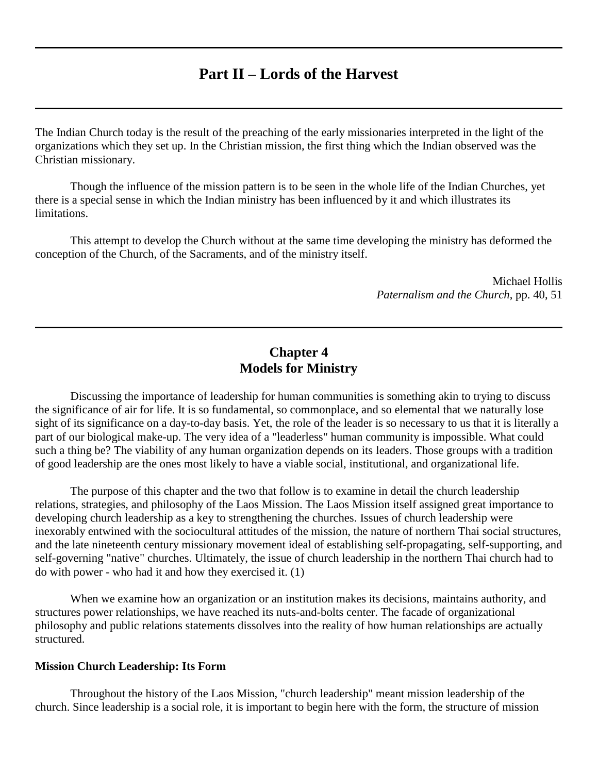# **Part II – Lords of the Harvest**

The Indian Church today is the result of the preaching of the early missionaries interpreted in the light of the organizations which they set up. In the Christian mission, the first thing which the Indian observed was the Christian missionary.

Though the influence of the mission pattern is to be seen in the whole life of the Indian Churches, yet there is a special sense in which the Indian ministry has been influenced by it and which illustrates its limitations.

This attempt to develop the Church without at the same time developing the ministry has deformed the conception of the Church, of the Sacraments, and of the ministry itself.

> Michael Hollis *Paternalism and the Church*, pp. 40, 51

## **Chapter 4 Models for Ministry**

Discussing the importance of leadership for human communities is something akin to trying to discuss the significance of air for life. It is so fundamental, so commonplace, and so elemental that we naturally lose sight of its significance on a day-to-day basis. Yet, the role of the leader is so necessary to us that it is literally a part of our biological make-up. The very idea of a "leaderless" human community is impossible. What could such a thing be? The viability of any human organization depends on its leaders. Those groups with a tradition of good leadership are the ones most likely to have a viable social, institutional, and organizational life.

The purpose of this chapter and the two that follow is to examine in detail the church leadership relations, strategies, and philosophy of the Laos Mission. The Laos Mission itself assigned great importance to developing church leadership as a key to strengthening the churches. Issues of church leadership were inexorably entwined with the sociocultural attitudes of the mission, the nature of northern Thai social structures, and the late nineteenth century missionary movement ideal of establishing self-propagating, self-supporting, and self-governing "native" churches. Ultimately, the issue of church leadership in the northern Thai church had to do with power - who had it and how they exercised it. [\(1\)](http://herbswanson.com/post.php?pid=47#c4e1)

When we examine how an organization or an institution makes its decisions, maintains authority, and structures power relationships, we have reached its nuts-and-bolts center. The facade of organizational philosophy and public relations statements dissolves into the reality of how human relationships are actually structured.

#### **Mission Church Leadership: Its Form**

Throughout the history of the Laos Mission, "church leadership" meant mission leadership of the church. Since leadership is a social role, it is important to begin here with the form, the structure of mission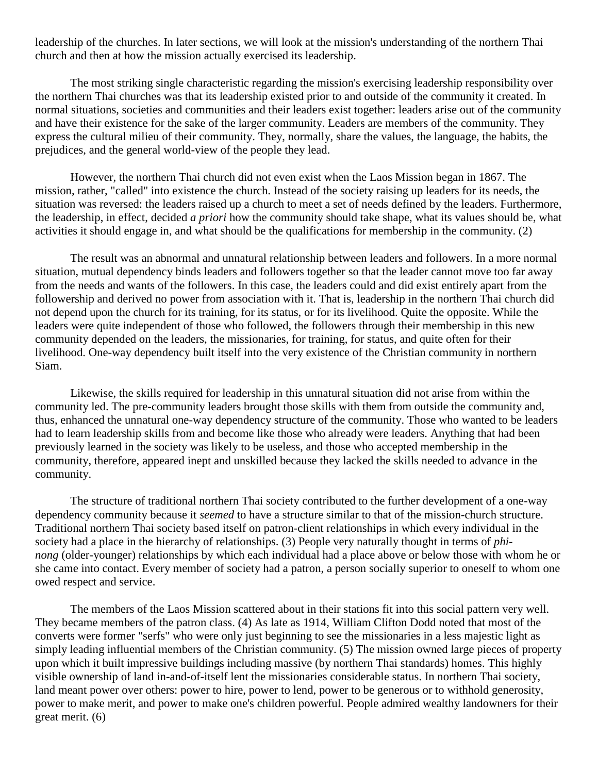leadership of the churches. In later sections, we will look at the mission's understanding of the northern Thai church and then at how the mission actually exercised its leadership.

The most striking single characteristic regarding the mission's exercising leadership responsibility over the northern Thai churches was that its leadership existed prior to and outside of the community it created. In normal situations, societies and communities and their leaders exist together: leaders arise out of the community and have their existence for the sake of the larger community. Leaders are members of the community. They express the cultural milieu of their community. They, normally, share the values, the language, the habits, the prejudices, and the general world-view of the people they lead.

However, the northern Thai church did not even exist when the Laos Mission began in 1867. The mission, rather, "called" into existence the church. Instead of the society raising up leaders for its needs, the situation was reversed: the leaders raised up a church to meet a set of needs defined by the leaders. Furthermore, the leadership, in effect, decided *a priori* how the community should take shape, what its values should be, what activities it should engage in, and what should be the qualifications for membership in the community. [\(2\)](http://herbswanson.com/post.php?pid=47#c4e2)

The result was an abnormal and unnatural relationship between leaders and followers. In a more normal situation, mutual dependency binds leaders and followers together so that the leader cannot move too far away from the needs and wants of the followers. In this case, the leaders could and did exist entirely apart from the followership and derived no power from association with it. That is, leadership in the northern Thai church did not depend upon the church for its training, for its status, or for its livelihood. Quite the opposite. While the leaders were quite independent of those who followed, the followers through their membership in this new community depended on the leaders, the missionaries, for training, for status, and quite often for their livelihood. One-way dependency built itself into the very existence of the Christian community in northern Siam.

Likewise, the skills required for leadership in this unnatural situation did not arise from within the community led. The pre-community leaders brought those skills with them from outside the community and, thus, enhanced the unnatural one-way dependency structure of the community. Those who wanted to be leaders had to learn leadership skills from and become like those who already were leaders. Anything that had been previously learned in the society was likely to be useless, and those who accepted membership in the community, therefore, appeared inept and unskilled because they lacked the skills needed to advance in the community.

The structure of traditional northern Thai society contributed to the further development of a one-way dependency community because it *seemed* to have a structure similar to that of the mission-church structure. Traditional northern Thai society based itself on patron-client relationships in which every individual in the society had a place in the hierarchy of relationships. [\(3\)](http://herbswanson.com/post.php?pid=47#c4e3) People very naturally thought in terms of *phinong* (older-younger) relationships by which each individual had a place above or below those with whom he or she came into contact. Every member of society had a patron, a person socially superior to oneself to whom one owed respect and service.

The members of the Laos Mission scattered about in their stations fit into this social pattern very well. They became members of the patron class. [\(4\)](http://herbswanson.com/post.php?pid=47#c4e4) As late as 1914, William Clifton Dodd noted that most of the converts were former "serfs" who were only just beginning to see the missionaries in a less majestic light as simply leading influential members of the Christian community. [\(5\)](http://herbswanson.com/post.php?pid=47#c4e5) The mission owned large pieces of property upon which it built impressive buildings including massive (by northern Thai standards) homes. This highly visible ownership of land in-and-of-itself lent the missionaries considerable status. In northern Thai society, land meant power over others: power to hire, power to lend, power to be generous or to withhold generosity, power to make merit, and power to make one's children powerful. People admired wealthy landowners for their great merit. [\(6\)](http://herbswanson.com/post.php?pid=47#c4e6)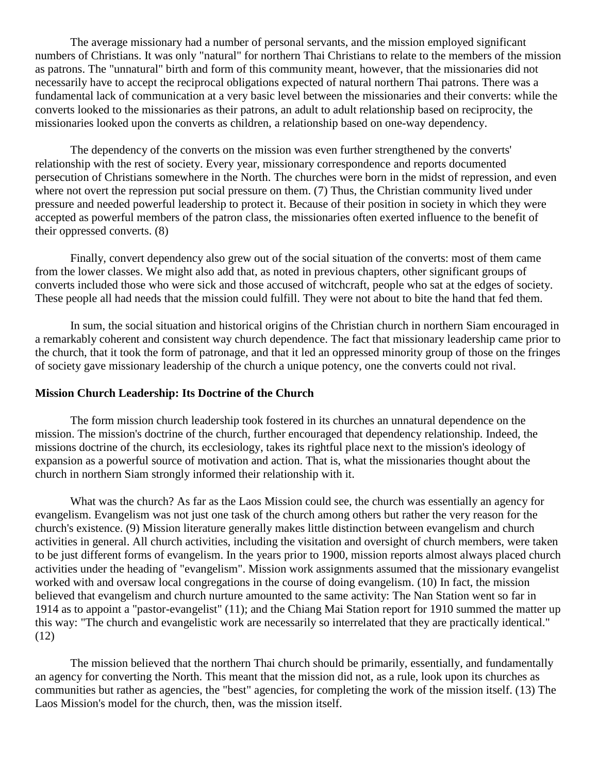The average missionary had a number of personal servants, and the mission employed significant numbers of Christians. It was only "natural" for northern Thai Christians to relate to the members of the mission as patrons. The "unnatural" birth and form of this community meant, however, that the missionaries did not necessarily have to accept the reciprocal obligations expected of natural northern Thai patrons. There was a fundamental lack of communication at a very basic level between the missionaries and their converts: while the converts looked to the missionaries as their patrons, an adult to adult relationship based on reciprocity, the missionaries looked upon the converts as children, a relationship based on one-way dependency.

The dependency of the converts on the mission was even further strengthened by the converts' relationship with the rest of society. Every year, missionary correspondence and reports documented persecution of Christians somewhere in the North. The churches were born in the midst of repression, and even where not overt the repression put social pressure on them. [\(7\)](http://herbswanson.com/post.php?pid=47#c4e7) Thus, the Christian community lived under pressure and needed powerful leadership to protect it. Because of their position in society in which they were accepted as powerful members of the patron class, the missionaries often exerted influence to the benefit of their oppressed converts. [\(8\)](http://herbswanson.com/post.php?pid=47#c4e8)

Finally, convert dependency also grew out of the social situation of the converts: most of them came from the lower classes. We might also add that, as noted in previous chapters, other significant groups of converts included those who were sick and those accused of witchcraft, people who sat at the edges of society. These people all had needs that the mission could fulfill. They were not about to bite the hand that fed them.

In sum, the social situation and historical origins of the Christian church in northern Siam encouraged in a remarkably coherent and consistent way church dependence. The fact that missionary leadership came prior to the church, that it took the form of patronage, and that it led an oppressed minority group of those on the fringes of society gave missionary leadership of the church a unique potency, one the converts could not rival.

## **Mission Church Leadership: Its Doctrine of the Church**

The form mission church leadership took fostered in its churches an unnatural dependence on the mission. The mission's doctrine of the church, further encouraged that dependency relationship. Indeed, the missions doctrine of the church, its ecclesiology, takes its rightful place next to the mission's ideology of expansion as a powerful source of motivation and action. That is, what the missionaries thought about the church in northern Siam strongly informed their relationship with it.

What was the church? As far as the Laos Mission could see, the church was essentially an agency for evangelism. Evangelism was not just one task of the church among others but rather the very reason for the church's existence. [\(9\)](http://herbswanson.com/post.php?pid=47#c4e9) Mission literature generally makes little distinction between evangelism and church activities in general. All church activities, including the visitation and oversight of church members, were taken to be just different forms of evangelism. In the years prior to 1900, mission reports almost always placed church activities under the heading of "evangelism". Mission work assignments assumed that the missionary evangelist worked with and oversaw local congregations in the course of doing evangelism. [\(10\)](http://herbswanson.com/post.php?pid=47#c4e10) In fact, the mission believed that evangelism and church nurture amounted to the same activity: The Nan Station went so far in 1914 as to appoint a "pastor-evangelist" [\(11\)](http://herbswanson.com/post.php?pid=47#c4e11); and the Chiang Mai Station report for 1910 summed the matter up this way: "The church and evangelistic work are necessarily so interrelated that they are practically identical." [\(12\)](http://herbswanson.com/post.php?pid=47#c4e12)

The mission believed that the northern Thai church should be primarily, essentially, and fundamentally an agency for converting the North. This meant that the mission did not, as a rule, look upon its churches as communities but rather as agencies, the "best" agencies, for completing the work of the mission itself. [\(13\)](http://herbswanson.com/post.php?pid=47#c4e13) The Laos Mission's model for the church, then, was the mission itself.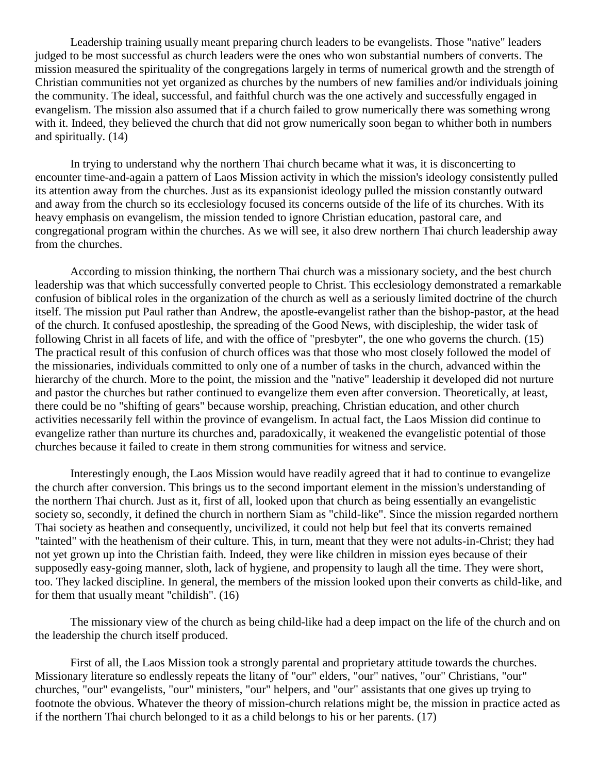Leadership training usually meant preparing church leaders to be evangelists. Those "native" leaders judged to be most successful as church leaders were the ones who won substantial numbers of converts. The mission measured the spirituality of the congregations largely in terms of numerical growth and the strength of Christian communities not yet organized as churches by the numbers of new families and/or individuals joining the community. The ideal, successful, and faithful church was the one actively and successfully engaged in evangelism. The mission also assumed that if a church failed to grow numerically there was something wrong with it. Indeed, they believed the church that did not grow numerically soon began to whither both in numbers and spiritually. [\(14\)](http://herbswanson.com/post.php?pid=47#c4e14)

In trying to understand why the northern Thai church became what it was, it is disconcerting to encounter time-and-again a pattern of Laos Mission activity in which the mission's ideology consistently pulled its attention away from the churches. Just as its expansionist ideology pulled the mission constantly outward and away from the church so its ecclesiology focused its concerns outside of the life of its churches. With its heavy emphasis on evangelism, the mission tended to ignore Christian education, pastoral care, and congregational program within the churches. As we will see, it also drew northern Thai church leadership away from the churches.

According to mission thinking, the northern Thai church was a missionary society, and the best church leadership was that which successfully converted people to Christ. This ecclesiology demonstrated a remarkable confusion of biblical roles in the organization of the church as well as a seriously limited doctrine of the church itself. The mission put Paul rather than Andrew, the apostle-evangelist rather than the bishop-pastor, at the head of the church. It confused apostleship, the spreading of the Good News, with discipleship, the wider task of following Christ in all facets of life, and with the office of "presbyter", the one who governs the church. [\(15\)](http://herbswanson.com/post.php?pid=47#c4e15) The practical result of this confusion of church offices was that those who most closely followed the model of the missionaries, individuals committed to only one of a number of tasks in the church, advanced within the hierarchy of the church. More to the point, the mission and the "native" leadership it developed did not nurture and pastor the churches but rather continued to evangelize them even after conversion. Theoretically, at least, there could be no "shifting of gears" because worship, preaching, Christian education, and other church activities necessarily fell within the province of evangelism. In actual fact, the Laos Mission did continue to evangelize rather than nurture its churches and, paradoxically, it weakened the evangelistic potential of those churches because it failed to create in them strong communities for witness and service.

Interestingly enough, the Laos Mission would have readily agreed that it had to continue to evangelize the church after conversion. This brings us to the second important element in the mission's understanding of the northern Thai church. Just as it, first of all, looked upon that church as being essentially an evangelistic society so, secondly, it defined the church in northern Siam as "child-like". Since the mission regarded northern Thai society as heathen and consequently, uncivilized, it could not help but feel that its converts remained "tainted" with the heathenism of their culture. This, in turn, meant that they were not adults-in-Christ; they had not yet grown up into the Christian faith. Indeed, they were like children in mission eyes because of their supposedly easy-going manner, sloth, lack of hygiene, and propensity to laugh all the time. They were short, too. They lacked discipline. In general, the members of the mission looked upon their converts as child-like, and for them that usually meant "childish". [\(16\)](http://herbswanson.com/post.php?pid=47#c4e16)

The missionary view of the church as being child-like had a deep impact on the life of the church and on the leadership the church itself produced.

First of all, the Laos Mission took a strongly parental and proprietary attitude towards the churches. Missionary literature so endlessly repeats the litany of "our" elders, "our" natives, "our" Christians, "our" churches, "our" evangelists, "our" ministers, "our" helpers, and "our" assistants that one gives up trying to footnote the obvious. Whatever the theory of mission-church relations might be, the mission in practice acted as if the northern Thai church belonged to it as a child belongs to his or her parents. [\(17\)](http://herbswanson.com/post.php?pid=47#c4e17)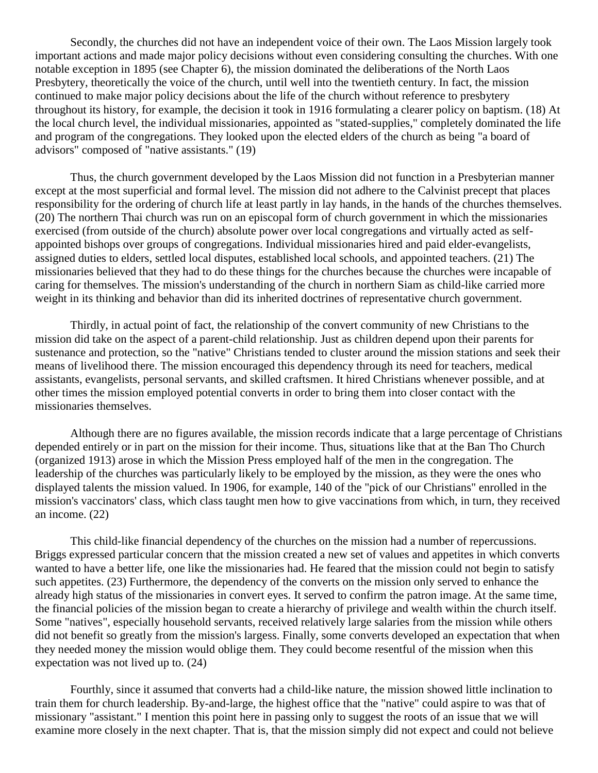Secondly, the churches did not have an independent voice of their own. The Laos Mission largely took important actions and made major policy decisions without even considering consulting the churches. With one notable exception in 1895 (see Chapter 6), the mission dominated the deliberations of the North Laos Presbytery, theoretically the voice of the church, until well into the twentieth century. In fact, the mission continued to make major policy decisions about the life of the church without reference to presbytery throughout its history, for example, the decision it took in 1916 formulating a clearer policy on baptism. [\(18\)](http://herbswanson.com/post.php?pid=47#c4e18) At the local church level, the individual missionaries, appointed as "stated-supplies," completely dominated the life and program of the congregations. They looked upon the elected elders of the church as being "a board of advisors" composed of "native assistants." [\(19\)](http://herbswanson.com/post.php?pid=47#c4e19)

Thus, the church government developed by the Laos Mission did not function in a Presbyterian manner except at the most superficial and formal level. The mission did not adhere to the Calvinist precept that places responsibility for the ordering of church life at least partly in lay hands, in the hands of the churches themselves. [\(20\)](http://herbswanson.com/post.php?pid=47#c4e20) The northern Thai church was run on an episcopal form of church government in which the missionaries exercised (from outside of the church) absolute power over local congregations and virtually acted as selfappointed bishops over groups of congregations. Individual missionaries hired and paid elder-evangelists, assigned duties to elders, settled local disputes, established local schools, and appointed teachers. [\(21\)](http://herbswanson.com/post.php?pid=47#c4e21) The missionaries believed that they had to do these things for the churches because the churches were incapable of caring for themselves. The mission's understanding of the church in northern Siam as child-like carried more weight in its thinking and behavior than did its inherited doctrines of representative church government.

Thirdly, in actual point of fact, the relationship of the convert community of new Christians to the mission did take on the aspect of a parent-child relationship. Just as children depend upon their parents for sustenance and protection, so the "native" Christians tended to cluster around the mission stations and seek their means of livelihood there. The mission encouraged this dependency through its need for teachers, medical assistants, evangelists, personal servants, and skilled craftsmen. It hired Christians whenever possible, and at other times the mission employed potential converts in order to bring them into closer contact with the missionaries themselves.

Although there are no figures available, the mission records indicate that a large percentage of Christians depended entirely or in part on the mission for their income. Thus, situations like that at the Ban Tho Church (organized 1913) arose in which the Mission Press employed half of the men in the congregation. The leadership of the churches was particularly likely to be employed by the mission, as they were the ones who displayed talents the mission valued. In 1906, for example, 140 of the "pick of our Christians" enrolled in the mission's vaccinators' class, which class taught men how to give vaccinations from which, in turn, they received an income. [\(22\)](http://herbswanson.com/post.php?pid=47#c4e22)

This child-like financial dependency of the churches on the mission had a number of repercussions. Briggs expressed particular concern that the mission created a new set of values and appetites in which converts wanted to have a better life, one like the missionaries had. He feared that the mission could not begin to satisfy such appetites. [\(23\)](http://herbswanson.com/post.php?pid=47#c4e23) Furthermore, the dependency of the converts on the mission only served to enhance the already high status of the missionaries in convert eyes. It served to confirm the patron image. At the same time, the financial policies of the mission began to create a hierarchy of privilege and wealth within the church itself. Some "natives", especially household servants, received relatively large salaries from the mission while others did not benefit so greatly from the mission's largess. Finally, some converts developed an expectation that when they needed money the mission would oblige them. They could become resentful of the mission when this expectation was not lived up to. [\(24\)](http://herbswanson.com/post.php?pid=47#c4e24)

Fourthly, since it assumed that converts had a child-like nature, the mission showed little inclination to train them for church leadership. By-and-large, the highest office that the "native" could aspire to was that of missionary "assistant." I mention this point here in passing only to suggest the roots of an issue that we will examine more closely in the next chapter. That is, that the mission simply did not expect and could not believe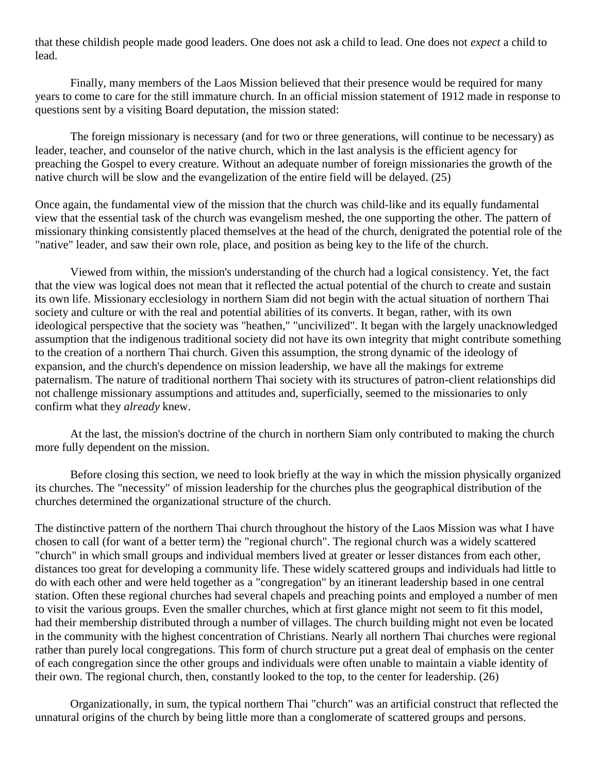that these childish people made good leaders. One does not ask a child to lead. One does not *expect* a child to lead.

Finally, many members of the Laos Mission believed that their presence would be required for many years to come to care for the still immature church. In an official mission statement of 1912 made in response to questions sent by a visiting Board deputation, the mission stated:

The foreign missionary is necessary (and for two or three generations, will continue to be necessary) as leader, teacher, and counselor of the native church, which in the last analysis is the efficient agency for preaching the Gospel to every creature. Without an adequate number of foreign missionaries the growth of the native church will be slow and the evangelization of the entire field will be delayed. [\(25\)](http://herbswanson.com/post.php?pid=47#c4e25)

Once again, the fundamental view of the mission that the church was child-like and its equally fundamental view that the essential task of the church was evangelism meshed, the one supporting the other. The pattern of missionary thinking consistently placed themselves at the head of the church, denigrated the potential role of the "native" leader, and saw their own role, place, and position as being key to the life of the church.

Viewed from within, the mission's understanding of the church had a logical consistency. Yet, the fact that the view was logical does not mean that it reflected the actual potential of the church to create and sustain its own life. Missionary ecclesiology in northern Siam did not begin with the actual situation of northern Thai society and culture or with the real and potential abilities of its converts. It began, rather, with its own ideological perspective that the society was "heathen," "uncivilized". It began with the largely unacknowledged assumption that the indigenous traditional society did not have its own integrity that might contribute something to the creation of a northern Thai church. Given this assumption, the strong dynamic of the ideology of expansion, and the church's dependence on mission leadership, we have all the makings for extreme paternalism. The nature of traditional northern Thai society with its structures of patron-client relationships did not challenge missionary assumptions and attitudes and, superficially, seemed to the missionaries to only confirm what they *already* knew.

At the last, the mission's doctrine of the church in northern Siam only contributed to making the church more fully dependent on the mission.

Before closing this section, we need to look briefly at the way in which the mission physically organized its churches. The "necessity" of mission leadership for the churches plus the geographical distribution of the churches determined the organizational structure of the church.

The distinctive pattern of the northern Thai church throughout the history of the Laos Mission was what I have chosen to call (for want of a better term) the "regional church". The regional church was a widely scattered "church" in which small groups and individual members lived at greater or lesser distances from each other, distances too great for developing a community life. These widely scattered groups and individuals had little to do with each other and were held together as a "congregation" by an itinerant leadership based in one central station. Often these regional churches had several chapels and preaching points and employed a number of men to visit the various groups. Even the smaller churches, which at first glance might not seem to fit this model, had their membership distributed through a number of villages. The church building might not even be located in the community with the highest concentration of Christians. Nearly all northern Thai churches were regional rather than purely local congregations. This form of church structure put a great deal of emphasis on the center of each congregation since the other groups and individuals were often unable to maintain a viable identity of their own. The regional church, then, constantly looked to the top, to the center for leadership. [\(26\)](http://herbswanson.com/post.php?pid=47#c4e26)

Organizationally, in sum, the typical northern Thai "church" was an artificial construct that reflected the unnatural origins of the church by being little more than a conglomerate of scattered groups and persons.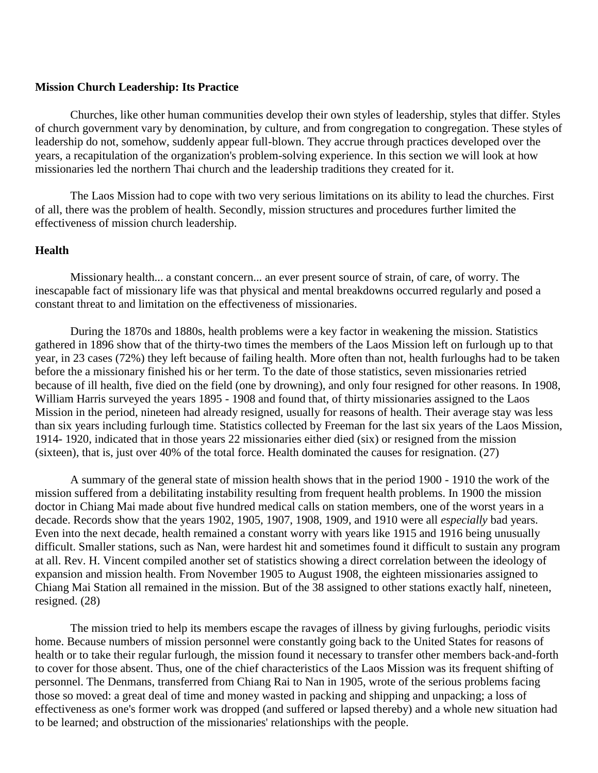#### **Mission Church Leadership: Its Practice**

Churches, like other human communities develop their own styles of leadership, styles that differ. Styles of church government vary by denomination, by culture, and from congregation to congregation. These styles of leadership do not, somehow, suddenly appear full-blown. They accrue through practices developed over the years, a recapitulation of the organization's problem-solving experience. In this section we will look at how missionaries led the northern Thai church and the leadership traditions they created for it.

The Laos Mission had to cope with two very serious limitations on its ability to lead the churches. First of all, there was the problem of health. Secondly, mission structures and procedures further limited the effectiveness of mission church leadership.

#### **Health**

Missionary health... a constant concern... an ever present source of strain, of care, of worry. The inescapable fact of missionary life was that physical and mental breakdowns occurred regularly and posed a constant threat to and limitation on the effectiveness of missionaries.

During the 1870s and 1880s, health problems were a key factor in weakening the mission. Statistics gathered in 1896 show that of the thirty-two times the members of the Laos Mission left on furlough up to that year, in 23 cases (72%) they left because of failing health. More often than not, health furloughs had to be taken before the a missionary finished his or her term. To the date of those statistics, seven missionaries retried because of ill health, five died on the field (one by drowning), and only four resigned for other reasons. In 1908, William Harris surveyed the years 1895 - 1908 and found that, of thirty missionaries assigned to the Laos Mission in the period, nineteen had already resigned, usually for reasons of health. Their average stay was less than six years including furlough time. Statistics collected by Freeman for the last six years of the Laos Mission, 1914- 1920, indicated that in those years 22 missionaries either died (six) or resigned from the mission (sixteen), that is, just over 40% of the total force. Health dominated the causes for resignation. [\(27\)](http://herbswanson.com/post.php?pid=47#c4e27)

A summary of the general state of mission health shows that in the period 1900 - 1910 the work of the mission suffered from a debilitating instability resulting from frequent health problems. In 1900 the mission doctor in Chiang Mai made about five hundred medical calls on station members, one of the worst years in a decade. Records show that the years 1902, 1905, 1907, 1908, 1909, and 1910 were all *especially* bad years. Even into the next decade, health remained a constant worry with years like 1915 and 1916 being unusually difficult. Smaller stations, such as Nan, were hardest hit and sometimes found it difficult to sustain any program at all. Rev. H. Vincent compiled another set of statistics showing a direct correlation between the ideology of expansion and mission health. From November 1905 to August 1908, the eighteen missionaries assigned to Chiang Mai Station all remained in the mission. But of the 38 assigned to other stations exactly half, nineteen, resigned. [\(28\)](http://herbswanson.com/post.php?pid=47#c4e28)

The mission tried to help its members escape the ravages of illness by giving furloughs, periodic visits home. Because numbers of mission personnel were constantly going back to the United States for reasons of health or to take their regular furlough, the mission found it necessary to transfer other members back-and-forth to cover for those absent. Thus, one of the chief characteristics of the Laos Mission was its frequent shifting of personnel. The Denmans, transferred from Chiang Rai to Nan in 1905, wrote of the serious problems facing those so moved: a great deal of time and money wasted in packing and shipping and unpacking; a loss of effectiveness as one's former work was dropped (and suffered or lapsed thereby) and a whole new situation had to be learned; and obstruction of the missionaries' relationships with the people.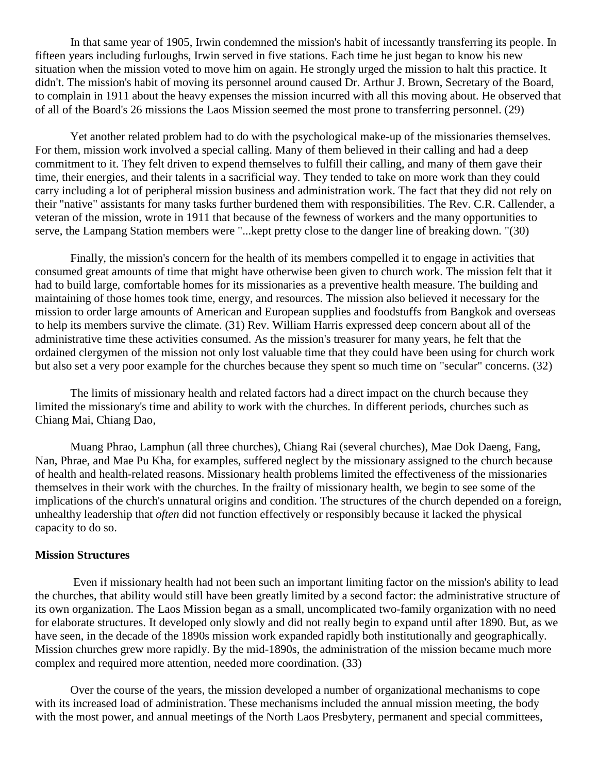In that same year of 1905, Irwin condemned the mission's habit of incessantly transferring its people. In fifteen years including furloughs, Irwin served in five stations. Each time he just began to know his new situation when the mission voted to move him on again. He strongly urged the mission to halt this practice. It didn't. The mission's habit of moving its personnel around caused Dr. Arthur J. Brown, Secretary of the Board, to complain in 1911 about the heavy expenses the mission incurred with all this moving about. He observed that of all of the Board's 26 missions the Laos Mission seemed the most prone to transferring personnel. [\(29\)](http://herbswanson.com/post.php?pid=47#c4e29)

Yet another related problem had to do with the psychological make-up of the missionaries themselves. For them, mission work involved a special calling. Many of them believed in their calling and had a deep commitment to it. They felt driven to expend themselves to fulfill their calling, and many of them gave their time, their energies, and their talents in a sacrificial way. They tended to take on more work than they could carry including a lot of peripheral mission business and administration work. The fact that they did not rely on their "native" assistants for many tasks further burdened them with responsibilities. The Rev. C.R. Callender, a veteran of the mission, wrote in 1911 that because of the fewness of workers and the many opportunities to serve, the Lampang Station members were "...kept pretty close to the danger line of breaking down. "[\(30\)](http://herbswanson.com/post.php?pid=47#c4e30)

Finally, the mission's concern for the health of its members compelled it to engage in activities that consumed great amounts of time that might have otherwise been given to church work. The mission felt that it had to build large, comfortable homes for its missionaries as a preventive health measure. The building and maintaining of those homes took time, energy, and resources. The mission also believed it necessary for the mission to order large amounts of American and European supplies and foodstuffs from Bangkok and overseas to help its members survive the climate. [\(31\)](http://herbswanson.com/post.php?pid=47#c4e31) Rev. William Harris expressed deep concern about all of the administrative time these activities consumed. As the mission's treasurer for many years, he felt that the ordained clergymen of the mission not only lost valuable time that they could have been using for church work but also set a very poor example for the churches because they spent so much time on "secular" concerns. [\(32\)](http://herbswanson.com/post.php?pid=47#c4e32)

The limits of missionary health and related factors had a direct impact on the church because they limited the missionary's time and ability to work with the churches. In different periods, churches such as Chiang Mai, Chiang Dao,

Muang Phrao, Lamphun (all three churches), Chiang Rai (several churches), Mae Dok Daeng, Fang, Nan, Phrae, and Mae Pu Kha, for examples, suffered neglect by the missionary assigned to the church because of health and health-related reasons. Missionary health problems limited the effectiveness of the missionaries themselves in their work with the churches. In the frailty of missionary health, we begin to see some of the implications of the church's unnatural origins and condition. The structures of the church depended on a foreign, unhealthy leadership that *often* did not function effectively or responsibly because it lacked the physical capacity to do so.

### **Mission Structures**

Even if missionary health had not been such an important limiting factor on the mission's ability to lead the churches, that ability would still have been greatly limited by a second factor: the administrative structure of its own organization. The Laos Mission began as a small, uncomplicated two-family organization with no need for elaborate structures. It developed only slowly and did not really begin to expand until after 1890. But, as we have seen, in the decade of the 1890s mission work expanded rapidly both institutionally and geographically. Mission churches grew more rapidly. By the mid-1890s, the administration of the mission became much more complex and required more attention, needed more coordination. [\(33\)](http://herbswanson.com/post.php?pid=47#c4e33)

Over the course of the years, the mission developed a number of organizational mechanisms to cope with its increased load of administration. These mechanisms included the annual mission meeting, the body with the most power, and annual meetings of the North Laos Presbytery, permanent and special committees,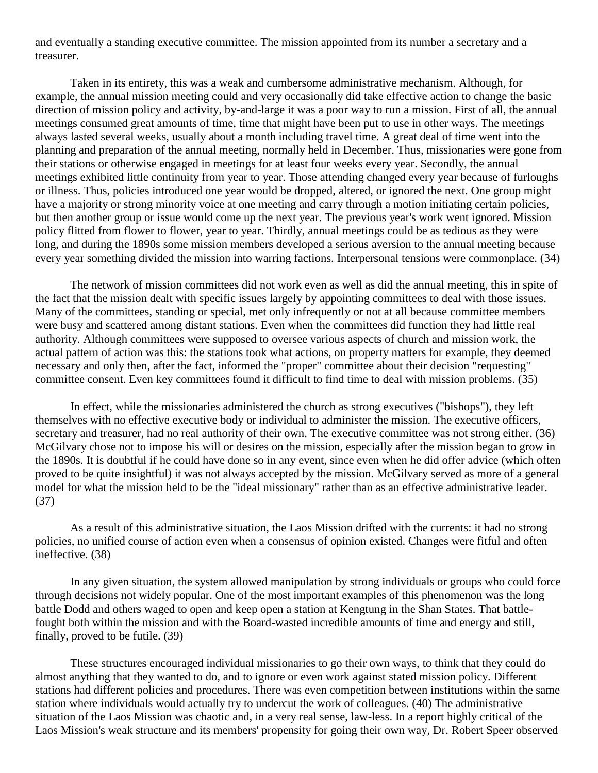and eventually a standing executive committee. The mission appointed from its number a secretary and a treasurer.

Taken in its entirety, this was a weak and cumbersome administrative mechanism. Although, for example, the annual mission meeting could and very occasionally did take effective action to change the basic direction of mission policy and activity, by-and-large it was a poor way to run a mission. First of all, the annual meetings consumed great amounts of time, time that might have been put to use in other ways. The meetings always lasted several weeks, usually about a month including travel time. A great deal of time went into the planning and preparation of the annual meeting, normally held in December. Thus, missionaries were gone from their stations or otherwise engaged in meetings for at least four weeks every year. Secondly, the annual meetings exhibited little continuity from year to year. Those attending changed every year because of furloughs or illness. Thus, policies introduced one year would be dropped, altered, or ignored the next. One group might have a majority or strong minority voice at one meeting and carry through a motion initiating certain policies, but then another group or issue would come up the next year. The previous year's work went ignored. Mission policy flitted from flower to flower, year to year. Thirdly, annual meetings could be as tedious as they were long, and during the 1890s some mission members developed a serious aversion to the annual meeting because every year something divided the mission into warring factions. Interpersonal tensions were commonplace. [\(34\)](http://herbswanson.com/post.php?pid=47#c4e34)

The network of mission committees did not work even as well as did the annual meeting, this in spite of the fact that the mission dealt with specific issues largely by appointing committees to deal with those issues. Many of the committees, standing or special, met only infrequently or not at all because committee members were busy and scattered among distant stations. Even when the committees did function they had little real authority. Although committees were supposed to oversee various aspects of church and mission work, the actual pattern of action was this: the stations took what actions, on property matters for example, they deemed necessary and only then, after the fact, informed the "proper" committee about their decision "requesting" committee consent. Even key committees found it difficult to find time to deal with mission problems. [\(35\)](http://herbswanson.com/post.php?pid=47#c4e35)

In effect, while the missionaries administered the church as strong executives ("bishops"), they left themselves with no effective executive body or individual to administer the mission. The executive officers, secretary and treasurer, had no real authority of their own. The executive committee was not strong either. [\(36\)](http://herbswanson.com/post.php?pid=47#c4e36) McGilvary chose not to impose his will or desires on the mission, especially after the mission began to grow in the 1890s. It is doubtful if he could have done so in any event, since even when he did offer advice (which often proved to be quite insightful) it was not always accepted by the mission. McGilvary served as more of a general model for what the mission held to be the "ideal missionary" rather than as an effective administrative leader. [\(37\)](http://herbswanson.com/post.php?pid=47#c4e37)

As a result of this administrative situation, the Laos Mission drifted with the currents: it had no strong policies, no unified course of action even when a consensus of opinion existed. Changes were fitful and often ineffective. [\(38\)](http://herbswanson.com/post.php?pid=47#c4e38)

In any given situation, the system allowed manipulation by strong individuals or groups who could force through decisions not widely popular. One of the most important examples of this phenomenon was the long battle Dodd and others waged to open and keep open a station at Kengtung in the Shan States. That battlefought both within the mission and with the Board-wasted incredible amounts of time and energy and still, finally, proved to be futile. [\(39\)](http://herbswanson.com/post.php?pid=47#c4e39)

These structures encouraged individual missionaries to go their own ways, to think that they could do almost anything that they wanted to do, and to ignore or even work against stated mission policy. Different stations had different policies and procedures. There was even competition between institutions within the same station where individuals would actually try to undercut the work of colleagues. [\(40\)](http://herbswanson.com/post.php?pid=47#c4e40) The administrative situation of the Laos Mission was chaotic and, in a very real sense, law-less. In a report highly critical of the Laos Mission's weak structure and its members' propensity for going their own way, Dr. Robert Speer observed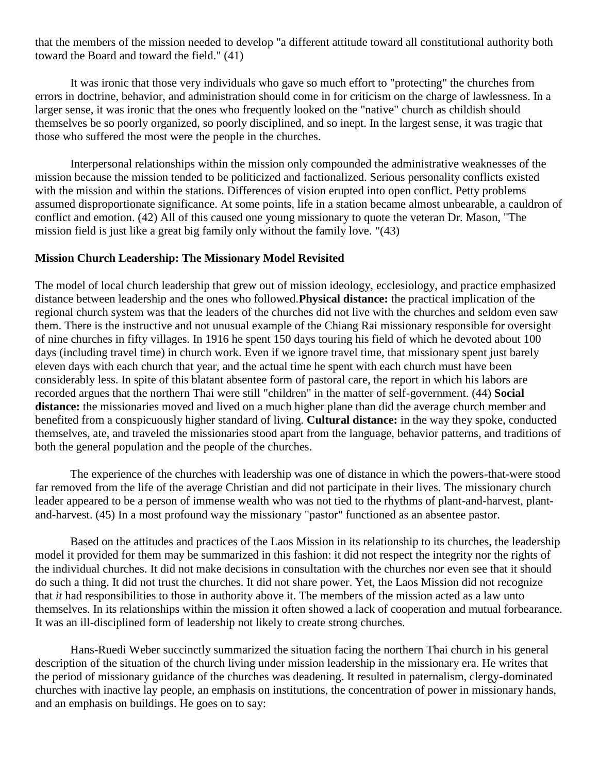that the members of the mission needed to develop "a different attitude toward all constitutional authority both toward the Board and toward the field." [\(41\)](http://herbswanson.com/post.php?pid=47#c4e41)

It was ironic that those very individuals who gave so much effort to "protecting" the churches from errors in doctrine, behavior, and administration should come in for criticism on the charge of lawlessness. In a larger sense, it was ironic that the ones who frequently looked on the "native" church as childish should themselves be so poorly organized, so poorly disciplined, and so inept. In the largest sense, it was tragic that those who suffered the most were the people in the churches.

Interpersonal relationships within the mission only compounded the administrative weaknesses of the mission because the mission tended to be politicized and factionalized. Serious personality conflicts existed with the mission and within the stations. Differences of vision erupted into open conflict. Petty problems assumed disproportionate significance. At some points, life in a station became almost unbearable, a cauldron of conflict and emotion. [\(42\)](http://herbswanson.com/post.php?pid=47#c4e42) All of this caused one young missionary to quote the veteran Dr. Mason, "The mission field is just like a great big family only without the family love. "[\(43\)](http://herbswanson.com/post.php?pid=47#c4e43)

#### **Mission Church Leadership: The Missionary Model Revisited**

The model of local church leadership that grew out of mission ideology, ecclesiology, and practice emphasized distance between leadership and the ones who followed.**Physical distance:** the practical implication of the regional church system was that the leaders of the churches did not live with the churches and seldom even saw them. There is the instructive and not unusual example of the Chiang Rai missionary responsible for oversight of nine churches in fifty villages. In 1916 he spent 150 days touring his field of which he devoted about 100 days (including travel time) in church work. Even if we ignore travel time, that missionary spent just barely eleven days with each church that year, and the actual time he spent with each church must have been considerably less. In spite of this blatant absentee form of pastoral care, the report in which his labors are recorded argues that the northern Thai were still "children" in the matter of self-government. [\(44\)](http://herbswanson.com/post.php?pid=47#c4e44) **Social**  distance: the missionaries moved and lived on a much higher plane than did the average church member and benefited from a conspicuously higher standard of living. **Cultural distance:** in the way they spoke, conducted themselves, ate, and traveled the missionaries stood apart from the language, behavior patterns, and traditions of both the general population and the people of the churches.

The experience of the churches with leadership was one of distance in which the powers-that-were stood far removed from the life of the average Christian and did not participate in their lives. The missionary church leader appeared to be a person of immense wealth who was not tied to the rhythms of plant-and-harvest, plantand-harvest. [\(45\)](http://herbswanson.com/post.php?pid=47#c4e45) In a most profound way the missionary "pastor" functioned as an absentee pastor.

Based on the attitudes and practices of the Laos Mission in its relationship to its churches, the leadership model it provided for them may be summarized in this fashion: it did not respect the integrity nor the rights of the individual churches. It did not make decisions in consultation with the churches nor even see that it should do such a thing. It did not trust the churches. It did not share power. Yet, the Laos Mission did not recognize that *it* had responsibilities to those in authority above it. The members of the mission acted as a law unto themselves. In its relationships within the mission it often showed a lack of cooperation and mutual forbearance. It was an ill-disciplined form of leadership not likely to create strong churches.

Hans-Ruedi Weber succinctly summarized the situation facing the northern Thai church in his general description of the situation of the church living under mission leadership in the missionary era. He writes that the period of missionary guidance of the churches was deadening. It resulted in paternalism, clergy-dominated churches with inactive lay people, an emphasis on institutions, the concentration of power in missionary hands, and an emphasis on buildings. He goes on to say: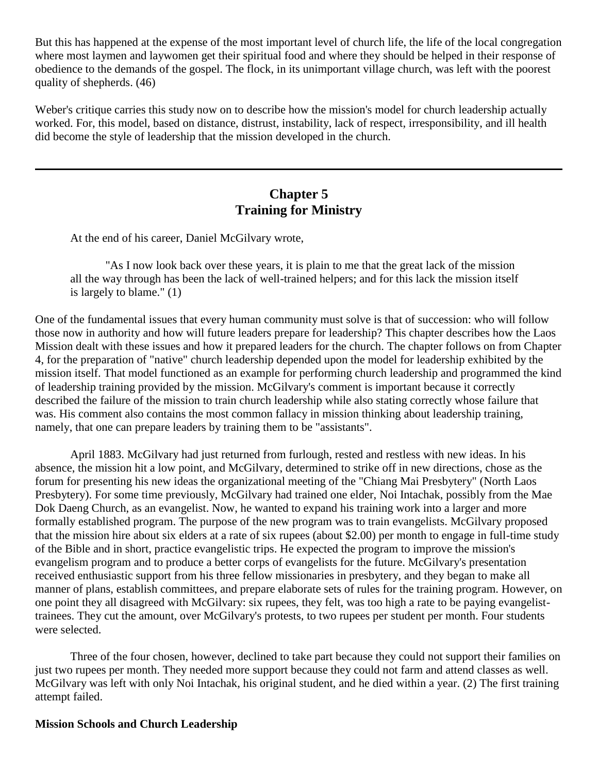But this has happened at the expense of the most important level of church life, the life of the local congregation where most laymen and laywomen get their spiritual food and where they should be helped in their response of obedience to the demands of the gospel. The flock, in its unimportant village church, was left with the poorest quality of shepherds. [\(46\)](http://herbswanson.com/post.php?pid=47#c4e46)

Weber's critique carries this study now on to describe how the mission's model for church leadership actually worked. For, this model, based on distance, distrust, instability, lack of respect, irresponsibility, and ill health did become the style of leadership that the mission developed in the church.

## **Chapter 5 Training for Ministry**

At the end of his career, Daniel McGilvary wrote,

"As I now look back over these years, it is plain to me that the great lack of the mission all the way through has been the lack of well-trained helpers; and for this lack the mission itself is largely to blame." [\(1\)](http://herbswanson.com/post.php?pid=47#c5e1)

One of the fundamental issues that every human community must solve is that of succession: who will follow those now in authority and how will future leaders prepare for leadership? This chapter describes how the Laos Mission dealt with these issues and how it prepared leaders for the church. The chapter follows on from Chapter 4, for the preparation of "native" church leadership depended upon the model for leadership exhibited by the mission itself. That model functioned as an example for performing church leadership and programmed the kind of leadership training provided by the mission. McGilvary's comment is important because it correctly described the failure of the mission to train church leadership while also stating correctly whose failure that was. His comment also contains the most common fallacy in mission thinking about leadership training, namely, that one can prepare leaders by training them to be "assistants".

April 1883. McGilvary had just returned from furlough, rested and restless with new ideas. In his absence, the mission hit a low point, and McGilvary, determined to strike off in new directions, chose as the forum for presenting his new ideas the organizational meeting of the "Chiang Mai Presbytery" (North Laos Presbytery). For some time previously, McGilvary had trained one elder, Noi Intachak, possibly from the Mae Dok Daeng Church, as an evangelist. Now, he wanted to expand his training work into a larger and more formally established program. The purpose of the new program was to train evangelists. McGilvary proposed that the mission hire about six elders at a rate of six rupees (about \$2.00) per month to engage in full-time study of the Bible and in short, practice evangelistic trips. He expected the program to improve the mission's evangelism program and to produce a better corps of evangelists for the future. McGilvary's presentation received enthusiastic support from his three fellow missionaries in presbytery, and they began to make all manner of plans, establish committees, and prepare elaborate sets of rules for the training program. However, on one point they all disagreed with McGilvary: six rupees, they felt, was too high a rate to be paying evangelisttrainees. They cut the amount, over McGilvary's protests, to two rupees per student per month. Four students were selected.

Three of the four chosen, however, declined to take part because they could not support their families on just two rupees per month. They needed more support because they could not farm and attend classes as well. McGilvary was left with only Noi Intachak, his original student, and he died within a year. [\(2\)](http://herbswanson.com/post.php?pid=47#c5e2) The first training attempt failed.

## **Mission Schools and Church Leadership**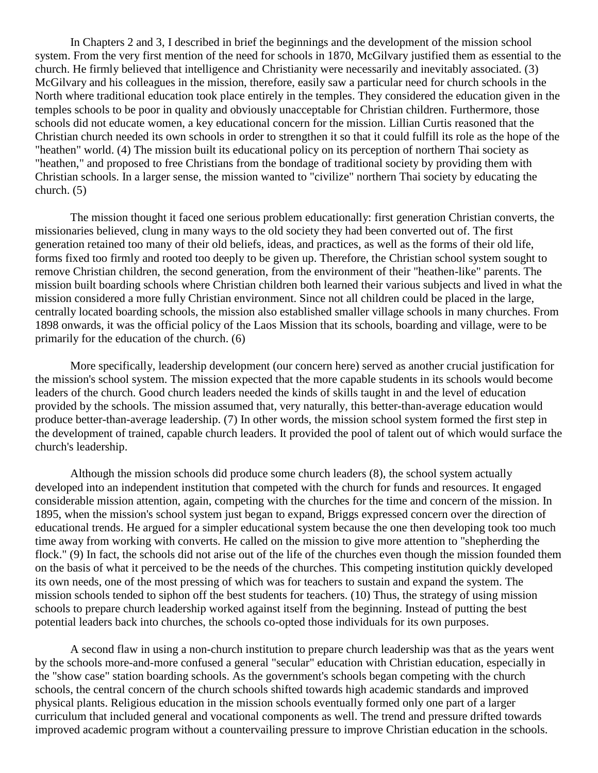In Chapters 2 and 3, I described in brief the beginnings and the development of the mission school system. From the very first mention of the need for schools in 1870, McGilvary justified them as essential to the church. He firmly believed that intelligence and Christianity were necessarily and inevitably associated. [\(3\)](http://herbswanson.com/post.php?pid=47#c5e3) McGilvary and his colleagues in the mission, therefore, easily saw a particular need for church schools in the North where traditional education took place entirely in the temples. They considered the education given in the temples schools to be poor in quality and obviously unacceptable for Christian children. Furthermore, those schools did not educate women, a key educational concern for the mission. Lillian Curtis reasoned that the Christian church needed its own schools in order to strengthen it so that it could fulfill its role as the hope of the "heathen" world. [\(4\)](http://herbswanson.com/post.php?pid=47#c5e4) The mission built its educational policy on its perception of northern Thai society as "heathen," and proposed to free Christians from the bondage of traditional society by providing them with Christian schools. In a larger sense, the mission wanted to "civilize" northern Thai society by educating the church. [\(5\)](http://herbswanson.com/post.php?pid=47#c5e5)

The mission thought it faced one serious problem educationally: first generation Christian converts, the missionaries believed, clung in many ways to the old society they had been converted out of. The first generation retained too many of their old beliefs, ideas, and practices, as well as the forms of their old life, forms fixed too firmly and rooted too deeply to be given up. Therefore, the Christian school system sought to remove Christian children, the second generation, from the environment of their "heathen-like" parents. The mission built boarding schools where Christian children both learned their various subjects and lived in what the mission considered a more fully Christian environment. Since not all children could be placed in the large, centrally located boarding schools, the mission also established smaller village schools in many churches. From 1898 onwards, it was the official policy of the Laos Mission that its schools, boarding and village, were to be primarily for the education of the church. [\(6\)](http://herbswanson.com/post.php?pid=47#c5e6)

More specifically, leadership development (our concern here) served as another crucial justification for the mission's school system. The mission expected that the more capable students in its schools would become leaders of the church. Good church leaders needed the kinds of skills taught in and the level of education provided by the schools. The mission assumed that, very naturally, this better-than-average education would produce better-than-average leadership. [\(7\)](http://herbswanson.com/post.php?pid=47#c5e7) In other words, the mission school system formed the first step in the development of trained, capable church leaders. It provided the pool of talent out of which would surface the church's leadership.

Although the mission schools did produce some church leaders [\(8\)](http://herbswanson.com/post.php?pid=47#c5e8), the school system actually developed into an independent institution that competed with the church for funds and resources. It engaged considerable mission attention, again, competing with the churches for the time and concern of the mission. In 1895, when the mission's school system just began to expand, Briggs expressed concern over the direction of educational trends. He argued for a simpler educational system because the one then developing took too much time away from working with converts. He called on the mission to give more attention to "shepherding the flock." [\(9\)](http://herbswanson.com/post.php?pid=47#c5e9) In fact, the schools did not arise out of the life of the churches even though the mission founded them on the basis of what it perceived to be the needs of the churches. This competing institution quickly developed its own needs, one of the most pressing of which was for teachers to sustain and expand the system. The mission schools tended to siphon off the best students for teachers. [\(10\)](http://herbswanson.com/post.php?pid=47#c5e10) Thus, the strategy of using mission schools to prepare church leadership worked against itself from the beginning. Instead of putting the best potential leaders back into churches, the schools co-opted those individuals for its own purposes.

A second flaw in using a non-church institution to prepare church leadership was that as the years went by the schools more-and-more confused a general "secular" education with Christian education, especially in the "show case" station boarding schools. As the government's schools began competing with the church schools, the central concern of the church schools shifted towards high academic standards and improved physical plants. Religious education in the mission schools eventually formed only one part of a larger curriculum that included general and vocational components as well. The trend and pressure drifted towards improved academic program without a countervailing pressure to improve Christian education in the schools.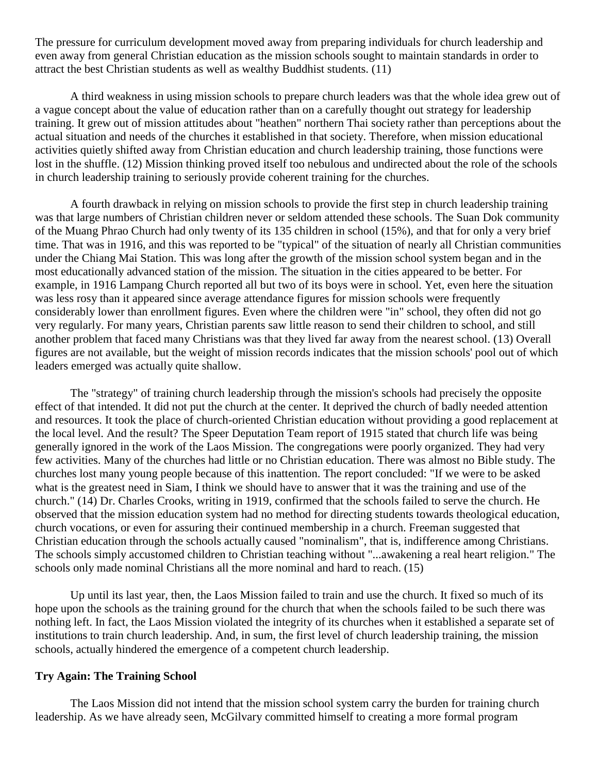The pressure for curriculum development moved away from preparing individuals for church leadership and even away from general Christian education as the mission schools sought to maintain standards in order to attract the best Christian students as well as wealthy Buddhist students. [\(11\)](http://herbswanson.com/post.php?pid=47#c5e11)

A third weakness in using mission schools to prepare church leaders was that the whole idea grew out of a vague concept about the value of education rather than on a carefully thought out strategy for leadership training. It grew out of mission attitudes about "heathen" northern Thai society rather than perceptions about the actual situation and needs of the churches it established in that society. Therefore, when mission educational activities quietly shifted away from Christian education and church leadership training, those functions were lost in the shuffle. [\(12\)](http://herbswanson.com/post.php?pid=47#c5e12) Mission thinking proved itself too nebulous and undirected about the role of the schools in church leadership training to seriously provide coherent training for the churches.

A fourth drawback in relying on mission schools to provide the first step in church leadership training was that large numbers of Christian children never or seldom attended these schools. The Suan Dok community of the Muang Phrao Church had only twenty of its 135 children in school (15%), and that for only a very brief time. That was in 1916, and this was reported to be "typical" of the situation of nearly all Christian communities under the Chiang Mai Station. This was long after the growth of the mission school system began and in the most educationally advanced station of the mission. The situation in the cities appeared to be better. For example, in 1916 Lampang Church reported all but two of its boys were in school. Yet, even here the situation was less rosy than it appeared since average attendance figures for mission schools were frequently considerably lower than enrollment figures. Even where the children were "in" school, they often did not go very regularly. For many years, Christian parents saw little reason to send their children to school, and still another problem that faced many Christians was that they lived far away from the nearest school. [\(13\)](http://herbswanson.com/post.php?pid=47#c5e13) Overall figures are not available, but the weight of mission records indicates that the mission schools' pool out of which leaders emerged was actually quite shallow.

The "strategy" of training church leadership through the mission's schools had precisely the opposite effect of that intended. It did not put the church at the center. It deprived the church of badly needed attention and resources. It took the place of church-oriented Christian education without providing a good replacement at the local level. And the result? The Speer Deputation Team report of 1915 stated that church life was being generally ignored in the work of the Laos Mission. The congregations were poorly organized. They had very few activities. Many of the churches had little or no Christian education. There was almost no Bible study. The churches lost many young people because of this inattention. The report concluded: "If we were to be asked what is the greatest need in Siam, I think we should have to answer that it was the training and use of the church." [\(14\)](http://herbswanson.com/post.php?pid=47#c5e14) Dr. Charles Crooks, writing in 1919, confirmed that the schools failed to serve the church. He observed that the mission education system had no method for directing students towards theological education, church vocations, or even for assuring their continued membership in a church. Freeman suggested that Christian education through the schools actually caused "nominalism", that is, indifference among Christians. The schools simply accustomed children to Christian teaching without "...awakening a real heart religion." The schools only made nominal Christians all the more nominal and hard to reach. [\(15\)](http://herbswanson.com/post.php?pid=47#c5e15)

Up until its last year, then, the Laos Mission failed to train and use the church. It fixed so much of its hope upon the schools as the training ground for the church that when the schools failed to be such there was nothing left. In fact, the Laos Mission violated the integrity of its churches when it established a separate set of institutions to train church leadership. And, in sum, the first level of church leadership training, the mission schools, actually hindered the emergence of a competent church leadership.

## **Try Again: The Training School**

The Laos Mission did not intend that the mission school system carry the burden for training church leadership. As we have already seen, McGilvary committed himself to creating a more formal program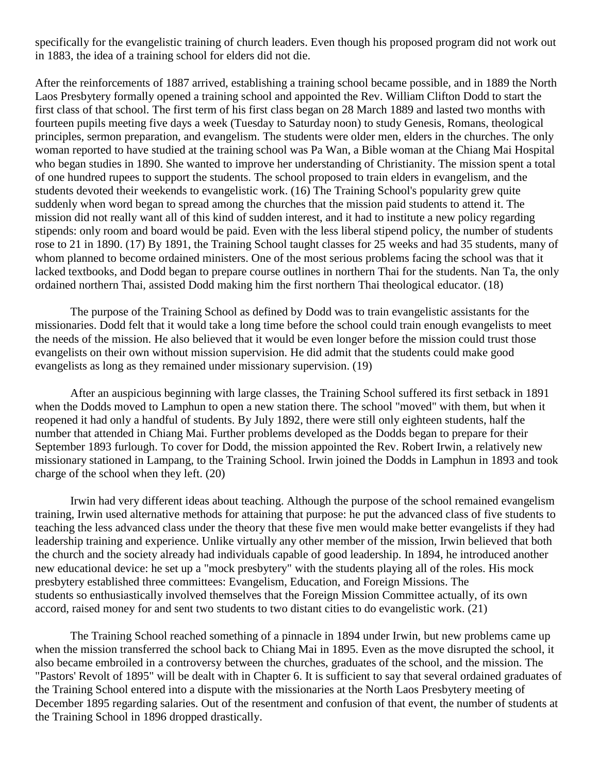specifically for the evangelistic training of church leaders. Even though his proposed program did not work out in 1883, the idea of a training school for elders did not die.

After the reinforcements of 1887 arrived, establishing a training school became possible, and in 1889 the North Laos Presbytery formally opened a training school and appointed the Rev. William Clifton Dodd to start the first class of that school. The first term of his first class began on 28 March 1889 and lasted two months with fourteen pupils meeting five days a week (Tuesday to Saturday noon) to study Genesis, Romans, theological principles, sermon preparation, and evangelism. The students were older men, elders in the churches. The only woman reported to have studied at the training school was Pa Wan, a Bible woman at the Chiang Mai Hospital who began studies in 1890. She wanted to improve her understanding of Christianity. The mission spent a total of one hundred rupees to support the students. The school proposed to train elders in evangelism, and the students devoted their weekends to evangelistic work. [\(16\)](http://herbswanson.com/post.php?pid=47#c5e16) The Training School's popularity grew quite suddenly when word began to spread among the churches that the mission paid students to attend it. The mission did not really want all of this kind of sudden interest, and it had to institute a new policy regarding stipends: only room and board would be paid. Even with the less liberal stipend policy, the number of students rose to 21 in 1890. [\(17\)](http://herbswanson.com/post.php?pid=47#c5e17) By 1891, the Training School taught classes for 25 weeks and had 35 students, many of whom planned to become ordained ministers. One of the most serious problems facing the school was that it lacked textbooks, and Dodd began to prepare course outlines in northern Thai for the students. Nan Ta, the only ordained northern Thai, assisted Dodd making him the first northern Thai theological educator. [\(18\)](http://herbswanson.com/post.php?pid=47#c5e18)

The purpose of the Training School as defined by Dodd was to train evangelistic assistants for the missionaries. Dodd felt that it would take a long time before the school could train enough evangelists to meet the needs of the mission. He also believed that it would be even longer before the mission could trust those evangelists on their own without mission supervision. He did admit that the students could make good evangelists as long as they remained under missionary supervision. [\(19\)](http://herbswanson.com/post.php?pid=47#c5e19)

After an auspicious beginning with large classes, the Training School suffered its first setback in 1891 when the Dodds moved to Lamphun to open a new station there. The school "moved" with them, but when it reopened it had only a handful of students. By July 1892, there were still only eighteen students, half the number that attended in Chiang Mai. Further problems developed as the Dodds began to prepare for their September 1893 furlough. To cover for Dodd, the mission appointed the Rev. Robert Irwin, a relatively new missionary stationed in Lampang, to the Training School. Irwin joined the Dodds in Lamphun in 1893 and took charge of the school when they left. [\(20\)](http://herbswanson.com/post.php?pid=47#c5e20)

Irwin had very different ideas about teaching. Although the purpose of the school remained evangelism training, Irwin used alternative methods for attaining that purpose: he put the advanced class of five students to teaching the less advanced class under the theory that these five men would make better evangelists if they had leadership training and experience. Unlike virtually any other member of the mission, Irwin believed that both the church and the society already had individuals capable of good leadership. In 1894, he introduced another new educational device: he set up a "mock presbytery" with the students playing all of the roles. His mock presbytery established three committees: Evangelism, Education, and Foreign Missions. The students so enthusiastically involved themselves that the Foreign Mission Committee actually, of its own accord, raised money for and sent two students to two distant cities to do evangelistic work. [\(21\)](http://herbswanson.com/post.php?pid=47#c5e21)

The Training School reached something of a pinnacle in 1894 under Irwin, but new problems came up when the mission transferred the school back to Chiang Mai in 1895. Even as the move disrupted the school, it also became embroiled in a controversy between the churches, graduates of the school, and the mission. The "Pastors' Revolt of 1895" will be dealt with in Chapter 6. It is sufficient to say that several ordained graduates of the Training School entered into a dispute with the missionaries at the North Laos Presbytery meeting of December 1895 regarding salaries. Out of the resentment and confusion of that event, the number of students at the Training School in 1896 dropped drastically.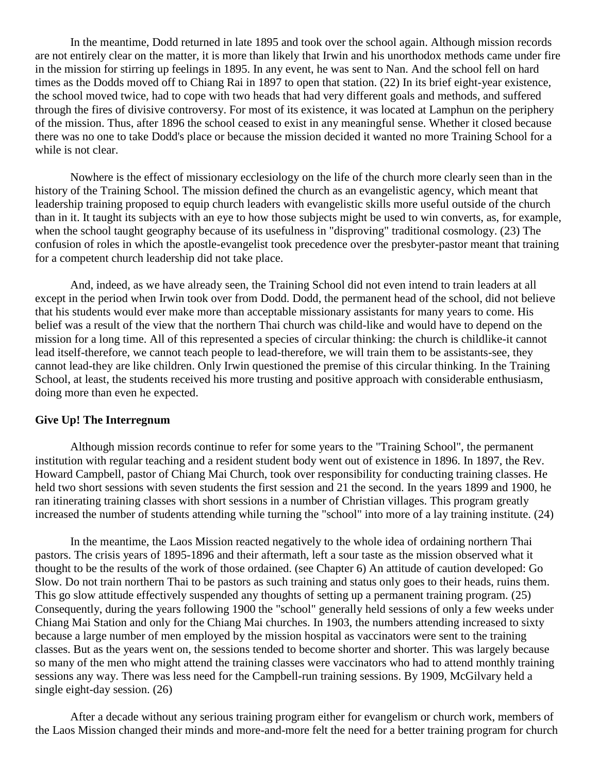In the meantime, Dodd returned in late 1895 and took over the school again. Although mission records are not entirely clear on the matter, it is more than likely that Irwin and his unorthodox methods came under fire in the mission for stirring up feelings in 1895. In any event, he was sent to Nan. And the school fell on hard times as the Dodds moved off to Chiang Rai in 1897 to open that station. [\(22\)](http://herbswanson.com/post.php?pid=47#c5e22) In its brief eight-year existence, the school moved twice, had to cope with two heads that had very different goals and methods, and suffered through the fires of divisive controversy. For most of its existence, it was located at Lamphun on the periphery of the mission. Thus, after 1896 the school ceased to exist in any meaningful sense. Whether it closed because there was no one to take Dodd's place or because the mission decided it wanted no more Training School for a while is not clear.

Nowhere is the effect of missionary ecclesiology on the life of the church more clearly seen than in the history of the Training School. The mission defined the church as an evangelistic agency, which meant that leadership training proposed to equip church leaders with evangelistic skills more useful outside of the church than in it. It taught its subjects with an eye to how those subjects might be used to win converts, as, for example, when the school taught geography because of its usefulness in "disproving" traditional cosmology. [\(23\)](http://herbswanson.com/post.php?pid=47#c5e23) The confusion of roles in which the apostle-evangelist took precedence over the presbyter-pastor meant that training for a competent church leadership did not take place.

And, indeed, as we have already seen, the Training School did not even intend to train leaders at all except in the period when Irwin took over from Dodd. Dodd, the permanent head of the school, did not believe that his students would ever make more than acceptable missionary assistants for many years to come. His belief was a result of the view that the northern Thai church was child-like and would have to depend on the mission for a long time. All of this represented a species of circular thinking: the church is childlike-it cannot lead itself-therefore, we cannot teach people to lead-therefore, we will train them to be assistants-see, they cannot lead-they are like children. Only Irwin questioned the premise of this circular thinking. In the Training School, at least, the students received his more trusting and positive approach with considerable enthusiasm, doing more than even he expected.

#### **Give Up! The Interregnum**

Although mission records continue to refer for some years to the "Training School", the permanent institution with regular teaching and a resident student body went out of existence in 1896. In 1897, the Rev. Howard Campbell, pastor of Chiang Mai Church, took over responsibility for conducting training classes. He held two short sessions with seven students the first session and 21 the second. In the years 1899 and 1900, he ran itinerating training classes with short sessions in a number of Christian villages. This program greatly increased the number of students attending while turning the "school" into more of a lay training institute. [\(24\)](http://herbswanson.com/post.php?pid=47#c5e24)

In the meantime, the Laos Mission reacted negatively to the whole idea of ordaining northern Thai pastors. The crisis years of 1895-1896 and their aftermath, left a sour taste as the mission observed what it thought to be the results of the work of those ordained. (see Chapter 6) An attitude of caution developed: Go Slow. Do not train northern Thai to be pastors as such training and status only goes to their heads, ruins them. This go slow attitude effectively suspended any thoughts of setting up a permanent training program. [\(25\)](http://herbswanson.com/post.php?pid=47#c5e25) Consequently, during the years following 1900 the "school" generally held sessions of only a few weeks under Chiang Mai Station and only for the Chiang Mai churches. In 1903, the numbers attending increased to sixty because a large number of men employed by the mission hospital as vaccinators were sent to the training classes. But as the years went on, the sessions tended to become shorter and shorter. This was largely because so many of the men who might attend the training classes were vaccinators who had to attend monthly training sessions any way. There was less need for the Campbell-run training sessions. By 1909, McGilvary held a single eight-day session. [\(26\)](http://herbswanson.com/post.php?pid=47#c5e26)

After a decade without any serious training program either for evangelism or church work, members of the Laos Mission changed their minds and more-and-more felt the need for a better training program for church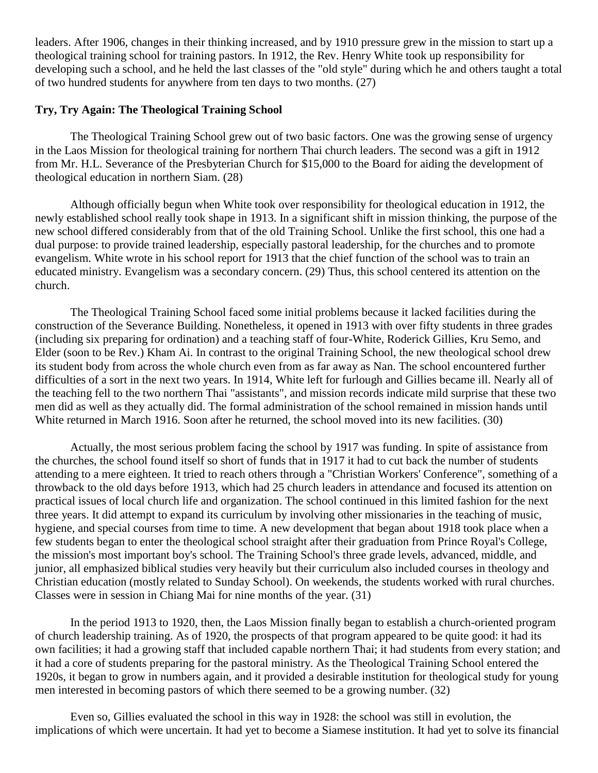leaders. After 1906, changes in their thinking increased, and by 1910 pressure grew in the mission to start up a theological training school for training pastors. In 1912, the Rev. Henry White took up responsibility for developing such a school, and he held the last classes of the "old style" during which he and others taught a total of two hundred students for anywhere from ten days to two months. [\(27\)](http://herbswanson.com/post.php?pid=47#c5e27)

## **Try, Try Again: The Theological Training School**

The Theological Training School grew out of two basic factors. One was the growing sense of urgency in the Laos Mission for theological training for northern Thai church leaders. The second was a gift in 1912 from Mr. H.L. Severance of the Presbyterian Church for \$15,000 to the Board for aiding the development of theological education in northern Siam. [\(28\)](http://herbswanson.com/post.php?pid=47#c5e28)

Although officially begun when White took over responsibility for theological education in 1912, the newly established school really took shape in 1913. In a significant shift in mission thinking, the purpose of the new school differed considerably from that of the old Training School. Unlike the first school, this one had a dual purpose: to provide trained leadership, especially pastoral leadership, for the churches and to promote evangelism. White wrote in his school report for 1913 that the chief function of the school was to train an educated ministry. Evangelism was a secondary concern. [\(29\)](http://herbswanson.com/post.php?pid=47#c5e29) Thus, this school centered its attention on the church.

The Theological Training School faced some initial problems because it lacked facilities during the construction of the Severance Building. Nonetheless, it opened in 1913 with over fifty students in three grades (including six preparing for ordination) and a teaching staff of four-White, Roderick Gillies, Kru Semo, and Elder (soon to be Rev.) Kham Ai. In contrast to the original Training School, the new theological school drew its student body from across the whole church even from as far away as Nan. The school encountered further difficulties of a sort in the next two years. In 1914, White left for furlough and Gillies became ill. Nearly all of the teaching fell to the two northern Thai "assistants", and mission records indicate mild surprise that these two men did as well as they actually did. The formal administration of the school remained in mission hands until White returned in March 1916. Soon after he returned, the school moved into its new facilities. [\(30\)](http://herbswanson.com/post.php?pid=47#c5e30)

Actually, the most serious problem facing the school by 1917 was funding. In spite of assistance from the churches, the school found itself so short of funds that in 1917 it had to cut back the number of students attending to a mere eighteen. It tried to reach others through a "Christian Workers' Conference", something of a throwback to the old days before 1913, which had 25 church leaders in attendance and focused its attention on practical issues of local church life and organization. The school continued in this limited fashion for the next three years. It did attempt to expand its curriculum by involving other missionaries in the teaching of music, hygiene, and special courses from time to time. A new development that began about 1918 took place when a few students began to enter the theological school straight after their graduation from Prince Royal's College, the mission's most important boy's school. The Training School's three grade levels, advanced, middle, and junior, all emphasized biblical studies very heavily but their curriculum also included courses in theology and Christian education (mostly related to Sunday School). On weekends, the students worked with rural churches. Classes were in session in Chiang Mai for nine months of the year. [\(31\)](http://herbswanson.com/post.php?pid=47#c5e31)

In the period 1913 to 1920, then, the Laos Mission finally began to establish a church-oriented program of church leadership training. As of 1920, the prospects of that program appeared to be quite good: it had its own facilities; it had a growing staff that included capable northern Thai; it had students from every station; and it had a core of students preparing for the pastoral ministry. As the Theological Training School entered the 1920s, it began to grow in numbers again, and it provided a desirable institution for theological study for young men interested in becoming pastors of which there seemed to be a growing number. [\(32\)](http://herbswanson.com/post.php?pid=47#c5e32)

Even so, Gillies evaluated the school in this way in 1928: the school was still in evolution, the implications of which were uncertain. It had yet to become a Siamese institution. It had yet to solve its financial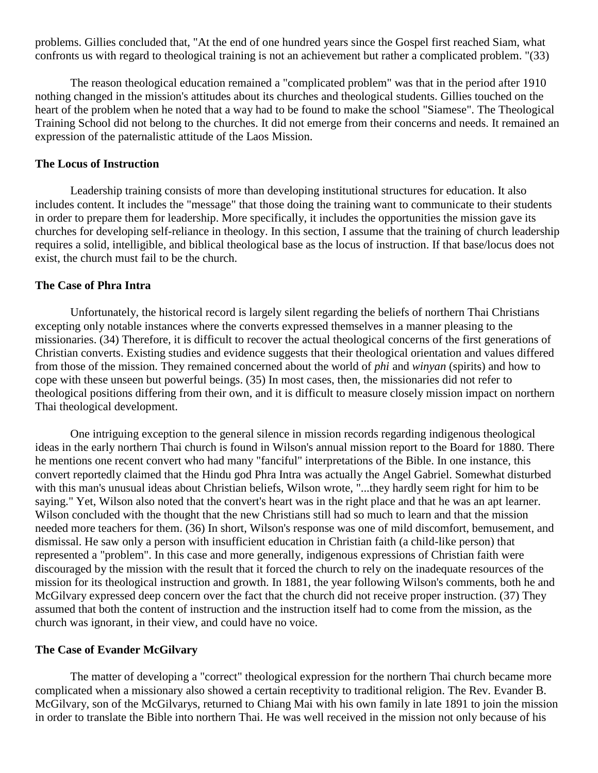problems. Gillies concluded that, "At the end of one hundred years since the Gospel first reached Siam, what confronts us with regard to theological training is not an achievement but rather a complicated problem. "[\(33\)](http://herbswanson.com/post.php?pid=47#c5e33)

The reason theological education remained a "complicated problem" was that in the period after 1910 nothing changed in the mission's attitudes about its churches and theological students. Gillies touched on the heart of the problem when he noted that a way had to be found to make the school "Siamese". The Theological Training School did not belong to the churches. It did not emerge from their concerns and needs. It remained an expression of the paternalistic attitude of the Laos Mission.

#### **The Locus of Instruction**

Leadership training consists of more than developing institutional structures for education. It also includes content. It includes the "message" that those doing the training want to communicate to their students in order to prepare them for leadership. More specifically, it includes the opportunities the mission gave its churches for developing self-reliance in theology. In this section, I assume that the training of church leadership requires a solid, intelligible, and biblical theological base as the locus of instruction. If that base/locus does not exist, the church must fail to be the church.

### **The Case of Phra Intra**

Unfortunately, the historical record is largely silent regarding the beliefs of northern Thai Christians excepting only notable instances where the converts expressed themselves in a manner pleasing to the missionaries. [\(34\)](http://herbswanson.com/post.php?pid=47#c5e34) Therefore, it is difficult to recover the actual theological concerns of the first generations of Christian converts. Existing studies and evidence suggests that their theological orientation and values differed from those of the mission. They remained concerned about the world of *phi* and *winyan* (spirits) and how to cope with these unseen but powerful beings. [\(35\)](http://herbswanson.com/post.php?pid=47#c5e35) In most cases, then, the missionaries did not refer to theological positions differing from their own, and it is difficult to measure closely mission impact on northern Thai theological development.

One intriguing exception to the general silence in mission records regarding indigenous theological ideas in the early northern Thai church is found in Wilson's annual mission report to the Board for 1880. There he mentions one recent convert who had many "fanciful" interpretations of the Bible. In one instance, this convert reportedly claimed that the Hindu god Phra Intra was actually the Angel Gabriel. Somewhat disturbed with this man's unusual ideas about Christian beliefs, Wilson wrote, "...they hardly seem right for him to be saying." Yet, Wilson also noted that the convert's heart was in the right place and that he was an apt learner. Wilson concluded with the thought that the new Christians still had so much to learn and that the mission needed more teachers for them. [\(36\)](http://herbswanson.com/post.php?pid=47#c5e36) In short, Wilson's response was one of mild discomfort, bemusement, and dismissal. He saw only a person with insufficient education in Christian faith (a child-like person) that represented a "problem". In this case and more generally, indigenous expressions of Christian faith were discouraged by the mission with the result that it forced the church to rely on the inadequate resources of the mission for its theological instruction and growth. In 1881, the year following Wilson's comments, both he and McGilvary expressed deep concern over the fact that the church did not receive proper instruction. [\(37\)](http://herbswanson.com/post.php?pid=47#c5e37) They assumed that both the content of instruction and the instruction itself had to come from the mission, as the church was ignorant, in their view, and could have no voice.

### **The Case of Evander McGilvary**

The matter of developing a "correct" theological expression for the northern Thai church became more complicated when a missionary also showed a certain receptivity to traditional religion. The Rev. Evander B. McGilvary, son of the McGilvarys, returned to Chiang Mai with his own family in late 1891 to join the mission in order to translate the Bible into northern Thai. He was well received in the mission not only because of his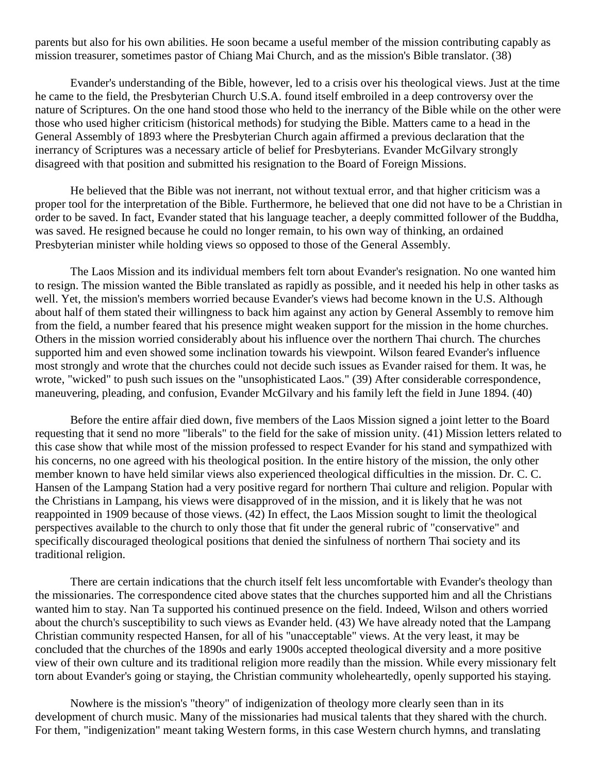parents but also for his own abilities. He soon became a useful member of the mission contributing capably as mission treasurer, sometimes pastor of Chiang Mai Church, and as the mission's Bible translator. [\(38\)](http://herbswanson.com/post.php?pid=47#c5e38)

Evander's understanding of the Bible, however, led to a crisis over his theological views. Just at the time he came to the field, the Presbyterian Church U.S.A. found itself embroiled in a deep controversy over the nature of Scriptures. On the one hand stood those who held to the inerrancy of the Bible while on the other were those who used higher criticism (historical methods) for studying the Bible. Matters came to a head in the General Assembly of 1893 where the Presbyterian Church again affirmed a previous declaration that the inerrancy of Scriptures was a necessary article of belief for Presbyterians. Evander McGilvary strongly disagreed with that position and submitted his resignation to the Board of Foreign Missions.

He believed that the Bible was not inerrant, not without textual error, and that higher criticism was a proper tool for the interpretation of the Bible. Furthermore, he believed that one did not have to be a Christian in order to be saved. In fact, Evander stated that his language teacher, a deeply committed follower of the Buddha, was saved. He resigned because he could no longer remain, to his own way of thinking, an ordained Presbyterian minister while holding views so opposed to those of the General Assembly.

The Laos Mission and its individual members felt torn about Evander's resignation. No one wanted him to resign. The mission wanted the Bible translated as rapidly as possible, and it needed his help in other tasks as well. Yet, the mission's members worried because Evander's views had become known in the U.S. Although about half of them stated their willingness to back him against any action by General Assembly to remove him from the field, a number feared that his presence might weaken support for the mission in the home churches. Others in the mission worried considerably about his influence over the northern Thai church. The churches supported him and even showed some inclination towards his viewpoint. Wilson feared Evander's influence most strongly and wrote that the churches could not decide such issues as Evander raised for them. It was, he wrote, "wicked" to push such issues on the "unsophisticated Laos." [\(39\)](http://herbswanson.com/post.php?pid=47#c5e39) After considerable correspondence, maneuvering, pleading, and confusion, Evander McGilvary and his family left the field in June 1894. [\(40\)](http://herbswanson.com/post.php?pid=47#c5e40)

Before the entire affair died down, five members of the Laos Mission signed a joint letter to the Board requesting that it send no more "liberals" to the field for the sake of mission unity. [\(41\)](http://herbswanson.com/post.php?pid=47#c5e41) Mission letters related to this case show that while most of the mission professed to respect Evander for his stand and sympathized with his concerns, no one agreed with his theological position. In the entire history of the mission, the only other member known to have held similar views also experienced theological difficulties in the mission. Dr. C. C. Hansen of the Lampang Station had a very positive regard for northern Thai culture and religion. Popular with the Christians in Lampang, his views were disapproved of in the mission, and it is likely that he was not reappointed in 1909 because of those views. [\(42\)](http://herbswanson.com/post.php?pid=47#c5e42) In effect, the Laos Mission sought to limit the theological perspectives available to the church to only those that fit under the general rubric of "conservative" and specifically discouraged theological positions that denied the sinfulness of northern Thai society and its traditional religion.

There are certain indications that the church itself felt less uncomfortable with Evander's theology than the missionaries. The correspondence cited above states that the churches supported him and all the Christians wanted him to stay. Nan Ta supported his continued presence on the field. Indeed, Wilson and others worried about the church's susceptibility to such views as Evander held. [\(43\)](http://herbswanson.com/post.php?pid=47#c5e43) We have already noted that the Lampang Christian community respected Hansen, for all of his "unacceptable" views. At the very least, it may be concluded that the churches of the 1890s and early 1900s accepted theological diversity and a more positive view of their own culture and its traditional religion more readily than the mission. While every missionary felt torn about Evander's going or staying, the Christian community wholeheartedly, openly supported his staying.

Nowhere is the mission's "theory" of indigenization of theology more clearly seen than in its development of church music. Many of the missionaries had musical talents that they shared with the church. For them, "indigenization" meant taking Western forms, in this case Western church hymns, and translating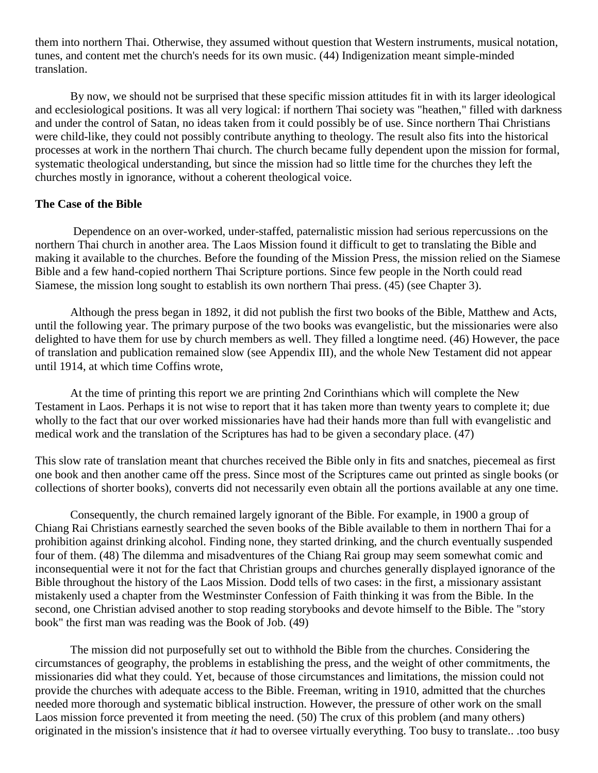them into northern Thai. Otherwise, they assumed without question that Western instruments, musical notation, tunes, and content met the church's needs for its own music. [\(44\)](http://herbswanson.com/post.php?pid=47#c5e44) Indigenization meant simple-minded translation.

By now, we should not be surprised that these specific mission attitudes fit in with its larger ideological and ecclesiological positions. It was all very logical: if northern Thai society was "heathen," filled with darkness and under the control of Satan, no ideas taken from it could possibly be of use. Since northern Thai Christians were child-like, they could not possibly contribute anything to theology. The result also fits into the historical processes at work in the northern Thai church. The church became fully dependent upon the mission for formal, systematic theological understanding, but since the mission had so little time for the churches they left the churches mostly in ignorance, without a coherent theological voice.

### **The Case of the Bible**

Dependence on an over-worked, under-staffed, paternalistic mission had serious repercussions on the northern Thai church in another area. The Laos Mission found it difficult to get to translating the Bible and making it available to the churches. Before the founding of the Mission Press, the mission relied on the Siamese Bible and a few hand-copied northern Thai Scripture portions. Since few people in the North could read Siamese, the mission long sought to establish its own northern Thai press. [\(45\)](http://herbswanson.com/post.php?pid=47#c5e45) (see Chapter 3).

Although the press began in 1892, it did not publish the first two books of the Bible, Matthew and Acts, until the following year. The primary purpose of the two books was evangelistic, but the missionaries were also delighted to have them for use by church members as well. They filled a longtime need. [\(46\)](http://herbswanson.com/post.php?pid=47#c5e46) However, the pace of translation and publication remained slow (see Appendix III), and the whole New Testament did not appear until 1914, at which time Coffins wrote,

At the time of printing this report we are printing 2nd Corinthians which will complete the New Testament in Laos. Perhaps it is not wise to report that it has taken more than twenty years to complete it; due wholly to the fact that our over worked missionaries have had their hands more than full with evangelistic and medical work and the translation of the Scriptures has had to be given a secondary place. [\(47\)](http://herbswanson.com/post.php?pid=47#c5e47)

This slow rate of translation meant that churches received the Bible only in fits and snatches, piecemeal as first one book and then another came off the press. Since most of the Scriptures came out printed as single books (or collections of shorter books), converts did not necessarily even obtain all the portions available at any one time.

Consequently, the church remained largely ignorant of the Bible. For example, in 1900 a group of Chiang Rai Christians earnestly searched the seven books of the Bible available to them in northern Thai for a prohibition against drinking alcohol. Finding none, they started drinking, and the church eventually suspended four of them. [\(48\)](http://herbswanson.com/post.php?pid=47#c5e48) The dilemma and misadventures of the Chiang Rai group may seem somewhat comic and inconsequential were it not for the fact that Christian groups and churches generally displayed ignorance of the Bible throughout the history of the Laos Mission. Dodd tells of two cases: in the first, a missionary assistant mistakenly used a chapter from the Westminster Confession of Faith thinking it was from the Bible. In the second, one Christian advised another to stop reading storybooks and devote himself to the Bible. The "story book" the first man was reading was the Book of Job. [\(49\)](http://herbswanson.com/post.php?pid=47#c5e49)

The mission did not purposefully set out to withhold the Bible from the churches. Considering the circumstances of geography, the problems in establishing the press, and the weight of other commitments, the missionaries did what they could. Yet, because of those circumstances and limitations, the mission could not provide the churches with adequate access to the Bible. Freeman, writing in 1910, admitted that the churches needed more thorough and systematic biblical instruction. However, the pressure of other work on the small Laos mission force prevented it from meeting the need. [\(50\)](http://herbswanson.com/post.php?pid=47#c5e50) The crux of this problem (and many others) originated in the mission's insistence that *it* had to oversee virtually everything. Too busy to translate.. .too busy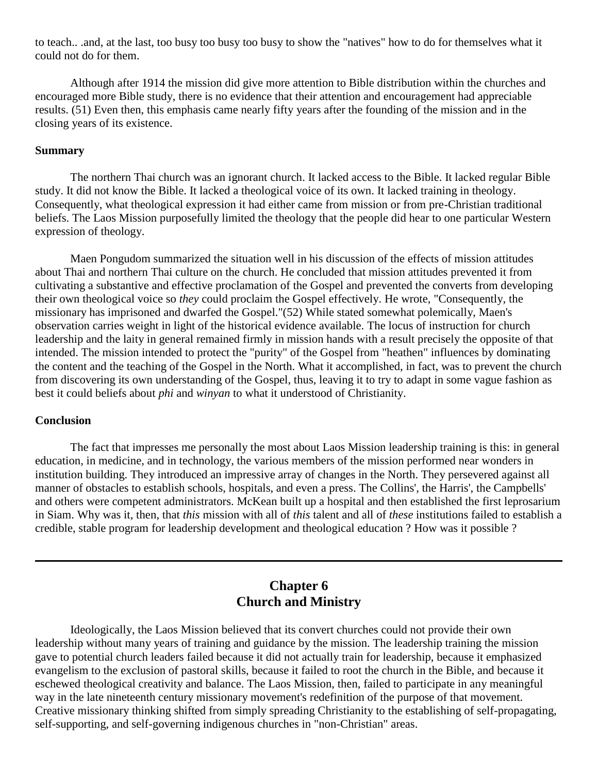to teach.. .and, at the last, too busy too busy too busy to show the "natives" how to do for themselves what it could not do for them.

Although after 1914 the mission did give more attention to Bible distribution within the churches and encouraged more Bible study, there is no evidence that their attention and encouragement had appreciable results. [\(51\)](http://herbswanson.com/post.php?pid=47#c5e51) Even then, this emphasis came nearly fifty years after the founding of the mission and in the closing years of its existence.

#### **Summary**

The northern Thai church was an ignorant church. It lacked access to the Bible. It lacked regular Bible study. It did not know the Bible. It lacked a theological voice of its own. It lacked training in theology. Consequently, what theological expression it had either came from mission or from pre-Christian traditional beliefs. The Laos Mission purposefully limited the theology that the people did hear to one particular Western expression of theology.

Maen Pongudom summarized the situation well in his discussion of the effects of mission attitudes about Thai and northern Thai culture on the church. He concluded that mission attitudes prevented it from cultivating a substantive and effective proclamation of the Gospel and prevented the converts from developing their own theological voice so *they* could proclaim the Gospel effectively. He wrote, "Consequently, the missionary has imprisoned and dwarfed the Gospel."[\(52\)](http://herbswanson.com/post.php?pid=47#c5e52) While stated somewhat polemically, Maen's observation carries weight in light of the historical evidence available. The locus of instruction for church leadership and the laity in general remained firmly in mission hands with a result precisely the opposite of that intended. The mission intended to protect the "purity" of the Gospel from "heathen" influences by dominating the content and the teaching of the Gospel in the North. What it accomplished, in fact, was to prevent the church from discovering its own understanding of the Gospel, thus, leaving it to try to adapt in some vague fashion as best it could beliefs about *phi* and *winyan* to what it understood of Christianity.

#### **Conclusion**

The fact that impresses me personally the most about Laos Mission leadership training is this: in general education, in medicine, and in technology, the various members of the mission performed near wonders in institution building. They introduced an impressive array of changes in the North. They persevered against all manner of obstacles to establish schools, hospitals, and even a press. The Collins', the Harris', the Campbells' and others were competent administrators. McKean built up a hospital and then established the first leprosarium in Siam. Why was it, then, that *this* mission with all of *this* talent and all of *these* institutions failed to establish a credible, stable program for leadership development and theological education ? How was it possible ?

## **Chapter 6 Church and Ministry**

Ideologically, the Laos Mission believed that its convert churches could not provide their own leadership without many years of training and guidance by the mission. The leadership training the mission gave to potential church leaders failed because it did not actually train for leadership, because it emphasized evangelism to the exclusion of pastoral skills, because it failed to root the church in the Bible, and because it eschewed theological creativity and balance. The Laos Mission, then, failed to participate in any meaningful way in the late nineteenth century missionary movement's redefinition of the purpose of that movement. Creative missionary thinking shifted from simply spreading Christianity to the establishing of self-propagating, self-supporting, and self-governing indigenous churches in "non-Christian" areas.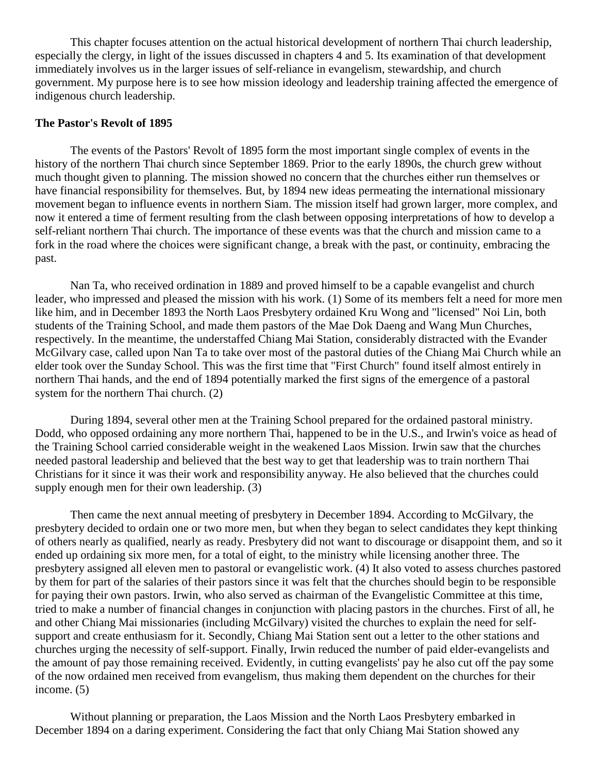This chapter focuses attention on the actual historical development of northern Thai church leadership, especially the clergy, in light of the issues discussed in chapters 4 and 5. Its examination of that development immediately involves us in the larger issues of self-reliance in evangelism, stewardship, and church government. My purpose here is to see how mission ideology and leadership training affected the emergence of indigenous church leadership.

## **The Pastor's Revolt of 1895**

The events of the Pastors' Revolt of 1895 form the most important single complex of events in the history of the northern Thai church since September 1869. Prior to the early 1890s, the church grew without much thought given to planning. The mission showed no concern that the churches either run themselves or have financial responsibility for themselves. But, by 1894 new ideas permeating the international missionary movement began to influence events in northern Siam. The mission itself had grown larger, more complex, and now it entered a time of ferment resulting from the clash between opposing interpretations of how to develop a self-reliant northern Thai church. The importance of these events was that the church and mission came to a fork in the road where the choices were significant change, a break with the past, or continuity, embracing the past.

Nan Ta, who received ordination in 1889 and proved himself to be a capable evangelist and church leader, who impressed and pleased the mission with his work. [\(1\)](http://herbswanson.com/post.php?pid=47#c6e1) Some of its members felt a need for more men like him, and in December 1893 the North Laos Presbytery ordained Kru Wong and "licensed" Noi Lin, both students of the Training School, and made them pastors of the Mae Dok Daeng and Wang Mun Churches, respectively. In the meantime, the understaffed Chiang Mai Station, considerably distracted with the Evander McGilvary case, called upon Nan Ta to take over most of the pastoral duties of the Chiang Mai Church while an elder took over the Sunday School. This was the first time that "First Church" found itself almost entirely in northern Thai hands, and the end of 1894 potentially marked the first signs of the emergence of a pastoral system for the northern Thai church. [\(2\)](http://herbswanson.com/post.php?pid=47#c6e2)

During 1894, several other men at the Training School prepared for the ordained pastoral ministry. Dodd, who opposed ordaining any more northern Thai, happened to be in the U.S., and Irwin's voice as head of the Training School carried considerable weight in the weakened Laos Mission. Irwin saw that the churches needed pastoral leadership and believed that the best way to get that leadership was to train northern Thai Christians for it since it was their work and responsibility anyway. He also believed that the churches could supply enough men for their own leadership. [\(3\)](http://herbswanson.com/post.php?pid=47#c6e3)

Then came the next annual meeting of presbytery in December 1894. According to McGilvary, the presbytery decided to ordain one or two more men, but when they began to select candidates they kept thinking of others nearly as qualified, nearly as ready. Presbytery did not want to discourage or disappoint them, and so it ended up ordaining six more men, for a total of eight, to the ministry while licensing another three. The presbytery assigned all eleven men to pastoral or evangelistic work. [\(4\)](http://herbswanson.com/post.php?pid=47#c6e4) It also voted to assess churches pastored by them for part of the salaries of their pastors since it was felt that the churches should begin to be responsible for paying their own pastors. Irwin, who also served as chairman of the Evangelistic Committee at this time, tried to make a number of financial changes in conjunction with placing pastors in the churches. First of all, he and other Chiang Mai missionaries (including McGilvary) visited the churches to explain the need for selfsupport and create enthusiasm for it. Secondly, Chiang Mai Station sent out a letter to the other stations and churches urging the necessity of self-support. Finally, Irwin reduced the number of paid elder-evangelists and the amount of pay those remaining received. Evidently, in cutting evangelists' pay he also cut off the pay some of the now ordained men received from evangelism, thus making them dependent on the churches for their income. [\(5\)](http://herbswanson.com/post.php?pid=47#c6e5)

Without planning or preparation, the Laos Mission and the North Laos Presbytery embarked in December 1894 on a daring experiment. Considering the fact that only Chiang Mai Station showed any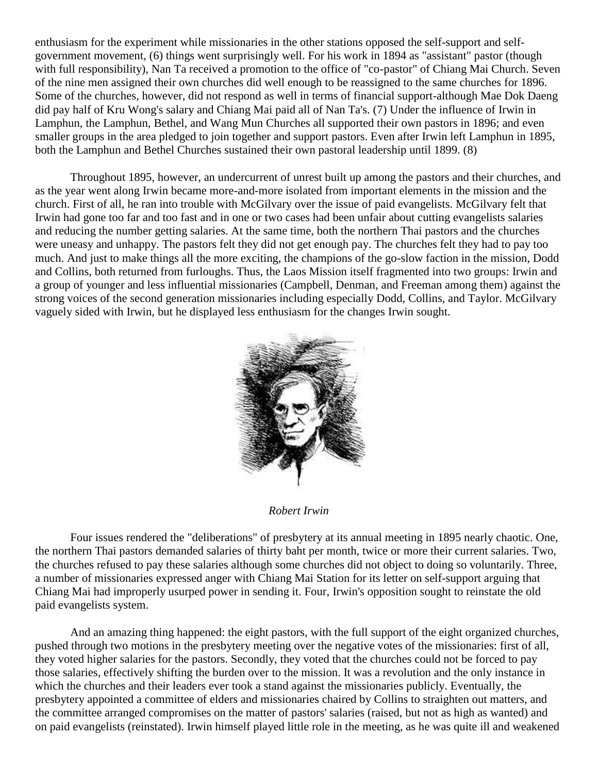enthusiasm for the experiment while missionaries in the other stations opposed the self-support and selfgovernment movement, [\(6\)](http://herbswanson.com/post.php?pid=47#c6e6) things went surprisingly well. For his work in 1894 as "assistant" pastor (though with full responsibility), Nan Ta received a promotion to the office of "co-pastor" of Chiang Mai Church. Seven of the nine men assigned their own churches did well enough to be reassigned to the same churches for 1896. Some of the churches, however, did not respond as well in terms of financial support-although Mae Dok Daeng did pay half of Kru Wong's salary and Chiang Mai paid all of Nan Ta's. [\(7\)](http://herbswanson.com/post.php?pid=47#c6e7) Under the influence of Irwin in Lamphun, the Lamphun, Bethel, and Wang Mun Churches all supported their own pastors in 1896; and even smaller groups in the area pledged to join together and support pastors. Even after Irwin left Lamphun in 1895, both the Lamphun and Bethel Churches sustained their own pastoral leadership until 1899. [\(8\)](http://herbswanson.com/post.php?pid=47#c6e8)

Throughout 1895, however, an undercurrent of unrest built up among the pastors and their churches, and as the year went along Irwin became more-and-more isolated from important elements in the mission and the church. First of all, he ran into trouble with McGilvary over the issue of paid evangelists. McGilvary felt that Irwin had gone too far and too fast and in one or two cases had been unfair about cutting evangelists salaries and reducing the number getting salaries. At the same time, both the northern Thai pastors and the churches were uneasy and unhappy. The pastors felt they did not get enough pay. The churches felt they had to pay too much. And just to make things all the more exciting, the champions of the go-slow faction in the mission, Dodd and Collins, both returned from furloughs. Thus, the Laos Mission itself fragmented into two groups: Irwin and a group of younger and less influential missionaries (Campbell, Denman, and Freeman among them) against the strong voices of the second generation missionaries including especially Dodd, Collins, and Taylor. McGilvary vaguely sided with Irwin, but he displayed less enthusiasm for the changes Irwin sought.



## *Robert Irwin*

Four issues rendered the "deliberations" of presbytery at its annual meeting in 1895 nearly chaotic. One, the northern Thai pastors demanded salaries of thirty baht per month, twice or more their current salaries. Two, the churches refused to pay these salaries although some churches did not object to doing so voluntarily. Three, a number of missionaries expressed anger with Chiang Mai Station for its letter on self-support arguing that Chiang Mai had improperly usurped power in sending it. Four, Irwin's opposition sought to reinstate the old paid evangelists system.

And an amazing thing happened: the eight pastors, with the full support of the eight organized churches, pushed through two motions in the presbytery meeting over the negative votes of the missionaries: first of all, they voted higher salaries for the pastors. Secondly, they voted that the churches could not be forced to pay those salaries, effectively shifting the burden over to the mission. It was a revolution and the only instance in which the churches and their leaders ever took a stand against the missionaries publicly. Eventually, the presbytery appointed a committee of elders and missionaries chaired by Collins to straighten out matters, and the committee arranged compromises on the matter of pastors' salaries (raised, but not as high as wanted) and on paid evangelists (reinstated). Irwin himself played little role in the meeting, as he was quite ill and weakened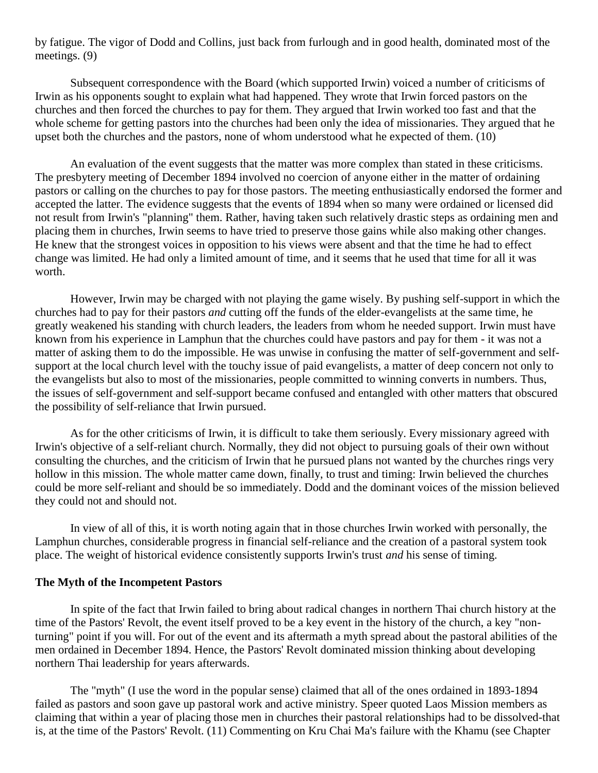by fatigue. The vigor of Dodd and Collins, just back from furlough and in good health, dominated most of the meetings. [\(9\)](http://herbswanson.com/post.php?pid=47#c6e9)

Subsequent correspondence with the Board (which supported Irwin) voiced a number of criticisms of Irwin as his opponents sought to explain what had happened. They wrote that Irwin forced pastors on the churches and then forced the churches to pay for them. They argued that Irwin worked too fast and that the whole scheme for getting pastors into the churches had been only the idea of missionaries. They argued that he upset both the churches and the pastors, none of whom understood what he expected of them. [\(10\)](http://herbswanson.com/post.php?pid=47#c6e10)

An evaluation of the event suggests that the matter was more complex than stated in these criticisms. The presbytery meeting of December 1894 involved no coercion of anyone either in the matter of ordaining pastors or calling on the churches to pay for those pastors. The meeting enthusiastically endorsed the former and accepted the latter. The evidence suggests that the events of 1894 when so many were ordained or licensed did not result from Irwin's "planning" them. Rather, having taken such relatively drastic steps as ordaining men and placing them in churches, Irwin seems to have tried to preserve those gains while also making other changes. He knew that the strongest voices in opposition to his views were absent and that the time he had to effect change was limited. He had only a limited amount of time, and it seems that he used that time for all it was worth.

However, Irwin may be charged with not playing the game wisely. By pushing self-support in which the churches had to pay for their pastors *and* cutting off the funds of the elder-evangelists at the same time, he greatly weakened his standing with church leaders, the leaders from whom he needed support. Irwin must have known from his experience in Lamphun that the churches could have pastors and pay for them - it was not a matter of asking them to do the impossible. He was unwise in confusing the matter of self-government and selfsupport at the local church level with the touchy issue of paid evangelists, a matter of deep concern not only to the evangelists but also to most of the missionaries, people committed to winning converts in numbers. Thus, the issues of self-government and self-support became confused and entangled with other matters that obscured the possibility of self-reliance that Irwin pursued.

As for the other criticisms of Irwin, it is difficult to take them seriously. Every missionary agreed with Irwin's objective of a self-reliant church. Normally, they did not object to pursuing goals of their own without consulting the churches, and the criticism of Irwin that he pursued plans not wanted by the churches rings very hollow in this mission. The whole matter came down, finally, to trust and timing: Irwin believed the churches could be more self-reliant and should be so immediately. Dodd and the dominant voices of the mission believed they could not and should not.

In view of all of this, it is worth noting again that in those churches Irwin worked with personally, the Lamphun churches, considerable progress in financial self-reliance and the creation of a pastoral system took place. The weight of historical evidence consistently supports Irwin's trust *and* his sense of timing.

#### **The Myth of the Incompetent Pastors**

In spite of the fact that Irwin failed to bring about radical changes in northern Thai church history at the time of the Pastors' Revolt, the event itself proved to be a key event in the history of the church, a key "nonturning" point if you will. For out of the event and its aftermath a myth spread about the pastoral abilities of the men ordained in December 1894. Hence, the Pastors' Revolt dominated mission thinking about developing northern Thai leadership for years afterwards.

The "myth" (I use the word in the popular sense) claimed that all of the ones ordained in 1893-1894 failed as pastors and soon gave up pastoral work and active ministry. Speer quoted Laos Mission members as claiming that within a year of placing those men in churches their pastoral relationships had to be dissolved-that is, at the time of the Pastors' Revolt. [\(11\)](http://herbswanson.com/post.php?pid=47#c6e11) Commenting on Kru Chai Ma's failure with the Khamu (see Chapter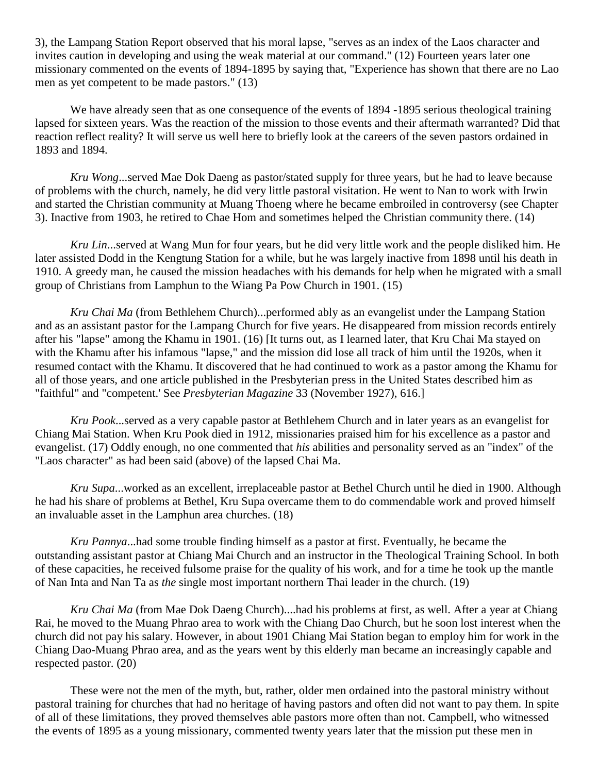3), the Lampang Station Report observed that his moral lapse, "serves as an index of the Laos character and invites caution in developing and using the weak material at our command." [\(12\)](http://herbswanson.com/post.php?pid=47#c6e12) Fourteen years later one missionary commented on the events of 1894-1895 by saying that, "Experience has shown that there are no Lao men as yet competent to be made pastors." [\(13\)](http://herbswanson.com/post.php?pid=47#c6e13)

We have already seen that as one consequence of the events of 1894 -1895 serious theological training lapsed for sixteen years. Was the reaction of the mission to those events and their aftermath warranted? Did that reaction reflect reality? It will serve us well here to briefly look at the careers of the seven pastors ordained in 1893 and 1894.

*Kru Wong*...served Mae Dok Daeng as pastor/stated supply for three years, but he had to leave because of problems with the church, namely, he did very little pastoral visitation. He went to Nan to work with Irwin and started the Christian community at Muang Thoeng where he became embroiled in controversy (see Chapter 3). Inactive from 1903, he retired to Chae Hom and sometimes helped the Christian community there. [\(14\)](http://herbswanson.com/post.php?pid=47#c6e14)

*Kru Lin*...served at Wang Mun for four years, but he did very little work and the people disliked him. He later assisted Dodd in the Kengtung Station for a while, but he was largely inactive from 1898 until his death in 1910. A greedy man, he caused the mission headaches with his demands for help when he migrated with a small group of Christians from Lamphun to the Wiang Pa Pow Church in 1901. [\(15\)](http://herbswanson.com/post.php?pid=47#c6e15)

*Kru Chai Ma* (from Bethlehem Church)...performed ably as an evangelist under the Lampang Station and as an assistant pastor for the Lampang Church for five years. He disappeared from mission records entirely after his "lapse" among the Khamu in 1901. [\(16\)](http://herbswanson.com/post.php?pid=47#c6e16) [It turns out, as I learned later, that Kru Chai Ma stayed on with the Khamu after his infamous "lapse," and the mission did lose all track of him until the 1920s, when it resumed contact with the Khamu. It discovered that he had continued to work as a pastor among the Khamu for all of those years, and one article published in the Presbyterian press in the United States described him as "faithful" and "competent.' See *Presbyterian Magazine* 33 (November 1927), 616.]

*Kru Pook*...served as a very capable pastor at Bethlehem Church and in later years as an evangelist for Chiang Mai Station. When Kru Pook died in 1912, missionaries praised him for his excellence as a pastor and evangelist. [\(17\)](http://herbswanson.com/post.php?pid=47#c6e17) Oddly enough, no one commented that *his* abilities and personality served as an "index" of the "Laos character" as had been said (above) of the lapsed Chai Ma.

*Kru Supa*...worked as an excellent, irreplaceable pastor at Bethel Church until he died in 1900. Although he had his share of problems at Bethel, Kru Supa overcame them to do commendable work and proved himself an invaluable asset in the Lamphun area churches. [\(18\)](http://herbswanson.com/post.php?pid=47#c6e18)

*Kru Pannya*...had some trouble finding himself as a pastor at first. Eventually, he became the outstanding assistant pastor at Chiang Mai Church and an instructor in the Theological Training School. In both of these capacities, he received fulsome praise for the quality of his work, and for a time he took up the mantle of Nan Inta and Nan Ta as *the* single most important northern Thai leader in the church. [\(19\)](http://herbswanson.com/post.php?pid=47#c6e19)

*Kru Chai Ma* (from Mae Dok Daeng Church)....had his problems at first, as well. After a year at Chiang Rai, he moved to the Muang Phrao area to work with the Chiang Dao Church, but he soon lost interest when the church did not pay his salary. However, in about 1901 Chiang Mai Station began to employ him for work in the Chiang Dao-Muang Phrao area, and as the years went by this elderly man became an increasingly capable and respected pastor. [\(20\)](http://herbswanson.com/post.php?pid=47#c6e20)

These were not the men of the myth, but, rather, older men ordained into the pastoral ministry without pastoral training for churches that had no heritage of having pastors and often did not want to pay them. In spite of all of these limitations, they proved themselves able pastors more often than not. Campbell, who witnessed the events of 1895 as a young missionary, commented twenty years later that the mission put these men in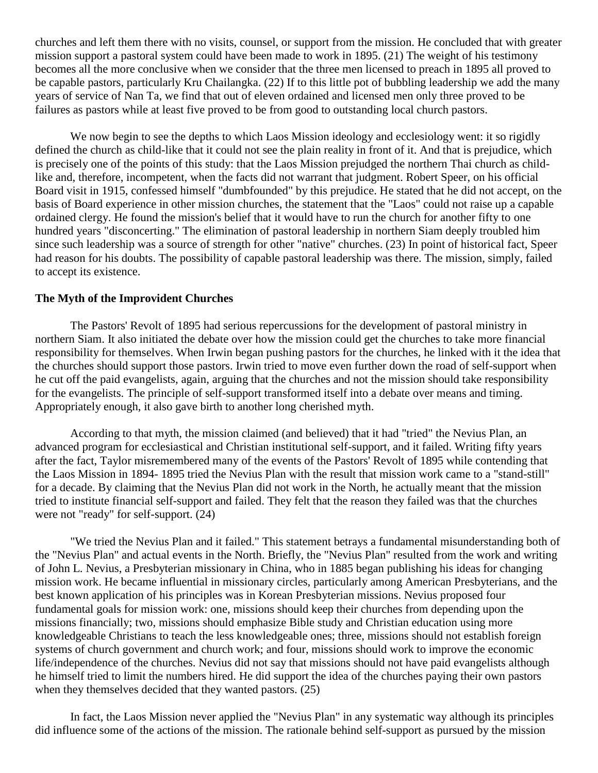churches and left them there with no visits, counsel, or support from the mission. He concluded that with greater mission support a pastoral system could have been made to work in 1895. [\(21\)](http://herbswanson.com/post.php?pid=47#c6e21) The weight of his testimony becomes all the more conclusive when we consider that the three men licensed to preach in 1895 all proved to be capable pastors, particularly Kru Chailangka. [\(22\)](http://herbswanson.com/post.php?pid=47#c6e22) If to this little pot of bubbling leadership we add the many years of service of Nan Ta, we find that out of eleven ordained and licensed men only three proved to be failures as pastors while at least five proved to be from good to outstanding local church pastors.

We now begin to see the depths to which Laos Mission ideology and ecclesiology went: it so rigidly defined the church as child-like that it could not see the plain reality in front of it. And that is prejudice, which is precisely one of the points of this study: that the Laos Mission prejudged the northern Thai church as childlike and, therefore, incompetent, when the facts did not warrant that judgment. Robert Speer, on his official Board visit in 1915, confessed himself "dumbfounded" by this prejudice. He stated that he did not accept, on the basis of Board experience in other mission churches, the statement that the "Laos" could not raise up a capable ordained clergy. He found the mission's belief that it would have to run the church for another fifty to one hundred years "disconcerting." The elimination of pastoral leadership in northern Siam deeply troubled him since such leadership was a source of strength for other "native" churches. [\(23\)](http://herbswanson.com/post.php?pid=47#c6e23) In point of historical fact, Speer had reason for his doubts. The possibility of capable pastoral leadership was there. The mission, simply, failed to accept its existence.

#### **The Myth of the Improvident Churches**

The Pastors' Revolt of 1895 had serious repercussions for the development of pastoral ministry in northern Siam. It also initiated the debate over how the mission could get the churches to take more financial responsibility for themselves. When Irwin began pushing pastors for the churches, he linked with it the idea that the churches should support those pastors. Irwin tried to move even further down the road of self-support when he cut off the paid evangelists, again, arguing that the churches and not the mission should take responsibility for the evangelists. The principle of self-support transformed itself into a debate over means and timing. Appropriately enough, it also gave birth to another long cherished myth.

According to that myth, the mission claimed (and believed) that it had "tried" the Nevius Plan, an advanced program for ecclesiastical and Christian institutional self-support, and it failed. Writing fifty years after the fact, Taylor misremembered many of the events of the Pastors' Revolt of 1895 while contending that the Laos Mission in 1894- 1895 tried the Nevius Plan with the result that mission work came to a "stand-still" for a decade. By claiming that the Nevius Plan did not work in the North, he actually meant that the mission tried to institute financial self-support and failed. They felt that the reason they failed was that the churches were not "ready" for self-support. [\(24\)](http://herbswanson.com/post.php?pid=47#c6e24)

"We tried the Nevius Plan and it failed." This statement betrays a fundamental misunderstanding both of the "Nevius Plan" and actual events in the North. Briefly, the "Nevius Plan" resulted from the work and writing of John L. Nevius, a Presbyterian missionary in China, who in 1885 began publishing his ideas for changing mission work. He became influential in missionary circles, particularly among American Presbyterians, and the best known application of his principles was in Korean Presbyterian missions. Nevius proposed four fundamental goals for mission work: one, missions should keep their churches from depending upon the missions financially; two, missions should emphasize Bible study and Christian education using more knowledgeable Christians to teach the less knowledgeable ones; three, missions should not establish foreign systems of church government and church work; and four, missions should work to improve the economic life/independence of the churches. Nevius did not say that missions should not have paid evangelists although he himself tried to limit the numbers hired. He did support the idea of the churches paying their own pastors when they themselves decided that they wanted pastors. [\(25\)](http://herbswanson.com/post.php?pid=47#c6e25)

In fact, the Laos Mission never applied the "Nevius Plan" in any systematic way although its principles did influence some of the actions of the mission. The rationale behind self-support as pursued by the mission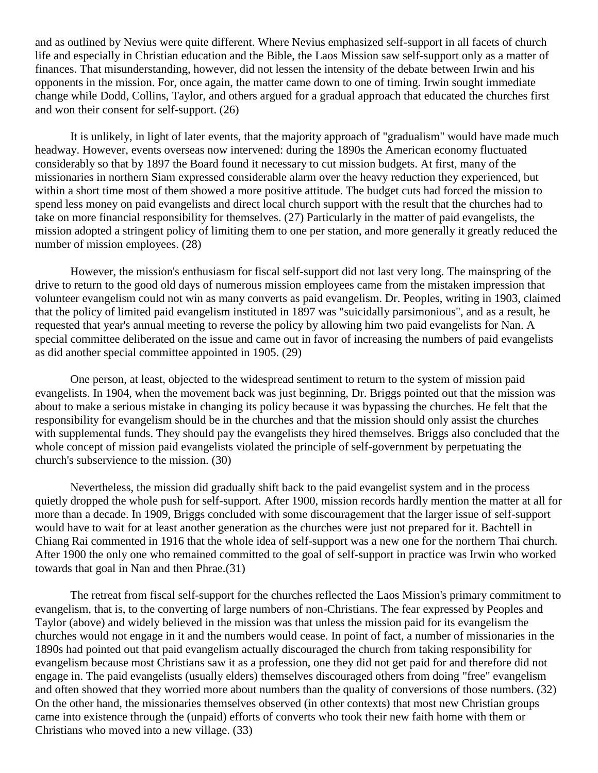and as outlined by Nevius were quite different. Where Nevius emphasized self-support in all facets of church life and especially in Christian education and the Bible, the Laos Mission saw self-support only as a matter of finances. That misunderstanding, however, did not lessen the intensity of the debate between Irwin and his opponents in the mission. For, once again, the matter came down to one of timing. Irwin sought immediate change while Dodd, Collins, Taylor, and others argued for a gradual approach that educated the churches first and won their consent for self-support. [\(26\)](http://herbswanson.com/post.php?pid=47#c6e26)

It is unlikely, in light of later events, that the majority approach of "gradualism" would have made much headway. However, events overseas now intervened: during the 1890s the American economy fluctuated considerably so that by 1897 the Board found it necessary to cut mission budgets. At first, many of the missionaries in northern Siam expressed considerable alarm over the heavy reduction they experienced, but within a short time most of them showed a more positive attitude. The budget cuts had forced the mission to spend less money on paid evangelists and direct local church support with the result that the churches had to take on more financial responsibility for themselves. [\(27\)](http://herbswanson.com/post.php?pid=47#c6e27) Particularly in the matter of paid evangelists, the mission adopted a stringent policy of limiting them to one per station, and more generally it greatly reduced the number of mission employees. [\(28\)](http://herbswanson.com/post.php?pid=47#c6e28)

However, the mission's enthusiasm for fiscal self-support did not last very long. The mainspring of the drive to return to the good old days of numerous mission employees came from the mistaken impression that volunteer evangelism could not win as many converts as paid evangelism. Dr. Peoples, writing in 1903, claimed that the policy of limited paid evangelism instituted in 1897 was "suicidally parsimonious", and as a result, he requested that year's annual meeting to reverse the policy by allowing him two paid evangelists for Nan. A special committee deliberated on the issue and came out in favor of increasing the numbers of paid evangelists as did another special committee appointed in 1905. [\(29\)](http://herbswanson.com/post.php?pid=47#c6e29)

One person, at least, objected to the widespread sentiment to return to the system of mission paid evangelists. In 1904, when the movement back was just beginning, Dr. Briggs pointed out that the mission was about to make a serious mistake in changing its policy because it was bypassing the churches. He felt that the responsibility for evangelism should be in the churches and that the mission should only assist the churches with supplemental funds. They should pay the evangelists they hired themselves. Briggs also concluded that the whole concept of mission paid evangelists violated the principle of self-government by perpetuating the church's subservience to the mission. [\(30\)](http://herbswanson.com/post.php?pid=47#c6e30)

Nevertheless, the mission did gradually shift back to the paid evangelist system and in the process quietly dropped the whole push for self-support. After 1900, mission records hardly mention the matter at all for more than a decade. In 1909, Briggs concluded with some discouragement that the larger issue of self-support would have to wait for at least another generation as the churches were just not prepared for it. Bachtell in Chiang Rai commented in 1916 that the whole idea of self-support was a new one for the northern Thai church. After 1900 the only one who remained committed to the goal of self-support in practice was Irwin who worked towards that goal in Nan and then Phrae.[\(31\)](http://herbswanson.com/post.php?pid=47#c6e31)

The retreat from fiscal self-support for the churches reflected the Laos Mission's primary commitment to evangelism, that is, to the converting of large numbers of non-Christians. The fear expressed by Peoples and Taylor (above) and widely believed in the mission was that unless the mission paid for its evangelism the churches would not engage in it and the numbers would cease. In point of fact, a number of missionaries in the 1890s had pointed out that paid evangelism actually discouraged the church from taking responsibility for evangelism because most Christians saw it as a profession, one they did not get paid for and therefore did not engage in. The paid evangelists (usually elders) themselves discouraged others from doing "free" evangelism and often showed that they worried more about numbers than the quality of conversions of those numbers. [\(32\)](http://herbswanson.com/post.php?pid=47#c6e32) On the other hand, the missionaries themselves observed (in other contexts) that most new Christian groups came into existence through the (unpaid) efforts of converts who took their new faith home with them or Christians who moved into a new village. [\(33\)](http://herbswanson.com/post.php?pid=47#c6e33)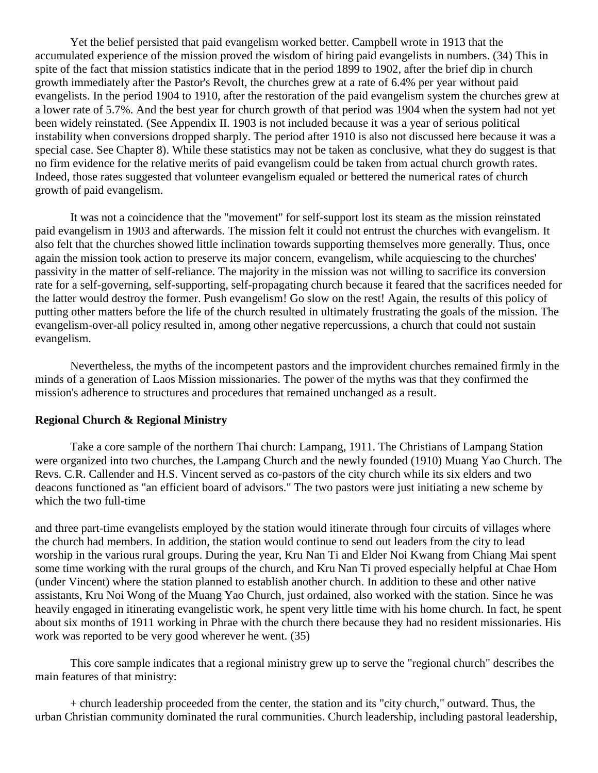Yet the belief persisted that paid evangelism worked better. Campbell wrote in 1913 that the accumulated experience of the mission proved the wisdom of hiring paid evangelists in numbers. [\(34\)](http://herbswanson.com/post.php?pid=47#c6e34) This in spite of the fact that mission statistics indicate that in the period 1899 to 1902, after the brief dip in church growth immediately after the Pastor's Revolt, the churches grew at a rate of 6.4% per year without paid evangelists. In the period 1904 to 1910, after the restoration of the paid evangelism system the churches grew at a lower rate of 5.7%. And the best year for church growth of that period was 1904 when the system had not yet been widely reinstated. (See Appendix II. 1903 is not included because it was a year of serious political instability when conversions dropped sharply. The period after 1910 is also not discussed here because it was a special case. See Chapter 8). While these statistics may not be taken as conclusive, what they do suggest is that no firm evidence for the relative merits of paid evangelism could be taken from actual church growth rates. Indeed, those rates suggested that volunteer evangelism equaled or bettered the numerical rates of church growth of paid evangelism.

It was not a coincidence that the "movement" for self-support lost its steam as the mission reinstated paid evangelism in 1903 and afterwards. The mission felt it could not entrust the churches with evangelism. It also felt that the churches showed little inclination towards supporting themselves more generally. Thus, once again the mission took action to preserve its major concern, evangelism, while acquiescing to the churches' passivity in the matter of self-reliance. The majority in the mission was not willing to sacrifice its conversion rate for a self-governing, self-supporting, self-propagating church because it feared that the sacrifices needed for the latter would destroy the former. Push evangelism! Go slow on the rest! Again, the results of this policy of putting other matters before the life of the church resulted in ultimately frustrating the goals of the mission. The evangelism-over-all policy resulted in, among other negative repercussions, a church that could not sustain evangelism.

Nevertheless, the myths of the incompetent pastors and the improvident churches remained firmly in the minds of a generation of Laos Mission missionaries. The power of the myths was that they confirmed the mission's adherence to structures and procedures that remained unchanged as a result.

#### **Regional Church & Regional Ministry**

Take a core sample of the northern Thai church: Lampang, 1911. The Christians of Lampang Station were organized into two churches, the Lampang Church and the newly founded (1910) Muang Yao Church. The Revs. C.R. Callender and H.S. Vincent served as co-pastors of the city church while its six elders and two deacons functioned as "an efficient board of advisors." The two pastors were just initiating a new scheme by which the two full-time

and three part-time evangelists employed by the station would itinerate through four circuits of villages where the church had members. In addition, the station would continue to send out leaders from the city to lead worship in the various rural groups. During the year, Kru Nan Ti and Elder Noi Kwang from Chiang Mai spent some time working with the rural groups of the church, and Kru Nan Ti proved especially helpful at Chae Hom (under Vincent) where the station planned to establish another church. In addition to these and other native assistants, Kru Noi Wong of the Muang Yao Church, just ordained, also worked with the station. Since he was heavily engaged in itinerating evangelistic work, he spent very little time with his home church. In fact, he spent about six months of 1911 working in Phrae with the church there because they had no resident missionaries. His work was reported to be very good wherever he went. [\(35\)](http://herbswanson.com/post.php?pid=47#c6e35)

This core sample indicates that a regional ministry grew up to serve the "regional church" describes the main features of that ministry:

+ church leadership proceeded from the center, the station and its "city church," outward. Thus, the urban Christian community dominated the rural communities. Church leadership, including pastoral leadership,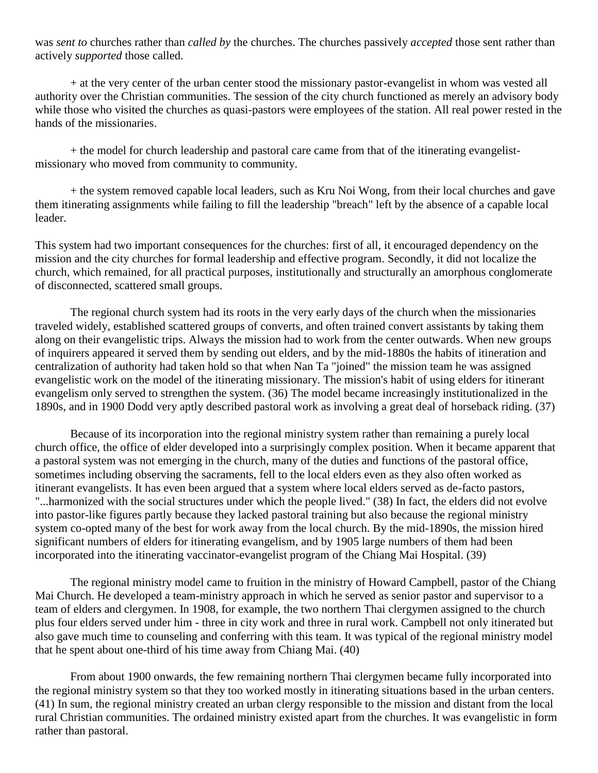was *sent to* churches rather than *called by* the churches. The churches passively *accepted* those sent rather than actively *supported* those called.

+ at the very center of the urban center stood the missionary pastor-evangelist in whom was vested all authority over the Christian communities. The session of the city church functioned as merely an advisory body while those who visited the churches as quasi-pastors were employees of the station. All real power rested in the hands of the missionaries.

+ the model for church leadership and pastoral care came from that of the itinerating evangelistmissionary who moved from community to community.

+ the system removed capable local leaders, such as Kru Noi Wong, from their local churches and gave them itinerating assignments while failing to fill the leadership "breach" left by the absence of a capable local leader.

This system had two important consequences for the churches: first of all, it encouraged dependency on the mission and the city churches for formal leadership and effective program. Secondly, it did not localize the church, which remained, for all practical purposes, institutionally and structurally an amorphous conglomerate of disconnected, scattered small groups.

The regional church system had its roots in the very early days of the church when the missionaries traveled widely, established scattered groups of converts, and often trained convert assistants by taking them along on their evangelistic trips. Always the mission had to work from the center outwards. When new groups of inquirers appeared it served them by sending out elders, and by the mid-1880s the habits of itineration and centralization of authority had taken hold so that when Nan Ta "joined" the mission team he was assigned evangelistic work on the model of the itinerating missionary. The mission's habit of using elders for itinerant evangelism only served to strengthen the system. [\(36\)](http://herbswanson.com/post.php?pid=47#c6e36) The model became increasingly institutionalized in the 1890s, and in 1900 Dodd very aptly described pastoral work as involving a great deal of horseback riding. [\(37\)](http://herbswanson.com/post.php?pid=47#c6e37)

Because of its incorporation into the regional ministry system rather than remaining a purely local church office, the office of elder developed into a surprisingly complex position. When it became apparent that a pastoral system was not emerging in the church, many of the duties and functions of the pastoral office, sometimes including observing the sacraments, fell to the local elders even as they also often worked as itinerant evangelists. It has even been argued that a system where local elders served as de-facto pastors, "...harmonized with the social structures under which the people lived." [\(38\)](http://herbswanson.com/post.php?pid=47#c6e38) In fact, the elders did not evolve into pastor-like figures partly because they lacked pastoral training but also because the regional ministry system co-opted many of the best for work away from the local church. By the mid-1890s, the mission hired significant numbers of elders for itinerating evangelism, and by 1905 large numbers of them had been incorporated into the itinerating vaccinator-evangelist program of the Chiang Mai Hospital. [\(39\)](http://herbswanson.com/post.php?pid=47#c6e39)

The regional ministry model came to fruition in the ministry of Howard Campbell, pastor of the Chiang Mai Church. He developed a team-ministry approach in which he served as senior pastor and supervisor to a team of elders and clergymen. In 1908, for example, the two northern Thai clergymen assigned to the church plus four elders served under him - three in city work and three in rural work. Campbell not only itinerated but also gave much time to counseling and conferring with this team. It was typical of the regional ministry model that he spent about one-third of his time away from Chiang Mai. [\(40\)](http://herbswanson.com/post.php?pid=47#c6e40)

From about 1900 onwards, the few remaining northern Thai clergymen became fully incorporated into the regional ministry system so that they too worked mostly in itinerating situations based in the urban centers. [\(41\)](http://herbswanson.com/post.php?pid=47#c6e41) In sum, the regional ministry created an urban clergy responsible to the mission and distant from the local rural Christian communities. The ordained ministry existed apart from the churches. It was evangelistic in form rather than pastoral.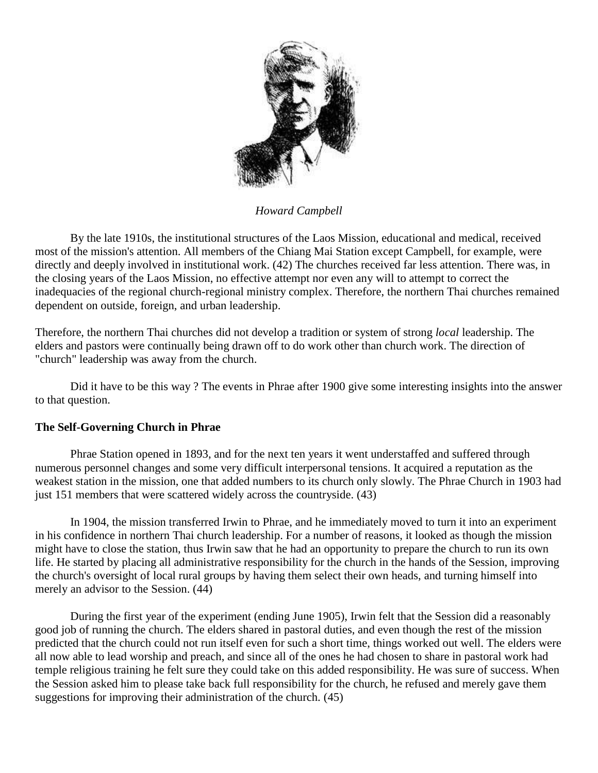

*Howard Campbell*

By the late 1910s, the institutional structures of the Laos Mission, educational and medical, received most of the mission's attention. All members of the Chiang Mai Station except Campbell, for example, were directly and deeply involved in institutional work. [\(42\)](http://herbswanson.com/post.php?pid=47#c6e42) The churches received far less attention. There was, in the closing years of the Laos Mission, no effective attempt nor even any will to attempt to correct the inadequacies of the regional church-regional ministry complex. Therefore, the northern Thai churches remained dependent on outside, foreign, and urban leadership.

Therefore, the northern Thai churches did not develop a tradition or system of strong *local* leadership. The elders and pastors were continually being drawn off to do work other than church work. The direction of "church" leadership was away from the church.

Did it have to be this way ? The events in Phrae after 1900 give some interesting insights into the answer to that question.

## **The Self-Governing Church in Phrae**

Phrae Station opened in 1893, and for the next ten years it went understaffed and suffered through numerous personnel changes and some very difficult interpersonal tensions. It acquired a reputation as the weakest station in the mission, one that added numbers to its church only slowly. The Phrae Church in 1903 had just 151 members that were scattered widely across the countryside. [\(43\)](http://herbswanson.com/post.php?pid=47#c6e43)

In 1904, the mission transferred Irwin to Phrae, and he immediately moved to turn it into an experiment in his confidence in northern Thai church leadership. For a number of reasons, it looked as though the mission might have to close the station, thus Irwin saw that he had an opportunity to prepare the church to run its own life. He started by placing all administrative responsibility for the church in the hands of the Session, improving the church's oversight of local rural groups by having them select their own heads, and turning himself into merely an advisor to the Session. [\(44\)](http://herbswanson.com/post.php?pid=47#c6e44)

During the first year of the experiment (ending June 1905), Irwin felt that the Session did a reasonably good job of running the church. The elders shared in pastoral duties, and even though the rest of the mission predicted that the church could not run itself even for such a short time, things worked out well. The elders were all now able to lead worship and preach, and since all of the ones he had chosen to share in pastoral work had temple religious training he felt sure they could take on this added responsibility. He was sure of success. When the Session asked him to please take back full responsibility for the church, he refused and merely gave them suggestions for improving their administration of the church. [\(45\)](http://herbswanson.com/post.php?pid=47#c6e45)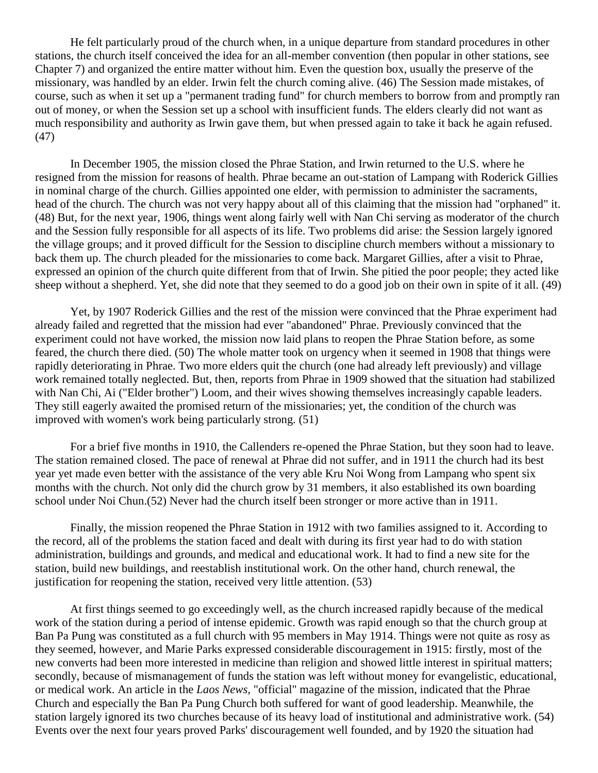He felt particularly proud of the church when, in a unique departure from standard procedures in other stations, the church itself conceived the idea for an all-member convention (then popular in other stations, see Chapter 7) and organized the entire matter without him. Even the question box, usually the preserve of the missionary, was handled by an elder. Irwin felt the church coming alive. [\(46\)](http://herbswanson.com/post.php?pid=47#c6e46) The Session made mistakes, of course, such as when it set up a "permanent trading fund" for church members to borrow from and promptly ran out of money, or when the Session set up a school with insufficient funds. The elders clearly did not want as much responsibility and authority as Irwin gave them, but when pressed again to take it back he again refused. [\(47\)](http://herbswanson.com/post.php?pid=47#c6e47)

In December 1905, the mission closed the Phrae Station, and Irwin returned to the U.S. where he resigned from the mission for reasons of health. Phrae became an out-station of Lampang with Roderick Gillies in nominal charge of the church. Gillies appointed one elder, with permission to administer the sacraments, head of the church. The church was not very happy about all of this claiming that the mission had "orphaned" it. [\(48\)](http://herbswanson.com/post.php?pid=47#c6e48) But, for the next year, 1906, things went along fairly well with Nan Chi serving as moderator of the church and the Session fully responsible for all aspects of its life. Two problems did arise: the Session largely ignored the village groups; and it proved difficult for the Session to discipline church members without a missionary to back them up. The church pleaded for the missionaries to come back. Margaret Gillies, after a visit to Phrae, expressed an opinion of the church quite different from that of Irwin. She pitied the poor people; they acted like sheep without a shepherd. Yet, she did note that they seemed to do a good job on their own in spite of it all. [\(49\)](http://herbswanson.com/post.php?pid=47#c6e49)

Yet, by 1907 Roderick Gillies and the rest of the mission were convinced that the Phrae experiment had already failed and regretted that the mission had ever "abandoned" Phrae. Previously convinced that the experiment could not have worked, the mission now laid plans to reopen the Phrae Station before, as some feared, the church there died. [\(50\)](http://herbswanson.com/post.php?pid=47#c6e50) The whole matter took on urgency when it seemed in 1908 that things were rapidly deteriorating in Phrae. Two more elders quit the church (one had already left previously) and village work remained totally neglected. But, then, reports from Phrae in 1909 showed that the situation had stabilized with Nan Chi, Ai ("Elder brother") Loom, and their wives showing themselves increasingly capable leaders. They still eagerly awaited the promised return of the missionaries; yet, the condition of the church was improved with women's work being particularly strong. [\(51\)](http://herbswanson.com/post.php?pid=47#c6e51)

For a brief five months in 1910, the Callenders re-opened the Phrae Station, but they soon had to leave. The station remained closed. The pace of renewal at Phrae did not suffer, and in 1911 the church had its best year yet made even better with the assistance of the very able Kru Noi Wong from Lampang who spent six months with the church. Not only did the church grow by 31 members, it also established its own boarding school under Noi Chun.[\(52\)](http://herbswanson.com/post.php?pid=47#c6e52) Never had the church itself been stronger or more active than in 1911.

Finally, the mission reopened the Phrae Station in 1912 with two families assigned to it. According to the record, all of the problems the station faced and dealt with during its first year had to do with station administration, buildings and grounds, and medical and educational work. It had to find a new site for the station, build new buildings, and reestablish institutional work. On the other hand, church renewal, the justification for reopening the station, received very little attention. [\(53\)](http://herbswanson.com/post.php?pid=47#c6e53)

At first things seemed to go exceedingly well, as the church increased rapidly because of the medical work of the station during a period of intense epidemic. Growth was rapid enough so that the church group at Ban Pa Pung was constituted as a full church with 95 members in May 1914. Things were not quite as rosy as they seemed, however, and Marie Parks expressed considerable discouragement in 1915: firstly, most of the new converts had been more interested in medicine than religion and showed little interest in spiritual matters; secondly, because of mismanagement of funds the station was left without money for evangelistic, educational, or medical work. An article in the *Laos News,* "official" magazine of the mission, indicated that the Phrae Church and especially the Ban Pa Pung Church both suffered for want of good leadership. Meanwhile, the station largely ignored its two churches because of its heavy load of institutional and administrative work. [\(54\)](http://herbswanson.com/post.php?pid=47#c6e54) Events over the next four years proved Parks' discouragement well founded, and by 1920 the situation had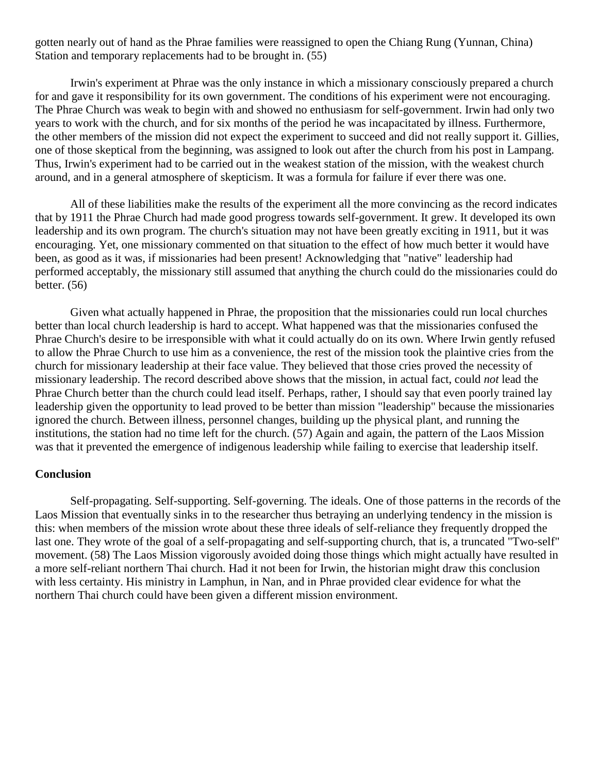gotten nearly out of hand as the Phrae families were reassigned to open the Chiang Rung (Yunnan, China) Station and temporary replacements had to be brought in. [\(55\)](http://herbswanson.com/post.php?pid=47#c6e55)

Irwin's experiment at Phrae was the only instance in which a missionary consciously prepared a church for and gave it responsibility for its own government. The conditions of his experiment were not encouraging. The Phrae Church was weak to begin with and showed no enthusiasm for self-government. Irwin had only two years to work with the church, and for six months of the period he was incapacitated by illness. Furthermore, the other members of the mission did not expect the experiment to succeed and did not really support it. Gillies, one of those skeptical from the beginning, was assigned to look out after the church from his post in Lampang. Thus, Irwin's experiment had to be carried out in the weakest station of the mission, with the weakest church around, and in a general atmosphere of skepticism. It was a formula for failure if ever there was one.

All of these liabilities make the results of the experiment all the more convincing as the record indicates that by 1911 the Phrae Church had made good progress towards self-government. It grew. It developed its own leadership and its own program. The church's situation may not have been greatly exciting in 1911, but it was encouraging. Yet, one missionary commented on that situation to the effect of how much better it would have been, as good as it was, if missionaries had been present! Acknowledging that "native" leadership had performed acceptably, the missionary still assumed that anything the church could do the missionaries could do better. [\(56\)](http://herbswanson.com/post.php?pid=47#c6e56)

Given what actually happened in Phrae, the proposition that the missionaries could run local churches better than local church leadership is hard to accept. What happened was that the missionaries confused the Phrae Church's desire to be irresponsible with what it could actually do on its own. Where Irwin gently refused to allow the Phrae Church to use him as a convenience, the rest of the mission took the plaintive cries from the church for missionary leadership at their face value. They believed that those cries proved the necessity of missionary leadership. The record described above shows that the mission, in actual fact, could *not* lead the Phrae Church better than the church could lead itself. Perhaps, rather, I should say that even poorly trained lay leadership given the opportunity to lead proved to be better than mission "leadership" because the missionaries ignored the church. Between illness, personnel changes, building up the physical plant, and running the institutions, the station had no time left for the church. [\(57\)](http://herbswanson.com/post.php?pid=47#c6e57) Again and again, the pattern of the Laos Mission was that it prevented the emergence of indigenous leadership while failing to exercise that leadership itself.

## **Conclusion**

Self-propagating. Self-supporting. Self-governing. The ideals. One of those patterns in the records of the Laos Mission that eventually sinks in to the researcher thus betraying an underlying tendency in the mission is this: when members of the mission wrote about these three ideals of self-reliance they frequently dropped the last one. They wrote of the goal of a self-propagating and self-supporting church, that is, a truncated "Two-self" movement. [\(58\)](http://herbswanson.com/post.php?pid=47#c6e58) The Laos Mission vigorously avoided doing those things which might actually have resulted in a more self-reliant northern Thai church. Had it not been for Irwin, the historian might draw this conclusion with less certainty. His ministry in Lamphun, in Nan, and in Phrae provided clear evidence for what the northern Thai church could have been given a different mission environment.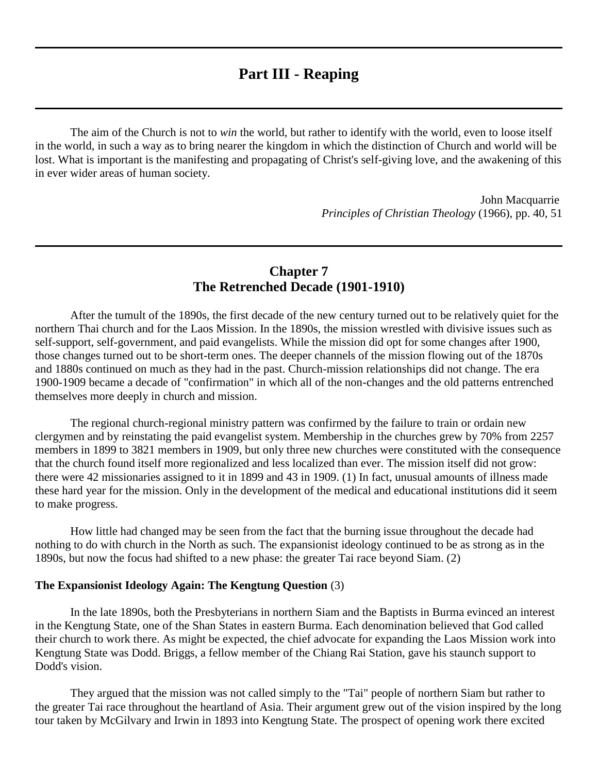## **Part III - Reaping**

The aim of the Church is not to *win* the world, but rather to identify with the world, even to loose itself in the world, in such a way as to bring nearer the kingdom in which the distinction of Church and world will be lost. What is important is the manifesting and propagating of Christ's self-giving love, and the awakening of this in ever wider areas of human society.

> John Macquarrie *Principles of Christian Theology* (1966), pp. 40, 51

## **Chapter 7 The Retrenched Decade (1901-1910)**

After the tumult of the 1890s, the first decade of the new century turned out to be relatively quiet for the northern Thai church and for the Laos Mission. In the 1890s, the mission wrestled with divisive issues such as self-support, self-government, and paid evangelists. While the mission did opt for some changes after 1900, those changes turned out to be short-term ones. The deeper channels of the mission flowing out of the 1870s and 1880s continued on much as they had in the past. Church-mission relationships did not change. The era 1900-1909 became a decade of "confirmation" in which all of the non-changes and the old patterns entrenched themselves more deeply in church and mission.

The regional church-regional ministry pattern was confirmed by the failure to train or ordain new clergymen and by reinstating the paid evangelist system. Membership in the churches grew by 70% from 2257 members in 1899 to 3821 members in 1909, but only three new churches were constituted with the consequence that the church found itself more regionalized and less localized than ever. The mission itself did not grow: there were 42 missionaries assigned to it in 1899 and 43 in 1909. [\(1\)](http://herbswanson.com/post.php?pid=47#c7e1) In fact, unusual amounts of illness made these hard year for the mission. Only in the development of the medical and educational institutions did it seem to make progress.

How little had changed may be seen from the fact that the burning issue throughout the decade had nothing to do with church in the North as such. The expansionist ideology continued to be as strong as in the 1890s, but now the focus had shifted to a new phase: the greater Tai race beyond Siam. [\(2\)](http://herbswanson.com/post.php?pid=47#c7e2)

#### **The Expansionist Ideology Again: The Kengtung Question** [\(3\)](http://herbswanson.com/post.php?pid=47#c7e3)

In the late 1890s, both the Presbyterians in northern Siam and the Baptists in Burma evinced an interest in the Kengtung State, one of the Shan States in eastern Burma. Each denomination believed that God called their church to work there. As might be expected, the chief advocate for expanding the Laos Mission work into Kengtung State was Dodd. Briggs, a fellow member of the Chiang Rai Station, gave his staunch support to Dodd's vision.

They argued that the mission was not called simply to the "Tai" people of northern Siam but rather to the greater Tai race throughout the heartland of Asia. Their argument grew out of the vision inspired by the long tour taken by McGilvary and Irwin in 1893 into Kengtung State. The prospect of opening work there excited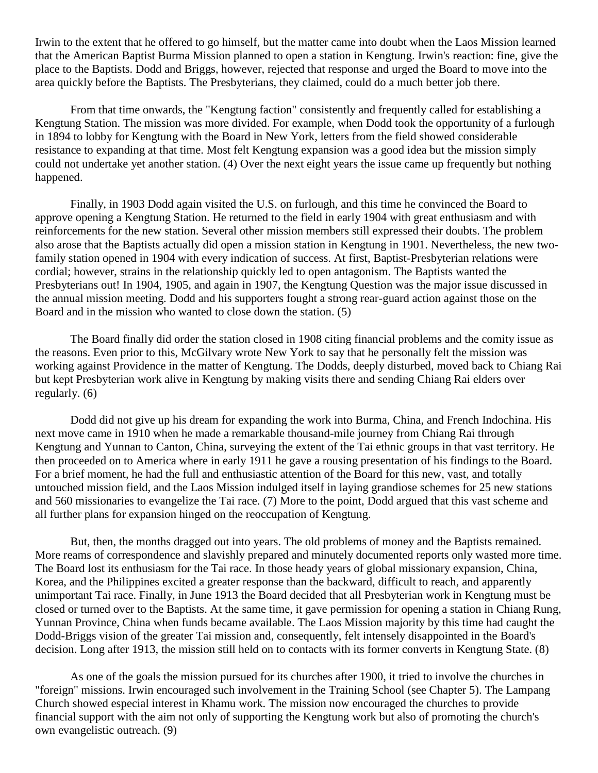Irwin to the extent that he offered to go himself, but the matter came into doubt when the Laos Mission learned that the American Baptist Burma Mission planned to open a station in Kengtung. Irwin's reaction: fine, give the place to the Baptists. Dodd and Briggs, however, rejected that response and urged the Board to move into the area quickly before the Baptists. The Presbyterians, they claimed, could do a much better job there.

From that time onwards, the "Kengtung faction" consistently and frequently called for establishing a Kengtung Station. The mission was more divided. For example, when Dodd took the opportunity of a furlough in 1894 to lobby for Kengtung with the Board in New York, letters from the field showed considerable resistance to expanding at that time. Most felt Kengtung expansion was a good idea but the mission simply could not undertake yet another station. [\(4\)](http://herbswanson.com/post.php?pid=47#c7e4) Over the next eight years the issue came up frequently but nothing happened.

Finally, in 1903 Dodd again visited the U.S. on furlough, and this time he convinced the Board to approve opening a Kengtung Station. He returned to the field in early 1904 with great enthusiasm and with reinforcements for the new station. Several other mission members still expressed their doubts. The problem also arose that the Baptists actually did open a mission station in Kengtung in 1901. Nevertheless, the new twofamily station opened in 1904 with every indication of success. At first, Baptist-Presbyterian relations were cordial; however, strains in the relationship quickly led to open antagonism. The Baptists wanted the Presbyterians out! In 1904, 1905, and again in 1907, the Kengtung Question was the major issue discussed in the annual mission meeting. Dodd and his supporters fought a strong rear-guard action against those on the Board and in the mission who wanted to close down the station. [\(5\)](http://herbswanson.com/post.php?pid=47#c7e5)

The Board finally did order the station closed in 1908 citing financial problems and the comity issue as the reasons. Even prior to this, McGilvary wrote New York to say that he personally felt the mission was working against Providence in the matter of Kengtung. The Dodds, deeply disturbed, moved back to Chiang Rai but kept Presbyterian work alive in Kengtung by making visits there and sending Chiang Rai elders over regularly. [\(6\)](http://herbswanson.com/post.php?pid=47#c7e6)

Dodd did not give up his dream for expanding the work into Burma, China, and French Indochina. His next move came in 1910 when he made a remarkable thousand-mile journey from Chiang Rai through Kengtung and Yunnan to Canton, China, surveying the extent of the Tai ethnic groups in that vast territory. He then proceeded on to America where in early 1911 he gave a rousing presentation of his findings to the Board. For a brief moment, he had the full and enthusiastic attention of the Board for this new, vast, and totally untouched mission field, and the Laos Mission indulged itself in laying grandiose schemes for 25 new stations and 560 missionaries to evangelize the Tai race. [\(7\)](http://herbswanson.com/post.php?pid=47#c7e7) More to the point, Dodd argued that this vast scheme and all further plans for expansion hinged on the reoccupation of Kengtung.

But, then, the months dragged out into years. The old problems of money and the Baptists remained. More reams of correspondence and slavishly prepared and minutely documented reports only wasted more time. The Board lost its enthusiasm for the Tai race. In those heady years of global missionary expansion, China, Korea, and the Philippines excited a greater response than the backward, difficult to reach, and apparently unimportant Tai race. Finally, in June 1913 the Board decided that all Presbyterian work in Kengtung must be closed or turned over to the Baptists. At the same time, it gave permission for opening a station in Chiang Rung, Yunnan Province, China when funds became available. The Laos Mission majority by this time had caught the Dodd-Briggs vision of the greater Tai mission and, consequently, felt intensely disappointed in the Board's decision. Long after 1913, the mission still held on to contacts with its former converts in Kengtung State. [\(8\)](http://herbswanson.com/post.php?pid=47#c7e8)

As one of the goals the mission pursued for its churches after 1900, it tried to involve the churches in "foreign" missions. Irwin encouraged such involvement in the Training School (see Chapter 5). The Lampang Church showed especial interest in Khamu work. The mission now encouraged the churches to provide financial support with the aim not only of supporting the Kengtung work but also of promoting the church's own evangelistic outreach. [\(9\)](http://herbswanson.com/post.php?pid=47#c7e9)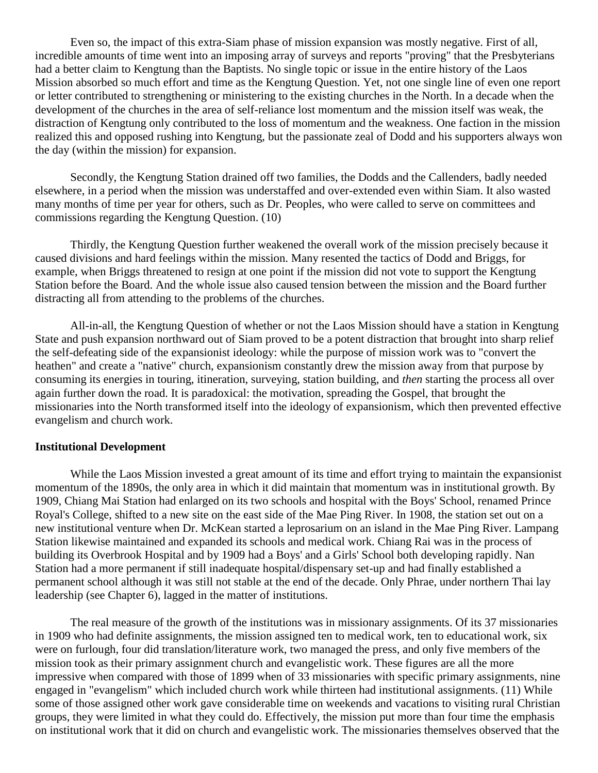Even so, the impact of this extra-Siam phase of mission expansion was mostly negative. First of all, incredible amounts of time went into an imposing array of surveys and reports "proving" that the Presbyterians had a better claim to Kengtung than the Baptists. No single topic or issue in the entire history of the Laos Mission absorbed so much effort and time as the Kengtung Question. Yet, not one single line of even one report or letter contributed to strengthening or ministering to the existing churches in the North. In a decade when the development of the churches in the area of self-reliance lost momentum and the mission itself was weak, the distraction of Kengtung only contributed to the loss of momentum and the weakness. One faction in the mission realized this and opposed rushing into Kengtung, but the passionate zeal of Dodd and his supporters always won the day (within the mission) for expansion.

Secondly, the Kengtung Station drained off two families, the Dodds and the Callenders, badly needed elsewhere, in a period when the mission was understaffed and over-extended even within Siam. It also wasted many months of time per year for others, such as Dr. Peoples, who were called to serve on committees and commissions regarding the Kengtung Question. [\(10\)](http://herbswanson.com/post.php?pid=47#c7e10)

Thirdly, the Kengtung Question further weakened the overall work of the mission precisely because it caused divisions and hard feelings within the mission. Many resented the tactics of Dodd and Briggs, for example, when Briggs threatened to resign at one point if the mission did not vote to support the Kengtung Station before the Board. And the whole issue also caused tension between the mission and the Board further distracting all from attending to the problems of the churches.

All-in-all, the Kengtung Question of whether or not the Laos Mission should have a station in Kengtung State and push expansion northward out of Siam proved to be a potent distraction that brought into sharp relief the self-defeating side of the expansionist ideology: while the purpose of mission work was to "convert the heathen" and create a "native" church, expansionism constantly drew the mission away from that purpose by consuming its energies in touring, itineration, surveying, station building, and *then* starting the process all over again further down the road. It is paradoxical: the motivation, spreading the Gospel, that brought the missionaries into the North transformed itself into the ideology of expansionism, which then prevented effective evangelism and church work.

#### **Institutional Development**

While the Laos Mission invested a great amount of its time and effort trying to maintain the expansionist momentum of the 1890s, the only area in which it did maintain that momentum was in institutional growth. By 1909, Chiang Mai Station had enlarged on its two schools and hospital with the Boys' School, renamed Prince Royal's College, shifted to a new site on the east side of the Mae Ping River. In 1908, the station set out on a new institutional venture when Dr. McKean started a leprosarium on an island in the Mae Ping River. Lampang Station likewise maintained and expanded its schools and medical work. Chiang Rai was in the process of building its Overbrook Hospital and by 1909 had a Boys' and a Girls' School both developing rapidly. Nan Station had a more permanent if still inadequate hospital/dispensary set-up and had finally established a permanent school although it was still not stable at the end of the decade. Only Phrae, under northern Thai lay leadership (see Chapter 6), lagged in the matter of institutions.

The real measure of the growth of the institutions was in missionary assignments. Of its 37 missionaries in 1909 who had definite assignments, the mission assigned ten to medical work, ten to educational work, six were on furlough, four did translation/literature work, two managed the press, and only five members of the mission took as their primary assignment church and evangelistic work. These figures are all the more impressive when compared with those of 1899 when of 33 missionaries with specific primary assignments, nine engaged in "evangelism" which included church work while thirteen had institutional assignments. [\(11\)](http://herbswanson.com/post.php?pid=47#c7e11) While some of those assigned other work gave considerable time on weekends and vacations to visiting rural Christian groups, they were limited in what they could do. Effectively, the mission put more than four time the emphasis on institutional work that it did on church and evangelistic work. The missionaries themselves observed that the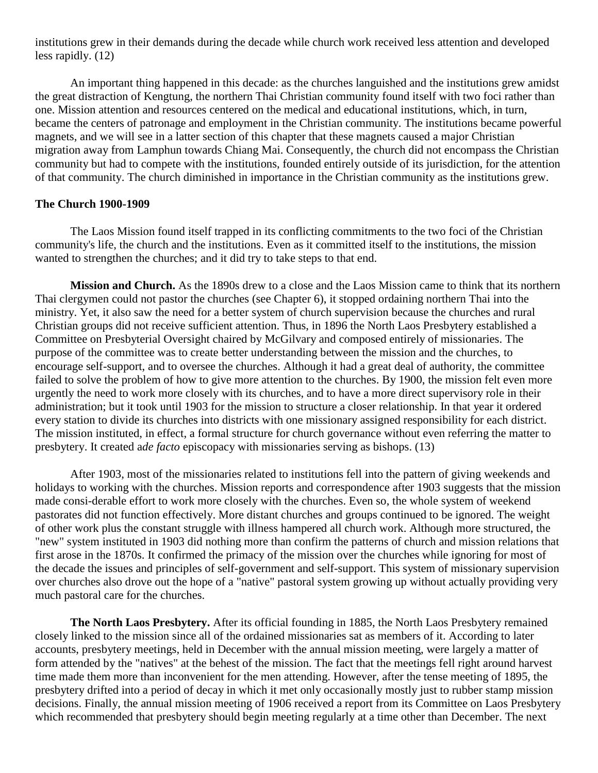institutions grew in their demands during the decade while church work received less attention and developed less rapidly. [\(12\)](http://herbswanson.com/post.php?pid=47#c7e12)

An important thing happened in this decade: as the churches languished and the institutions grew amidst the great distraction of Kengtung, the northern Thai Christian community found itself with two foci rather than one. Mission attention and resources centered on the medical and educational institutions, which, in turn, became the centers of patronage and employment in the Christian community. The institutions became powerful magnets, and we will see in a latter section of this chapter that these magnets caused a major Christian migration away from Lamphun towards Chiang Mai. Consequently, the church did not encompass the Christian community but had to compete with the institutions, founded entirely outside of its jurisdiction, for the attention of that community. The church diminished in importance in the Christian community as the institutions grew.

#### **The Church 1900-1909**

The Laos Mission found itself trapped in its conflicting commitments to the two foci of the Christian community's life, the church and the institutions. Even as it committed itself to the institutions, the mission wanted to strengthen the churches; and it did try to take steps to that end.

**Mission and Church.** As the 1890s drew to a close and the Laos Mission came to think that its northern Thai clergymen could not pastor the churches (see Chapter 6), it stopped ordaining northern Thai into the ministry. Yet, it also saw the need for a better system of church supervision because the churches and rural Christian groups did not receive sufficient attention. Thus, in 1896 the North Laos Presbytery established a Committee on Presbyterial Oversight chaired by McGilvary and composed entirely of missionaries. The purpose of the committee was to create better understanding between the mission and the churches, to encourage self-support, and to oversee the churches. Although it had a great deal of authority, the committee failed to solve the problem of how to give more attention to the churches. By 1900, the mission felt even more urgently the need to work more closely with its churches, and to have a more direct supervisory role in their administration; but it took until 1903 for the mission to structure a closer relationship. In that year it ordered every station to divide its churches into districts with one missionary assigned responsibility for each district. The mission instituted, in effect, a formal structure for church governance without even referring the matter to presbytery. It created a*de facto* episcopacy with missionaries serving as bishops. [\(13\)](http://herbswanson.com/post.php?pid=47#c7e13)

After 1903, most of the missionaries related to institutions fell into the pattern of giving weekends and holidays to working with the churches. Mission reports and correspondence after 1903 suggests that the mission made consi-derable effort to work more closely with the churches. Even so, the whole system of weekend pastorates did not function effectively. More distant churches and groups continued to be ignored. The weight of other work plus the constant struggle with illness hampered all church work. Although more structured, the "new" system instituted in 1903 did nothing more than confirm the patterns of church and mission relations that first arose in the 1870s. It confirmed the primacy of the mission over the churches while ignoring for most of the decade the issues and principles of self-government and self-support. This system of missionary supervision over churches also drove out the hope of a "native" pastoral system growing up without actually providing very much pastoral care for the churches.

**The North Laos Presbytery.** After its official founding in 1885, the North Laos Presbytery remained closely linked to the mission since all of the ordained missionaries sat as members of it. According to later accounts, presbytery meetings, held in December with the annual mission meeting, were largely a matter of form attended by the "natives" at the behest of the mission. The fact that the meetings fell right around harvest time made them more than inconvenient for the men attending. However, after the tense meeting of 1895, the presbytery drifted into a period of decay in which it met only occasionally mostly just to rubber stamp mission decisions. Finally, the annual mission meeting of 1906 received a report from its Committee on Laos Presbytery which recommended that presbytery should begin meeting regularly at a time other than December. The next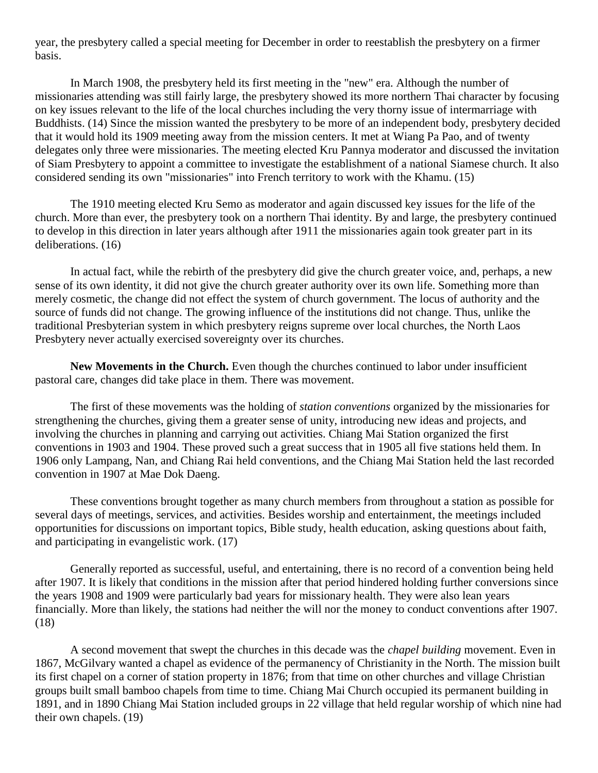year, the presbytery called a special meeting for December in order to reestablish the presbytery on a firmer basis.

In March 1908, the presbytery held its first meeting in the "new" era. Although the number of missionaries attending was still fairly large, the presbytery showed its more northern Thai character by focusing on key issues relevant to the life of the local churches including the very thorny issue of intermarriage with Buddhists. [\(14\)](http://herbswanson.com/post.php?pid=47#c7e14) Since the mission wanted the presbytery to be more of an independent body, presbytery decided that it would hold its 1909 meeting away from the mission centers. It met at Wiang Pa Pao, and of twenty delegates only three were missionaries. The meeting elected Kru Pannya moderator and discussed the invitation of Siam Presbytery to appoint a committee to investigate the establishment of a national Siamese church. It also considered sending its own "missionaries" into French territory to work with the Khamu. [\(15\)](http://herbswanson.com/post.php?pid=47#c7e15)

The 1910 meeting elected Kru Semo as moderator and again discussed key issues for the life of the church. More than ever, the presbytery took on a northern Thai identity. By and large, the presbytery continued to develop in this direction in later years although after 1911 the missionaries again took greater part in its deliberations. [\(16\)](http://herbswanson.com/post.php?pid=47#c7e16)

In actual fact, while the rebirth of the presbytery did give the church greater voice, and, perhaps, a new sense of its own identity, it did not give the church greater authority over its own life. Something more than merely cosmetic, the change did not effect the system of church government. The locus of authority and the source of funds did not change. The growing influence of the institutions did not change. Thus, unlike the traditional Presbyterian system in which presbytery reigns supreme over local churches, the North Laos Presbytery never actually exercised sovereignty over its churches.

**New Movements in the Church.** Even though the churches continued to labor under insufficient pastoral care, changes did take place in them. There was movement.

The first of these movements was the holding of *station conventions* organized by the missionaries for strengthening the churches, giving them a greater sense of unity, introducing new ideas and projects, and involving the churches in planning and carrying out activities. Chiang Mai Station organized the first conventions in 1903 and 1904. These proved such a great success that in 1905 all five stations held them. In 1906 only Lampang, Nan, and Chiang Rai held conventions, and the Chiang Mai Station held the last recorded convention in 1907 at Mae Dok Daeng.

These conventions brought together as many church members from throughout a station as possible for several days of meetings, services, and activities. Besides worship and entertainment, the meetings included opportunities for discussions on important topics, Bible study, health education, asking questions about faith, and participating in evangelistic work. [\(17\)](http://herbswanson.com/post.php?pid=47#c7e17)

Generally reported as successful, useful, and entertaining, there is no record of a convention being held after 1907. It is likely that conditions in the mission after that period hindered holding further conversions since the years 1908 and 1909 were particularly bad years for missionary health. They were also lean years financially. More than likely, the stations had neither the will nor the money to conduct conventions after 1907. [\(18\)](http://herbswanson.com/post.php?pid=47#c7e18)

A second movement that swept the churches in this decade was the *chapel building* movement. Even in 1867, McGilvary wanted a chapel as evidence of the permanency of Christianity in the North. The mission built its first chapel on a corner of station property in 1876; from that time on other churches and village Christian groups built small bamboo chapels from time to time. Chiang Mai Church occupied its permanent building in 1891, and in 1890 Chiang Mai Station included groups in 22 village that held regular worship of which nine had their own chapels. [\(19\)](http://herbswanson.com/post.php?pid=47#c7e19)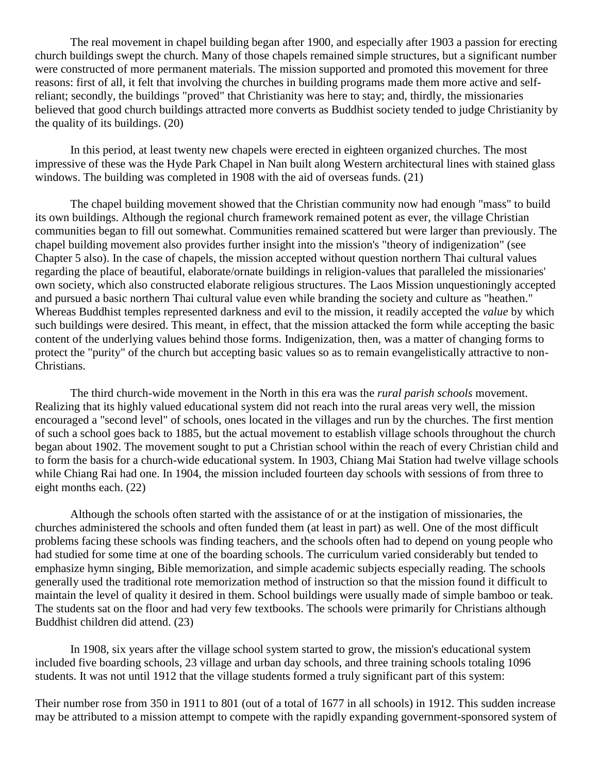The real movement in chapel building began after 1900, and especially after 1903 a passion for erecting church buildings swept the church. Many of those chapels remained simple structures, but a significant number were constructed of more permanent materials. The mission supported and promoted this movement for three reasons: first of all, it felt that involving the churches in building programs made them more active and selfreliant; secondly, the buildings "proved" that Christianity was here to stay; and, thirdly, the missionaries believed that good church buildings attracted more converts as Buddhist society tended to judge Christianity by the quality of its buildings. [\(20\)](http://herbswanson.com/post.php?pid=47#c7e20)

In this period, at least twenty new chapels were erected in eighteen organized churches. The most impressive of these was the Hyde Park Chapel in Nan built along Western architectural lines with stained glass windows. The building was completed in 1908 with the aid of overseas funds. [\(21\)](http://herbswanson.com/post.php?pid=47#c7e21)

The chapel building movement showed that the Christian community now had enough "mass" to build its own buildings. Although the regional church framework remained potent as ever, the village Christian communities began to fill out somewhat. Communities remained scattered but were larger than previously. The chapel building movement also provides further insight into the mission's "theory of indigenization" (see Chapter 5 also). In the case of chapels, the mission accepted without question northern Thai cultural values regarding the place of beautiful, elaborate/ornate buildings in religion-values that paralleled the missionaries' own society, which also constructed elaborate religious structures. The Laos Mission unquestioningly accepted and pursued a basic northern Thai cultural value even while branding the society and culture as "heathen." Whereas Buddhist temples represented darkness and evil to the mission, it readily accepted the *value* by which such buildings were desired. This meant, in effect, that the mission attacked the form while accepting the basic content of the underlying values behind those forms. Indigenization, then, was a matter of changing forms to protect the "purity" of the church but accepting basic values so as to remain evangelistically attractive to non-Christians.

The third church-wide movement in the North in this era was the *rural parish schools* movement. Realizing that its highly valued educational system did not reach into the rural areas very well, the mission encouraged a "second level" of schools, ones located in the villages and run by the churches. The first mention of such a school goes back to 1885, but the actual movement to establish village schools throughout the church began about 1902. The movement sought to put a Christian school within the reach of every Christian child and to form the basis for a church-wide educational system. In 1903, Chiang Mai Station had twelve village schools while Chiang Rai had one. In 1904, the mission included fourteen day schools with sessions of from three to eight months each. [\(22\)](http://herbswanson.com/post.php?pid=47#c7e22)

Although the schools often started with the assistance of or at the instigation of missionaries, the churches administered the schools and often funded them (at least in part) as well. One of the most difficult problems facing these schools was finding teachers, and the schools often had to depend on young people who had studied for some time at one of the boarding schools. The curriculum varied considerably but tended to emphasize hymn singing, Bible memorization, and simple academic subjects especially reading. The schools generally used the traditional rote memorization method of instruction so that the mission found it difficult to maintain the level of quality it desired in them. School buildings were usually made of simple bamboo or teak. The students sat on the floor and had very few textbooks. The schools were primarily for Christians although Buddhist children did attend. [\(23\)](http://herbswanson.com/post.php?pid=47#c7e23)

In 1908, six years after the village school system started to grow, the mission's educational system included five boarding schools, 23 village and urban day schools, and three training schools totaling 1096 students. It was not until 1912 that the village students formed a truly significant part of this system:

Their number rose from 350 in 1911 to 801 (out of a total of 1677 in all schools) in 1912. This sudden increase may be attributed to a mission attempt to compete with the rapidly expanding government-sponsored system of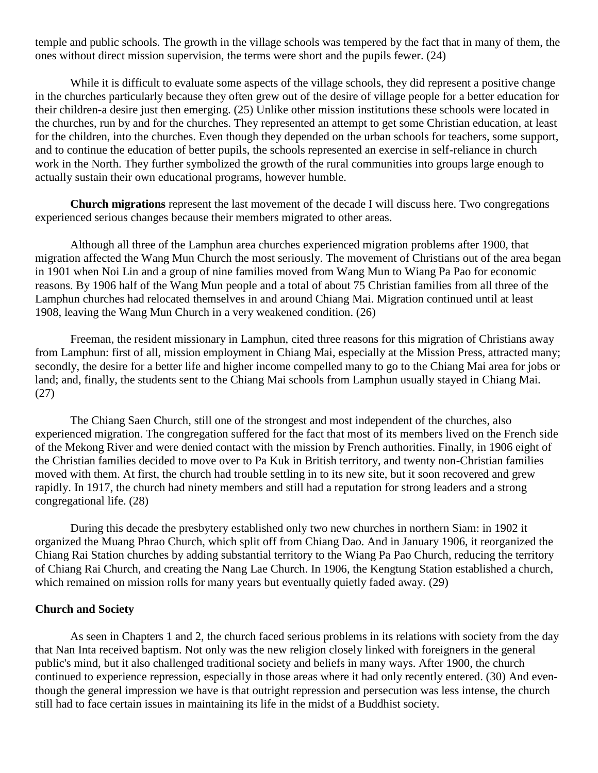temple and public schools. The growth in the village schools was tempered by the fact that in many of them, the ones without direct mission supervision, the terms were short and the pupils fewer. [\(24\)](http://herbswanson.com/post.php?pid=47#c7e24)

While it is difficult to evaluate some aspects of the village schools, they did represent a positive change in the churches particularly because they often grew out of the desire of village people for a better education for their children-a desire just then emerging. [\(25\)](http://herbswanson.com/post.php?pid=47#c7e25) Unlike other mission institutions these schools were located in the churches, run by and for the churches. They represented an attempt to get some Christian education, at least for the children, into the churches. Even though they depended on the urban schools for teachers, some support, and to continue the education of better pupils, the schools represented an exercise in self-reliance in church work in the North. They further symbolized the growth of the rural communities into groups large enough to actually sustain their own educational programs, however humble.

**Church migrations** represent the last movement of the decade I will discuss here. Two congregations experienced serious changes because their members migrated to other areas.

Although all three of the Lamphun area churches experienced migration problems after 1900, that migration affected the Wang Mun Church the most seriously. The movement of Christians out of the area began in 1901 when Noi Lin and a group of nine families moved from Wang Mun to Wiang Pa Pao for economic reasons. By 1906 half of the Wang Mun people and a total of about 75 Christian families from all three of the Lamphun churches had relocated themselves in and around Chiang Mai. Migration continued until at least 1908, leaving the Wang Mun Church in a very weakened condition. [\(26\)](http://herbswanson.com/post.php?pid=47#c7e26)

Freeman, the resident missionary in Lamphun, cited three reasons for this migration of Christians away from Lamphun: first of all, mission employment in Chiang Mai, especially at the Mission Press, attracted many; secondly, the desire for a better life and higher income compelled many to go to the Chiang Mai area for jobs or land; and, finally, the students sent to the Chiang Mai schools from Lamphun usually stayed in Chiang Mai. [\(27\)](http://herbswanson.com/post.php?pid=47#c7e27)

The Chiang Saen Church, still one of the strongest and most independent of the churches, also experienced migration. The congregation suffered for the fact that most of its members lived on the French side of the Mekong River and were denied contact with the mission by French authorities. Finally, in 1906 eight of the Christian families decided to move over to Pa Kuk in British territory, and twenty non-Christian families moved with them. At first, the church had trouble settling in to its new site, but it soon recovered and grew rapidly. In 1917, the church had ninety members and still had a reputation for strong leaders and a strong congregational life. [\(28\)](http://herbswanson.com/post.php?pid=47#c7e28)

During this decade the presbytery established only two new churches in northern Siam: in 1902 it organized the Muang Phrao Church, which split off from Chiang Dao. And in January 1906, it reorganized the Chiang Rai Station churches by adding substantial territory to the Wiang Pa Pao Church, reducing the territory of Chiang Rai Church, and creating the Nang Lae Church. In 1906, the Kengtung Station established a church, which remained on mission rolls for many years but eventually quietly faded away. [\(29\)](http://herbswanson.com/post.php?pid=47#c7e29)

#### **Church and Society**

As seen in Chapters 1 and 2, the church faced serious problems in its relations with society from the day that Nan Inta received baptism. Not only was the new religion closely linked with foreigners in the general public's mind, but it also challenged traditional society and beliefs in many ways. After 1900, the church continued to experience repression, especially in those areas where it had only recently entered. [\(30\)](http://herbswanson.com/post.php?pid=47#c7e30) And eventhough the general impression we have is that outright repression and persecution was less intense, the church still had to face certain issues in maintaining its life in the midst of a Buddhist society.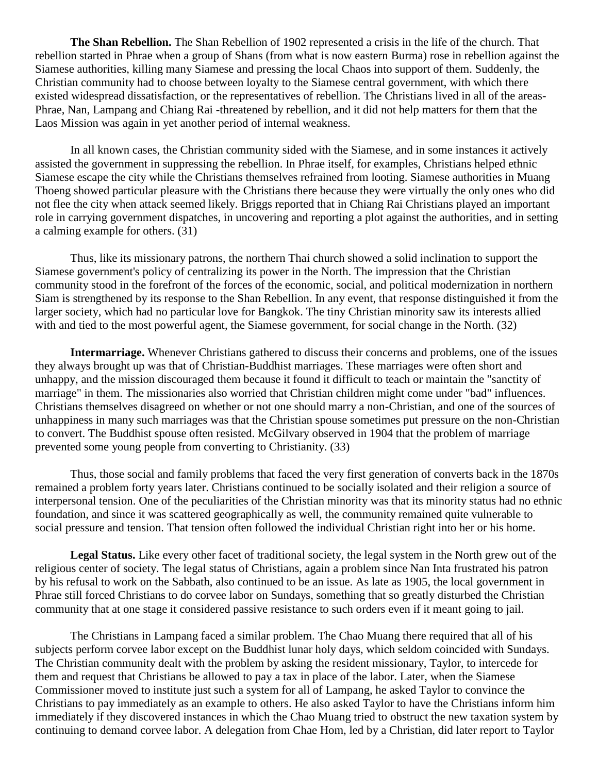**The Shan Rebellion.** The Shan Rebellion of 1902 represented a crisis in the life of the church. That rebellion started in Phrae when a group of Shans (from what is now eastern Burma) rose in rebellion against the Siamese authorities, killing many Siamese and pressing the local Chaos into support of them. Suddenly, the Christian community had to choose between loyalty to the Siamese central government, with which there existed widespread dissatisfaction, or the representatives of rebellion. The Christians lived in all of the areas-Phrae, Nan, Lampang and Chiang Rai -threatened by rebellion, and it did not help matters for them that the Laos Mission was again in yet another period of internal weakness.

In all known cases, the Christian community sided with the Siamese, and in some instances it actively assisted the government in suppressing the rebellion. In Phrae itself, for examples, Christians helped ethnic Siamese escape the city while the Christians themselves refrained from looting. Siamese authorities in Muang Thoeng showed particular pleasure with the Christians there because they were virtually the only ones who did not flee the city when attack seemed likely. Briggs reported that in Chiang Rai Christians played an important role in carrying government dispatches, in uncovering and reporting a plot against the authorities, and in setting a calming example for others. [\(31\)](http://herbswanson.com/post.php?pid=47#c7e31)

Thus, like its missionary patrons, the northern Thai church showed a solid inclination to support the Siamese government's policy of centralizing its power in the North. The impression that the Christian community stood in the forefront of the forces of the economic, social, and political modernization in northern Siam is strengthened by its response to the Shan Rebellion. In any event, that response distinguished it from the larger society, which had no particular love for Bangkok. The tiny Christian minority saw its interests allied with and tied to the most powerful agent, the Siamese government, for social change in the North. [\(32\)](http://herbswanson.com/post.php?pid=47#c7e32)

**Intermarriage.** Whenever Christians gathered to discuss their concerns and problems, one of the issues they always brought up was that of Christian-Buddhist marriages. These marriages were often short and unhappy, and the mission discouraged them because it found it difficult to teach or maintain the "sanctity of marriage" in them. The missionaries also worried that Christian children might come under "bad" influences. Christians themselves disagreed on whether or not one should marry a non-Christian, and one of the sources of unhappiness in many such marriages was that the Christian spouse sometimes put pressure on the non-Christian to convert. The Buddhist spouse often resisted. McGilvary observed in 1904 that the problem of marriage prevented some young people from converting to Christianity. [\(33\)](http://herbswanson.com/post.php?pid=47#c7e33)

Thus, those social and family problems that faced the very first generation of converts back in the 1870s remained a problem forty years later. Christians continued to be socially isolated and their religion a source of interpersonal tension. One of the peculiarities of the Christian minority was that its minority status had no ethnic foundation, and since it was scattered geographically as well, the community remained quite vulnerable to social pressure and tension. That tension often followed the individual Christian right into her or his home.

**Legal Status.** Like every other facet of traditional society, the legal system in the North grew out of the religious center of society. The legal status of Christians, again a problem since Nan Inta frustrated his patron by his refusal to work on the Sabbath, also continued to be an issue. As late as 1905, the local government in Phrae still forced Christians to do corvee labor on Sundays, something that so greatly disturbed the Christian community that at one stage it considered passive resistance to such orders even if it meant going to jail.

The Christians in Lampang faced a similar problem. The Chao Muang there required that all of his subjects perform corvee labor except on the Buddhist lunar holy days, which seldom coincided with Sundays. The Christian community dealt with the problem by asking the resident missionary, Taylor, to intercede for them and request that Christians be allowed to pay a tax in place of the labor. Later, when the Siamese Commissioner moved to institute just such a system for all of Lampang, he asked Taylor to convince the Christians to pay immediately as an example to others. He also asked Taylor to have the Christians inform him immediately if they discovered instances in which the Chao Muang tried to obstruct the new taxation system by continuing to demand corvee labor. A delegation from Chae Hom, led by a Christian, did later report to Taylor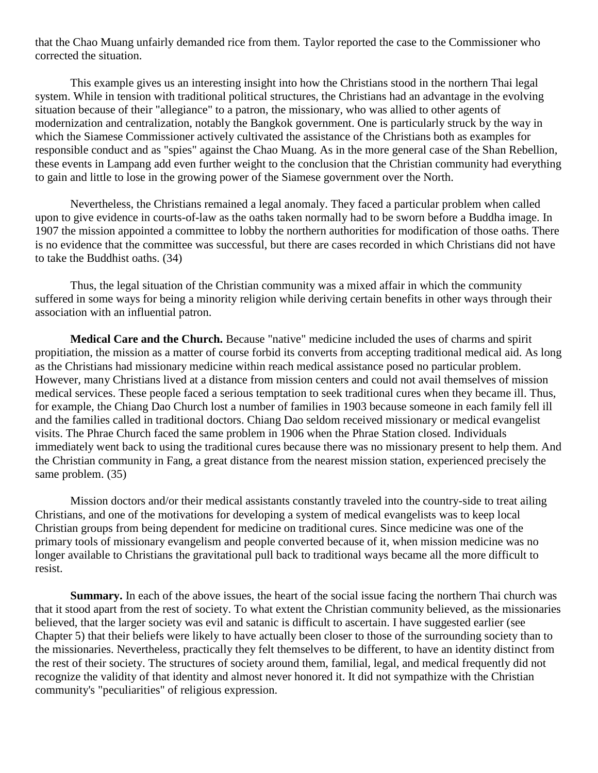that the Chao Muang unfairly demanded rice from them. Taylor reported the case to the Commissioner who corrected the situation.

This example gives us an interesting insight into how the Christians stood in the northern Thai legal system. While in tension with traditional political structures, the Christians had an advantage in the evolving situation because of their "allegiance" to a patron, the missionary, who was allied to other agents of modernization and centralization, notably the Bangkok government. One is particularly struck by the way in which the Siamese Commissioner actively cultivated the assistance of the Christians both as examples for responsible conduct and as "spies" against the Chao Muang. As in the more general case of the Shan Rebellion, these events in Lampang add even further weight to the conclusion that the Christian community had everything to gain and little to lose in the growing power of the Siamese government over the North.

Nevertheless, the Christians remained a legal anomaly. They faced a particular problem when called upon to give evidence in courts-of-law as the oaths taken normally had to be sworn before a Buddha image. In 1907 the mission appointed a committee to lobby the northern authorities for modification of those oaths. There is no evidence that the committee was successful, but there are cases recorded in which Christians did not have to take the Buddhist oaths. [\(34\)](http://herbswanson.com/post.php?pid=47#c7e34)

Thus, the legal situation of the Christian community was a mixed affair in which the community suffered in some ways for being a minority religion while deriving certain benefits in other ways through their association with an influential patron.

**Medical Care and the Church.** Because "native" medicine included the uses of charms and spirit propitiation, the mission as a matter of course forbid its converts from accepting traditional medical aid. As long as the Christians had missionary medicine within reach medical assistance posed no particular problem. However, many Christians lived at a distance from mission centers and could not avail themselves of mission medical services. These people faced a serious temptation to seek traditional cures when they became ill. Thus, for example, the Chiang Dao Church lost a number of families in 1903 because someone in each family fell ill and the families called in traditional doctors. Chiang Dao seldom received missionary or medical evangelist visits. The Phrae Church faced the same problem in 1906 when the Phrae Station closed. Individuals immediately went back to using the traditional cures because there was no missionary present to help them. And the Christian community in Fang, a great distance from the nearest mission station, experienced precisely the same problem. [\(35\)](http://herbswanson.com/post.php?pid=47#c7e35)

Mission doctors and/or their medical assistants constantly traveled into the country-side to treat ailing Christians, and one of the motivations for developing a system of medical evangelists was to keep local Christian groups from being dependent for medicine on traditional cures. Since medicine was one of the primary tools of missionary evangelism and people converted because of it, when mission medicine was no longer available to Christians the gravitational pull back to traditional ways became all the more difficult to resist.

**Summary.** In each of the above issues, the heart of the social issue facing the northern Thai church was that it stood apart from the rest of society. To what extent the Christian community believed, as the missionaries believed, that the larger society was evil and satanic is difficult to ascertain. I have suggested earlier (see Chapter 5) that their beliefs were likely to have actually been closer to those of the surrounding society than to the missionaries. Nevertheless, practically they felt themselves to be different, to have an identity distinct from the rest of their society. The structures of society around them, familial, legal, and medical frequently did not recognize the validity of that identity and almost never honored it. It did not sympathize with the Christian community's "peculiarities" of religious expression.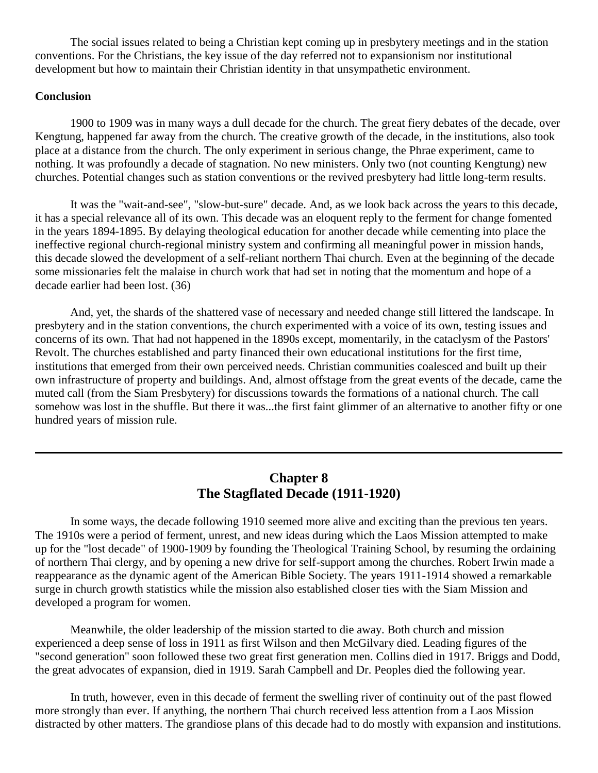The social issues related to being a Christian kept coming up in presbytery meetings and in the station conventions. For the Christians, the key issue of the day referred not to expansionism nor institutional development but how to maintain their Christian identity in that unsympathetic environment.

## **Conclusion**

1900 to 1909 was in many ways a dull decade for the church. The great fiery debates of the decade, over Kengtung, happened far away from the church. The creative growth of the decade, in the institutions, also took place at a distance from the church. The only experiment in serious change, the Phrae experiment, came to nothing. It was profoundly a decade of stagnation. No new ministers. Only two (not counting Kengtung) new churches. Potential changes such as station conventions or the revived presbytery had little long-term results.

It was the "wait-and-see", "slow-but-sure" decade. And, as we look back across the years to this decade, it has a special relevance all of its own. This decade was an eloquent reply to the ferment for change fomented in the years 1894-1895. By delaying theological education for another decade while cementing into place the ineffective regional church-regional ministry system and confirming all meaningful power in mission hands, this decade slowed the development of a self-reliant northern Thai church. Even at the beginning of the decade some missionaries felt the malaise in church work that had set in noting that the momentum and hope of a decade earlier had been lost. [\(36\)](http://herbswanson.com/post.php?pid=47#c7e36)

And, yet, the shards of the shattered vase of necessary and needed change still littered the landscape. In presbytery and in the station conventions, the church experimented with a voice of its own, testing issues and concerns of its own. That had not happened in the 1890s except, momentarily, in the cataclysm of the Pastors' Revolt. The churches established and party financed their own educational institutions for the first time, institutions that emerged from their own perceived needs. Christian communities coalesced and built up their own infrastructure of property and buildings. And, almost offstage from the great events of the decade, came the muted call (from the Siam Presbytery) for discussions towards the formations of a national church. The call somehow was lost in the shuffle. But there it was...the first faint glimmer of an alternative to another fifty or one hundred years of mission rule.

# **Chapter 8 The Stagflated Decade (1911-1920)**

In some ways, the decade following 1910 seemed more alive and exciting than the previous ten years. The 1910s were a period of ferment, unrest, and new ideas during which the Laos Mission attempted to make up for the "lost decade" of 1900-1909 by founding the Theological Training School, by resuming the ordaining of northern Thai clergy, and by opening a new drive for self-support among the churches. Robert Irwin made a reappearance as the dynamic agent of the American Bible Society. The years 1911-1914 showed a remarkable surge in church growth statistics while the mission also established closer ties with the Siam Mission and developed a program for women.

Meanwhile, the older leadership of the mission started to die away. Both church and mission experienced a deep sense of loss in 1911 as first Wilson and then McGilvary died. Leading figures of the "second generation" soon followed these two great first generation men. Collins died in 1917. Briggs and Dodd, the great advocates of expansion, died in 1919. Sarah Campbell and Dr. Peoples died the following year.

In truth, however, even in this decade of ferment the swelling river of continuity out of the past flowed more strongly than ever. If anything, the northern Thai church received less attention from a Laos Mission distracted by other matters. The grandiose plans of this decade had to do mostly with expansion and institutions.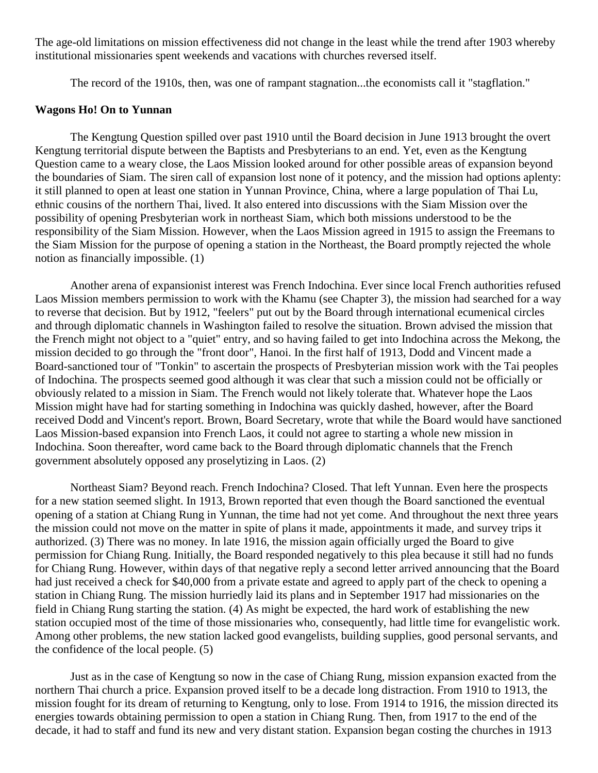The age-old limitations on mission effectiveness did not change in the least while the trend after 1903 whereby institutional missionaries spent weekends and vacations with churches reversed itself.

The record of the 1910s, then, was one of rampant stagnation...the economists call it "stagflation."

#### **Wagons Ho! On to Yunnan**

The Kengtung Question spilled over past 1910 until the Board decision in June 1913 brought the overt Kengtung territorial dispute between the Baptists and Presbyterians to an end. Yet, even as the Kengtung Question came to a weary close, the Laos Mission looked around for other possible areas of expansion beyond the boundaries of Siam. The siren call of expansion lost none of it potency, and the mission had options aplenty: it still planned to open at least one station in Yunnan Province, China, where a large population of Thai Lu, ethnic cousins of the northern Thai, lived. It also entered into discussions with the Siam Mission over the possibility of opening Presbyterian work in northeast Siam, which both missions understood to be the responsibility of the Siam Mission. However, when the Laos Mission agreed in 1915 to assign the Freemans to the Siam Mission for the purpose of opening a station in the Northeast, the Board promptly rejected the whole notion as financially impossible. [\(1\)](http://herbswanson.com/post.php?pid=47#c8e1)

Another arena of expansionist interest was French Indochina. Ever since local French authorities refused Laos Mission members permission to work with the Khamu (see Chapter 3), the mission had searched for a way to reverse that decision. But by 1912, "feelers" put out by the Board through international ecumenical circles and through diplomatic channels in Washington failed to resolve the situation. Brown advised the mission that the French might not object to a "quiet" entry, and so having failed to get into Indochina across the Mekong, the mission decided to go through the "front door", Hanoi. In the first half of 1913, Dodd and Vincent made a Board-sanctioned tour of "Tonkin" to ascertain the prospects of Presbyterian mission work with the Tai peoples of Indochina. The prospects seemed good although it was clear that such a mission could not be officially or obviously related to a mission in Siam. The French would not likely tolerate that. Whatever hope the Laos Mission might have had for starting something in Indochina was quickly dashed, however, after the Board received Dodd and Vincent's report. Brown, Board Secretary, wrote that while the Board would have sanctioned Laos Mission-based expansion into French Laos, it could not agree to starting a whole new mission in Indochina. Soon thereafter, word came back to the Board through diplomatic channels that the French government absolutely opposed any proselytizing in Laos. [\(2\)](http://herbswanson.com/post.php?pid=47#c8e2)

Northeast Siam? Beyond reach. French Indochina? Closed. That left Yunnan. Even here the prospects for a new station seemed slight. In 1913, Brown reported that even though the Board sanctioned the eventual opening of a station at Chiang Rung in Yunnan, the time had not yet come. And throughout the next three years the mission could not move on the matter in spite of plans it made, appointments it made, and survey trips it authorized. [\(3\)](http://herbswanson.com/post.php?pid=47#c8e3) There was no money. In late 1916, the mission again officially urged the Board to give permission for Chiang Rung. Initially, the Board responded negatively to this plea because it still had no funds for Chiang Rung. However, within days of that negative reply a second letter arrived announcing that the Board had just received a check for \$40,000 from a private estate and agreed to apply part of the check to opening a station in Chiang Rung. The mission hurriedly laid its plans and in September 1917 had missionaries on the field in Chiang Rung starting the station. [\(4\)](http://herbswanson.com/post.php?pid=47#c8e4) As might be expected, the hard work of establishing the new station occupied most of the time of those missionaries who, consequently, had little time for evangelistic work. Among other problems, the new station lacked good evangelists, building supplies, good personal servants, and the confidence of the local people. [\(5\)](http://herbswanson.com/post.php?pid=47#c8e5)

Just as in the case of Kengtung so now in the case of Chiang Rung, mission expansion exacted from the northern Thai church a price. Expansion proved itself to be a decade long distraction. From 1910 to 1913, the mission fought for its dream of returning to Kengtung, only to lose. From 1914 to 1916, the mission directed its energies towards obtaining permission to open a station in Chiang Rung. Then, from 1917 to the end of the decade, it had to staff and fund its new and very distant station. Expansion began costing the churches in 1913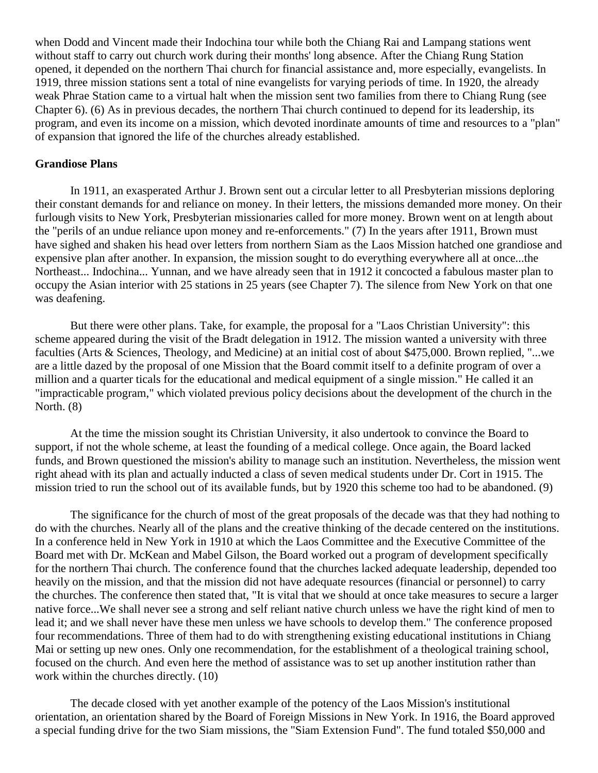when Dodd and Vincent made their Indochina tour while both the Chiang Rai and Lampang stations went without staff to carry out church work during their months' long absence. After the Chiang Rung Station opened, it depended on the northern Thai church for financial assistance and, more especially, evangelists. In 1919, three mission stations sent a total of nine evangelists for varying periods of time. In 1920, the already weak Phrae Station came to a virtual halt when the mission sent two families from there to Chiang Rung (see Chapter 6). [\(6\)](http://herbswanson.com/post.php?pid=47#c8e6) As in previous decades, the northern Thai church continued to depend for its leadership, its program, and even its income on a mission, which devoted inordinate amounts of time and resources to a "plan" of expansion that ignored the life of the churches already established.

#### **Grandiose Plans**

In 1911, an exasperated Arthur J. Brown sent out a circular letter to all Presbyterian missions deploring their constant demands for and reliance on money. In their letters, the missions demanded more money. On their furlough visits to New York, Presbyterian missionaries called for more money. Brown went on at length about the "perils of an undue reliance upon money and re-enforcements." [\(7\)](http://herbswanson.com/post.php?pid=47#c8e7) In the years after 1911, Brown must have sighed and shaken his head over letters from northern Siam as the Laos Mission hatched one grandiose and expensive plan after another. In expansion, the mission sought to do everything everywhere all at once...the Northeast... Indochina... Yunnan, and we have already seen that in 1912 it concocted a fabulous master plan to occupy the Asian interior with 25 stations in 25 years (see Chapter 7). The silence from New York on that one was deafening.

But there were other plans. Take, for example, the proposal for a "Laos Christian University": this scheme appeared during the visit of the Bradt delegation in 1912. The mission wanted a university with three faculties (Arts & Sciences, Theology, and Medicine) at an initial cost of about \$475,000. Brown replied, "...we are a little dazed by the proposal of one Mission that the Board commit itself to a definite program of over a million and a quarter ticals for the educational and medical equipment of a single mission." He called it an "impracticable program," which violated previous policy decisions about the development of the church in the North. [\(8\)](http://herbswanson.com/post.php?pid=47#c8e8)

At the time the mission sought its Christian University, it also undertook to convince the Board to support, if not the whole scheme, at least the founding of a medical college. Once again, the Board lacked funds, and Brown questioned the mission's ability to manage such an institution. Nevertheless, the mission went right ahead with its plan and actually inducted a class of seven medical students under Dr. Cort in 1915. The mission tried to run the school out of its available funds, but by 1920 this scheme too had to be abandoned. [\(9\)](http://herbswanson.com/post.php?pid=47#c8e9)

The significance for the church of most of the great proposals of the decade was that they had nothing to do with the churches. Nearly all of the plans and the creative thinking of the decade centered on the institutions. In a conference held in New York in 1910 at which the Laos Committee and the Executive Committee of the Board met with Dr. McKean and Mabel Gilson, the Board worked out a program of development specifically for the northern Thai church. The conference found that the churches lacked adequate leadership, depended too heavily on the mission, and that the mission did not have adequate resources (financial or personnel) to carry the churches. The conference then stated that, "It is vital that we should at once take measures to secure a larger native force...We shall never see a strong and self reliant native church unless we have the right kind of men to lead it; and we shall never have these men unless we have schools to develop them." The conference proposed four recommendations. Three of them had to do with strengthening existing educational institutions in Chiang Mai or setting up new ones. Only one recommendation, for the establishment of a theological training school, focused on the church. And even here the method of assistance was to set up another institution rather than work within the churches directly. [\(10\)](http://herbswanson.com/post.php?pid=47#c8e10)

The decade closed with yet another example of the potency of the Laos Mission's institutional orientation, an orientation shared by the Board of Foreign Missions in New York. In 1916, the Board approved a special funding drive for the two Siam missions, the "Siam Extension Fund". The fund totaled \$50,000 and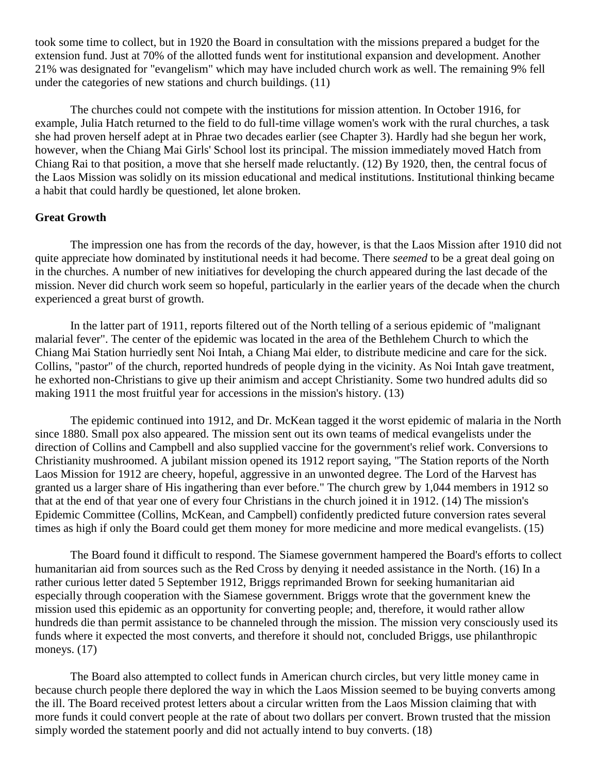took some time to collect, but in 1920 the Board in consultation with the missions prepared a budget for the extension fund. Just at 70% of the allotted funds went for institutional expansion and development. Another 21% was designated for "evangelism" which may have included church work as well. The remaining 9% fell under the categories of new stations and church buildings. [\(11\)](http://herbswanson.com/post.php?pid=47#c8e11)

The churches could not compete with the institutions for mission attention. In October 1916, for example, Julia Hatch returned to the field to do full-time village women's work with the rural churches, a task she had proven herself adept at in Phrae two decades earlier (see Chapter 3). Hardly had she begun her work, however, when the Chiang Mai Girls' School lost its principal. The mission immediately moved Hatch from Chiang Rai to that position, a move that she herself made reluctantly. [\(12\)](http://herbswanson.com/post.php?pid=47#c8e12) By 1920, then, the central focus of the Laos Mission was solidly on its mission educational and medical institutions. Institutional thinking became a habit that could hardly be questioned, let alone broken.

#### **Great Growth**

The impression one has from the records of the day, however, is that the Laos Mission after 1910 did not quite appreciate how dominated by institutional needs it had become. There *seemed* to be a great deal going on in the churches. A number of new initiatives for developing the church appeared during the last decade of the mission. Never did church work seem so hopeful, particularly in the earlier years of the decade when the church experienced a great burst of growth.

In the latter part of 1911, reports filtered out of the North telling of a serious epidemic of "malignant malarial fever". The center of the epidemic was located in the area of the Bethlehem Church to which the Chiang Mai Station hurriedly sent Noi Intah, a Chiang Mai elder, to distribute medicine and care for the sick. Collins, "pastor" of the church, reported hundreds of people dying in the vicinity. As Noi Intah gave treatment, he exhorted non-Christians to give up their animism and accept Christianity. Some two hundred adults did so making 1911 the most fruitful year for accessions in the mission's history. [\(13\)](http://herbswanson.com/post.php?pid=47#c8e13)

The epidemic continued into 1912, and Dr. McKean tagged it the worst epidemic of malaria in the North since 1880. Small pox also appeared. The mission sent out its own teams of medical evangelists under the direction of Collins and Campbell and also supplied vaccine for the government's relief work. Conversions to Christianity mushroomed. A jubilant mission opened its 1912 report saying, "The Station reports of the North Laos Mission for 1912 are cheery, hopeful, aggressive in an unwonted degree. The Lord of the Harvest has granted us a larger share of His ingathering than ever before." The church grew by 1,044 members in 1912 so that at the end of that year one of every four Christians in the church joined it in 1912. [\(14\)](http://herbswanson.com/post.php?pid=47#c8e14) The mission's Epidemic Committee (Collins, McKean, and Campbell) confidently predicted future conversion rates several times as high if only the Board could get them money for more medicine and more medical evangelists. [\(15\)](http://herbswanson.com/post.php?pid=47#c8e15)

The Board found it difficult to respond. The Siamese government hampered the Board's efforts to collect humanitarian aid from sources such as the Red Cross by denying it needed assistance in the North. [\(16\)](http://herbswanson.com/post.php?pid=47#c8e16) In a rather curious letter dated 5 September 1912, Briggs reprimanded Brown for seeking humanitarian aid especially through cooperation with the Siamese government. Briggs wrote that the government knew the mission used this epidemic as an opportunity for converting people; and, therefore, it would rather allow hundreds die than permit assistance to be channeled through the mission. The mission very consciously used its funds where it expected the most converts, and therefore it should not, concluded Briggs, use philanthropic moneys.  $(17)$ 

The Board also attempted to collect funds in American church circles, but very little money came in because church people there deplored the way in which the Laos Mission seemed to be buying converts among the ill. The Board received protest letters about a circular written from the Laos Mission claiming that with more funds it could convert people at the rate of about two dollars per convert. Brown trusted that the mission simply worded the statement poorly and did not actually intend to buy converts. [\(18\)](http://herbswanson.com/post.php?pid=47#c8e18)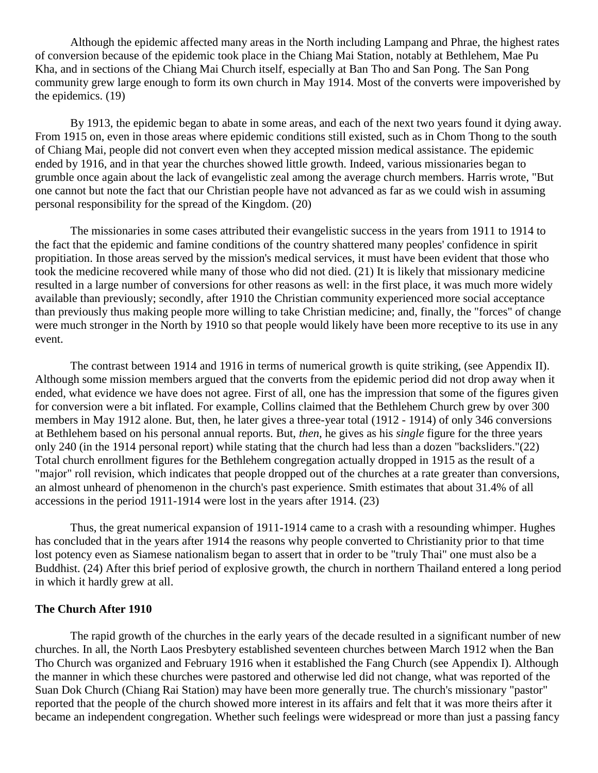Although the epidemic affected many areas in the North including Lampang and Phrae, the highest rates of conversion because of the epidemic took place in the Chiang Mai Station, notably at Bethlehem, Mae Pu Kha, and in sections of the Chiang Mai Church itself, especially at Ban Tho and San Pong. The San Pong community grew large enough to form its own church in May 1914. Most of the converts were impoverished by the epidemics. [\(19\)](http://herbswanson.com/post.php?pid=47#c8e19)

By 1913, the epidemic began to abate in some areas, and each of the next two years found it dying away. From 1915 on, even in those areas where epidemic conditions still existed, such as in Chom Thong to the south of Chiang Mai, people did not convert even when they accepted mission medical assistance. The epidemic ended by 1916, and in that year the churches showed little growth. Indeed, various missionaries began to grumble once again about the lack of evangelistic zeal among the average church members. Harris wrote, "But one cannot but note the fact that our Christian people have not advanced as far as we could wish in assuming personal responsibility for the spread of the Kingdom. [\(20\)](http://herbswanson.com/post.php?pid=47#c8e20)

The missionaries in some cases attributed their evangelistic success in the years from 1911 to 1914 to the fact that the epidemic and famine conditions of the country shattered many peoples' confidence in spirit propitiation. In those areas served by the mission's medical services, it must have been evident that those who took the medicine recovered while many of those who did not died. [\(21\)](http://herbswanson.com/post.php?pid=47#c8e21) It is likely that missionary medicine resulted in a large number of conversions for other reasons as well: in the first place, it was much more widely available than previously; secondly, after 1910 the Christian community experienced more social acceptance than previously thus making people more willing to take Christian medicine; and, finally, the "forces" of change were much stronger in the North by 1910 so that people would likely have been more receptive to its use in any event.

The contrast between 1914 and 1916 in terms of numerical growth is quite striking, (see Appendix II). Although some mission members argued that the converts from the epidemic period did not drop away when it ended, what evidence we have does not agree. First of all, one has the impression that some of the figures given for conversion were a bit inflated. For example, Collins claimed that the Bethlehem Church grew by over 300 members in May 1912 alone. But, then, he later gives a three-year total (1912 - 1914) of only 346 conversions at Bethlehem based on his personal annual reports. But, *then*, he gives as his *single* figure for the three years only 240 (in the 1914 personal report) while stating that the church had less than a dozen "backsliders."[\(22\)](http://herbswanson.com/post.php?pid=47#c8e22) Total church enrollment figures for the Bethlehem congregation actually dropped in 1915 as the result of a "major" roll revision, which indicates that people dropped out of the churches at a rate greater than conversions, an almost unheard of phenomenon in the church's past experience. Smith estimates that about 31.4% of all accessions in the period 1911-1914 were lost in the years after 1914. [\(23\)](http://herbswanson.com/post.php?pid=47#c8e23)

Thus, the great numerical expansion of 1911-1914 came to a crash with a resounding whimper. Hughes has concluded that in the years after 1914 the reasons why people converted to Christianity prior to that time lost potency even as Siamese nationalism began to assert that in order to be "truly Thai" one must also be a Buddhist. [\(24\)](http://herbswanson.com/post.php?pid=47#c8e24) After this brief period of explosive growth, the church in northern Thailand entered a long period in which it hardly grew at all.

#### **The Church After 1910**

The rapid growth of the churches in the early years of the decade resulted in a significant number of new churches. In all, the North Laos Presbytery established seventeen churches between March 1912 when the Ban Tho Church was organized and February 1916 when it established the Fang Church (see Appendix I). Although the manner in which these churches were pastored and otherwise led did not change, what was reported of the Suan Dok Church (Chiang Rai Station) may have been more generally true. The church's missionary "pastor" reported that the people of the church showed more interest in its affairs and felt that it was more theirs after it became an independent congregation. Whether such feelings were widespread or more than just a passing fancy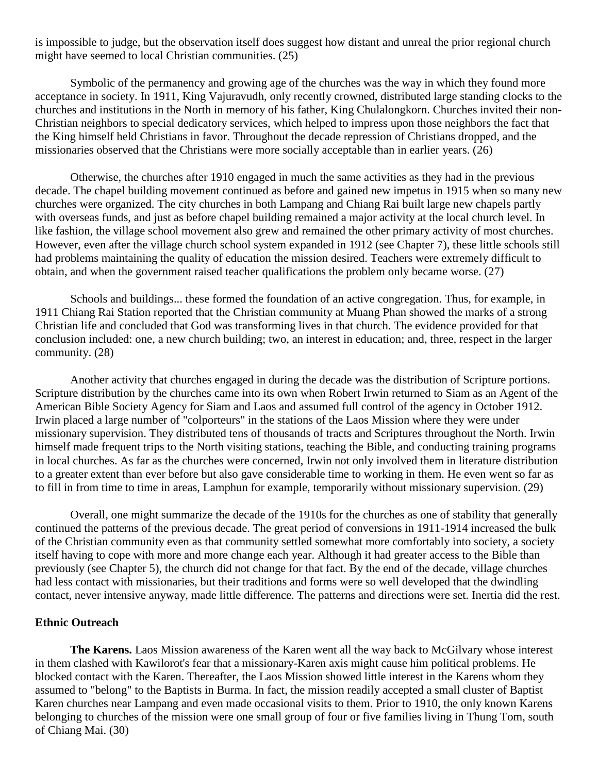is impossible to judge, but the observation itself does suggest how distant and unreal the prior regional church might have seemed to local Christian communities. [\(25\)](http://herbswanson.com/post.php?pid=47#c8e25)

Symbolic of the permanency and growing age of the churches was the way in which they found more acceptance in society. In 1911, King Vajuravudh, only recently crowned, distributed large standing clocks to the churches and institutions in the North in memory of his father, King Chulalongkorn. Churches invited their non-Christian neighbors to special dedicatory services, which helped to impress upon those neighbors the fact that the King himself held Christians in favor. Throughout the decade repression of Christians dropped, and the missionaries observed that the Christians were more socially acceptable than in earlier years. [\(26\)](http://herbswanson.com/post.php?pid=47#c8e26)

Otherwise, the churches after 1910 engaged in much the same activities as they had in the previous decade. The chapel building movement continued as before and gained new impetus in 1915 when so many new churches were organized. The city churches in both Lampang and Chiang Rai built large new chapels partly with overseas funds, and just as before chapel building remained a major activity at the local church level. In like fashion, the village school movement also grew and remained the other primary activity of most churches. However, even after the village church school system expanded in 1912 (see Chapter 7), these little schools still had problems maintaining the quality of education the mission desired. Teachers were extremely difficult to obtain, and when the government raised teacher qualifications the problem only became worse. [\(27\)](http://herbswanson.com/post.php?pid=47#c8e27)

Schools and buildings... these formed the foundation of an active congregation. Thus, for example, in 1911 Chiang Rai Station reported that the Christian community at Muang Phan showed the marks of a strong Christian life and concluded that God was transforming lives in that church. The evidence provided for that conclusion included: one, a new church building; two, an interest in education; and, three, respect in the larger community. [\(28\)](http://herbswanson.com/post.php?pid=47#c8e28)

Another activity that churches engaged in during the decade was the distribution of Scripture portions. Scripture distribution by the churches came into its own when Robert Irwin returned to Siam as an Agent of the American Bible Society Agency for Siam and Laos and assumed full control of the agency in October 1912. Irwin placed a large number of "colporteurs" in the stations of the Laos Mission where they were under missionary supervision. They distributed tens of thousands of tracts and Scriptures throughout the North. Irwin himself made frequent trips to the North visiting stations, teaching the Bible, and conducting training programs in local churches. As far as the churches were concerned, Irwin not only involved them in literature distribution to a greater extent than ever before but also gave considerable time to working in them. He even went so far as to fill in from time to time in areas, Lamphun for example, temporarily without missionary supervision. [\(29\)](http://herbswanson.com/post.php?pid=47#c8e29)

Overall, one might summarize the decade of the 1910s for the churches as one of stability that generally continued the patterns of the previous decade. The great period of conversions in 1911-1914 increased the bulk of the Christian community even as that community settled somewhat more comfortably into society, a society itself having to cope with more and more change each year. Although it had greater access to the Bible than previously (see Chapter 5), the church did not change for that fact. By the end of the decade, village churches had less contact with missionaries, but their traditions and forms were so well developed that the dwindling contact, never intensive anyway, made little difference. The patterns and directions were set. Inertia did the rest.

## **Ethnic Outreach**

**The Karens.** Laos Mission awareness of the Karen went all the way back to McGilvary whose interest in them clashed with Kawilorot's fear that a missionary-Karen axis might cause him political problems. He blocked contact with the Karen. Thereafter, the Laos Mission showed little interest in the Karens whom they assumed to "belong" to the Baptists in Burma. In fact, the mission readily accepted a small cluster of Baptist Karen churches near Lampang and even made occasional visits to them. Prior to 1910, the only known Karens belonging to churches of the mission were one small group of four or five families living in Thung Tom, south of Chiang Mai. [\(30\)](http://herbswanson.com/post.php?pid=47#c8e30)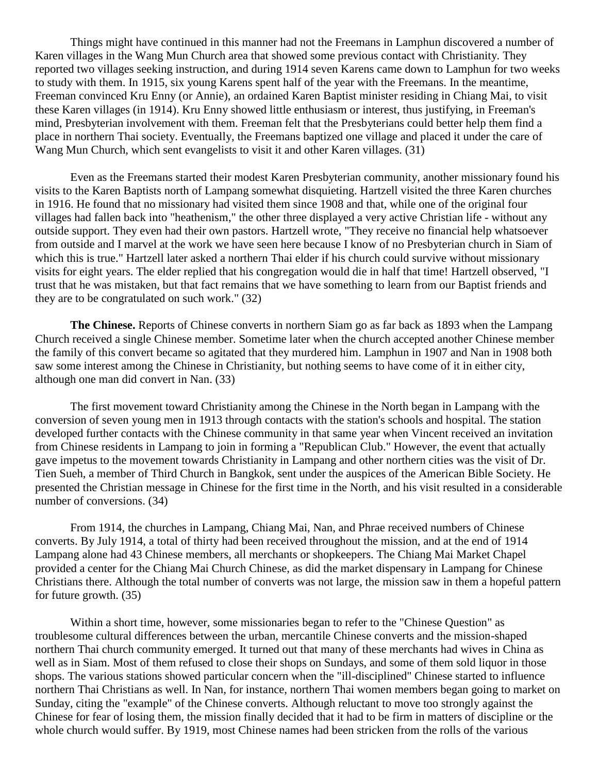Things might have continued in this manner had not the Freemans in Lamphun discovered a number of Karen villages in the Wang Mun Church area that showed some previous contact with Christianity. They reported two villages seeking instruction, and during 1914 seven Karens came down to Lamphun for two weeks to study with them. In 1915, six young Karens spent half of the year with the Freemans. In the meantime, Freeman convinced Kru Enny (or Annie), an ordained Karen Baptist minister residing in Chiang Mai, to visit these Karen villages (in 1914). Kru Enny showed little enthusiasm or interest, thus justifying, in Freeman's mind, Presbyterian involvement with them. Freeman felt that the Presbyterians could better help them find a place in northern Thai society. Eventually, the Freemans baptized one village and placed it under the care of Wang Mun Church, which sent evangelists to visit it and other Karen villages. [\(31\)](http://herbswanson.com/post.php?pid=47#c8e31)

Even as the Freemans started their modest Karen Presbyterian community, another missionary found his visits to the Karen Baptists north of Lampang somewhat disquieting. Hartzell visited the three Karen churches in 1916. He found that no missionary had visited them since 1908 and that, while one of the original four villages had fallen back into "heathenism," the other three displayed a very active Christian life - without any outside support. They even had their own pastors. Hartzell wrote, "They receive no financial help whatsoever from outside and I marvel at the work we have seen here because I know of no Presbyterian church in Siam of which this is true." Hartzell later asked a northern Thai elder if his church could survive without missionary visits for eight years. The elder replied that his congregation would die in half that time! Hartzell observed, "I trust that he was mistaken, but that fact remains that we have something to learn from our Baptist friends and they are to be congratulated on such work." [\(32\)](http://herbswanson.com/post.php?pid=47#c8e32)

**The Chinese.** Reports of Chinese converts in northern Siam go as far back as 1893 when the Lampang Church received a single Chinese member. Sometime later when the church accepted another Chinese member the family of this convert became so agitated that they murdered him. Lamphun in 1907 and Nan in 1908 both saw some interest among the Chinese in Christianity, but nothing seems to have come of it in either city, although one man did convert in Nan. [\(33\)](http://herbswanson.com/post.php?pid=47#c8e33)

The first movement toward Christianity among the Chinese in the North began in Lampang with the conversion of seven young men in 1913 through contacts with the station's schools and hospital. The station developed further contacts with the Chinese community in that same year when Vincent received an invitation from Chinese residents in Lampang to join in forming a "Republican Club." However, the event that actually gave impetus to the movement towards Christianity in Lampang and other northern cities was the visit of Dr. Tien Sueh, a member of Third Church in Bangkok, sent under the auspices of the American Bible Society. He presented the Christian message in Chinese for the first time in the North, and his visit resulted in a considerable number of conversions. [\(34\)](http://herbswanson.com/post.php?pid=47#c8e34)

From 1914, the churches in Lampang, Chiang Mai, Nan, and Phrae received numbers of Chinese converts. By July 1914, a total of thirty had been received throughout the mission, and at the end of 1914 Lampang alone had 43 Chinese members, all merchants or shopkeepers. The Chiang Mai Market Chapel provided a center for the Chiang Mai Church Chinese, as did the market dispensary in Lampang for Chinese Christians there. Although the total number of converts was not large, the mission saw in them a hopeful pattern for future growth. [\(35\)](http://herbswanson.com/post.php?pid=47#c8e35)

Within a short time, however, some missionaries began to refer to the "Chinese Question" as troublesome cultural differences between the urban, mercantile Chinese converts and the mission-shaped northern Thai church community emerged. It turned out that many of these merchants had wives in China as well as in Siam. Most of them refused to close their shops on Sundays, and some of them sold liquor in those shops. The various stations showed particular concern when the "ill-disciplined" Chinese started to influence northern Thai Christians as well. In Nan, for instance, northern Thai women members began going to market on Sunday, citing the "example" of the Chinese converts. Although reluctant to move too strongly against the Chinese for fear of losing them, the mission finally decided that it had to be firm in matters of discipline or the whole church would suffer. By 1919, most Chinese names had been stricken from the rolls of the various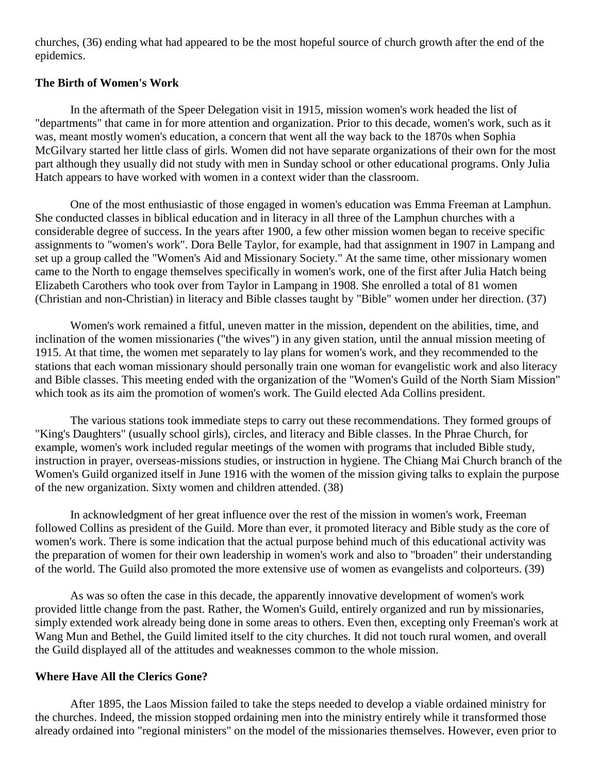churches, [\(36\)](http://herbswanson.com/post.php?pid=47#c8e36) ending what had appeared to be the most hopeful source of church growth after the end of the epidemics.

## **The Birth of Women's Work**

In the aftermath of the Speer Delegation visit in 1915, mission women's work headed the list of "departments" that came in for more attention and organization. Prior to this decade, women's work, such as it was, meant mostly women's education, a concern that went all the way back to the 1870s when Sophia McGilvary started her little class of girls. Women did not have separate organizations of their own for the most part although they usually did not study with men in Sunday school or other educational programs. Only Julia Hatch appears to have worked with women in a context wider than the classroom.

One of the most enthusiastic of those engaged in women's education was Emma Freeman at Lamphun. She conducted classes in biblical education and in literacy in all three of the Lamphun churches with a considerable degree of success. In the years after 1900, a few other mission women began to receive specific assignments to "women's work". Dora Belle Taylor, for example, had that assignment in 1907 in Lampang and set up a group called the "Women's Aid and Missionary Society." At the same time, other missionary women came to the North to engage themselves specifically in women's work, one of the first after Julia Hatch being Elizabeth Carothers who took over from Taylor in Lampang in 1908. She enrolled a total of 81 women (Christian and non-Christian) in literacy and Bible classes taught by "Bible" women under her direction. [\(37\)](http://herbswanson.com/post.php?pid=47#c8e37)

Women's work remained a fitful, uneven matter in the mission, dependent on the abilities, time, and inclination of the women missionaries ("the wives") in any given station, until the annual mission meeting of 1915. At that time, the women met separately to lay plans for women's work, and they recommended to the stations that each woman missionary should personally train one woman for evangelistic work and also literacy and Bible classes. This meeting ended with the organization of the "Women's Guild of the North Siam Mission" which took as its aim the promotion of women's work. The Guild elected Ada Collins president.

The various stations took immediate steps to carry out these recommendations. They formed groups of "King's Daughters" (usually school girls), circles, and literacy and Bible classes. In the Phrae Church, for example, women's work included regular meetings of the women with programs that included Bible study, instruction in prayer, overseas-missions studies, or instruction in hygiene. The Chiang Mai Church branch of the Women's Guild organized itself in June 1916 with the women of the mission giving talks to explain the purpose of the new organization. Sixty women and children attended. [\(38\)](http://herbswanson.com/post.php?pid=47#c8e38)

In acknowledgment of her great influence over the rest of the mission in women's work, Freeman followed Collins as president of the Guild. More than ever, it promoted literacy and Bible study as the core of women's work. There is some indication that the actual purpose behind much of this educational activity was the preparation of women for their own leadership in women's work and also to "broaden" their understanding of the world. The Guild also promoted the more extensive use of women as evangelists and colporteurs. [\(39\)](http://herbswanson.com/post.php?pid=47#c8e39)

As was so often the case in this decade, the apparently innovative development of women's work provided little change from the past. Rather, the Women's Guild, entirely organized and run by missionaries, simply extended work already being done in some areas to others. Even then, excepting only Freeman's work at Wang Mun and Bethel, the Guild limited itself to the city churches. It did not touch rural women, and overall the Guild displayed all of the attitudes and weaknesses common to the whole mission.

## **Where Have All the Clerics Gone?**

After 1895, the Laos Mission failed to take the steps needed to develop a viable ordained ministry for the churches. Indeed, the mission stopped ordaining men into the ministry entirely while it transformed those already ordained into "regional ministers" on the model of the missionaries themselves. However, even prior to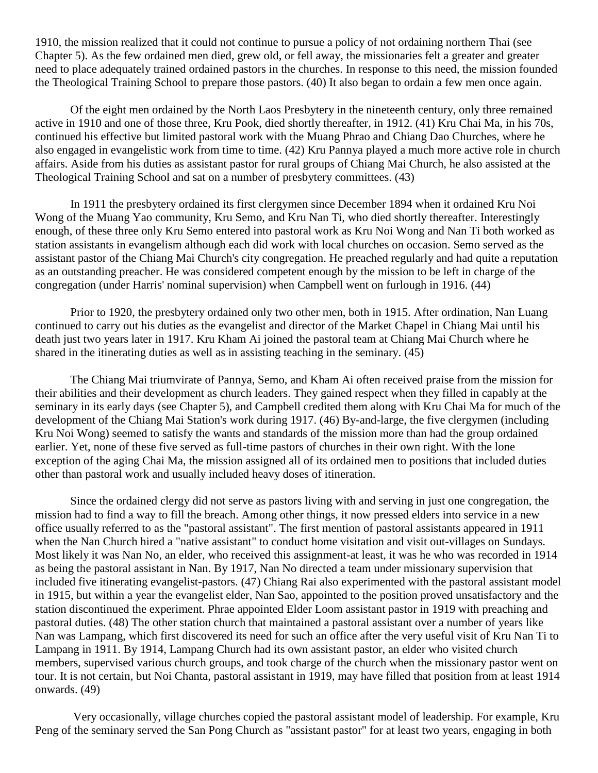1910, the mission realized that it could not continue to pursue a policy of not ordaining northern Thai (see Chapter 5). As the few ordained men died, grew old, or fell away, the missionaries felt a greater and greater need to place adequately trained ordained pastors in the churches. In response to this need, the mission founded the Theological Training School to prepare those pastors. [\(40\)](http://herbswanson.com/post.php?pid=47#c8e40) It also began to ordain a few men once again.

Of the eight men ordained by the North Laos Presbytery in the nineteenth century, only three remained active in 1910 and one of those three, Kru Pook, died shortly thereafter, in 1912. [\(41\)](http://herbswanson.com/post.php?pid=47#c8e41) Kru Chai Ma, in his 70s, continued his effective but limited pastoral work with the Muang Phrao and Chiang Dao Churches, where he also engaged in evangelistic work from time to time. [\(42\)](http://herbswanson.com/post.php?pid=47#c8e42) Kru Pannya played a much more active role in church affairs. Aside from his duties as assistant pastor for rural groups of Chiang Mai Church, he also assisted at the Theological Training School and sat on a number of presbytery committees. [\(43\)](http://herbswanson.com/post.php?pid=47#c8e43)

In 1911 the presbytery ordained its first clergymen since December 1894 when it ordained Kru Noi Wong of the Muang Yao community, Kru Semo, and Kru Nan Ti, who died shortly thereafter. Interestingly enough, of these three only Kru Semo entered into pastoral work as Kru Noi Wong and Nan Ti both worked as station assistants in evangelism although each did work with local churches on occasion. Semo served as the assistant pastor of the Chiang Mai Church's city congregation. He preached regularly and had quite a reputation as an outstanding preacher. He was considered competent enough by the mission to be left in charge of the congregation (under Harris' nominal supervision) when Campbell went on furlough in 1916. [\(44\)](http://herbswanson.com/post.php?pid=47#c8e44)

Prior to 1920, the presbytery ordained only two other men, both in 1915. After ordination, Nan Luang continued to carry out his duties as the evangelist and director of the Market Chapel in Chiang Mai until his death just two years later in 1917. Kru Kham Ai joined the pastoral team at Chiang Mai Church where he shared in the itinerating duties as well as in assisting teaching in the seminary. [\(45\)](http://herbswanson.com/post.php?pid=47#c8e45)

The Chiang Mai triumvirate of Pannya, Semo, and Kham Ai often received praise from the mission for their abilities and their development as church leaders. They gained respect when they filled in capably at the seminary in its early days (see Chapter 5), and Campbell credited them along with Kru Chai Ma for much of the development of the Chiang Mai Station's work during 1917. [\(46\)](http://herbswanson.com/post.php?pid=47#c8e46) By-and-large, the five clergymen (including Kru Noi Wong) seemed to satisfy the wants and standards of the mission more than had the group ordained earlier. Yet, none of these five served as full-time pastors of churches in their own right. With the lone exception of the aging Chai Ma, the mission assigned all of its ordained men to positions that included duties other than pastoral work and usually included heavy doses of itineration.

Since the ordained clergy did not serve as pastors living with and serving in just one congregation, the mission had to find a way to fill the breach. Among other things, it now pressed elders into service in a new office usually referred to as the "pastoral assistant". The first mention of pastoral assistants appeared in 1911 when the Nan Church hired a "native assistant" to conduct home visitation and visit out-villages on Sundays. Most likely it was Nan No, an elder, who received this assignment-at least, it was he who was recorded in 1914 as being the pastoral assistant in Nan. By 1917, Nan No directed a team under missionary supervision that included five itinerating evangelist-pastors. [\(47\)](http://herbswanson.com/post.php?pid=47#c8e47) Chiang Rai also experimented with the pastoral assistant model in 1915, but within a year the evangelist elder, Nan Sao, appointed to the position proved unsatisfactory and the station discontinued the experiment. Phrae appointed Elder Loom assistant pastor in 1919 with preaching and pastoral duties. [\(48\)](http://herbswanson.com/post.php?pid=47#c8e48) The other station church that maintained a pastoral assistant over a number of years like Nan was Lampang, which first discovered its need for such an office after the very useful visit of Kru Nan Ti to Lampang in 1911. By 1914, Lampang Church had its own assistant pastor, an elder who visited church members, supervised various church groups, and took charge of the church when the missionary pastor went on tour. It is not certain, but Noi Chanta, pastoral assistant in 1919, may have filled that position from at least 1914 onwards. [\(49\)](http://herbswanson.com/post.php?pid=47#c8e49)

Very occasionally, village churches copied the pastoral assistant model of leadership. For example, Kru Peng of the seminary served the San Pong Church as "assistant pastor" for at least two years, engaging in both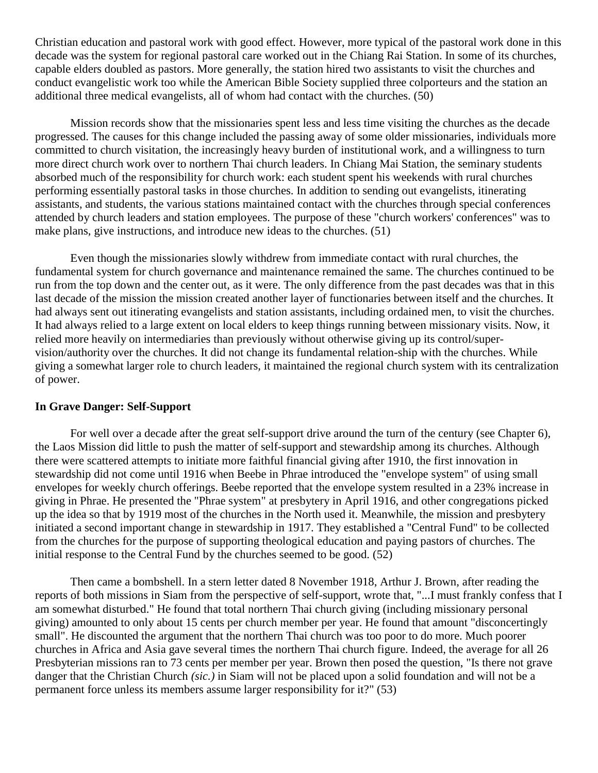Christian education and pastoral work with good effect. However, more typical of the pastoral work done in this decade was the system for regional pastoral care worked out in the Chiang Rai Station. In some of its churches, capable elders doubled as pastors. More generally, the station hired two assistants to visit the churches and conduct evangelistic work too while the American Bible Society supplied three colporteurs and the station an additional three medical evangelists, all of whom had contact with the churches. [\(50\)](http://herbswanson.com/post.php?pid=47#c8e50)

Mission records show that the missionaries spent less and less time visiting the churches as the decade progressed. The causes for this change included the passing away of some older missionaries, individuals more committed to church visitation, the increasingly heavy burden of institutional work, and a willingness to turn more direct church work over to northern Thai church leaders. In Chiang Mai Station, the seminary students absorbed much of the responsibility for church work: each student spent his weekends with rural churches performing essentially pastoral tasks in those churches. In addition to sending out evangelists, itinerating assistants, and students, the various stations maintained contact with the churches through special conferences attended by church leaders and station employees. The purpose of these "church workers' conferences" was to make plans, give instructions, and introduce new ideas to the churches. [\(51\)](http://herbswanson.com/post.php?pid=47#c8e51)

Even though the missionaries slowly withdrew from immediate contact with rural churches, the fundamental system for church governance and maintenance remained the same. The churches continued to be run from the top down and the center out, as it were. The only difference from the past decades was that in this last decade of the mission the mission created another layer of functionaries between itself and the churches. It had always sent out itinerating evangelists and station assistants, including ordained men, to visit the churches. It had always relied to a large extent on local elders to keep things running between missionary visits. Now, it relied more heavily on intermediaries than previously without otherwise giving up its control/supervision/authority over the churches. It did not change its fundamental relation-ship with the churches. While giving a somewhat larger role to church leaders, it maintained the regional church system with its centralization of power.

# **In Grave Danger: Self-Support**

For well over a decade after the great self-support drive around the turn of the century (see Chapter 6), the Laos Mission did little to push the matter of self-support and stewardship among its churches. Although there were scattered attempts to initiate more faithful financial giving after 1910, the first innovation in stewardship did not come until 1916 when Beebe in Phrae introduced the "envelope system" of using small envelopes for weekly church offerings. Beebe reported that the envelope system resulted in a 23% increase in giving in Phrae. He presented the "Phrae system" at presbytery in April 1916, and other congregations picked up the idea so that by 1919 most of the churches in the North used it. Meanwhile, the mission and presbytery initiated a second important change in stewardship in 1917. They established a "Central Fund" to be collected from the churches for the purpose of supporting theological education and paying pastors of churches. The initial response to the Central Fund by the churches seemed to be good. [\(52\)](http://herbswanson.com/post.php?pid=47#c8e52)

Then came a bombshell. In a stern letter dated 8 November 1918, Arthur J. Brown, after reading the reports of both missions in Siam from the perspective of self-support, wrote that, "...I must frankly confess that I am somewhat disturbed." He found that total northern Thai church giving (including missionary personal giving) amounted to only about 15 cents per church member per year. He found that amount "disconcertingly small". He discounted the argument that the northern Thai church was too poor to do more. Much poorer churches in Africa and Asia gave several times the northern Thai church figure. Indeed, the average for all 26 Presbyterian missions ran to 73 cents per member per year. Brown then posed the question, "Is there not grave danger that the Christian Church *(sic.)* in Siam will not be placed upon a solid foundation and will not be a permanent force unless its members assume larger responsibility for it?" [\(53\)](http://herbswanson.com/post.php?pid=47#c8e53)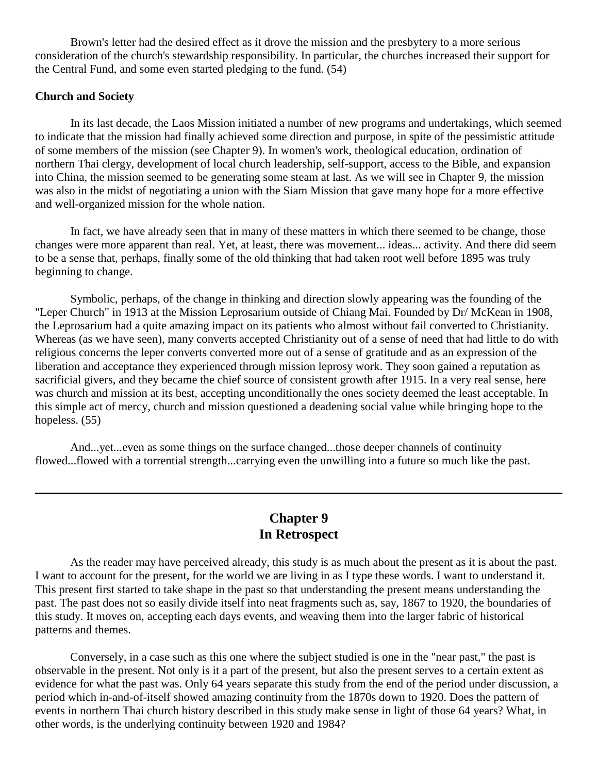Brown's letter had the desired effect as it drove the mission and the presbytery to a more serious consideration of the church's stewardship responsibility. In particular, the churches increased their support for the Central Fund, and some even started pledging to the fund. [\(54\)](http://herbswanson.com/post.php?pid=47#c8e54)

## **Church and Society**

In its last decade, the Laos Mission initiated a number of new programs and undertakings, which seemed to indicate that the mission had finally achieved some direction and purpose, in spite of the pessimistic attitude of some members of the mission (see Chapter 9). In women's work, theological education, ordination of northern Thai clergy, development of local church leadership, self-support, access to the Bible, and expansion into China, the mission seemed to be generating some steam at last. As we will see in Chapter 9, the mission was also in the midst of negotiating a union with the Siam Mission that gave many hope for a more effective and well-organized mission for the whole nation.

In fact, we have already seen that in many of these matters in which there seemed to be change, those changes were more apparent than real. Yet, at least, there was movement... ideas... activity. And there did seem to be a sense that, perhaps, finally some of the old thinking that had taken root well before 1895 was truly beginning to change.

Symbolic, perhaps, of the change in thinking and direction slowly appearing was the founding of the "Leper Church" in 1913 at the Mission Leprosarium outside of Chiang Mai. Founded by Dr/ McKean in 1908, the Leprosarium had a quite amazing impact on its patients who almost without fail converted to Christianity. Whereas (as we have seen), many converts accepted Christianity out of a sense of need that had little to do with religious concerns the leper converts converted more out of a sense of gratitude and as an expression of the liberation and acceptance they experienced through mission leprosy work. They soon gained a reputation as sacrificial givers, and they became the chief source of consistent growth after 1915. In a very real sense, here was church and mission at its best, accepting unconditionally the ones society deemed the least acceptable. In this simple act of mercy, church and mission questioned a deadening social value while bringing hope to the hopeless. [\(55\)](http://herbswanson.com/post.php?pid=47#c8e55)

And...yet...even as some things on the surface changed...those deeper channels of continuity flowed...flowed with a torrential strength...carrying even the unwilling into a future so much like the past.

# **Chapter 9 In Retrospect**

As the reader may have perceived already, this study is as much about the present as it is about the past. I want to account for the present, for the world we are living in as I type these words. I want to understand it. This present first started to take shape in the past so that understanding the present means understanding the past. The past does not so easily divide itself into neat fragments such as, say, 1867 to 1920, the boundaries of this study. It moves on, accepting each days events, and weaving them into the larger fabric of historical patterns and themes.

Conversely, in a case such as this one where the subject studied is one in the "near past," the past is observable in the present. Not only is it a part of the present, but also the present serves to a certain extent as evidence for what the past was. Only 64 years separate this study from the end of the period under discussion, a period which in-and-of-itself showed amazing continuity from the 1870s down to 1920. Does the pattern of events in northern Thai church history described in this study make sense in light of those 64 years? What, in other words, is the underlying continuity between 1920 and 1984?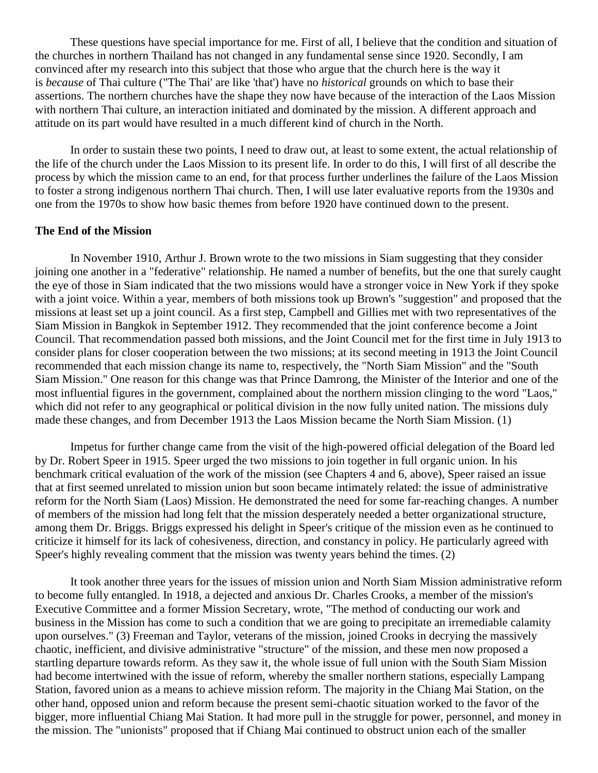These questions have special importance for me. First of all, I believe that the condition and situation of the churches in northern Thailand has not changed in any fundamental sense since 1920. Secondly, I am convinced after my research into this subject that those who argue that the church here is the way it is *because* of Thai culture ("The Thai' are like 'that') have no *historical* grounds on which to base their assertions. The northern churches have the shape they now have because of the interaction of the Laos Mission with northern Thai culture, an interaction initiated and dominated by the mission. A different approach and attitude on its part would have resulted in a much different kind of church in the North.

In order to sustain these two points, I need to draw out, at least to some extent, the actual relationship of the life of the church under the Laos Mission to its present life. In order to do this, I will first of all describe the process by which the mission came to an end, for that process further underlines the failure of the Laos Mission to foster a strong indigenous northern Thai church. Then, I will use later evaluative reports from the 1930s and one from the 1970s to show how basic themes from before 1920 have continued down to the present.

#### **The End of the Mission**

In November 1910, Arthur J. Brown wrote to the two missions in Siam suggesting that they consider joining one another in a "federative" relationship. He named a number of benefits, but the one that surely caught the eye of those in Siam indicated that the two missions would have a stronger voice in New York if they spoke with a joint voice. Within a year, members of both missions took up Brown's "suggestion" and proposed that the missions at least set up a joint council. As a first step, Campbell and Gillies met with two representatives of the Siam Mission in Bangkok in September 1912. They recommended that the joint conference become a Joint Council. That recommendation passed both missions, and the Joint Council met for the first time in July 1913 to consider plans for closer cooperation between the two missions; at its second meeting in 1913 the Joint Council recommended that each mission change its name to, respectively, the "North Siam Mission" and the "South Siam Mission." One reason for this change was that Prince Damrong, the Minister of the Interior and one of the most influential figures in the government, complained about the northern mission clinging to the word "Laos," which did not refer to any geographical or political division in the now fully united nation. The missions duly made these changes, and from December 1913 the Laos Mission became the North Siam Mission. [\(1\)](http://herbswanson.com/post.php?pid=47#c9e1)

Impetus for further change came from the visit of the high-powered official delegation of the Board led by Dr. Robert Speer in 1915. Speer urged the two missions to join together in full organic union. In his benchmark critical evaluation of the work of the mission (see Chapters 4 and 6, above), Speer raised an issue that at first seemed unrelated to mission union but soon became intimately related: the issue of administrative reform for the North Siam (Laos) Mission. He demonstrated the need for some far-reaching changes. A number of members of the mission had long felt that the mission desperately needed a better organizational structure, among them Dr. Briggs. Briggs expressed his delight in Speer's critique of the mission even as he continued to criticize it himself for its lack of cohesiveness, direction, and constancy in policy. He particularly agreed with Speer's highly revealing comment that the mission was twenty years behind the times. [\(2\)](http://herbswanson.com/post.php?pid=47#c9e2)

It took another three years for the issues of mission union and North Siam Mission administrative reform to become fully entangled. In 1918, a dejected and anxious Dr. Charles Crooks, a member of the mission's Executive Committee and a former Mission Secretary, wrote, "The method of conducting our work and business in the Mission has come to such a condition that we are going to precipitate an irremediable calamity upon ourselves." [\(3\)](http://herbswanson.com/post.php?pid=47#c9e3) Freeman and Taylor, veterans of the mission, joined Crooks in decrying the massively chaotic, inefficient, and divisive administrative "structure" of the mission, and these men now proposed a startling departure towards reform. As they saw it, the whole issue of full union with the South Siam Mission had become intertwined with the issue of reform, whereby the smaller northern stations, especially Lampang Station, favored union as a means to achieve mission reform. The majority in the Chiang Mai Station, on the other hand, opposed union and reform because the present semi-chaotic situation worked to the favor of the bigger, more influential Chiang Mai Station. It had more pull in the struggle for power, personnel, and money in the mission. The "unionists" proposed that if Chiang Mai continued to obstruct union each of the smaller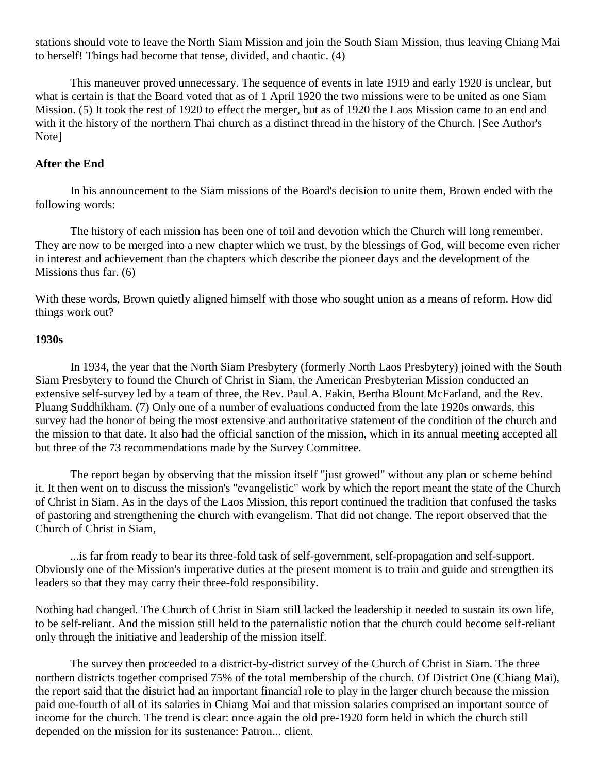stations should vote to leave the North Siam Mission and join the South Siam Mission, thus leaving Chiang Mai to herself! Things had become that tense, divided, and chaotic. [\(4\)](http://herbswanson.com/post.php?pid=47#c9e4)

This maneuver proved unnecessary. The sequence of events in late 1919 and early 1920 is unclear, but what is certain is that the Board voted that as of 1 April 1920 the two missions were to be united as one Siam Mission. [\(5\)](http://herbswanson.com/post.php?pid=47#c9e5) It took the rest of 1920 to effect the merger, but as of 1920 the Laos Mission came to an end and with it the history of the northern Thai church as a distinct thread in the history of the Church. [See Author's [Note\]](http://herbswanson.com/post.php?pid=48)

## **After the End**

In his announcement to the Siam missions of the Board's decision to unite them, Brown ended with the following words:

The history of each mission has been one of toil and devotion which the Church will long remember. They are now to be merged into a new chapter which we trust, by the blessings of God, will become even richer in interest and achievement than the chapters which describe the pioneer days and the development of the Missions thus far. [\(6\)](http://herbswanson.com/post.php?pid=47#c9e6)

With these words, Brown quietly aligned himself with those who sought union as a means of reform. How did things work out?

#### **1930s**

In 1934, the year that the North Siam Presbytery (formerly North Laos Presbytery) joined with the South Siam Presbytery to found the Church of Christ in Siam, the American Presbyterian Mission conducted an extensive self-survey led by a team of three, the Rev. Paul A. Eakin, Bertha Blount McFarland, and the Rev. Pluang Suddhikham. [\(7\)](http://herbswanson.com/post.php?pid=47#c9e7) Only one of a number of evaluations conducted from the late 1920s onwards, this survey had the honor of being the most extensive and authoritative statement of the condition of the church and the mission to that date. It also had the official sanction of the mission, which in its annual meeting accepted all but three of the 73 recommendations made by the Survey Committee.

The report began by observing that the mission itself "just growed" without any plan or scheme behind it. It then went on to discuss the mission's "evangelistic" work by which the report meant the state of the Church of Christ in Siam. As in the days of the Laos Mission, this report continued the tradition that confused the tasks of pastoring and strengthening the church with evangelism. That did not change. The report observed that the Church of Christ in Siam,

...is far from ready to bear its three-fold task of self-government, self-propagation and self-support. Obviously one of the Mission's imperative duties at the present moment is to train and guide and strengthen its leaders so that they may carry their three-fold responsibility.

Nothing had changed. The Church of Christ in Siam still lacked the leadership it needed to sustain its own life, to be self-reliant. And the mission still held to the paternalistic notion that the church could become self-reliant only through the initiative and leadership of the mission itself.

The survey then proceeded to a district-by-district survey of the Church of Christ in Siam. The three northern districts together comprised 75% of the total membership of the church. Of District One (Chiang Mai), the report said that the district had an important financial role to play in the larger church because the mission paid one-fourth of all of its salaries in Chiang Mai and that mission salaries comprised an important source of income for the church. The trend is clear: once again the old pre-1920 form held in which the church still depended on the mission for its sustenance: Patron... client.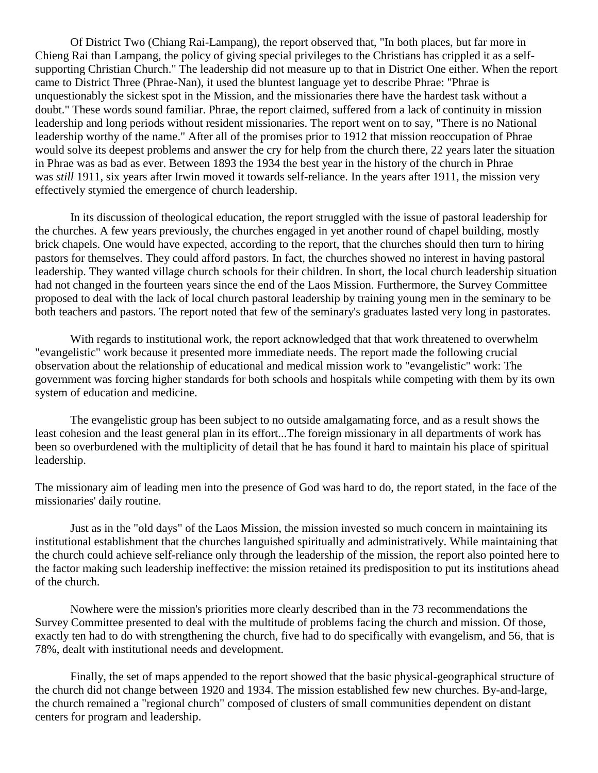Of District Two (Chiang Rai-Lampang), the report observed that, "In both places, but far more in Chieng Rai than Lampang, the policy of giving special privileges to the Christians has crippled it as a selfsupporting Christian Church." The leadership did not measure up to that in District One either. When the report came to District Three (Phrae-Nan), it used the bluntest language yet to describe Phrae: "Phrae is unquestionably the sickest spot in the Mission, and the missionaries there have the hardest task without a doubt." These words sound familiar. Phrae, the report claimed, suffered from a lack of continuity in mission leadership and long periods without resident missionaries. The report went on to say, "There is no National leadership worthy of the name." After all of the promises prior to 1912 that mission reoccupation of Phrae would solve its deepest problems and answer the cry for help from the church there, 22 years later the situation in Phrae was as bad as ever. Between 1893 the 1934 the best year in the history of the church in Phrae was *still* 1911, six years after Irwin moved it towards self-reliance. In the years after 1911, the mission very effectively stymied the emergence of church leadership.

In its discussion of theological education, the report struggled with the issue of pastoral leadership for the churches. A few years previously, the churches engaged in yet another round of chapel building, mostly brick chapels. One would have expected, according to the report, that the churches should then turn to hiring pastors for themselves. They could afford pastors. In fact, the churches showed no interest in having pastoral leadership. They wanted village church schools for their children. In short, the local church leadership situation had not changed in the fourteen years since the end of the Laos Mission. Furthermore, the Survey Committee proposed to deal with the lack of local church pastoral leadership by training young men in the seminary to be both teachers and pastors. The report noted that few of the seminary's graduates lasted very long in pastorates.

With regards to institutional work, the report acknowledged that that work threatened to overwhelm "evangelistic" work because it presented more immediate needs. The report made the following crucial observation about the relationship of educational and medical mission work to "evangelistic" work: The government was forcing higher standards for both schools and hospitals while competing with them by its own system of education and medicine.

The evangelistic group has been subject to no outside amalgamating force, and as a result shows the least cohesion and the least general plan in its effort...The foreign missionary in all departments of work has been so overburdened with the multiplicity of detail that he has found it hard to maintain his place of spiritual leadership.

The missionary aim of leading men into the presence of God was hard to do, the report stated, in the face of the missionaries' daily routine.

Just as in the "old days" of the Laos Mission, the mission invested so much concern in maintaining its institutional establishment that the churches languished spiritually and administratively. While maintaining that the church could achieve self-reliance only through the leadership of the mission, the report also pointed here to the factor making such leadership ineffective: the mission retained its predisposition to put its institutions ahead of the church.

Nowhere were the mission's priorities more clearly described than in the 73 recommendations the Survey Committee presented to deal with the multitude of problems facing the church and mission. Of those, exactly ten had to do with strengthening the church, five had to do specifically with evangelism, and 56, that is 78%, dealt with institutional needs and development.

Finally, the set of maps appended to the report showed that the basic physical-geographical structure of the church did not change between 1920 and 1934. The mission established few new churches. By-and-large, the church remained a "regional church" composed of clusters of small communities dependent on distant centers for program and leadership.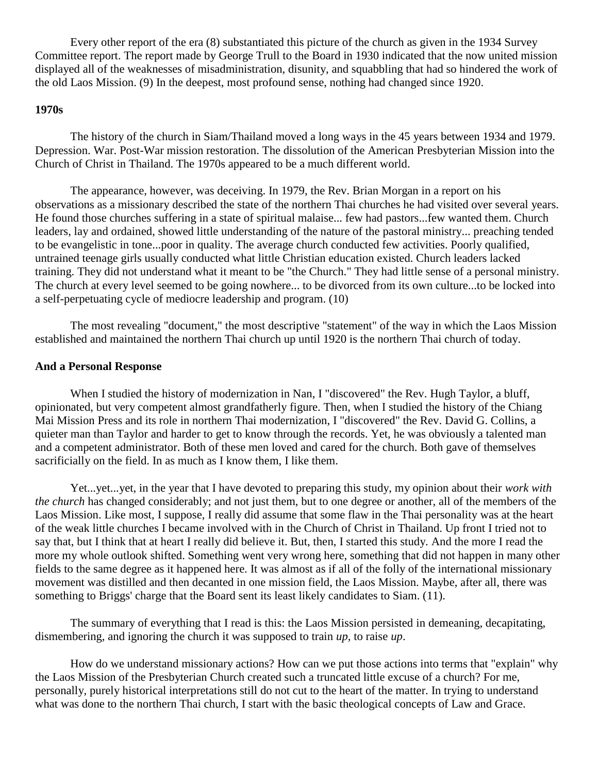Every other report of the era [\(8\)](http://herbswanson.com/post.php?pid=47#c9e8) substantiated this picture of the church as given in the 1934 Survey Committee report. The report made by George Trull to the Board in 1930 indicated that the now united mission displayed all of the weaknesses of misadministration, disunity, and squabbling that had so hindered the work of the old Laos Mission. [\(9\)](http://herbswanson.com/post.php?pid=47#c9e9) In the deepest, most profound sense, nothing had changed since 1920.

#### **1970s**

The history of the church in Siam/Thailand moved a long ways in the 45 years between 1934 and 1979. Depression. War. Post-War mission restoration. The dissolution of the American Presbyterian Mission into the Church of Christ in Thailand. The 1970s appeared to be a much different world.

The appearance, however, was deceiving. In 1979, the Rev. Brian Morgan in a report on his observations as a missionary described the state of the northern Thai churches he had visited over several years. He found those churches suffering in a state of spiritual malaise... few had pastors...few wanted them. Church leaders, lay and ordained, showed little understanding of the nature of the pastoral ministry... preaching tended to be evangelistic in tone...poor in quality. The average church conducted few activities. Poorly qualified, untrained teenage girls usually conducted what little Christian education existed. Church leaders lacked training. They did not understand what it meant to be "the Church." They had little sense of a personal ministry. The church at every level seemed to be going nowhere... to be divorced from its own culture...to be locked into a self-perpetuating cycle of mediocre leadership and program. [\(10\)](http://herbswanson.com/post.php?pid=47#c9e10)

The most revealing "document," the most descriptive "statement" of the way in which the Laos Mission established and maintained the northern Thai church up until 1920 is the northern Thai church of today.

#### **And a Personal Response**

When I studied the history of modernization in Nan, I "discovered" the Rev. Hugh Taylor, a bluff, opinionated, but very competent almost grandfatherly figure. Then, when I studied the history of the Chiang Mai Mission Press and its role in northern Thai modernization, I "discovered" the Rev. David G. Collins, a quieter man than Taylor and harder to get to know through the records. Yet, he was obviously a talented man and a competent administrator. Both of these men loved and cared for the church. Both gave of themselves sacrificially on the field. In as much as I know them, I like them.

Yet...yet...yet, in the year that I have devoted to preparing this study, my opinion about their *work with the church* has changed considerably; and not just them, but to one degree or another, all of the members of the Laos Mission. Like most, I suppose, I really did assume that some flaw in the Thai personality was at the heart of the weak little churches I became involved with in the Church of Christ in Thailand. Up front I tried not to say that, but I think that at heart I really did believe it. But, then, I started this study. And the more I read the more my whole outlook shifted. Something went very wrong here, something that did not happen in many other fields to the same degree as it happened here. It was almost as if all of the folly of the international missionary movement was distilled and then decanted in one mission field, the Laos Mission. Maybe, after all, there was something to Briggs' charge that the Board sent its least likely candidates to Siam. [\(11\)](http://herbswanson.com/post.php?pid=47#c9e11).

The summary of everything that I read is this: the Laos Mission persisted in demeaning, decapitating, dismembering, and ignoring the church it was supposed to train *up,* to raise *up*.

How do we understand missionary actions? How can we put those actions into terms that "explain" why the Laos Mission of the Presbyterian Church created such a truncated little excuse of a church? For me, personally, purely historical interpretations still do not cut to the heart of the matter. In trying to understand what was done to the northern Thai church, I start with the basic theological concepts of Law and Grace.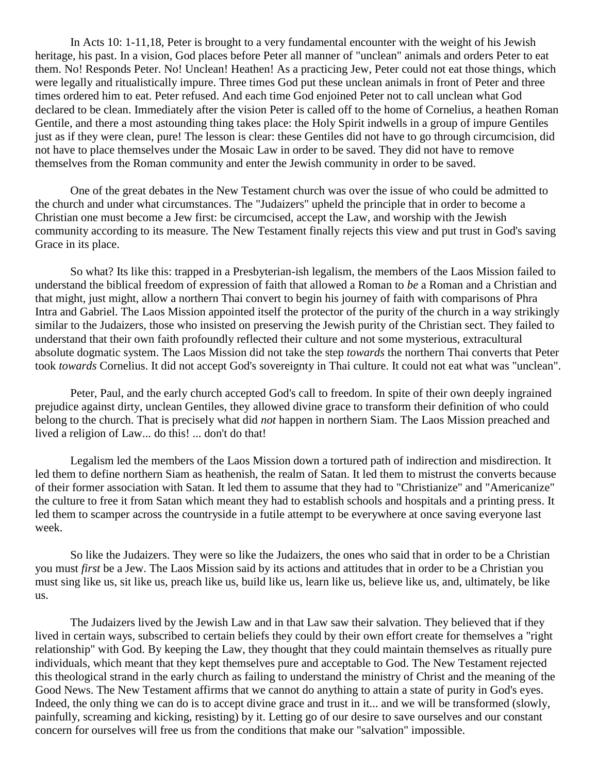In Acts 10: 1-11,18, Peter is brought to a very fundamental encounter with the weight of his Jewish heritage, his past. In a vision, God places before Peter all manner of "unclean" animals and orders Peter to eat them. No! Responds Peter. No! Unclean! Heathen! As a practicing Jew, Peter could not eat those things, which were legally and ritualistically impure. Three times God put these unclean animals in front of Peter and three times ordered him to eat. Peter refused. And each time God enjoined Peter not to call unclean what God declared to be clean. Immediately after the vision Peter is called off to the home of Cornelius, a heathen Roman Gentile, and there a most astounding thing takes place: the Holy Spirit indwells in a group of impure Gentiles just as if they were clean, pure! The lesson is clear: these Gentiles did not have to go through circumcision, did not have to place themselves under the Mosaic Law in order to be saved. They did not have to remove themselves from the Roman community and enter the Jewish community in order to be saved.

One of the great debates in the New Testament church was over the issue of who could be admitted to the church and under what circumstances. The "Judaizers" upheld the principle that in order to become a Christian one must become a Jew first: be circumcised, accept the Law, and worship with the Jewish community according to its measure. The New Testament finally rejects this view and put trust in God's saving Grace in its place.

So what? Its like this: trapped in a Presbyterian-ish legalism, the members of the Laos Mission failed to understand the biblical freedom of expression of faith that allowed a Roman to *be* a Roman and a Christian and that might, just might, allow a northern Thai convert to begin his journey of faith with comparisons of Phra Intra and Gabriel. The Laos Mission appointed itself the protector of the purity of the church in a way strikingly similar to the Judaizers, those who insisted on preserving the Jewish purity of the Christian sect. They failed to understand that their own faith profoundly reflected their culture and not some mysterious, extracultural absolute dogmatic system. The Laos Mission did not take the step *towards* the northern Thai converts that Peter took *towards* Cornelius. It did not accept God's sovereignty in Thai culture. It could not eat what was "unclean".

Peter, Paul, and the early church accepted God's call to freedom. In spite of their own deeply ingrained prejudice against dirty, unclean Gentiles, they allowed divine grace to transform their definition of who could belong to the church. That is precisely what did *not* happen in northern Siam. The Laos Mission preached and lived a religion of Law... do this! ... don't do that!

Legalism led the members of the Laos Mission down a tortured path of indirection and misdirection. It led them to define northern Siam as heathenish, the realm of Satan. It led them to mistrust the converts because of their former association with Satan. It led them to assume that they had to "Christianize" and "Americanize" the culture to free it from Satan which meant they had to establish schools and hospitals and a printing press. It led them to scamper across the countryside in a futile attempt to be everywhere at once saving everyone last week.

So like the Judaizers. They were so like the Judaizers, the ones who said that in order to be a Christian you must *first* be a Jew. The Laos Mission said by its actions and attitudes that in order to be a Christian you must sing like us, sit like us, preach like us, build like us, learn like us, believe like us, and, ultimately, be like us.

The Judaizers lived by the Jewish Law and in that Law saw their salvation. They believed that if they lived in certain ways, subscribed to certain beliefs they could by their own effort create for themselves a "right relationship" with God. By keeping the Law, they thought that they could maintain themselves as ritually pure individuals, which meant that they kept themselves pure and acceptable to God. The New Testament rejected this theological strand in the early church as failing to understand the ministry of Christ and the meaning of the Good News. The New Testament affirms that we cannot do anything to attain a state of purity in God's eyes. Indeed, the only thing we can do is to accept divine grace and trust in it... and we will be transformed (slowly, painfully, screaming and kicking, resisting) by it. Letting go of our desire to save ourselves and our constant concern for ourselves will free us from the conditions that make our "salvation" impossible.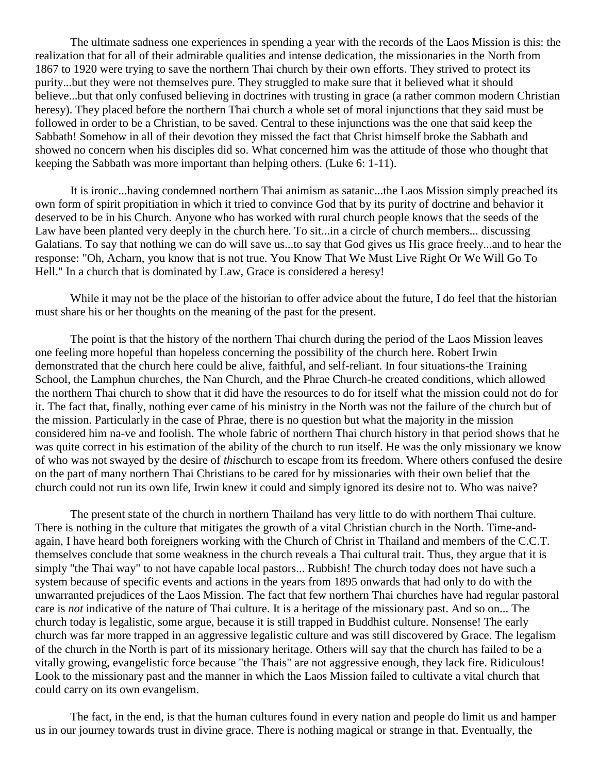The ultimate sadness one experiences in spending a year with the records of the Laos Mission is this: the realization that for all of their admirable qualities and intense dedication, the missionaries in the North from 1867 to 1920 were trying to save the northern Thai church by their own efforts. They strived to protect its purity...but they were not themselves pure. They struggled to make sure that it believed what it should believe...but that only confused believing in doctrines with trusting in grace (a rather common modern Christian heresy). They placed before the northern Thai church a whole set of moral injunctions that they said must be followed in order to be a Christian, to be saved. Central to these injunctions was the one that said keep the Sabbath! Somehow in all of their devotion they missed the fact that Christ himself broke the Sabbath and showed no concern when his disciples did so. What concerned him was the attitude of those who thought that keeping the Sabbath was more important than helping others. (Luke 6: 1-11).

It is ironic...having condemned northern Thai animism as satanic...the Laos Mission simply preached its own form of spirit propitiation in which it tried to convince God that by its purity of doctrine and behavior it deserved to be in his Church. Anyone who has worked with rural church people knows that the seeds of the Law have been planted very deeply in the church here. To sit...in a circle of church members... discussing Galatians. To say that nothing we can do will save us...to say that God gives us His grace freely...and to hear the response: "Oh, Acharn, you know that is not true. You Know That We Must Live Right Or We Will Go To Hell." In a church that is dominated by Law, Grace is considered a heresy!

While it may not be the place of the historian to offer advice about the future, I do feel that the historian must share his or her thoughts on the meaning of the past for the present.

The point is that the history of the northern Thai church during the period of the Laos Mission leaves one feeling more hopeful than hopeless concerning the possibility of the church here. Robert Irwin demonstrated that the church here could be alive, faithful, and self-reliant. In four situations-the Training School, the Lamphun churches, the Nan Church, and the Phrae Church-he created conditions, which allowed the northern Thai church to show that it did have the resources to do for itself what the mission could not do for it. The fact that, finally, nothing ever came of his ministry in the North was not the failure of the church but of the mission. Particularly in the case of Phrae, there is no question but what the majority in the mission considered him na-ve and foolish. The whole fabric of northern Thai church history in that period shows that he was quite correct in his estimation of the ability of the church to run itself. He was the only missionary we know of who was not swayed by the desire of *this*church to escape from its freedom. Where others confused the desire on the part of many northern Thai Christians to be cared for by missionaries with their own belief that the church could not run its own life, Irwin knew it could and simply ignored its desire not to. Who was naive?

The present state of the church in northern Thailand has very little to do with northern Thai culture. There is nothing in the culture that mitigates the growth of a vital Christian church in the North. Time-andagain, I have heard both foreigners working with the Church of Christ in Thailand and members of the C.C.T. themselves conclude that some weakness in the church reveals a Thai cultural trait. Thus, they argue that it is simply "the Thai way" to not have capable local pastors... Rubbish! The church today does not have such a system because of specific events and actions in the years from 1895 onwards that had only to do with the unwarranted prejudices of the Laos Mission. The fact that few northern Thai churches have had regular pastoral care is *not* indicative of the nature of Thai culture. It is a heritage of the missionary past. And so on... The church today is legalistic, some argue, because it is still trapped in Buddhist culture. Nonsense! The early church was far more trapped in an aggressive legalistic culture and was still discovered by Grace. The legalism of the church in the North is part of its missionary heritage. Others will say that the church has failed to be a vitally growing, evangelistic force because "the Thais" are not aggressive enough, they lack fire. Ridiculous! Look to the missionary past and the manner in which the Laos Mission failed to cultivate a vital church that could carry on its own evangelism.

The fact, in the end, is that the human cultures found in every nation and people do limit us and hamper us in our journey towards trust in divine grace. There is nothing magical or strange in that. Eventually, the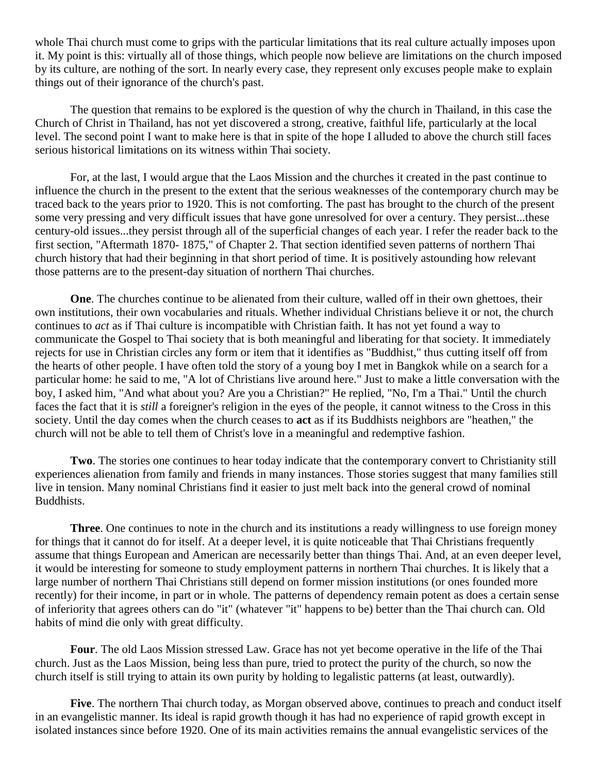whole Thai church must come to grips with the particular limitations that its real culture actually imposes upon it. My point is this: virtually all of those things, which people now believe are limitations on the church imposed by its culture, are nothing of the sort. In nearly every case, they represent only excuses people make to explain things out of their ignorance of the church's past.

The question that remains to be explored is the question of why the church in Thailand, in this case the Church of Christ in Thailand, has not yet discovered a strong, creative, faithful life, particularly at the local level. The second point I want to make here is that in spite of the hope I alluded to above the church still faces serious historical limitations on its witness within Thai society.

For, at the last, I would argue that the Laos Mission and the churches it created in the past continue to influence the church in the present to the extent that the serious weaknesses of the contemporary church may be traced back to the years prior to 1920. This is not comforting. The past has brought to the church of the present some very pressing and very difficult issues that have gone unresolved for over a century. They persist...these century-old issues...they persist through all of the superficial changes of each year. I refer the reader back to the first section, "Aftermath 1870- 1875," of Chapter 2. That section identified seven patterns of northern Thai church history that had their beginning in that short period of time. It is positively astounding how relevant those patterns are to the present-day situation of northern Thai churches.

**One**. The churches continue to be alienated from their culture, walled off in their own ghettoes, their own institutions, their own vocabularies and rituals. Whether individual Christians believe it or not, the church continues to *act* as if Thai culture is incompatible with Christian faith. It has not yet found a way to communicate the Gospel to Thai society that is both meaningful and liberating for that society. It immediately rejects for use in Christian circles any form or item that it identifies as "Buddhist," thus cutting itself off from the hearts of other people. I have often told the story of a young boy I met in Bangkok while on a search for a particular home: he said to me, "A lot of Christians live around here." Just to make a little conversation with the boy, I asked him, "And what about you? Are you a Christian?" He replied, "No, I'm a Thai." Until the church faces the fact that it is *still* a foreigner's religion in the eyes of the people, it cannot witness to the Cross in this society. Until the day comes when the church ceases to **act** as if its Buddhists neighbors are "heathen," the church will not be able to tell them of Christ's love in a meaningful and redemptive fashion.

**Two**. The stories one continues to hear today indicate that the contemporary convert to Christianity still experiences alienation from family and friends in many instances. Those stories suggest that many families still live in tension. Many nominal Christians find it easier to just melt back into the general crowd of nominal Buddhists.

**Three**. One continues to note in the church and its institutions a ready willingness to use foreign money for things that it cannot do for itself. At a deeper level, it is quite noticeable that Thai Christians frequently assume that things European and American are necessarily better than things Thai. And, at an even deeper level, it would be interesting for someone to study employment patterns in northern Thai churches. It is likely that a large number of northern Thai Christians still depend on former mission institutions (or ones founded more recently) for their income, in part or in whole. The patterns of dependency remain potent as does a certain sense of inferiority that agrees others can do "it" (whatever "it" happens to be) better than the Thai church can. Old habits of mind die only with great difficulty.

**Four**. The old Laos Mission stressed Law. Grace has not yet become operative in the life of the Thai church. Just as the Laos Mission, being less than pure, tried to protect the purity of the church, so now the church itself is still trying to attain its own purity by holding to legalistic patterns (at least, outwardly).

**Five**. The northern Thai church today, as Morgan observed above, continues to preach and conduct itself in an evangelistic manner. Its ideal is rapid growth though it has had no experience of rapid growth except in isolated instances since before 1920. One of its main activities remains the annual evangelistic services of the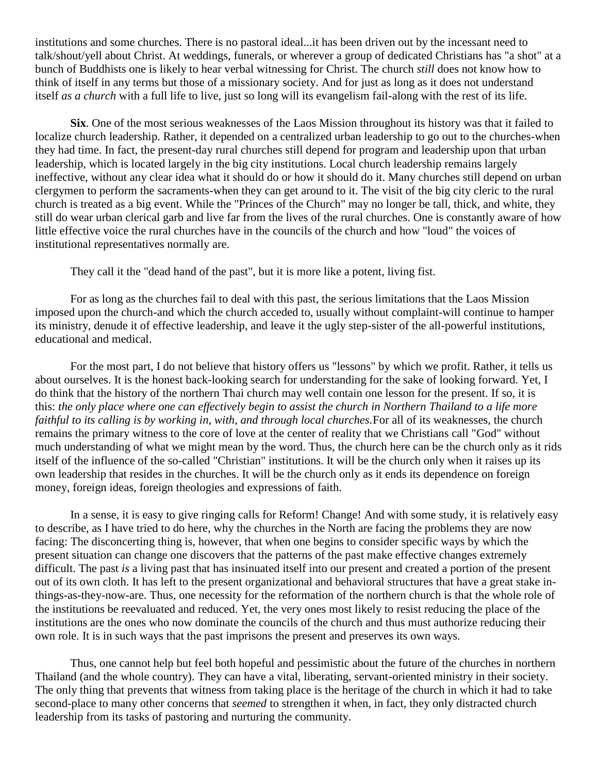institutions and some churches. There is no pastoral ideal...it has been driven out by the incessant need to talk/shout/yell about Christ. At weddings, funerals, or wherever a group of dedicated Christians has "a shot" at a bunch of Buddhists one is likely to hear verbal witnessing for Christ. The church *still* does not know how to think of itself in any terms but those of a missionary society. And for just as long as it does not understand itself *as a church* with a full life to live, just so long will its evangelism fail-along with the rest of its life.

**Six**. One of the most serious weaknesses of the Laos Mission throughout its history was that it failed to localize church leadership. Rather, it depended on a centralized urban leadership to go out to the churches-when they had time. In fact, the present-day rural churches still depend for program and leadership upon that urban leadership, which is located largely in the big city institutions. Local church leadership remains largely ineffective, without any clear idea what it should do or how it should do it. Many churches still depend on urban clergymen to perform the sacraments-when they can get around to it. The visit of the big city cleric to the rural church is treated as a big event. While the "Princes of the Church" may no longer be tall, thick, and white, they still do wear urban clerical garb and live far from the lives of the rural churches. One is constantly aware of how little effective voice the rural churches have in the councils of the church and how "loud" the voices of institutional representatives normally are.

They call it the "dead hand of the past", but it is more like a potent, living fist.

For as long as the churches fail to deal with this past, the serious limitations that the Laos Mission imposed upon the church-and which the church acceded to, usually without complaint-will continue to hamper its ministry, denude it of effective leadership, and leave it the ugly step-sister of the all-powerful institutions, educational and medical.

For the most part, I do not believe that history offers us "lessons" by which we profit. Rather, it tells us about ourselves. It is the honest back-looking search for understanding for the sake of looking forward. Yet, I do think that the history of the northern Thai church may well contain one lesson for the present. If so, it is this: *the only place where one can effectively begin to assist the church in Northern Thailand to a life more faithful to its calling is by working in, with, and through local churches.*For all of its weaknesses, the church remains the primary witness to the core of love at the center of reality that we Christians call "God" without much understanding of what we might mean by the word. Thus, the church here can be the church only as it rids itself of the influence of the so-called "Christian" institutions. It will be the church only when it raises up its own leadership that resides in the churches. It will be the church only as it ends its dependence on foreign money, foreign ideas, foreign theologies and expressions of faith.

In a sense, it is easy to give ringing calls for Reform! Change! And with some study, it is relatively easy to describe, as I have tried to do here, why the churches in the North are facing the problems they are now facing: The disconcerting thing is, however, that when one begins to consider specific ways by which the present situation can change one discovers that the patterns of the past make effective changes extremely difficult. The past *is* a living past that has insinuated itself into our present and created a portion of the present out of its own cloth. It has left to the present organizational and behavioral structures that have a great stake inthings-as-they-now-are. Thus, one necessity for the reformation of the northern church is that the whole role of the institutions be reevaluated and reduced. Yet, the very ones most likely to resist reducing the place of the institutions are the ones who now dominate the councils of the church and thus must authorize reducing their own role. It is in such ways that the past imprisons the present and preserves its own ways.

Thus, one cannot help but feel both hopeful and pessimistic about the future of the churches in northern Thailand (and the whole country). They can have a vital, liberating, servant-oriented ministry in their society. The only thing that prevents that witness from taking place is the heritage of the church in which it had to take second-place to many other concerns that *seemed* to strengthen it when, in fact, they only distracted church leadership from its tasks of pastoring and nurturing the community.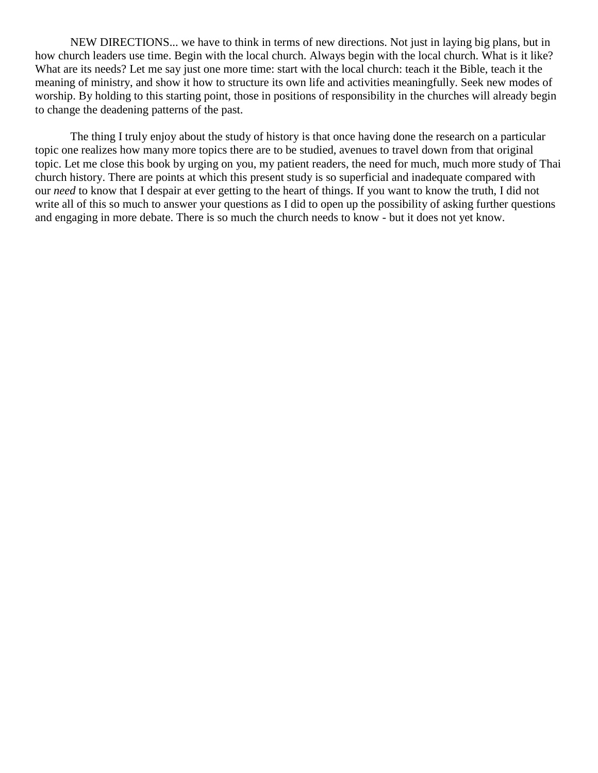NEW DIRECTIONS... we have to think in terms of new directions. Not just in laying big plans, but in how church leaders use time. Begin with the local church. Always begin with the local church. What is it like? What are its needs? Let me say just one more time: start with the local church: teach it the Bible, teach it the meaning of ministry, and show it how to structure its own life and activities meaningfully. Seek new modes of worship. By holding to this starting point, those in positions of responsibility in the churches will already begin to change the deadening patterns of the past.

The thing I truly enjoy about the study of history is that once having done the research on a particular topic one realizes how many more topics there are to be studied, avenues to travel down from that original topic. Let me close this book by urging on you, my patient readers, the need for much, much more study of Thai church history. There are points at which this present study is so superficial and inadequate compared with our *need* to know that I despair at ever getting to the heart of things. If you want to know the truth, I did not write all of this so much to answer your questions as I did to open up the possibility of asking further questions and engaging in more debate. There is so much the church needs to know - but it does not yet know.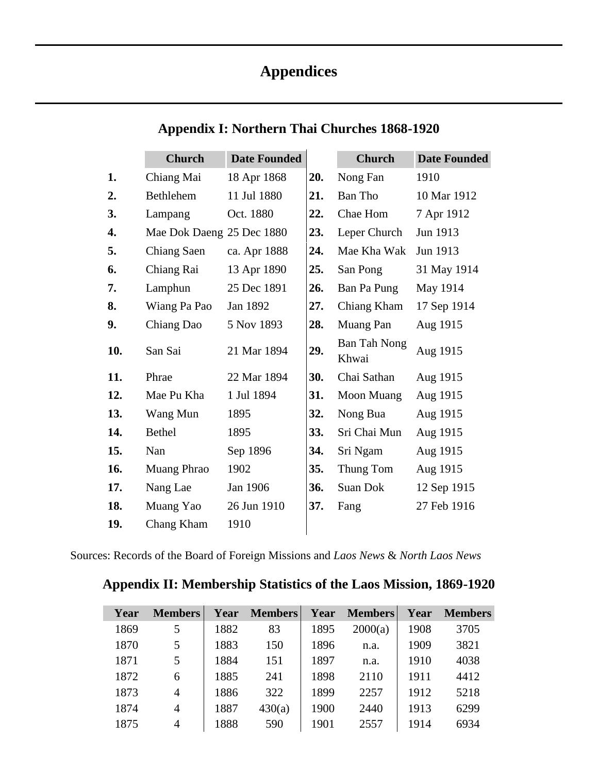# **Appendices**

| <b>Appendix I: Northern Thai Churches 1868-1920</b> |  |  |  |
|-----------------------------------------------------|--|--|--|
|-----------------------------------------------------|--|--|--|

|     | <b>Church</b>             | <b>Date Founded</b> |     | <b>Church</b>                | <b>Date Founded</b> |
|-----|---------------------------|---------------------|-----|------------------------------|---------------------|
| 1.  | Chiang Mai                | 18 Apr 1868         | 20. | Nong Fan                     | 1910                |
| 2.  | Bethlehem                 | 11 Jul 1880         | 21. | Ban Tho                      | 10 Mar 1912         |
| 3.  | Lampang                   | Oct. 1880           | 22. | Chae Hom                     | 7 Apr 1912          |
| 4.  | Mae Dok Daeng 25 Dec 1880 |                     | 23. | Leper Church                 | Jun 1913            |
| 5.  | Chiang Saen               | ca. Apr 1888        | 24. | Mae Kha Wak                  | Jun 1913            |
| 6.  | Chiang Rai                | 13 Apr 1890         | 25. | San Pong                     | 31 May 1914         |
| 7.  | Lamphun                   | 25 Dec 1891         | 26. | Ban Pa Pung                  | May 1914            |
| 8.  | Wiang Pa Pao              | Jan 1892            | 27. | Chiang Kham                  | 17 Sep 1914         |
| 9.  | Chiang Dao                | 5 Nov 1893          | 28. | Muang Pan                    | Aug 1915            |
| 10. | San Sai                   | 21 Mar 1894         | 29. | <b>Ban Tah Nong</b><br>Khwai | Aug 1915            |
| 11. | Phrae                     | 22 Mar 1894         | 30. | Chai Sathan                  | Aug 1915            |
| 12. | Mae Pu Kha                | 1 Jul 1894          | 31. | Moon Muang                   | Aug 1915            |
| 13. | Wang Mun                  | 1895                | 32. | Nong Bua                     | Aug 1915            |
| 14. | Bethel                    | 1895                | 33. | Sri Chai Mun                 | Aug 1915            |
| 15. | Nan                       | Sep 1896            | 34. | Sri Ngam                     | Aug 1915            |
| 16. | Muang Phrao               | 1902                | 35. | Thung Tom                    | Aug 1915            |
| 17. | Nang Lae                  | Jan 1906            | 36. | Suan Dok                     | 12 Sep 1915         |
| 18. | Muang Yao                 | 26 Jun 1910         | 37. | Fang                         | 27 Feb 1916         |
| 19. | Chang Kham                | 1910                |     |                              |                     |

Sources: Records of the Board of Foreign Missions and *Laos News* & *North Laos News*

# **Appendix II: Membership Statistics of the Laos Mission, 1869-1920**

| Year | <b>Members</b> | Year | <b>Members</b> | Year | <b>Members</b> | Year | <b>Members</b> |
|------|----------------|------|----------------|------|----------------|------|----------------|
| 1869 | 5              | 1882 | 83             | 1895 | 2000(a)        | 1908 | 3705           |
| 1870 | 5              | 1883 | 150            | 1896 | n.a.           | 1909 | 3821           |
| 1871 | 5              | 1884 | 151            | 1897 | n.a.           | 1910 | 4038           |
| 1872 | 6              | 1885 | 241            | 1898 | 2110           | 1911 | 4412           |
| 1873 | $\overline{4}$ | 1886 | 322            | 1899 | 2257           | 1912 | 5218           |
| 1874 | $\overline{4}$ | 1887 | 430(a)         | 1900 | 2440           | 1913 | 6299           |
| 1875 | 4              | 1888 | 590            | 1901 | 2557           | 1914 | 6934           |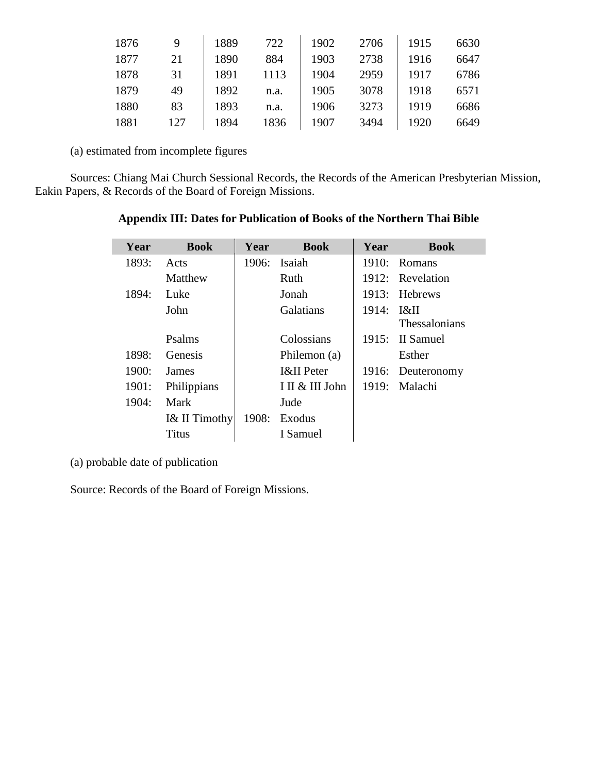| 1876 | 9   | 1889 | 722  | 1902 | 2706 | 1915 | 6630 |
|------|-----|------|------|------|------|------|------|
| 1877 | 21  | 1890 | 884  | 1903 | 2738 | 1916 | 6647 |
| 1878 | 31  | 1891 | 1113 | 1904 | 2959 | 1917 | 6786 |
| 1879 | 49  | 1892 | n.a. | 1905 | 3078 | 1918 | 6571 |
| 1880 | 83  | 1893 | n.a. | 1906 | 3273 | 1919 | 6686 |
| 1881 | 127 | 1894 | 1836 | 1907 | 3494 | 1920 | 6649 |

(a) estimated from incomplete figures

l

Sources: Chiang Mai Church Sessional Records, the Records of the American Presbyterian Mission, Eakin Papers, & Records of the Board of Foreign Missions.

| Year  | <b>Book</b>   | Year  | <b>Book</b>           | Year         | <b>Book</b>       |
|-------|---------------|-------|-----------------------|--------------|-------------------|
| 1893: | Acts          | 1906: | Isaiah                | 1910:        | Romans            |
|       | Matthew       |       | Ruth                  |              | 1912: Revelation  |
| 1894: | Luke          |       | Jonah                 |              | 1913: Hebrews     |
|       | John          |       | <b>Galatians</b>      | $1914:$ $1&$ |                   |
|       |               |       |                       |              | Thessalonians     |
|       | Psalms        |       | Colossians            | 1915:        | II Samuel         |
| 1898: | Genesis       |       | Philemon (a)          |              | Esther            |
| 1900: | James         |       | <b>I&amp;II</b> Peter |              | 1916: Deuteronomy |
| 1901: | Philippians   |       | I II & III John       |              | 1919: Malachi     |
| 1904: | Mark          |       | Jude                  |              |                   |
|       | I& II Timothy | 1908: | Exodus                |              |                   |

**Appendix III: Dates for Publication of Books of the Northern Thai Bible**

(a) probable date of publication

Source: Records of the Board of Foreign Missions.

Titus | I Samuel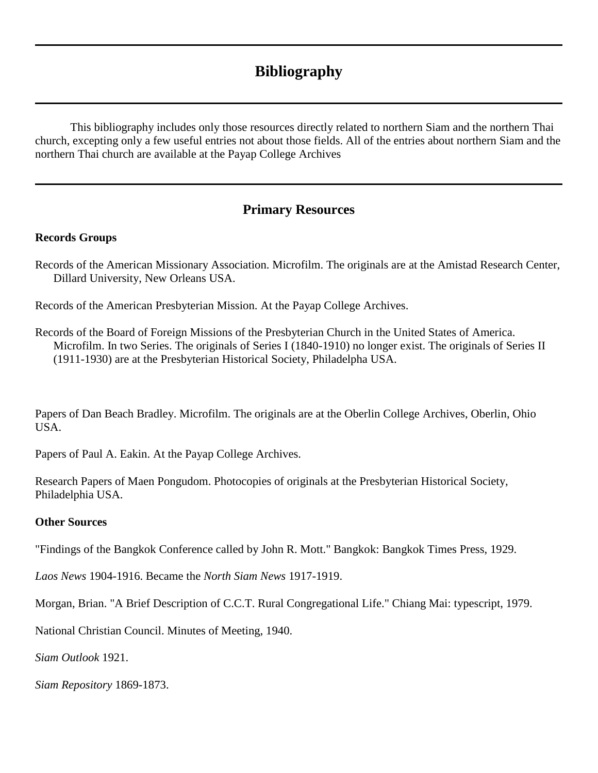# **Bibliography**

This bibliography includes only those resources directly related to northern Siam and the northern Thai church, excepting only a few useful entries not about those fields. All of the entries about northern Siam and the northern Thai church are available at the Payap College Archives

# **Primary Resources**

# **Records Groups**

Records of the American Missionary Association. Microfilm. The originals are at the Amistad Research Center, Dillard University, New Orleans USA.

Records of the American Presbyterian Mission. At the Payap College Archives.

Records of the Board of Foreign Missions of the Presbyterian Church in the United States of America. Microfilm. In two Series. The originals of Series I (1840-1910) no longer exist. The originals of Series II (1911-1930) are at the Presbyterian Historical Society, Philadelpha USA.

Papers of Dan Beach Bradley. Microfilm. The originals are at the Oberlin College Archives, Oberlin, Ohio USA.

Papers of Paul A. Eakin. At the Payap College Archives.

Research Papers of Maen Pongudom. Photocopies of originals at the Presbyterian Historical Society, Philadelphia USA.

# **Other Sources**

"Findings of the Bangkok Conference called by John R. Mott." Bangkok: Bangkok Times Press, 1929.

*Laos News* 1904-1916. Became the *North Siam News* 1917-1919.

Morgan, Brian. "A Brief Description of C.C.T. Rural Congregational Life." Chiang Mai: typescript, 1979.

National Christian Council. Minutes of Meeting, 1940.

*Siam Outlook* 1921.

*Siam Repository* 1869-1873.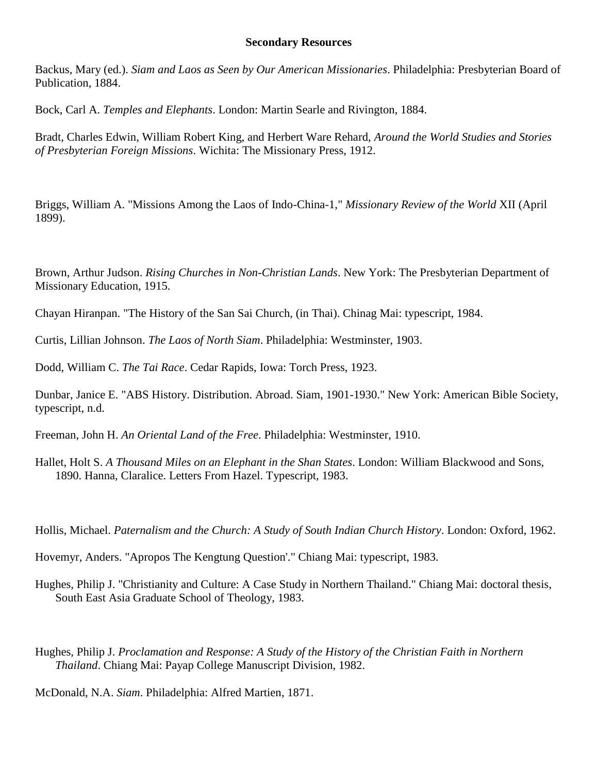#### **Secondary Resources**

Backus, Mary (ed.). *Siam and Laos as Seen by Our American Missionaries*. Philadelphia: Presbyterian Board of Publication, 1884.

Bock, Carl A. *Temples and Elephants*. London: Martin Searle and Rivington, 1884.

Bradt, Charles Edwin, William Robert King, and Herbert Ware Rehard, *Around the World Studies and Stories of Presbyterian Foreign Missions*. Wichita: The Missionary Press, 1912.

Briggs, William A. "Missions Among the Laos of Indo-China-1," *Missionary Review of the World* XII (April 1899).

Brown, Arthur Judson. *Rising Churches in Non-Christian Lands*. New York: The Presbyterian Department of Missionary Education, 1915.

Chayan Hiranpan. "The History of the San Sai Church, (in Thai). Chinag Mai: typescript, 1984.

Curtis, Lillian Johnson. *The Laos of North Siam*. Philadelphia: Westminster, 1903.

Dodd, William C. *The Tai Race*. Cedar Rapids, Iowa: Torch Press, 1923.

Dunbar, Janice E. "ABS History. Distribution. Abroad. Siam, 1901-1930." New York: American Bible Society, typescript, n.d.

Freeman, John H. *An Oriental Land of the Free*. Philadelphia: Westminster, 1910.

Hallet, Holt S. *A Thousand Miles on an Elephant in the Shan States*. London: William Blackwood and Sons, 1890. Hanna, Claralice. Letters From Hazel. Typescript, 1983.

Hollis, Michael. *Paternalism and the Church: A Study of South Indian Church History*. London: Oxford, 1962.

Hovemyr, Anders. "Apropos The Kengtung Question'." Chiang Mai: typescript, 1983.

Hughes, Philip J. "Christianity and Culture: A Case Study in Northern Thailand." Chiang Mai: doctoral thesis, South East Asia Graduate School of Theology, 1983.

Hughes, Philip J. *Proclamation and Response: A Study of the History of the Christian Faith in Northern Thailand*. Chiang Mai: Payap College Manuscript Division, 1982.

McDonald, N.A. *Siam*. Philadelphia: Alfred Martien, 1871.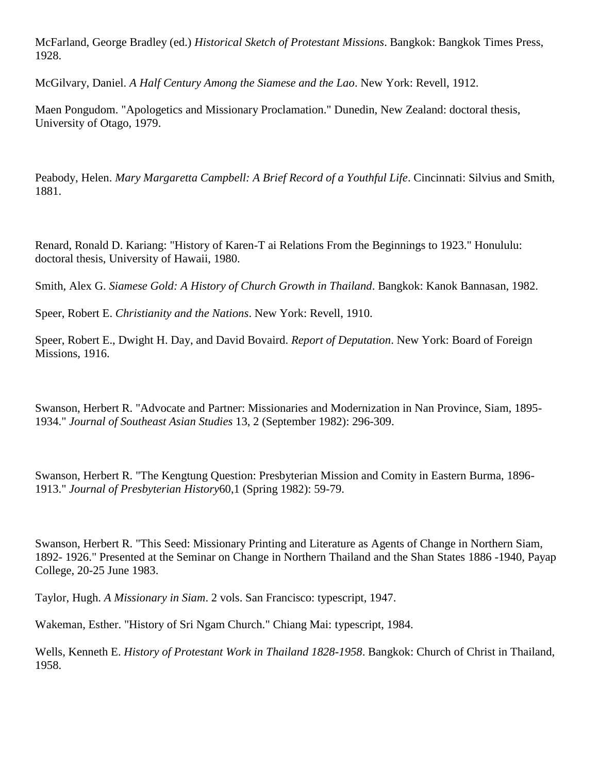McFarland, George Bradley (ed.) *Historical Sketch of Protestant Missions*. Bangkok: Bangkok Times Press, 1928.

McGilvary, Daniel. *A Half Century Among the Siamese and the Lao*. New York: Revell, 1912.

Maen Pongudom. "Apologetics and Missionary Proclamation." Dunedin, New Zealand: doctoral thesis, University of Otago, 1979.

Peabody, Helen. *Mary Margaretta Campbell: A Brief Record of a Youthful Life*. Cincinnati: Silvius and Smith, 1881.

Renard, Ronald D. Kariang: "History of Karen-T ai Relations From the Beginnings to 1923." Honululu: doctoral thesis, University of Hawaii, 1980.

Smith, Alex G. *Siamese Gold: A History of Church Growth in Thailand*. Bangkok: Kanok Bannasan, 1982.

Speer, Robert E. *Christianity and the Nations*. New York: Revell, 1910.

Speer, Robert E., Dwight H. Day, and David Bovaird. *Report of Deputation*. New York: Board of Foreign Missions, 1916.

Swanson, Herbert R. "Advocate and Partner: Missionaries and Modernization in Nan Province, Siam, 1895- 1934." *Journal of Southeast Asian Studies* 13, 2 (September 1982): 296-309.

Swanson, Herbert R. "The Kengtung Question: Presbyterian Mission and Comity in Eastern Burma, 1896- 1913." *Journal of Presbyterian History*60,1 (Spring 1982): 59-79.

Swanson, Herbert R. "This Seed: Missionary Printing and Literature as Agents of Change in Northern Siam, 1892- 1926." Presented at the Seminar on Change in Northern Thailand and the Shan States 1886 -1940, Payap College, 20-25 June 1983.

Taylor, Hugh. *A Missionary in Siam*. 2 vols. San Francisco: typescript, 1947.

Wakeman, Esther. "History of Sri Ngam Church." Chiang Mai: typescript, 1984.

Wells, Kenneth E. *History of Protestant Work in Thailand 1828-1958*. Bangkok: Church of Christ in Thailand, 1958.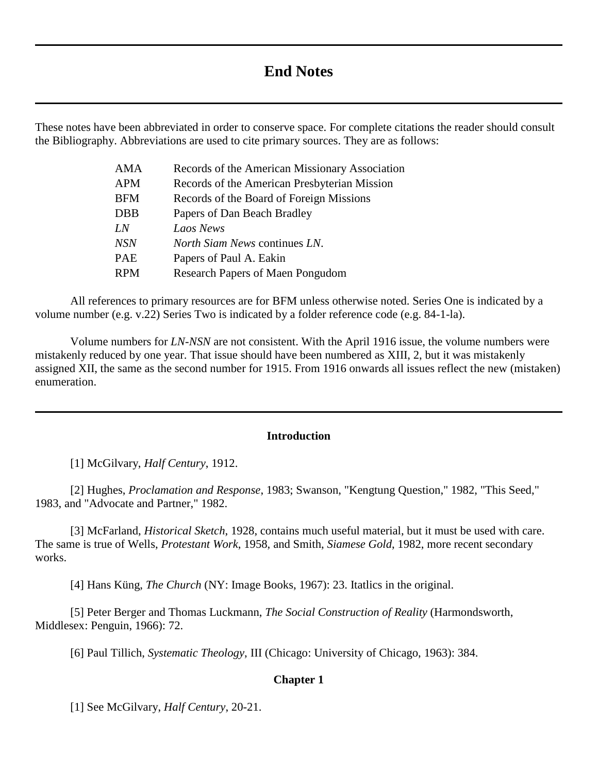# **End Notes**

These notes have been abbreviated in order to conserve space. For complete citations the reader should consult the Bibliography. Abbreviations are used to cite primary sources. They are as follows:

| <b>AMA</b> | Records of the American Missionary Association |
|------------|------------------------------------------------|
| <b>APM</b> | Records of the American Presbyterian Mission   |
| <b>BFM</b> | Records of the Board of Foreign Missions       |
| <b>DBB</b> | Papers of Dan Beach Bradley                    |
| LN         | Laos News                                      |
| <b>NSN</b> | North Siam News continues LN.                  |
| <b>PAE</b> | Papers of Paul A. Eakin                        |
| <b>RPM</b> | <b>Research Papers of Maen Pongudom</b>        |

All references to primary resources are for BFM unless otherwise noted. Series One is indicated by a volume number (e.g. v.22) Series Two is indicated by a folder reference code (e.g. 84-1-la).

Volume numbers for *LN*-*NSN* are not consistent. With the April 1916 issue, the volume numbers were mistakenly reduced by one year. That issue should have been numbered as XIII, 2, but it was mistakenly assigned XII, the same as the second number for 1915. From 1916 onwards all issues reflect the new (mistaken) enumeration.

## **[Introduction](http://herbswanson.com/post.php?pid=43#1984)**

[1] McGilvary, *Half Century*, 1912.

[2] Hughes, *Proclamation and Response*, 1983; Swanson, "Kengtung Question," 1982, "This Seed," 1983, and "Advocate and Partner," 1982.

[3] McFarland, *Historical Sketch*, 1928, contains much useful material, but it must be used with care. The same is true of Wells, *Protestant Work*, 1958, and Smith, *Siamese Gold*, 1982, more recent secondary works.

[4] Hans Küng, *The Church* (NY: Image Books, 1967): 23. Itatlics in the original.

[5] Peter Berger and Thomas Luckmann, *The Social Construction of Reality* (Harmondsworth, Middlesex: Penguin, 1966): 72.

[6] Paul Tillich, *Systematic Theology*, III (Chicago: University of Chicago, 1963): 384.

#### **[Chapter 1](http://herbswanson.com/post.php?pid=44#c1)**

[1] See McGilvary, *Half Century*, 20-21.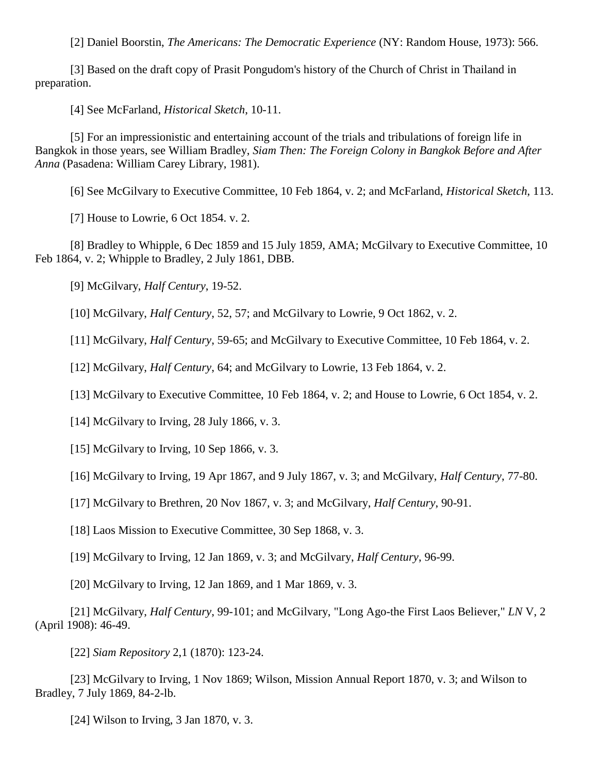[2] Daniel Boorstin, *The Americans: The Democratic Experience* (NY: Random House, 1973): 566.

[3] Based on the draft copy of Prasit Pongudom's history of the Church of Christ in Thailand in preparation.

[4] See McFarland, *Historical Sketch*, 10-11.

[5] For an impressionistic and entertaining account of the trials and tribulations of foreign life in Bangkok in those years, see William Bradley, *Siam Then: The Foreign Colony in Bangkok Before and After Anna* (Pasadena: William Carey Library, 1981).

[6] See McGilvary to Executive Committee, 10 Feb 1864, v. 2; and McFarland, *Historical Sketch*, 113.

[7] House to Lowrie, 6 Oct 1854. v. 2.

[8] Bradley to Whipple, 6 Dec 1859 and 15 July 1859, AMA; McGilvary to Executive Committee, 10 Feb 1864, v. 2; Whipple to Bradley, 2 July 1861, DBB.

[9] McGilvary, *Half Century*, 19-52.

[10] McGilvary, *Half Century*, 52, 57; and McGilvary to Lowrie, 9 Oct 1862, v. 2.

[11] McGilvary, *Half Century*, 59-65; and McGilvary to Executive Committee, 10 Feb 1864, v. 2.

[12] McGilvary, *Half Century*, 64; and McGilvary to Lowrie, 13 Feb 1864, v. 2.

[13] McGilvary to Executive Committee, 10 Feb 1864, v. 2; and House to Lowrie, 6 Oct 1854, v. 2.

[14] McGilvary to Irving, 28 July 1866, v. 3.

[15] McGilvary to Irving, 10 Sep 1866, v. 3.

[16] McGilvary to Irving, 19 Apr 1867, and 9 July 1867, v. 3; and McGilvary, *Half Century*, 77-80.

[17] McGilvary to Brethren, 20 Nov 1867, v. 3; and McGilvary, *Half Century*, 90-91.

[18] Laos Mission to Executive Committee, 30 Sep 1868, v. 3.

[19] McGilvary to Irving, 12 Jan 1869, v. 3; and McGilvary, *Half Century*, 96-99.

[20] McGilvary to Irving, 12 Jan 1869, and 1 Mar 1869, v. 3.

[21] McGilvary, *Half Century*, 99-101; and McGilvary, "Long Ago-the First Laos Believer," *LN* V, 2 (April 1908): 46-49.

[22] *Siam Repository* 2,1 (1870): 123-24.

[23] McGilvary to Irving, 1 Nov 1869; Wilson, Mission Annual Report 1870, v. 3; and Wilson to Bradley, 7 July 1869, 84-2-lb.

[24] Wilson to Irving, 3 Jan 1870, v. 3.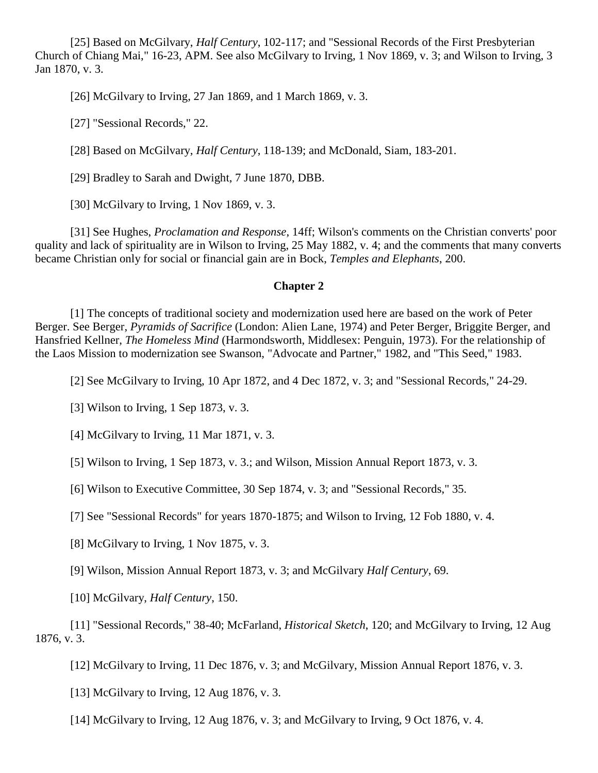[25] Based on McGilvary, *Half Century*, 102-117; and "Sessional Records of the First Presbyterian Church of Chiang Mai," 16-23, APM. See also McGilvary to Irving, 1 Nov 1869, v. 3; and Wilson to Irving, 3 Jan 1870, v. 3.

[26] McGilvary to Irving, 27 Jan 1869, and 1 March 1869, v. 3.

[27] "Sessional Records," 22.

[28] Based on McGilvary, *Half Century*, 118-139; and McDonald, Siam, 183-201.

[29] Bradley to Sarah and Dwight, 7 June 1870, DBB.

[30] McGilvary to Irving, 1 Nov 1869, v. 3.

[31] See Hughes, *Proclamation and Response*, 14ff; Wilson's comments on the Christian converts' poor quality and lack of spirituality are in Wilson to Irving, 25 May 1882, v. 4; and the comments that many converts became Christian only for social or financial gain are in Bock, *Temples and Elephants*, 200.

#### **[Chapter 2](http://herbswanson.com/post.php?pid=44#c2)**

[1] The concepts of traditional society and modernization used here are based on the work of Peter Berger. See Berger, *Pyramids of Sacrifice* (London: Alien Lane, 1974) and Peter Berger, Briggite Berger, and Hansfried Kellner, *The Homeless Mind* (Harmondsworth, Middlesex: Penguin, 1973). For the relationship of the Laos Mission to modernization see Swanson, "Advocate and Partner," 1982, and "This Seed," 1983.

[2] See McGilvary to Irving, 10 Apr 1872, and 4 Dec 1872, v. 3; and "Sessional Records," 24-29.

[3] Wilson to Irving, 1 Sep 1873, v. 3.

[4] McGilvary to Irving, 11 Mar 1871, v. 3.

[5] Wilson to Irving, 1 Sep 1873, v. 3.; and Wilson, Mission Annual Report 1873, v. 3.

[6] Wilson to Executive Committee, 30 Sep 1874, v. 3; and "Sessional Records," 35.

[7] See "Sessional Records" for years 1870-1875; and Wilson to Irving, 12 Fob 1880, v. 4.

[8] McGilvary to Irving, 1 Nov 1875, v. 3.

[9] Wilson, Mission Annual Report 1873, v. 3; and McGilvary *Half Century*, 69.

[10] McGilvary, *Half Century*, 150.

[11] "Sessional Records," 38-40; McFarland, *Historical Sketch*, 120; and McGilvary to Irving, 12 Aug 1876, v. 3.

[12] McGilvary to Irving, 11 Dec 1876, v. 3; and McGilvary, Mission Annual Report 1876, v. 3.

[13] McGilvary to Irving, 12 Aug 1876, v. 3.

[14] McGilvary to Irving, 12 Aug 1876, v. 3; and McGilvary to Irving, 9 Oct 1876, v. 4.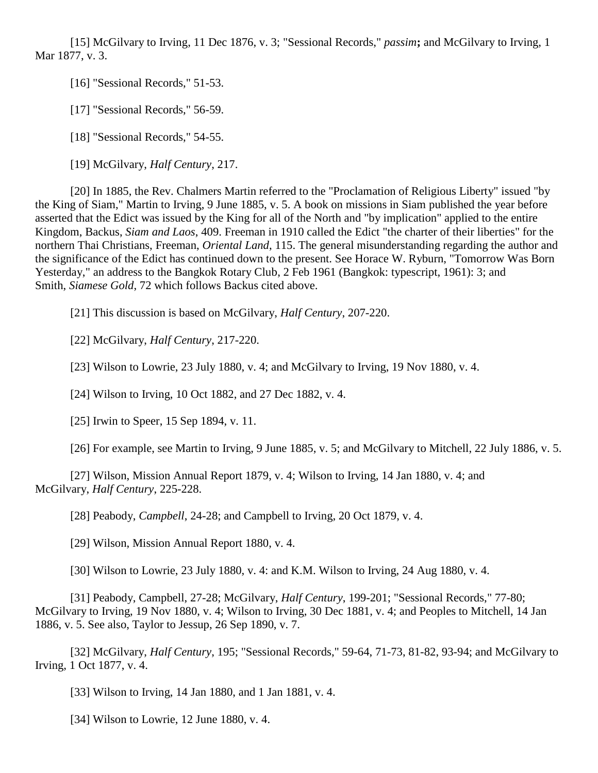[15] McGilvary to Irving, 11 Dec 1876, v. 3; "Sessional Records," *passim***;** and McGilvary to Irving, 1 Mar 1877, v. 3.

[16] "Sessional Records," 51-53.

[17] "Sessional Records," 56-59.

[18] "Sessional Records," 54-55.

[19] McGilvary, *Half Century*, 217.

[20] In 1885, the Rev. Chalmers Martin referred to the "Proclamation of Religious Liberty" issued "by the King of Siam," Martin to Irving, 9 June 1885, v. 5. A book on missions in Siam published the year before asserted that the Edict was issued by the King for all of the North and "by implication" applied to the entire Kingdom, Backus, *Siam and Laos*, 409. Freeman in 1910 called the Edict "the charter of their liberties" for the northern Thai Christians, Freeman, *Oriental Land*, 115. The general misunderstanding regarding the author and the significance of the Edict has continued down to the present. See Horace W. Ryburn, "Tomorrow Was Born Yesterday," an address to the Bangkok Rotary Club, 2 Feb 1961 (Bangkok: typescript, 1961): 3; and Smith, *Siamese Gold*, 72 which follows Backus cited above.

[21] This discussion is based on McGilvary, *Half Century*, 207-220.

[22] McGilvary, *Half Century*, 217-220.

[23] Wilson to Lowrie, 23 July 1880, v. 4; and McGilvary to Irving, 19 Nov 1880, v. 4.

[24] Wilson to Irving, 10 Oct 1882, and 27 Dec 1882, v. 4.

[25] Irwin to Speer, 15 Sep 1894, v. 11.

[26] For example, see Martin to Irving, 9 June 1885, v. 5; and McGilvary to Mitchell, 22 July 1886, v. 5.

[27] Wilson, Mission Annual Report 1879, v. 4; Wilson to Irving, 14 Jan 1880, v. 4; and McGilvary, *Half Century*, 225-228.

[28] Peabody, *Campbell*, 24-28; and Campbell to Irving, 20 Oct 1879, v. 4.

[29] Wilson, Mission Annual Report 1880, v. 4.

[30] Wilson to Lowrie, 23 July 1880, v. 4: and K.M. Wilson to Irving, 24 Aug 1880, v. 4.

[31] Peabody, Campbell, 27-28; McGilvary, *Half Century*, 199-201; "Sessional Records," 77-80; McGilvary to Irving, 19 Nov 1880, v. 4; Wilson to Irving, 30 Dec 1881, v. 4; and Peoples to Mitchell, 14 Jan 1886, v. 5. See also, Taylor to Jessup, 26 Sep 1890, v. 7.

[32] McGilvary, *Half Century*, 195; "Sessional Records," 59-64, 71-73, 81-82, 93-94; and McGilvary to Irving, 1 Oct 1877, v. 4.

[33] Wilson to Irving, 14 Jan 1880, and 1 Jan 1881, v. 4.

[34] Wilson to Lowrie, 12 June 1880, v. 4.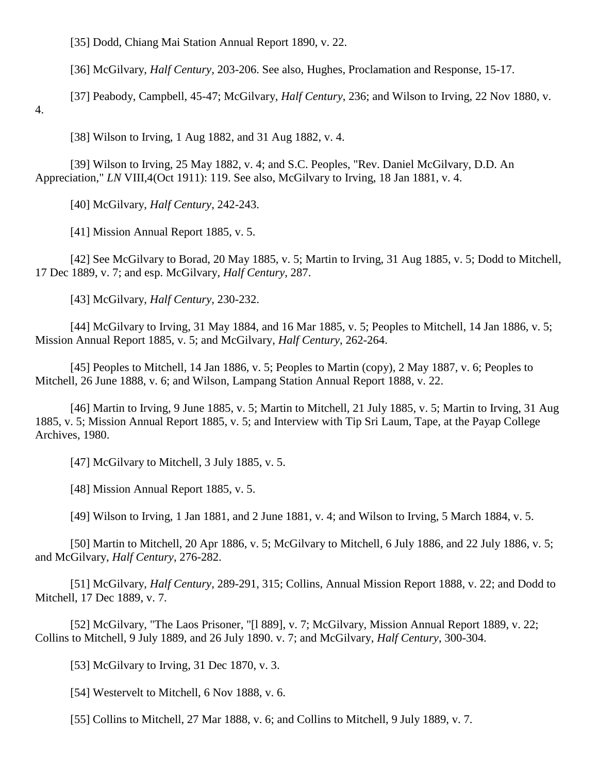[35] Dodd, Chiang Mai Station Annual Report 1890, v. 22.

[36] McGilvary, *Half Century*, 203-206. See also, Hughes, Proclamation and Response, 15-17.

[37] Peabody, Campbell, 45-47; McGilvary, *Half Century*, 236; and Wilson to Irving, 22 Nov 1880, v.

4.

[38] Wilson to Irving, 1 Aug 1882, and 31 Aug 1882, v. 4.

[39] Wilson to Irving, 25 May 1882, v. 4; and S.C. Peoples, "Rev. Daniel McGilvary, D.D. An Appreciation," *LN* VIII,4(Oct 1911): 119. See also, McGilvary to Irving, 18 Jan 1881, v. 4.

[40] McGilvary, *Half Century*, 242-243.

[41] Mission Annual Report 1885, v. 5.

[42] See McGilvary to Borad, 20 May 1885, v. 5; Martin to Irving, 31 Aug 1885, v. 5; Dodd to Mitchell, 17 Dec 1889, v. 7; and esp. McGilvary, *Half Century*, 287.

[43] McGilvary, *Half Century*, 230-232.

[44] McGilvary to Irving, 31 May 1884, and 16 Mar 1885, v. 5; Peoples to Mitchell, 14 Jan 1886, v. 5; Mission Annual Report 1885, v. 5; and McGilvary, *Half Century*, 262-264.

[45] Peoples to Mitchell, 14 Jan 1886, v. 5; Peoples to Martin (copy), 2 May 1887, v. 6; Peoples to Mitchell, 26 June 1888, v. 6; and Wilson, Lampang Station Annual Report 1888, v. 22.

[46] Martin to Irving, 9 June 1885, v. 5; Martin to Mitchell, 21 July 1885, v. 5; Martin to Irving, 31 Aug 1885, v. 5; Mission Annual Report 1885, v. 5; and Interview with Tip Sri Laum, Tape, at the Payap College Archives, 1980.

[47] McGilvary to Mitchell, 3 July 1885, v. 5.

[48] Mission Annual Report 1885, v. 5.

[49] Wilson to Irving, 1 Jan 1881, and 2 June 1881, v. 4; and Wilson to Irving, 5 March 1884, v. 5.

[50] Martin to Mitchell, 20 Apr 1886, v. 5; McGilvary to Mitchell, 6 July 1886, and 22 July 1886, v. 5; and McGilvary, *Half Century*, 276-282.

[51] McGilvary, *Half Century*, 289-291, 315; Collins, Annual Mission Report 1888, v. 22; and Dodd to Mitchell, 17 Dec 1889, v. 7.

[52] McGilvary, "The Laos Prisoner, "[l 889], v. 7; McGilvary, Mission Annual Report 1889, v. 22; Collins to Mitchell, 9 July 1889, and 26 July 1890. v. 7; and McGilvary, *Half Century*, 300-304.

[53] McGilvary to Irving, 31 Dec 1870, v. 3.

[54] Westervelt to Mitchell, 6 Nov 1888, v. 6.

[55] Collins to Mitchell, 27 Mar 1888, v. 6; and Collins to Mitchell, 9 July 1889, v. 7.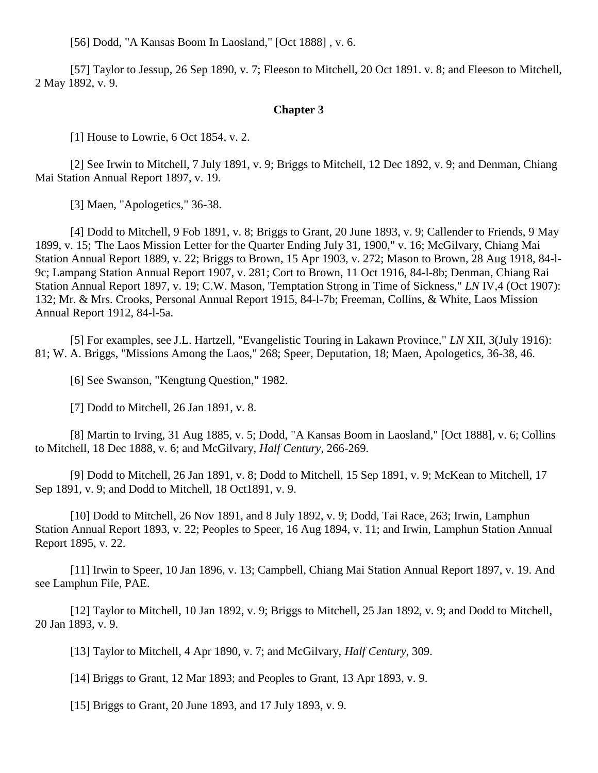[56] Dodd, "A Kansas Boom In Laosland," [Oct 1888] , v. 6.

[57] Taylor to Jessup, 26 Sep 1890, v. 7; Fleeson to Mitchell, 20 Oct 1891. v. 8; and Fleeson to Mitchell, 2 May 1892, v. 9.

### **[Chapter 3](http://herbswanson.com/post.php?pid=44#c3)**

[1] House to Lowrie, 6 Oct 1854, v. 2.

[2] See Irwin to Mitchell, 7 July 1891, v. 9; Briggs to Mitchell, 12 Dec 1892, v. 9; and Denman, Chiang Mai Station Annual Report 1897, v. 19.

[3] Maen, "Apologetics," 36-38.

[4] Dodd to Mitchell, 9 Fob 1891, v. 8; Briggs to Grant, 20 June 1893, v. 9; Callender to Friends, 9 May 1899, v. 15; 'The Laos Mission Letter for the Quarter Ending July 31, 1900," v. 16; McGilvary, Chiang Mai Station Annual Report 1889, v. 22; Briggs to Brown, 15 Apr 1903, v. 272; Mason to Brown, 28 Aug 1918, 84-l-9c; Lampang Station Annual Report 1907, v. 281; Cort to Brown, 11 Oct 1916, 84-l-8b; Denman, Chiang Rai Station Annual Report 1897, v. 19; C.W. Mason, 'Temptation Strong in Time of Sickness," *LN* IV,4 (Oct 1907): 132; Mr. & Mrs. Crooks, Personal Annual Report 1915, 84-l-7b; Freeman, Collins, & White, Laos Mission Annual Report 1912, 84-l-5a.

[5] For examples, see J.L. Hartzell, "Evangelistic Touring in Lakawn Province," *LN* XII, 3(July 1916): 81; W. A. Briggs, "Missions Among the Laos," 268; Speer, Deputation, 18; Maen, Apologetics, 36-38, 46.

[6] See Swanson, "Kengtung Question," 1982.

[7] Dodd to Mitchell, 26 Jan 1891, v. 8.

[8] Martin to Irving, 31 Aug 1885, v. 5; Dodd, "A Kansas Boom in Laosland," [Oct 1888], v. 6; Collins to Mitchell, 18 Dec 1888, v. 6; and McGilvary, *Half Century*, 266-269.

[9] Dodd to Mitchell, 26 Jan 1891, v. 8; Dodd to Mitchell, 15 Sep 1891, v. 9; McKean to Mitchell, 17 Sep 1891, v. 9; and Dodd to Mitchell, 18 Oct1891, v. 9.

[10] Dodd to Mitchell, 26 Nov 1891, and 8 July 1892, v. 9; Dodd, Tai Race, 263; Irwin, Lamphun Station Annual Report 1893, v. 22; Peoples to Speer, 16 Aug 1894, v. 11; and Irwin, Lamphun Station Annual Report 1895, v. 22.

[11] Irwin to Speer, 10 Jan 1896, v. 13; Campbell, Chiang Mai Station Annual Report 1897, v. 19. And see Lamphun File, PAE.

[12] Taylor to Mitchell, 10 Jan 1892, v. 9; Briggs to Mitchell, 25 Jan 1892, v. 9; and Dodd to Mitchell, 20 Jan 1893, v. 9.

[13] Taylor to Mitchell, 4 Apr 1890, v. 7; and McGilvary, *Half Century*, 309.

[14] Briggs to Grant, 12 Mar 1893; and Peoples to Grant, 13 Apr 1893, v. 9.

[15] Briggs to Grant, 20 June 1893, and 17 July 1893, v. 9.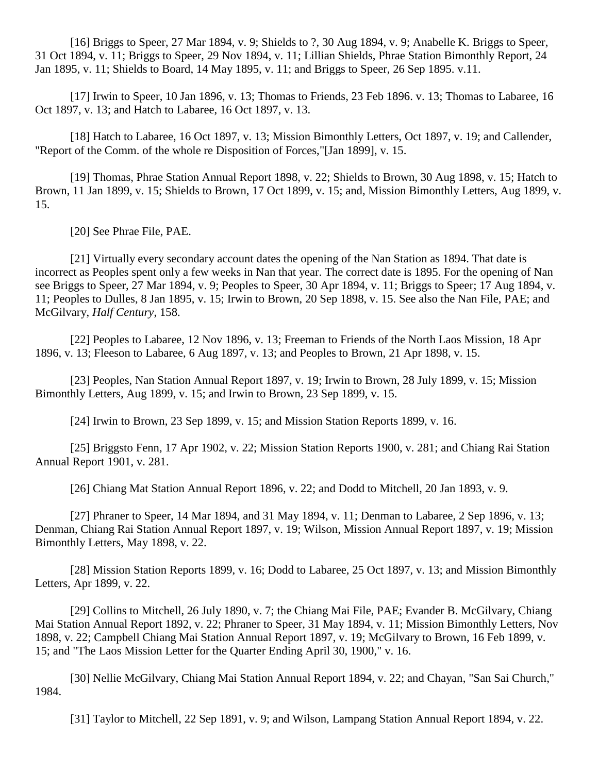[16] Briggs to Speer, 27 Mar 1894, v. 9; Shields to ?, 30 Aug 1894, v. 9; Anabelle K. Briggs to Speer, 31 Oct 1894, v. 11; Briggs to Speer, 29 Nov 1894, v. 11; Lillian Shields, Phrae Station Bimonthly Report, 24 Jan 1895, v. 11; Shields to Board, 14 May 1895, v. 11; and Briggs to Speer, 26 Sep 1895. v.11.

[17] Irwin to Speer, 10 Jan 1896, v. 13; Thomas to Friends, 23 Feb 1896. v. 13; Thomas to Labaree, 16 Oct 1897, v. 13; and Hatch to Labaree, 16 Oct 1897, v. 13.

[18] Hatch to Labaree, 16 Oct 1897, v. 13; Mission Bimonthly Letters, Oct 1897, v. 19; and Callender, "Report of the Comm. of the whole re Disposition of Forces,"[Jan 1899], v. 15.

[19] Thomas, Phrae Station Annual Report 1898, v. 22; Shields to Brown, 30 Aug 1898, v. 15; Hatch to Brown, 11 Jan 1899, v. 15; Shields to Brown, 17 Oct 1899, v. 15; and, Mission Bimonthly Letters, Aug 1899, v. 15.

[20] See Phrae File, PAE.

[21] Virtually every secondary account dates the opening of the Nan Station as 1894. That date is incorrect as Peoples spent only a few weeks in Nan that year. The correct date is 1895. For the opening of Nan see Briggs to Speer, 27 Mar 1894, v. 9; Peoples to Speer, 30 Apr 1894, v. 11; Briggs to Speer; 17 Aug 1894, v. 11; Peoples to Dulles, 8 Jan 1895, v. 15; Irwin to Brown, 20 Sep 1898, v. 15. See also the Nan File, PAE; and McGilvary, *Half Century*, 158.

[22] Peoples to Labaree, 12 Nov 1896, v. 13; Freeman to Friends of the North Laos Mission, 18 Apr 1896, v. 13; Fleeson to Labaree, 6 Aug 1897, v. 13; and Peoples to Brown, 21 Apr 1898, v. 15.

[23] Peoples, Nan Station Annual Report 1897, v. 19; Irwin to Brown, 28 July 1899, v. 15; Mission Bimonthly Letters, Aug 1899, v. 15; and Irwin to Brown, 23 Sep 1899, v. 15.

[24] Irwin to Brown, 23 Sep 1899, v. 15; and Mission Station Reports 1899, v. 16.

[25] Briggsto Fenn, 17 Apr 1902, v. 22; Mission Station Reports 1900, v. 281; and Chiang Rai Station Annual Report 1901, v. 281.

[26] Chiang Mat Station Annual Report 1896, v. 22; and Dodd to Mitchell, 20 Jan 1893, v. 9.

[27] Phraner to Speer, 14 Mar 1894, and 31 May 1894, v. 11; Denman to Labaree, 2 Sep 1896, v. 13; Denman, Chiang Rai Station Annual Report 1897, v. 19; Wilson, Mission Annual Report 1897, v. 19; Mission Bimonthly Letters, May 1898, v. 22.

[28] Mission Station Reports 1899, v. 16; Dodd to Labaree, 25 Oct 1897, v. 13; and Mission Bimonthly Letters, Apr 1899, v. 22.

[29] Collins to Mitchell, 26 July 1890, v. 7; the Chiang Mai File, PAE; Evander B. McGilvary, Chiang Mai Station Annual Report 1892, v. 22; Phraner to Speer, 31 May 1894, v. 11; Mission Bimonthly Letters, Nov 1898, v. 22; Campbell Chiang Mai Station Annual Report 1897, v. 19; McGilvary to Brown, 16 Feb 1899, v. 15; and "The Laos Mission Letter for the Quarter Ending April 30, 1900," v. 16.

[30] Nellie McGilvary, Chiang Mai Station Annual Report 1894, v. 22; and Chayan, "San Sai Church," 1984.

[31] Taylor to Mitchell, 22 Sep 1891, v. 9; and Wilson, Lampang Station Annual Report 1894, v. 22.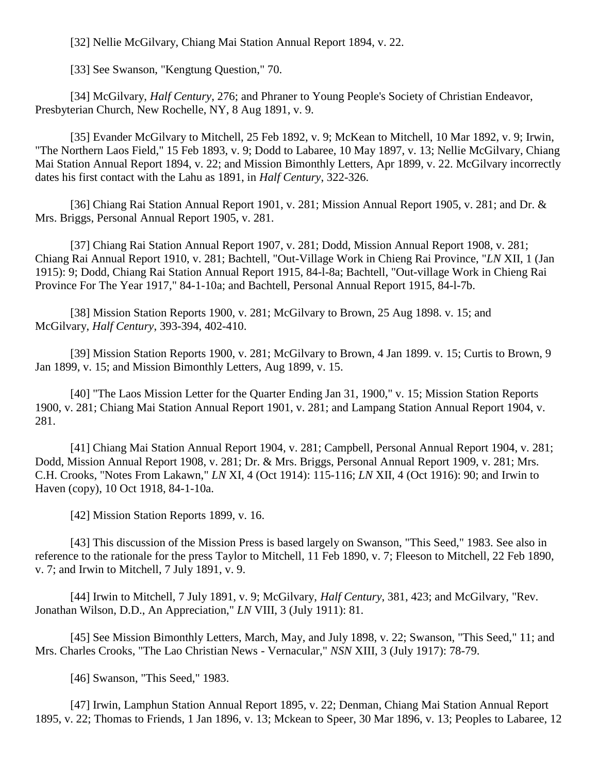[32] Nellie McGilvary, Chiang Mai Station Annual Report 1894, v. 22.

[33] See Swanson, "Kengtung Question," 70.

[34] McGilvary, *Half Century*, 276; and Phraner to Young People's Society of Christian Endeavor, Presbyterian Church, New Rochelle, NY, 8 Aug 1891, v. 9.

[35] Evander McGilvary to Mitchell, 25 Feb 1892, v. 9; McKean to Mitchell, 10 Mar 1892, v. 9; Irwin, "The Northern Laos Field," 15 Feb 1893, v. 9; Dodd to Labaree, 10 May 1897, v. 13; Nellie McGilvary, Chiang Mai Station Annual Report 1894, v. 22; and Mission Bimonthly Letters, Apr 1899, v. 22. McGilvary incorrectly dates his first contact with the Lahu as 1891, in *Half Century*, 322-326.

[36] Chiang Rai Station Annual Report 1901, v. 281; Mission Annual Report 1905, v. 281; and Dr. & Mrs. Briggs, Personal Annual Report 1905, v. 281.

[37] Chiang Rai Station Annual Report 1907, v. 281; Dodd, Mission Annual Report 1908, v. 281; Chiang Rai Annual Report 1910, v. 281; Bachtell, "Out-Village Work in Chieng Rai Province, "*LN* XII, 1 (Jan 1915): 9; Dodd, Chiang Rai Station Annual Report 1915, 84-l-8a; Bachtell, "Out-village Work in Chieng Rai Province For The Year 1917," 84-1-10a; and Bachtell, Personal Annual Report 1915, 84-l-7b.

[38] Mission Station Reports 1900, v. 281; McGilvary to Brown, 25 Aug 1898. v. 15; and McGilvary, *Half Century*, 393-394, 402-410.

[39] Mission Station Reports 1900, v. 281; McGilvary to Brown, 4 Jan 1899. v. 15; Curtis to Brown, 9 Jan 1899, v. 15; and Mission Bimonthly Letters, Aug 1899, v. 15.

[40] "The Laos Mission Letter for the Quarter Ending Jan 31, 1900," v. 15; Mission Station Reports 1900, v. 281; Chiang Mai Station Annual Report 1901, v. 281; and Lampang Station Annual Report 1904, v. 281.

[41] Chiang Mai Station Annual Report 1904, v. 281; Campbell, Personal Annual Report 1904, v. 281; Dodd, Mission Annual Report 1908, v. 281; Dr. & Mrs. Briggs, Personal Annual Report 1909, v. 281; Mrs. C.H. Crooks, "Notes From Lakawn," *LN* XI, 4 (Oct 1914): 115-116; *LN* XII, 4 (Oct 1916): 90; and Irwin to Haven (copy), 10 Oct 1918, 84-1-10a.

[42] Mission Station Reports 1899, v. 16.

[43] This discussion of the Mission Press is based largely on Swanson, "This Seed," 1983. See also in reference to the rationale for the press Taylor to Mitchell, 11 Feb 1890, v. 7; Fleeson to Mitchell, 22 Feb 1890, v. 7; and Irwin to Mitchell, 7 July 1891, v. 9.

[44] Irwin to Mitchell, 7 July 1891, v. 9; McGilvary, *Half Century*, 381, 423; and McGilvary, "Rev. Jonathan Wilson, D.D., An Appreciation," *LN* VIII, 3 (July 1911): 81.

[45] See Mission Bimonthly Letters, March, May, and July 1898, v. 22; Swanson, "This Seed," 11; and Mrs. Charles Crooks, "The Lao Christian News - Vernacular," *NSN* XIII, 3 (July 1917): 78-79.

[46] Swanson, "This Seed," 1983.

[47] Irwin, Lamphun Station Annual Report 1895, v. 22; Denman, Chiang Mai Station Annual Report 1895, v. 22; Thomas to Friends, 1 Jan 1896, v. 13; Mckean to Speer, 30 Mar 1896, v. 13; Peoples to Labaree, 12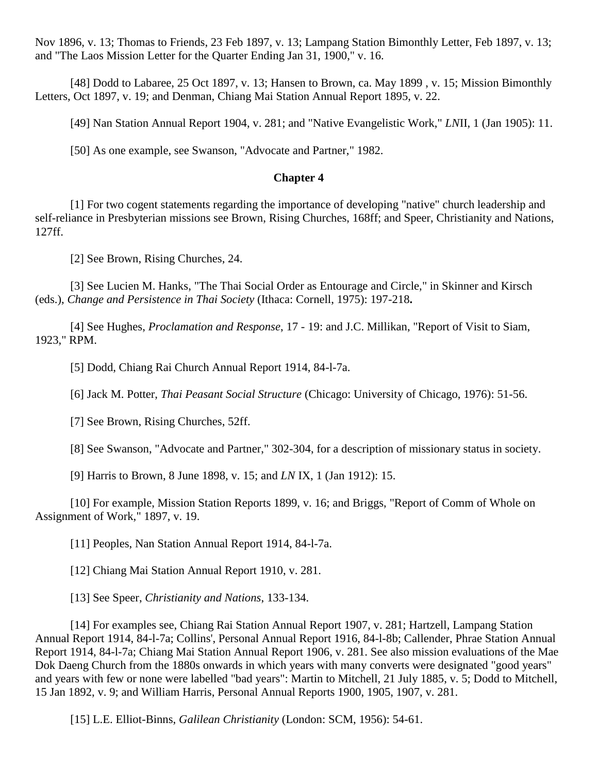Nov 1896, v. 13; Thomas to Friends, 23 Feb 1897, v. 13; Lampang Station Bimonthly Letter, Feb 1897, v. 13; and "The Laos Mission Letter for the Quarter Ending Jan 31, 1900," v. 16.

[48] Dodd to Labaree, 25 Oct 1897, v. 13; Hansen to Brown, ca. May 1899 , v. 15; Mission Bimonthly Letters, Oct 1897, v. 19; and Denman, Chiang Mai Station Annual Report 1895, v. 22.

[49] Nan Station Annual Report 1904, v. 281; and "Native Evangelistic Work," *LN*II, 1 (Jan 1905): 11.

[50] As one example, see Swanson, "Advocate and Partner," 1982.

# **[Chapter 4](http://herbswanson.com/post.php?pid=45#c4)**

[1] For two cogent statements regarding the importance of developing "native" church leadership and self-reliance in Presbyterian missions see Brown, Rising Churches, 168ff; and Speer, Christianity and Nations, 127ff.

[2] See Brown, Rising Churches, 24.

[3] See Lucien M. Hanks, "The Thai Social Order as Entourage and Circle," in Skinner and Kirsch (eds.), *Change and Persistence in Thai Society* (Ithaca: Cornell, 1975): 197-218**.**

[4] See Hughes, *Proclamation and Response*, 17 - 19: and J.C. Millikan, "Report of Visit to Siam, 1923," RPM.

[5] Dodd, Chiang Rai Church Annual Report 1914, 84-l-7a.

[6] Jack M. Potter, *Thai Peasant Social Structure* (Chicago: University of Chicago, 1976): 51-56.

[7] See Brown, Rising Churches, 52ff.

[8] See Swanson, "Advocate and Partner," 302-304, for a description of missionary status in society.

[9] Harris to Brown, 8 June 1898, v. 15; and *LN* IX, 1 (Jan 1912): 15.

[10] For example, Mission Station Reports 1899, v. 16; and Briggs, "Report of Comm of Whole on Assignment of Work," 1897, v. 19.

[11] Peoples, Nan Station Annual Report 1914, 84-l-7a.

[12] Chiang Mai Station Annual Report 1910, v. 281.

[13] See Speer, *Christianity and Nations*, 133-134.

[14] For examples see, Chiang Rai Station Annual Report 1907, v. 281; Hartzell, Lampang Station Annual Report 1914, 84-l-7a; Collins', Personal Annual Report 1916, 84-l-8b; Callender, Phrae Station Annual Report 1914, 84-l-7a; Chiang Mai Station Annual Report 1906, v. 281. See also mission evaluations of the Mae Dok Daeng Church from the 1880s onwards in which years with many converts were designated "good years" and years with few or none were labelled "bad years": Martin to Mitchell, 21 July 1885, v. 5; Dodd to Mitchell, 15 Jan 1892, v. 9; and William Harris, Personal Annual Reports 1900, 1905, 1907, v. 281.

[15] L.E. Elliot-Binns, *Galilean Christianity* (London: SCM, 1956): 54-61.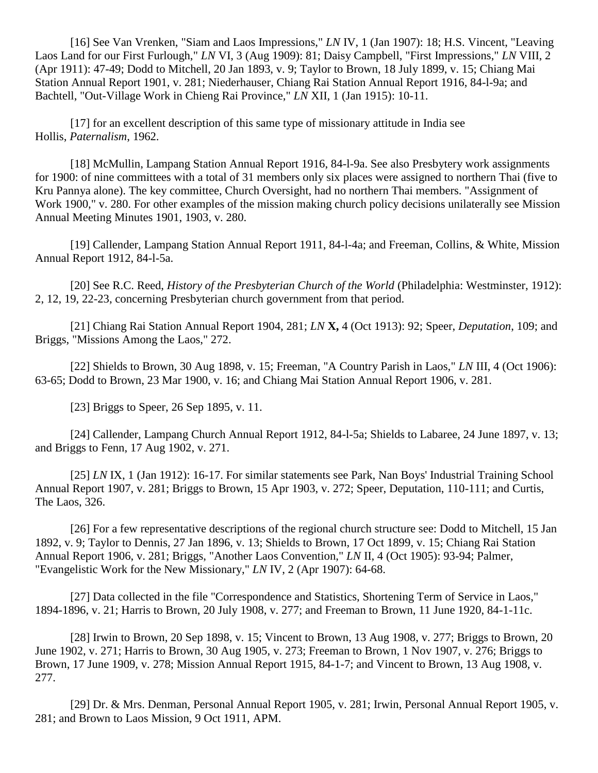[16] See Van Vrenken, "Siam and Laos Impressions," *LN* IV, 1 (Jan 1907): 18; H.S. Vincent, "Leaving Laos Land for our First Furlough," *LN* VI, 3 (Aug 1909): 81; Daisy Campbell, "First Impressions," *LN* VIII, 2 (Apr 1911): 47-49; Dodd to Mitchell, 20 Jan 1893, v. 9; Taylor to Brown, 18 July 1899, v. 15; Chiang Mai Station Annual Report 1901, v. 281; Niederhauser, Chiang Rai Station Annual Report 1916, 84-l-9a; and Bachtell, "Out-Village Work in Chieng Rai Province," *LN* XII, 1 (Jan 1915): 10-11.

[17] for an excellent description of this same type of missionary attitude in India see Hollis, *Paternalism*, 1962.

[18] McMullin, Lampang Station Annual Report 1916, 84-l-9a. See also Presbytery work assignments for 1900: of nine committees with a total of 31 members only six places were assigned to northern Thai (five to Kru Pannya alone). The key committee, Church Oversight, had no northern Thai members. "Assignment of Work 1900," v. 280. For other examples of the mission making church policy decisions unilaterally see Mission Annual Meeting Minutes 1901, 1903, v. 280.

[19] Callender, Lampang Station Annual Report 1911, 84-l-4a; and Freeman, Collins, & White, Mission Annual Report 1912, 84-l-5a.

[20] See R.C. Reed, *History of the Presbyterian Church of the World* (Philadelphia: Westminster, 1912): 2, 12, 19, 22-23, concerning Presbyterian church government from that period.

[21] Chiang Rai Station Annual Report 1904, 281; *LN* **X,** 4 (Oct 1913): 92; Speer, *Deputation*, 109; and Briggs, "Missions Among the Laos," 272.

[22] Shields to Brown, 30 Aug 1898, v. 15; Freeman, "A Country Parish in Laos," *LN* III, 4 (Oct 1906): 63-65; Dodd to Brown, 23 Mar 1900, v. 16; and Chiang Mai Station Annual Report 1906, v. 281.

[23] Briggs to Speer, 26 Sep 1895, v. 11.

[24] Callender, Lampang Church Annual Report 1912, 84-l-5a; Shields to Labaree, 24 June 1897, v. 13; and Briggs to Fenn, 17 Aug 1902, v. 271.

[25] *LN* IX, 1 (Jan 1912): 16-17. For similar statements see Park, Nan Boys' Industrial Training School Annual Report 1907, v. 281; Briggs to Brown, 15 Apr 1903, v. 272; Speer, Deputation, 110-111; and Curtis, The Laos, 326.

[26] For a few representative descriptions of the regional church structure see: Dodd to Mitchell, 15 Jan 1892, v. 9; Taylor to Dennis, 27 Jan 1896, v. 13; Shields to Brown, 17 Oct 1899, v. 15; Chiang Rai Station Annual Report 1906, v. 281; Briggs, "Another Laos Convention," *LN* II, 4 (Oct 1905): 93-94; Palmer, "Evangelistic Work for the New Missionary," *LN* IV, 2 (Apr 1907): 64-68.

[27] Data collected in the file "Correspondence and Statistics, Shortening Term of Service in Laos," 1894-1896, v. 21; Harris to Brown, 20 July 1908, v. 277; and Freeman to Brown, 11 June 1920, 84-1-11c.

[28] Irwin to Brown, 20 Sep 1898, v. 15; Vincent to Brown, 13 Aug 1908, v. 277; Briggs to Brown, 20 June 1902, v. 271; Harris to Brown, 30 Aug 1905, v. 273; Freeman to Brown, 1 Nov 1907, v. 276; Briggs to Brown, 17 June 1909, v. 278; Mission Annual Report 1915, 84-1-7; and Vincent to Brown, 13 Aug 1908, v. 277.

[29] Dr. & Mrs. Denman, Personal Annual Report 1905, v. 281; Irwin, Personal Annual Report 1905, v. 281; and Brown to Laos Mission, 9 Oct 1911, APM.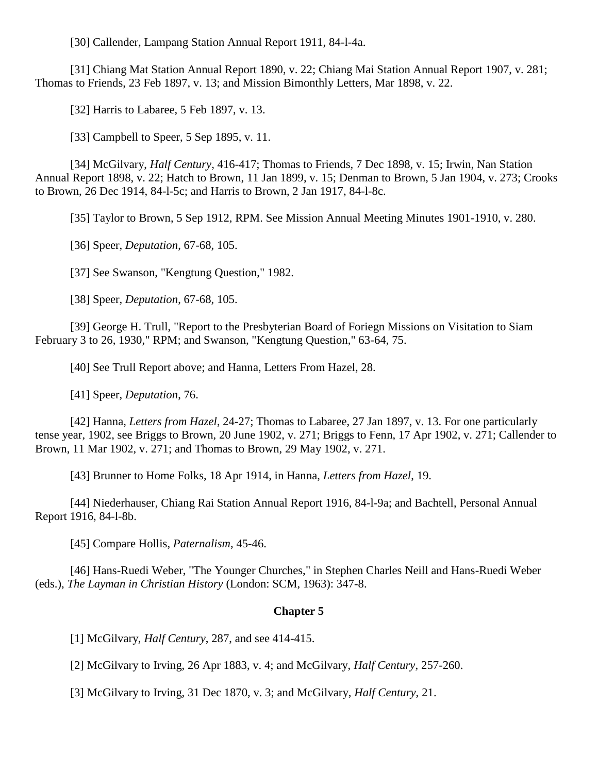[30] Callender, Lampang Station Annual Report 1911, 84-l-4a.

[31] Chiang Mat Station Annual Report 1890, v. 22; Chiang Mai Station Annual Report 1907, v. 281; Thomas to Friends, 23 Feb 1897, v. 13; and Mission Bimonthly Letters, Mar 1898, v. 22.

[32] Harris to Labaree, 5 Feb 1897, v. 13.

[33] Campbell to Speer, 5 Sep 1895, v. 11.

[34] McGilvary, *Half Century*, 416-417; Thomas to Friends, 7 Dec 1898, v. 15; Irwin, Nan Station Annual Report 1898, v. 22; Hatch to Brown, 11 Jan 1899, v. 15; Denman to Brown, 5 Jan 1904, v. 273; Crooks to Brown, 26 Dec 1914, 84-l-5c; and Harris to Brown, 2 Jan 1917, 84-l-8c.

[35] Taylor to Brown, 5 Sep 1912, RPM. See Mission Annual Meeting Minutes 1901-1910, v. 280.

[36] Speer, *Deputation*, 67-68, 105.

[37] See Swanson, "Kengtung Question," 1982.

[38] Speer, *Deputation*, 67-68, 105.

[39] George H. Trull, "Report to the Presbyterian Board of Foriegn Missions on Visitation to Siam February 3 to 26, 1930," RPM; and Swanson, "Kengtung Question," 63-64, 75.

[40] See Trull Report above; and Hanna, Letters From Hazel, 28.

[41] Speer, *Deputation*, 76.

[42] Hanna, *Letters from Hazel*, 24-27; Thomas to Labaree, 27 Jan 1897, v. 13. For one particularly tense year, 1902, see Briggs to Brown, 20 June 1902, v. 271; Briggs to Fenn, 17 Apr 1902, v. 271; Callender to Brown, 11 Mar 1902, v. 271; and Thomas to Brown, 29 May 1902, v. 271.

[43] Brunner to Home Folks, 18 Apr 1914, in Hanna, *Letters from Hazel*, 19.

[44] Niederhauser, Chiang Rai Station Annual Report 1916, 84-l-9a; and Bachtell, Personal Annual Report 1916, 84-l-8b.

[45] Compare Hollis, *Paternalism*, 45-46.

[46] Hans-Ruedi Weber, "The Younger Churches," in Stephen Charles Neill and Hans-Ruedi Weber (eds.), *The Layman in Christian History* (London: SCM, 1963): 347-8.

#### **[Chapter 5](http://herbswanson.com/post.php?pid=45#c5)**

[1] McGilvary, *Half Century*, 287, and see 414-415.

[2] McGilvary to Irving, 26 Apr 1883, v. 4; and McGilvary, *Half Century*, 257-260.

[3] McGilvary to Irving, 31 Dec 1870, v. 3; and McGilvary, *Half Century*, 21.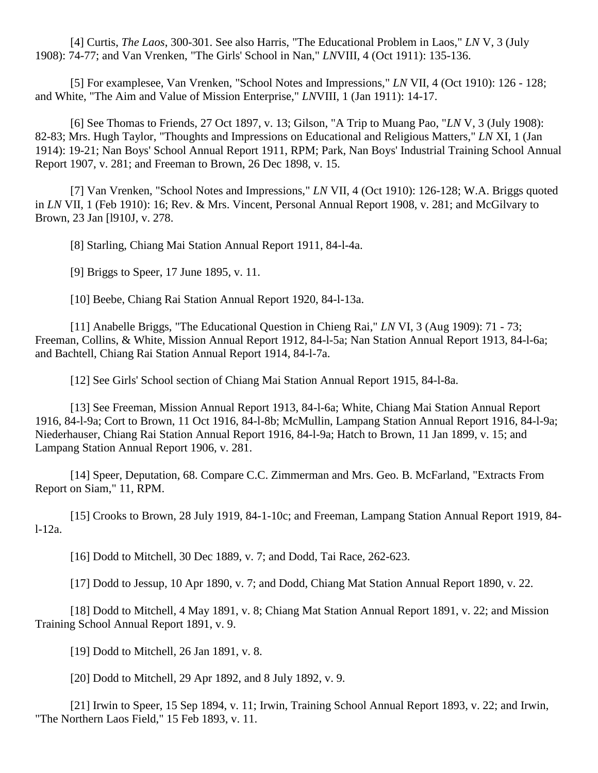[4] Curtis, *The Laos*, 300-301. See also Harris, "The Educational Problem in Laos," *LN* V, 3 (July 1908): 74-77; and Van Vrenken, "The Girls' School in Nan," *LN*VIII, 4 (Oct 1911): 135-136.

[5] For examplesee, Van Vrenken, "School Notes and Impressions," *LN* VII, 4 (Oct 1910): 126 - 128; and White, "The Aim and Value of Mission Enterprise," *LN*VIII, 1 (Jan 1911): 14-17.

[6] See Thomas to Friends, 27 Oct 1897, v. 13; Gilson, "A Trip to Muang Pao, "*LN* V, 3 (July 1908): 82-83; Mrs. Hugh Taylor, "Thoughts and Impressions on Educational and Religious Matters," *LN* XI, 1 (Jan 1914): 19-21; Nan Boys' School Annual Report 1911, RPM; Park, Nan Boys' Industrial Training School Annual Report 1907, v. 281; and Freeman to Brown, 26 Dec 1898, v. 15.

[7] Van Vrenken, "School Notes and Impressions," *LN* VII, 4 (Oct 1910): 126-128; W.A. Briggs quoted in *LN* VII, 1 (Feb 1910): 16; Rev. & Mrs. Vincent, Personal Annual Report 1908, v. 281; and McGilvary to Brown, 23 Jan [l910J, v. 278.

[8] Starling, Chiang Mai Station Annual Report 1911, 84-l-4a.

[9] Briggs to Speer, 17 June 1895, v. 11.

[10] Beebe, Chiang Rai Station Annual Report 1920, 84-l-13a.

[11] Anabelle Briggs, "The Educational Question in Chieng Rai," *LN* VI, 3 (Aug 1909): 71 - 73; Freeman, Collins, & White, Mission Annual Report 1912, 84-l-5a; Nan Station Annual Report 1913, 84-l-6a; and Bachtell, Chiang Rai Station Annual Report 1914, 84-l-7a.

[12] See Girls' School section of Chiang Mai Station Annual Report 1915, 84-l-8a.

[13] See Freeman, Mission Annual Report 1913, 84-l-6a; White, Chiang Mai Station Annual Report 1916, 84-l-9a; Cort to Brown, 11 Oct 1916, 84-l-8b; McMullin, Lampang Station Annual Report 1916, 84-l-9a; Niederhauser, Chiang Rai Station Annual Report 1916, 84-l-9a; Hatch to Brown, 11 Jan 1899, v. 15; and Lampang Station Annual Report 1906, v. 281.

[14] Speer, Deputation, 68. Compare C.C. Zimmerman and Mrs. Geo. B. McFarland, "Extracts From Report on Siam," 11, RPM.

[15] Crooks to Brown, 28 July 1919, 84-1-10c; and Freeman, Lampang Station Annual Report 1919, 84l-12a.

[16] Dodd to Mitchell, 30 Dec 1889, v. 7; and Dodd, Tai Race, 262-623.

[17] Dodd to Jessup, 10 Apr 1890, v. 7; and Dodd, Chiang Mat Station Annual Report 1890, v. 22.

[18] Dodd to Mitchell, 4 May 1891, v. 8; Chiang Mat Station Annual Report 1891, v. 22; and Mission Training School Annual Report 1891, v. 9.

[19] Dodd to Mitchell, 26 Jan 1891, v. 8.

[20] Dodd to Mitchell, 29 Apr 1892, and 8 July 1892, v. 9.

[21] Irwin to Speer, 15 Sep 1894, v. 11; Irwin, Training School Annual Report 1893, v. 22; and Irwin, "The Northern Laos Field," 15 Feb 1893, v. 11.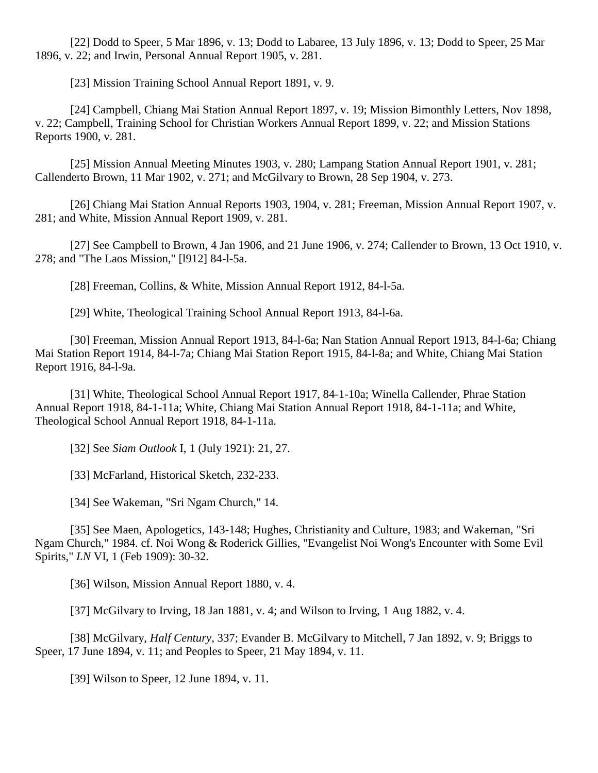[22] Dodd to Speer, 5 Mar 1896, v. 13; Dodd to Labaree, 13 July 1896, v. 13; Dodd to Speer, 25 Mar 1896, v. 22; and Irwin, Personal Annual Report 1905, v. 281.

[23] Mission Training School Annual Report 1891, v. 9.

[24] Campbell, Chiang Mai Station Annual Report 1897, v. 19; Mission Bimonthly Letters, Nov 1898, v. 22; Campbell, Training School for Christian Workers Annual Report 1899, v. 22; and Mission Stations Reports 1900, v. 281.

[25] Mission Annual Meeting Minutes 1903, v. 280; Lampang Station Annual Report 1901, v. 281; Callenderto Brown, 11 Mar 1902, v. 271; and McGilvary to Brown, 28 Sep 1904, v. 273.

[26] Chiang Mai Station Annual Reports 1903, 1904, v. 281; Freeman, Mission Annual Report 1907, v. 281; and White, Mission Annual Report 1909, v. 281.

[27] See Campbell to Brown, 4 Jan 1906, and 21 June 1906, v. 274; Callender to Brown, 13 Oct 1910, v. 278; and "The Laos Mission," [l912] 84-l-5a.

[28] Freeman, Collins, & White, Mission Annual Report 1912, 84-l-5a.

[29] White, Theological Training School Annual Report 1913, 84-l-6a.

[30] Freeman, Mission Annual Report 1913, 84-l-6a; Nan Station Annual Report 1913, 84-l-6a; Chiang Mai Station Report 1914, 84-l-7a; Chiang Mai Station Report 1915, 84-l-8a; and White, Chiang Mai Station Report 1916, 84-l-9a.

[31] White, Theological School Annual Report 1917, 84-1-10a; Winella Callender, Phrae Station Annual Report 1918, 84-1-11a; White, Chiang Mai Station Annual Report 1918, 84-1-11a; and White, Theological School Annual Report 1918, 84-1-11a.

[32] See *Siam Outlook* I, 1 (July 1921): 21, 27.

[33] McFarland, Historical Sketch, 232-233.

[34] See Wakeman, "Sri Ngam Church," 14.

[35] See Maen, Apologetics, 143-148; Hughes, Christianity and Culture, 1983; and Wakeman, "Sri Ngam Church," 1984. cf. Noi Wong & Roderick Gillies, "Evangelist Noi Wong's Encounter with Some Evil Spirits," *LN* VI, 1 (Feb 1909): 30-32.

[36] Wilson, Mission Annual Report 1880, v. 4.

[37] McGilvary to Irving, 18 Jan 1881, v. 4; and Wilson to Irving, 1 Aug 1882, v. 4.

[38] McGilvary, *Half Century*, 337; Evander B. McGilvary to Mitchell, 7 Jan 1892, v. 9; Briggs to Speer, 17 June 1894, v. 11; and Peoples to Speer, 21 May 1894, v. 11.

[39] Wilson to Speer, 12 June 1894, v. 11.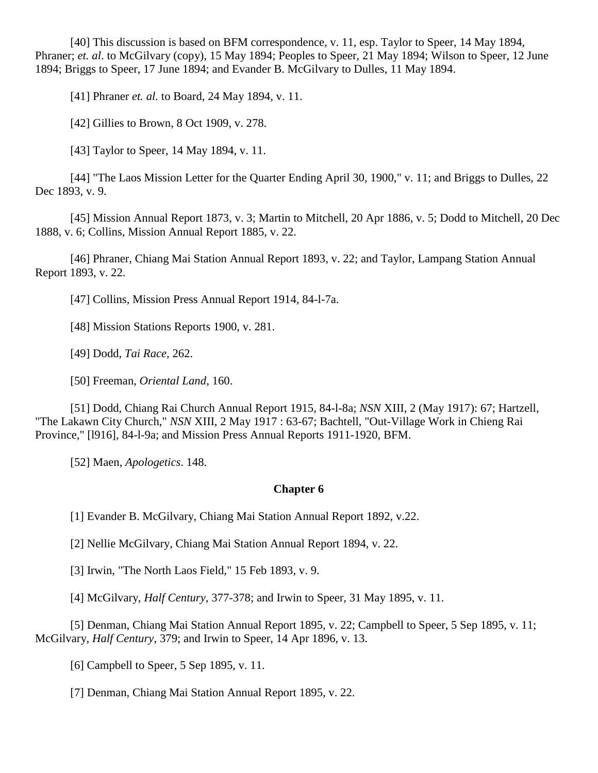[40] This discussion is based on BFM correspondence, v. 11, esp. Taylor to Speer, 14 May 1894, Phraner; *et. al*. to McGilvary (copy), 15 May 1894; Peoples to Speer, 21 May 1894; Wilson to Speer, 12 June 1894; Briggs to Speer, 17 June 1894; and Evander B. McGilvary to Dulles, 11 May 1894.

[41] Phraner *et. al.* to Board, 24 May 1894, v. 11.

[42] Gillies to Brown, 8 Oct 1909, v. 278.

[43] Taylor to Speer, 14 May 1894, v. 11.

[44] "The Laos Mission Letter for the Quarter Ending April 30, 1900," v. 11; and Briggs to Dulles, 22 Dec 1893, v. 9.

[45] Mission Annual Report 1873, v. 3; Martin to Mitchell, 20 Apr 1886, v. 5; Dodd to Mitchell, 20 Dec 1888, v. 6; Collins, Mission Annual Report 1885, v. 22.

[46] Phraner, Chiang Mai Station Annual Report 1893, v. 22; and Taylor, Lampang Station Annual Report 1893, v. 22.

[47] Collins, Mission Press Annual Report 1914, 84-l-7a.

[48] Mission Stations Reports 1900, v. 281.

[49] Dodd, *Tai Race*, 262.

[50] Freeman, *Oriental Land*, 160.

[51] Dodd, Chiang Rai Church Annual Report 1915, 84-l-8a; *NSN* XIII, 2 (May 1917): 67; Hartzell, "The Lakawn City Church," *NSN* XIII, 2 May 1917 : 63-67; Bachtell, "Out-Village Work in Chieng Rai Province," [l916], 84-l-9a; and Mission Press Annual Reports 1911-1920, BFM.

[52] Maen, *Apologetics*. 148.

# **[Chapter 6](http://herbswanson.com/post.php?pid=45#c6)**

[1] Evander B. McGilvary, Chiang Mai Station Annual Report 1892, v.22.

[2] Nellie McGilvary, Chiang Mai Station Annual Report 1894, v. 22.

[3] Irwin, "The North Laos Field," 15 Feb 1893, v. 9.

[4] McGilvary, *Half Century*, 377-378; and Irwin to Speer, 31 May 1895, v. 11.

[5] Denman, Chiang Mai Station Annual Report 1895, v. 22; Campbell to Speer, 5 Sep 1895, v. 11; McGilvary, *Half Century*, 379; and Irwin to Speer, 14 Apr 1896, v. 13.

[6] Campbell to Speer, 5 Sep 1895, v. 11.

[7] Denman, Chiang Mai Station Annual Report 1895, v. 22.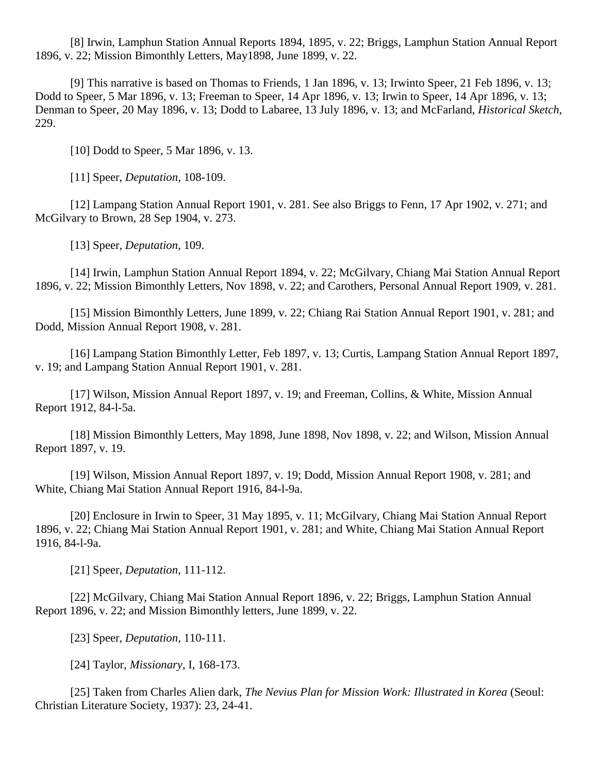[8] Irwin, Lamphun Station Annual Reports 1894, 1895, v. 22; Briggs, Lamphun Station Annual Report 1896, v. 22; Mission Bimonthly Letters, May1898, June 1899, v. 22.

[9] This narrative is based on Thomas to Friends, 1 Jan 1896, v. 13; Irwinto Speer, 21 Feb 1896, v. 13; Dodd to Speer, 5 Mar 1896, v. 13; Freeman to Speer, 14 Apr 1896, v. 13; Irwin to Speer, 14 Apr 1896, v. 13; Denman to Speer, 20 May 1896, v. 13; Dodd to Labaree, 13 July 1896, v. 13; and McFarland, *Historical Sketch*, 229.

[10] Dodd to Speer, 5 Mar 1896, v. 13.

[11] Speer, *Deputation*, 108-109.

[12] Lampang Station Annual Report 1901, v. 281. See also Briggs to Fenn, 17 Apr 1902, v. 271; and McGilvary to Brown, 28 Sep 1904, v. 273.

[13] Speer, *Deputation*, 109.

[14] Irwin, Lamphun Station Annual Report 1894, v. 22; McGilvary, Chiang Mai Station Annual Report 1896, v. 22; Mission Bimonthly Letters, Nov 1898, v. 22; and Carothers, Personal Annual Report 1909, v. 281.

[15] Mission Bimonthly Letters, June 1899, v. 22; Chiang Rai Station Annual Report 1901, v. 281; and Dodd, Mission Annual Report 1908, v. 281.

[16] Lampang Station Bimonthly Letter, Feb 1897, v. 13; Curtis, Lampang Station Annual Report 1897, v. 19; and Lampang Station Annual Report 1901, v. 281.

[17] Wilson, Mission Annual Report 1897, v. 19; and Freeman, Collins, & White, Mission Annual Report 1912, 84-l-5a.

[18] Mission Bimonthly Letters, May 1898, June 1898, Nov 1898, v. 22; and Wilson, Mission Annual Report 1897, v. 19.

[19] Wilson, Mission Annual Report 1897, v. 19; Dodd, Mission Annual Report 1908, v. 281; and White, Chiang Mai Station Annual Report 1916, 84-l-9a.

[20] Enclosure in Irwin to Speer, 31 May 1895, v. 11; McGilvary, Chiang Mai Station Annual Report 1896, v. 22; Chiang Mai Station Annual Report 1901, v. 281; and White, Chiang Mai Station Annual Report 1916, 84-l-9a.

[21] Speer, *Deputation*, 111-112.

[22] McGilvary, Chiang Mai Station Annual Report 1896, v. 22; Briggs, Lamphun Station Annual Report 1896, v. 22; and Mission Bimonthly letters, June 1899, v. 22.

[23] Speer, *Deputation*, 110-111.

[24] Taylor, *Missionary*, I, 168-173.

[25] Taken from Charles Alien dark, *The Nevius Plan for Mission Work: Illustrated in Korea* (Seoul: Christian Literature Society, 1937): 23, 24-41.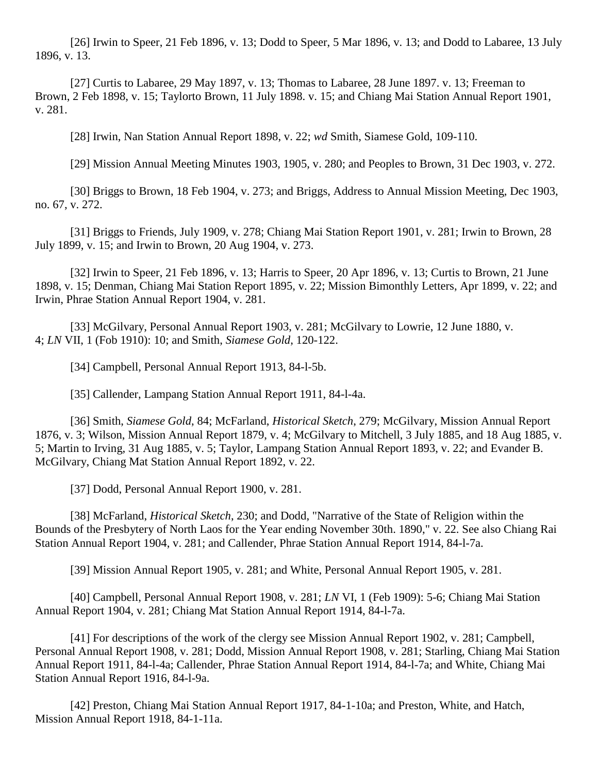[26] Irwin to Speer, 21 Feb 1896, v. 13; Dodd to Speer, 5 Mar 1896, v. 13; and Dodd to Labaree, 13 July 1896, v. 13.

[27] Curtis to Labaree, 29 May 1897, v. 13; Thomas to Labaree, 28 June 1897. v. 13; Freeman to Brown, 2 Feb 1898, v. 15; Taylorto Brown, 11 July 1898. v. 15; and Chiang Mai Station Annual Report 1901, v. 281.

[28] Irwin, Nan Station Annual Report 1898, v. 22; *wd* Smith, Siamese Gold, 109-110.

[29] Mission Annual Meeting Minutes 1903, 1905, v. 280; and Peoples to Brown, 31 Dec 1903, v. 272.

[30] Briggs to Brown, 18 Feb 1904, v. 273; and Briggs, Address to Annual Mission Meeting, Dec 1903, no. 67, v. 272.

[31] Briggs to Friends, July 1909, v. 278; Chiang Mai Station Report 1901, v. 281; Irwin to Brown, 28 July 1899, v. 15; and Irwin to Brown, 20 Aug 1904, v. 273.

[32] Irwin to Speer, 21 Feb 1896, v. 13; Harris to Speer, 20 Apr 1896, v. 13; Curtis to Brown, 21 June 1898, v. 15; Denman, Chiang Mai Station Report 1895, v. 22; Mission Bimonthly Letters, Apr 1899, v. 22; and Irwin, Phrae Station Annual Report 1904, v. 281.

[33] McGilvary, Personal Annual Report 1903, v. 281; McGilvary to Lowrie, 12 June 1880, v. 4; *LN* VII, 1 (Fob 1910): 10; and Smith, *Siamese Gold*, 120-122.

[34] Campbell, Personal Annual Report 1913, 84-1-5b.

[35] Callender, Lampang Station Annual Report 1911, 84-l-4a.

[36] Smith, *Siamese Gold*, 84; McFarland, *Historical Sketch*, 279; McGilvary, Mission Annual Report 1876, v. 3; Wilson, Mission Annual Report 1879, v. 4; McGilvary to Mitchell, 3 July 1885, and 18 Aug 1885, v. 5; Martin to Irving, 31 Aug 1885, v. 5; Taylor, Lampang Station Annual Report 1893, v. 22; and Evander B. McGilvary, Chiang Mat Station Annual Report 1892, v. 22.

[37] Dodd, Personal Annual Report 1900, v. 281.

[38] McFarland, *Historical Sketch*, 230; and Dodd, "Narrative of the State of Religion within the Bounds of the Presbytery of North Laos for the Year ending November 30th. 1890," v. 22. See also Chiang Rai Station Annual Report 1904, v. 281; and Callender, Phrae Station Annual Report 1914, 84-l-7a.

[39] Mission Annual Report 1905, v. 281; and White, Personal Annual Report 1905, v. 281.

[40] Campbell, Personal Annual Report 1908, v. 281; *LN* VI, 1 (Feb 1909): 5-6; Chiang Mai Station Annual Report 1904, v. 281; Chiang Mat Station Annual Report 1914, 84-l-7a.

[41] For descriptions of the work of the clergy see Mission Annual Report 1902, v. 281; Campbell, Personal Annual Report 1908, v. 281; Dodd, Mission Annual Report 1908, v. 281; Starling, Chiang Mai Station Annual Report 1911, 84-l-4a; Callender, Phrae Station Annual Report 1914, 84-l-7a; and White, Chiang Mai Station Annual Report 1916, 84-l-9a.

[42] Preston, Chiang Mai Station Annual Report 1917, 84-1-10a; and Preston, White, and Hatch, Mission Annual Report 1918, 84-1-11a.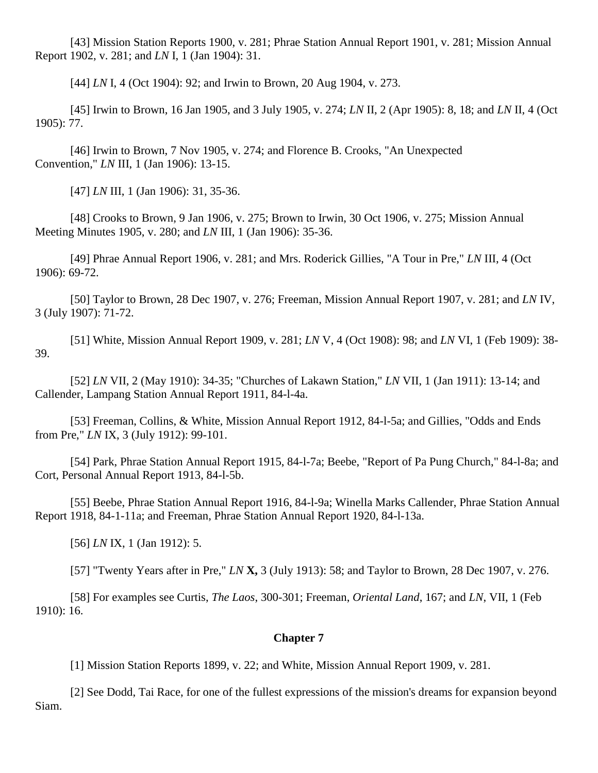[43] Mission Station Reports 1900, v. 281; Phrae Station Annual Report 1901, v. 281; Mission Annual Report 1902, v. 281; and *LN* I, 1 (Jan 1904): 31.

[44] *LN* I, 4 (Oct 1904): 92; and Irwin to Brown, 20 Aug 1904, v. 273.

[45] Irwin to Brown, 16 Jan 1905, and 3 July 1905, v. 274; *LN* II, 2 (Apr 1905): 8, 18; and *LN* II, 4 (Oct 1905): 77.

[46] Irwin to Brown, 7 Nov 1905, v. 274; and Florence B. Crooks, "An Unexpected Convention," *LN* III, 1 (Jan 1906): 13-15.

[47] *LN* III, 1 (Jan 1906): 31, 35-36.

[48] Crooks to Brown, 9 Jan 1906, v. 275; Brown to Irwin, 30 Oct 1906, v. 275; Mission Annual Meeting Minutes 1905, v. 280; and *LN* III, 1 (Jan 1906): 35-36.

[49] Phrae Annual Report 1906, v. 281; and Mrs. Roderick Gillies, "A Tour in Pre," *LN* III, 4 (Oct 1906): 69-72.

[50] Taylor to Brown, 28 Dec 1907, v. 276; Freeman, Mission Annual Report 1907, v. 281; and *LN* IV, 3 (July 1907): 71-72.

[51] White, Mission Annual Report 1909, v. 281; *LN* V, 4 (Oct 1908): 98; and *LN* VI, 1 (Feb 1909): 38- 39.

[52] *LN* VII, 2 (May 1910): 34-35; "Churches of Lakawn Station," *LN* VII, 1 (Jan 1911): 13-14; and Callender, Lampang Station Annual Report 1911, 84-l-4a.

[53] Freeman, Collins, & White, Mission Annual Report 1912, 84-l-5a; and Gillies, "Odds and Ends from Pre," *LN* IX, 3 (July 1912): 99-101.

[54] Park, Phrae Station Annual Report 1915, 84-l-7a; Beebe, "Report of Pa Pung Church," 84-l-8a; and Cort, Personal Annual Report 1913, 84-l-5b.

[55] Beebe, Phrae Station Annual Report 1916, 84-l-9a; Winella Marks Callender, Phrae Station Annual Report 1918, 84-1-11a; and Freeman, Phrae Station Annual Report 1920, 84-l-13a.

[56] *LN* IX, 1 (Jan 1912): 5.

[57] "Twenty Years after in Pre," *LN* **X,** 3 (July 1913): 58; and Taylor to Brown, 28 Dec 1907, v. 276.

[58] For examples see Curtis, *The Laos*, 300-301; Freeman, *Oriental Land*, 167; and *LN*, VII, 1 (Feb 1910): 16.

# **[Chapter 7](http://herbswanson.com/post.php?pid=46#c7)**

[1] Mission Station Reports 1899, v. 22; and White, Mission Annual Report 1909, v. 281.

[2] See Dodd, Tai Race, for one of the fullest expressions of the mission's dreams for expansion beyond Siam.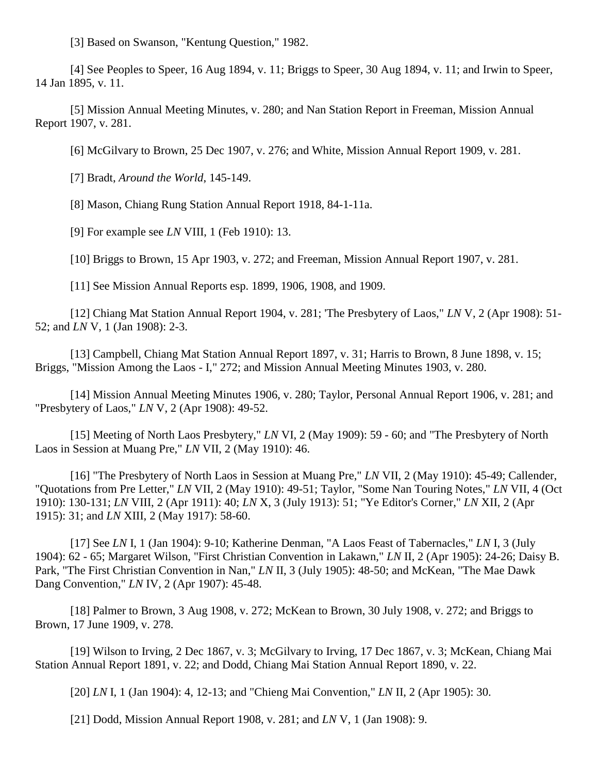[3] Based on Swanson, "Kentung Question," 1982.

[4] See Peoples to Speer, 16 Aug 1894, v. 11; Briggs to Speer, 30 Aug 1894, v. 11; and Irwin to Speer, 14 Jan 1895, v. 11.

[5] Mission Annual Meeting Minutes, v. 280; and Nan Station Report in Freeman, Mission Annual Report 1907, v. 281.

[6] McGilvary to Brown, 25 Dec 1907, v. 276; and White, Mission Annual Report 1909, v. 281.

[7] Bradt, *Around the World*, 145-149.

[8] Mason, Chiang Rung Station Annual Report 1918, 84-1-11a.

[9] For example see *LN* VIII, 1 (Feb 1910): 13.

[10] Briggs to Brown, 15 Apr 1903, v. 272; and Freeman, Mission Annual Report 1907, v. 281.

[11] See Mission Annual Reports esp. 1899, 1906, 1908, and 1909.

[12] Chiang Mat Station Annual Report 1904, v. 281; 'The Presbytery of Laos," *LN* V, 2 (Apr 1908): 51- 52; and *LN* V, 1 (Jan 1908): 2-3.

[13] Campbell, Chiang Mat Station Annual Report 1897, v. 31; Harris to Brown, 8 June 1898, v. 15; Briggs, "Mission Among the Laos - I," 272; and Mission Annual Meeting Minutes 1903, v. 280.

[14] Mission Annual Meeting Minutes 1906, v. 280; Taylor, Personal Annual Report 1906, v. 281; and "Presbytery of Laos," *LN* V, 2 (Apr 1908): 49-52.

[15] Meeting of North Laos Presbytery," *LN* VI, 2 (May 1909): 59 - 60; and "The Presbytery of North Laos in Session at Muang Pre," *LN* VII, 2 (May 1910): 46.

[16] "The Presbytery of North Laos in Session at Muang Pre," *LN* VII, 2 (May 1910): 45-49; Callender, "Quotations from Pre Letter," *LN* VII, 2 (May 1910): 49-51; Taylor, "Some Nan Touring Notes," *LN* VII, 4 (Oct 1910): 130-131; *LN* VIII, 2 (Apr 1911): 40; *LN* X, 3 (July 1913): 51; "Ye Editor's Corner," *LN* XII, 2 (Apr 1915): 31; and *LN* XIII, 2 (May 1917): 58-60.

[17] See *LN* I, 1 (Jan 1904): 9-10; Katherine Denman, "A Laos Feast of Tabernacles," *LN* I, 3 (July 1904): 62 - 65; Margaret Wilson, "First Christian Convention in Lakawn," *LN* II, 2 (Apr 1905): 24-26; Daisy B. Park, "The First Christian Convention in Nan," *LN* II, 3 (July 1905): 48-50; and McKean, "The Mae Dawk Dang Convention," *LN* IV, 2 (Apr 1907): 45-48.

[18] Palmer to Brown, 3 Aug 1908, v. 272; McKean to Brown, 30 July 1908, v. 272; and Briggs to Brown, 17 June 1909, v. 278.

[19] Wilson to Irving, 2 Dec 1867, v. 3; McGilvary to Irving, 17 Dec 1867, v. 3; McKean, Chiang Mai Station Annual Report 1891, v. 22; and Dodd, Chiang Mai Station Annual Report 1890, v. 22.

[20] *LN* I, 1 (Jan 1904): 4, 12-13; and "Chieng Mai Convention," *LN* II, 2 (Apr 1905): 30.

[21] Dodd, Mission Annual Report 1908, v. 281; and *LN* V, 1 (Jan 1908): 9.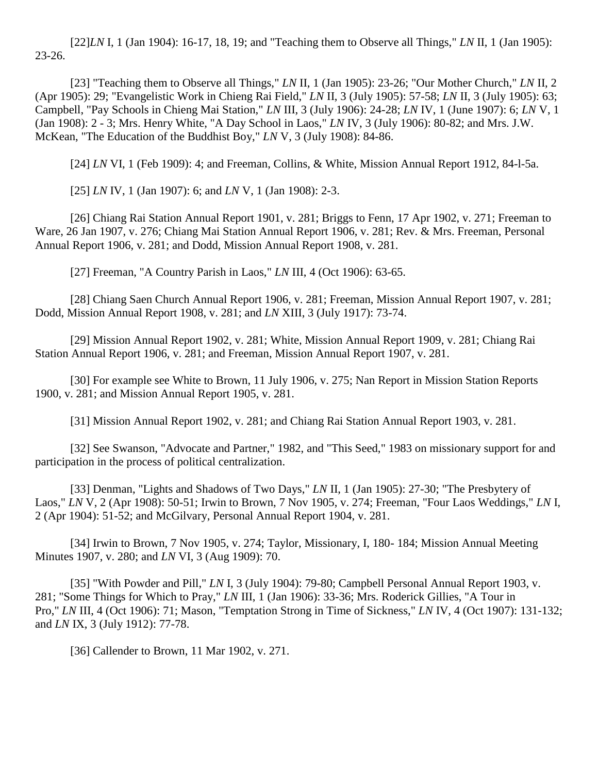[22]*LN* I, 1 (Jan 1904): 16-17, 18, 19; and "Teaching them to Observe all Things," *LN* II, 1 (Jan 1905): 23-26.

[23] "Teaching them to Observe all Things," *LN* II, 1 (Jan 1905): 23-26; "Our Mother Church," *LN* II, 2 (Apr 1905): 29; "Evangelistic Work in Chieng Rai Field," *LN* II, 3 (July 1905): 57-58; *LN* II, 3 (July 1905): 63; Campbell, "Pay Schools in Chieng Mai Station," *LN* III, 3 (July 1906): 24-28; *LN* IV, 1 (June 1907): 6; *LN* V, 1 (Jan 1908): 2 - 3; Mrs. Henry White, "A Day School in Laos," *LN* IV, 3 (July 1906): 80-82; and Mrs. J.W. McKean, "The Education of the Buddhist Boy," *LN* V, 3 (July 1908): 84-86.

[24] *LN* VI, 1 (Feb 1909): 4; and Freeman, Collins, & White, Mission Annual Report 1912, 84-l-5a.

[25] *LN* IV, 1 (Jan 1907): 6; and *LN* V, 1 (Jan 1908): 2-3.

[26] Chiang Rai Station Annual Report 1901, v. 281; Briggs to Fenn, 17 Apr 1902, v. 271; Freeman to Ware, 26 Jan 1907, v. 276; Chiang Mai Station Annual Report 1906, v. 281; Rev. & Mrs. Freeman, Personal Annual Report 1906, v. 281; and Dodd, Mission Annual Report 1908, v. 281.

[27] Freeman, "A Country Parish in Laos," *LN* III, 4 (Oct 1906): 63-65.

[28] Chiang Saen Church Annual Report 1906, v. 281; Freeman, Mission Annual Report 1907, v. 281; Dodd, Mission Annual Report 1908, v. 281; and *LN* XIII, 3 (July 1917): 73-74.

[29] Mission Annual Report 1902, v. 281; White, Mission Annual Report 1909, v. 281; Chiang Rai Station Annual Report 1906, v. 281; and Freeman, Mission Annual Report 1907, v. 281.

[30] For example see White to Brown, 11 July 1906, v. 275; Nan Report in Mission Station Reports 1900, v. 281; and Mission Annual Report 1905, v. 281.

[31] Mission Annual Report 1902, v. 281; and Chiang Rai Station Annual Report 1903, v. 281.

[32] See Swanson, "Advocate and Partner," 1982, and "This Seed," 1983 on missionary support for and participation in the process of political centralization.

[33] Denman, "Lights and Shadows of Two Days," *LN* II, 1 (Jan 1905): 27-30; "The Presbytery of Laos," *LN* V, 2 (Apr 1908): 50-51; Irwin to Brown, 7 Nov 1905, v. 274; Freeman, "Four Laos Weddings," *LN* I, 2 (Apr 1904): 51-52; and McGilvary, Personal Annual Report 1904, v. 281.

[34] Irwin to Brown, 7 Nov 1905, v. 274; Taylor, Missionary, I, 180- 184; Mission Annual Meeting Minutes 1907, v. 280; and *LN* VI, 3 (Aug 1909): 70.

[35] "With Powder and Pill," *LN* I, 3 (July 1904): 79-80; Campbell Personal Annual Report 1903, v. 281; "Some Things for Which to Pray," *LN* III, 1 (Jan 1906): 33-36; Mrs. Roderick Gillies, "A Tour in Pro," *LN* III, 4 (Oct 1906): 71; Mason, "Temptation Strong in Time of Sickness," *LN* IV, 4 (Oct 1907): 131-132; and *LN* IX, 3 (July 1912): 77-78.

[36] Callender to Brown, 11 Mar 1902, v. 271.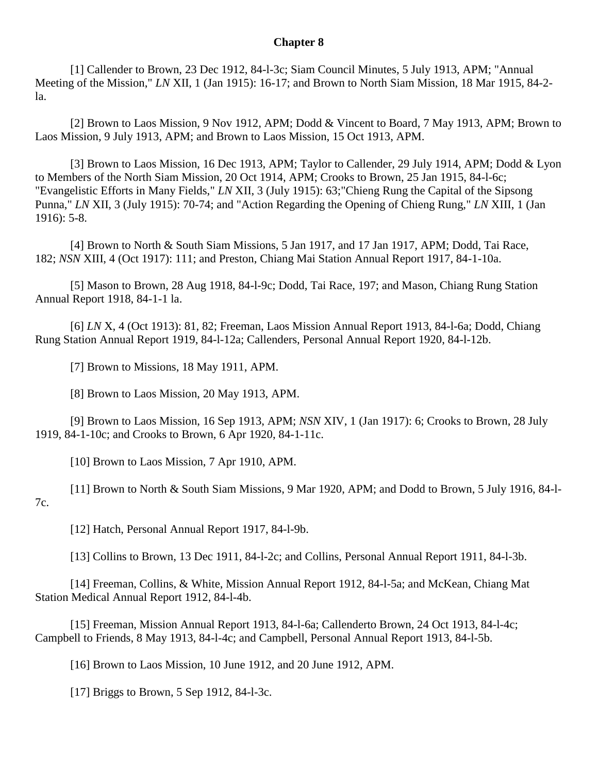#### **[Chapter 8](http://herbswanson.com/post.php?pid=46#c8)**

[1] Callender to Brown, 23 Dec 1912, 84-l-3c; Siam Council Minutes, 5 July 1913, APM; "Annual Meeting of the Mission," *LN* XII, 1 (Jan 1915): 16-17; and Brown to North Siam Mission, 18 Mar 1915, 84-2 la.

[2] Brown to Laos Mission, 9 Nov 1912, APM; Dodd & Vincent to Board, 7 May 1913, APM; Brown to Laos Mission, 9 July 1913, APM; and Brown to Laos Mission, 15 Oct 1913, APM.

[3] Brown to Laos Mission, 16 Dec 1913, APM; Taylor to Callender, 29 July 1914, APM; Dodd & Lyon to Members of the North Siam Mission, 20 Oct 1914, APM; Crooks to Brown, 25 Jan 1915, 84-l-6c; "Evangelistic Efforts in Many Fields," *LN* XII, 3 (July 1915): 63;"Chieng Rung the Capital of the Sipsong Punna," *LN* XII, 3 (July 1915): 70-74; and "Action Regarding the Opening of Chieng Rung," *LN* XIII, 1 (Jan 1916): 5-8.

[4] Brown to North & South Siam Missions, 5 Jan 1917, and 17 Jan 1917, APM; Dodd, Tai Race, 182; *NSN* XIII, 4 (Oct 1917): 111; and Preston, Chiang Mai Station Annual Report 1917, 84-1-10a.

[5] Mason to Brown, 28 Aug 1918, 84-l-9c; Dodd, Tai Race, 197; and Mason, Chiang Rung Station Annual Report 1918, 84-1-1 la.

[6] *LN* X, 4 (Oct 1913): 81, 82; Freeman, Laos Mission Annual Report 1913, 84-l-6a; Dodd, Chiang Rung Station Annual Report 1919, 84-l-12a; Callenders, Personal Annual Report 1920, 84-l-12b.

[7] Brown to Missions, 18 May 1911, APM.

[8] Brown to Laos Mission, 20 May 1913, APM.

[9] Brown to Laos Mission, 16 Sep 1913, APM; *NSN* XIV, 1 (Jan 1917): 6; Crooks to Brown, 28 July 1919, 84-1-10c; and Crooks to Brown, 6 Apr 1920, 84-1-11c.

[10] Brown to Laos Mission, 7 Apr 1910, APM.

[11] Brown to North & South Siam Missions, 9 Mar 1920, APM; and Dodd to Brown, 5 July 1916, 84-l-7c.

[12] Hatch, Personal Annual Report 1917, 84-l-9b.

[13] Collins to Brown, 13 Dec 1911, 84-l-2c; and Collins, Personal Annual Report 1911, 84-l-3b.

[14] Freeman, Collins, & White, Mission Annual Report 1912, 84-l-5a; and McKean, Chiang Mat Station Medical Annual Report 1912, 84-l-4b.

[15] Freeman, Mission Annual Report 1913, 84-l-6a; Callenderto Brown, 24 Oct 1913, 84-l-4c; Campbell to Friends, 8 May 1913, 84-l-4c; and Campbell, Personal Annual Report 1913, 84-l-5b.

[16] Brown to Laos Mission, 10 June 1912, and 20 June 1912, APM.

[17] Briggs to Brown, 5 Sep 1912, 84-l-3c.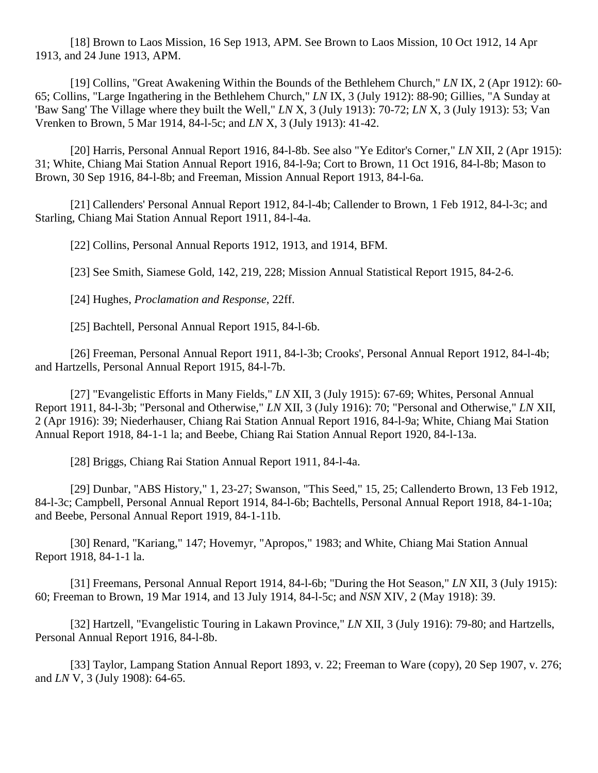[18] Brown to Laos Mission, 16 Sep 1913, APM. See Brown to Laos Mission, 10 Oct 1912, 14 Apr 1913, and 24 June 1913, APM.

[19] Collins, "Great Awakening Within the Bounds of the Bethlehem Church," *LN* IX, 2 (Apr 1912): 60- 65; Collins, "Large Ingathering in the Bethlehem Church," *LN* IX, 3 (July 1912): 88-90; Gillies, "A Sunday at 'Baw Sang' The Village where they built the Well," *LN* X, 3 (July 1913): 70-72; *LN* X, 3 (July 1913): 53; Van Vrenken to Brown, 5 Mar 1914, 84-l-5c; and *LN* X, 3 (July 1913): 41-42.

[20] Harris, Personal Annual Report 1916, 84-l-8b. See also "Ye Editor's Corner," *LN* XII, 2 (Apr 1915): 31; White, Chiang Mai Station Annual Report 1916, 84-l-9a; Cort to Brown, 11 Oct 1916, 84-l-8b; Mason to Brown, 30 Sep 1916, 84-l-8b; and Freeman, Mission Annual Report 1913, 84-l-6a.

[21] Callenders' Personal Annual Report 1912, 84-1-4b; Callender to Brown, 1 Feb 1912, 84-1-3c; and Starling, Chiang Mai Station Annual Report 1911, 84-l-4a.

[22] Collins, Personal Annual Reports 1912, 1913, and 1914, BFM.

[23] See Smith, Siamese Gold, 142, 219, 228; Mission Annual Statistical Report 1915, 84-2-6.

[24] Hughes, *Proclamation and Response*, 22ff.

[25] Bachtell, Personal Annual Report 1915, 84-1-6b.

[26] Freeman, Personal Annual Report 1911, 84-l-3b; Crooks', Personal Annual Report 1912, 84-l-4b; and Hartzells, Personal Annual Report 1915, 84-l-7b.

[27] "Evangelistic Efforts in Many Fields," *LN* XII, 3 (July 1915): 67-69; Whites, Personal Annual Report 1911, 84-l-3b; "Personal and Otherwise," *LN* XII, 3 (July 1916): 70; "Personal and Otherwise," *LN* XII, 2 (Apr 1916): 39; Niederhauser, Chiang Rai Station Annual Report 1916, 84-l-9a; White, Chiang Mai Station Annual Report 1918, 84-1-1 la; and Beebe, Chiang Rai Station Annual Report 1920, 84-l-13a.

[28] Briggs, Chiang Rai Station Annual Report 1911, 84-l-4a.

[29] Dunbar, "ABS History," 1, 23-27; Swanson, "This Seed," 15, 25; Callenderto Brown, 13 Feb 1912, 84-l-3c; Campbell, Personal Annual Report 1914, 84-l-6b; Bachtells, Personal Annual Report 1918, 84-1-10a; and Beebe, Personal Annual Report 1919, 84-1-11b.

[30] Renard, "Kariang," 147; Hovemyr, "Apropos," 1983; and White, Chiang Mai Station Annual Report 1918, 84-1-1 la.

[31] Freemans, Personal Annual Report 1914, 84-l-6b; "During the Hot Season," *LN* XII, 3 (July 1915): 60; Freeman to Brown, 19 Mar 1914, and 13 July 1914, 84-l-5c; and *NSN* XIV, 2 (May 1918): 39.

[32] Hartzell, "Evangelistic Touring in Lakawn Province," *LN* XII, 3 (July 1916): 79-80; and Hartzells, Personal Annual Report 1916, 84-l-8b.

[33] Taylor, Lampang Station Annual Report 1893, v. 22; Freeman to Ware (copy), 20 Sep 1907, v. 276; and *LN* V, 3 (July 1908): 64-65.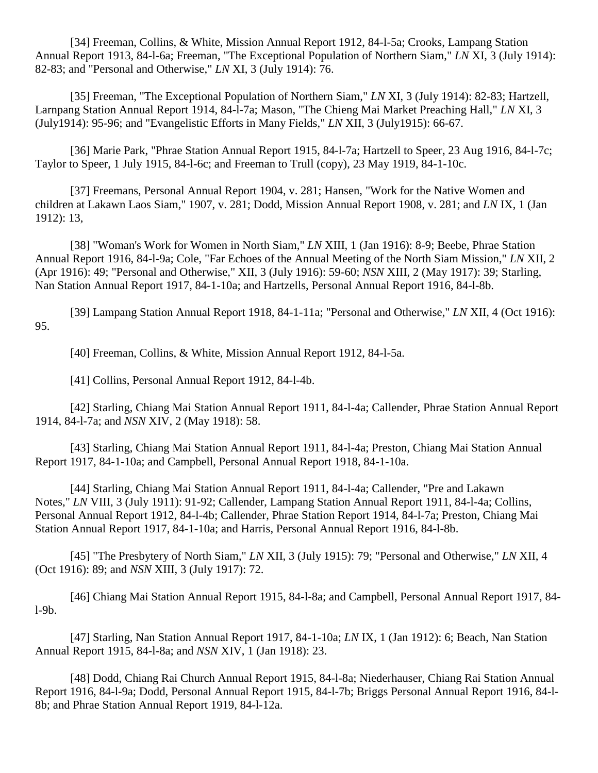[34] Freeman, Collins, & White, Mission Annual Report 1912, 84-l-5a; Crooks, Lampang Station Annual Report 1913, 84-l-6a; Freeman, "The Exceptional Population of Northern Siam," *LN* XI, 3 (July 1914): 82-83; and "Personal and Otherwise," *LN* XI, 3 (July 1914): 76.

[35] Freeman, "The Exceptional Population of Northern Siam," *LN* XI, 3 (July 1914): 82-83; Hartzell, Larnpang Station Annual Report 1914, 84-l-7a; Mason, "The Chieng Mai Market Preaching Hall," *LN* XI, 3 (July1914): 95-96; and "Evangelistic Efforts in Many Fields," *LN* XII, 3 (July1915): 66-67.

[36] Marie Park, "Phrae Station Annual Report 1915, 84-l-7a; Hartzell to Speer, 23 Aug 1916, 84-l-7c; Taylor to Speer, 1 July 1915, 84-l-6c; and Freeman to Trull (copy), 23 May 1919, 84-1-10c.

[37] Freemans, Personal Annual Report 1904, v. 281; Hansen, "Work for the Native Women and children at Lakawn Laos Siam," 1907, v. 281; Dodd, Mission Annual Report 1908, v. 281; and *LN* IX, 1 (Jan 1912): 13,

[38] "Woman's Work for Women in North Siam," *LN* XIII, 1 (Jan 1916): 8-9; Beebe, Phrae Station Annual Report 1916, 84-l-9a; Cole, "Far Echoes of the Annual Meeting of the North Siam Mission," *LN* XII, 2 (Apr 1916): 49; "Personal and Otherwise," XII, 3 (July 1916): 59-60; *NSN* XIII, 2 (May 1917): 39; Starling, Nan Station Annual Report 1917, 84-1-10a; and Hartzells, Personal Annual Report 1916, 84-l-8b.

[39] Lampang Station Annual Report 1918, 84-1-11a; "Personal and Otherwise," *LN* XII, 4 (Oct 1916): 95.

[40] Freeman, Collins, & White, Mission Annual Report 1912, 84-l-5a.

[41] Collins, Personal Annual Report 1912, 84-l-4b.

[42] Starling, Chiang Mai Station Annual Report 1911, 84-l-4a; Callender, Phrae Station Annual Report 1914, 84-l-7a; and *NSN* XIV, 2 (May 1918): 58.

[43] Starling, Chiang Mai Station Annual Report 1911, 84-l-4a; Preston, Chiang Mai Station Annual Report 1917, 84-1-10a; and Campbell, Personal Annual Report 1918, 84-1-10a.

[44] Starling, Chiang Mai Station Annual Report 1911, 84-l-4a; Callender, "Pre and Lakawn Notes," *LN* VIII, 3 (July 1911): 91-92; Callender, Lampang Station Annual Report 1911, 84-l-4a; Collins, Personal Annual Report 1912, 84-l-4b; Callender, Phrae Station Report 1914, 84-l-7a; Preston, Chiang Mai Station Annual Report 1917, 84-1-10a; and Harris, Personal Annual Report 1916, 84-l-8b.

[45] "The Presbytery of North Siam," *LN* XII, 3 (July 1915): 79; "Personal and Otherwise," *LN* XII, 4 (Oct 1916): 89; and *NSN* XIII, 3 (July 1917): 72.

[46] Chiang Mai Station Annual Report 1915, 84-l-8a; and Campbell, Personal Annual Report 1917, 84 l-9b.

[47] Starling, Nan Station Annual Report 1917, 84-1-10a; *LN* IX, 1 (Jan 1912): 6; Beach, Nan Station Annual Report 1915, 84-l-8a; and *NSN* XIV, 1 (Jan 1918): 23.

[48] Dodd, Chiang Rai Church Annual Report 1915, 84-l-8a; Niederhauser, Chiang Rai Station Annual Report 1916, 84-l-9a; Dodd, Personal Annual Report 1915, 84-l-7b; Briggs Personal Annual Report 1916, 84-l-8b; and Phrae Station Annual Report 1919, 84-l-12a.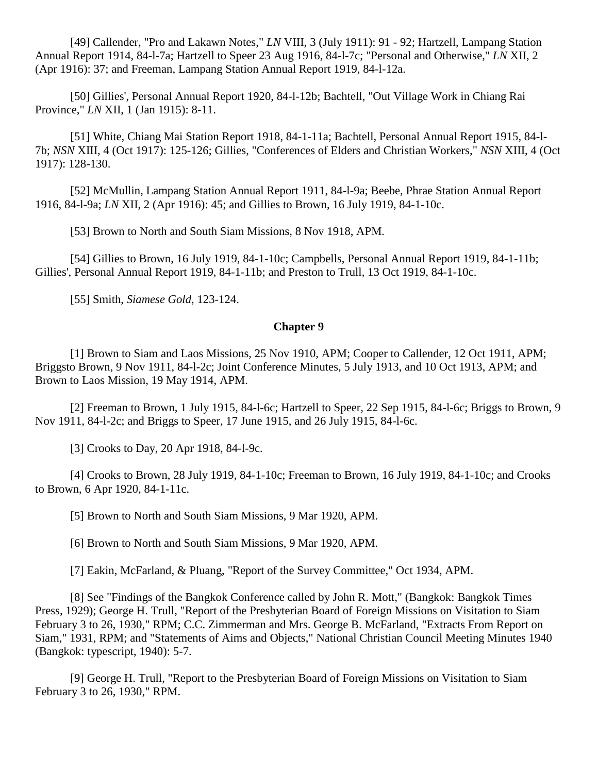[49] Callender, "Pro and Lakawn Notes," *LN* VIII, 3 (July 1911): 91 - 92; Hartzell, Lampang Station Annual Report 1914, 84-l-7a; Hartzell to Speer 23 Aug 1916, 84-l-7c; "Personal and Otherwise," *LN* XII, 2 (Apr 1916): 37; and Freeman, Lampang Station Annual Report 1919, 84-l-12a.

[50] Gillies', Personal Annual Report 1920, 84-l-12b; Bachtell, "Out Village Work in Chiang Rai Province," *LN* XII, 1 (Jan 1915): 8-11.

[51] White, Chiang Mai Station Report 1918, 84-1-11a; Bachtell, Personal Annual Report 1915, 84-l-7b; *NSN* XIII, 4 (Oct 1917): 125-126; Gillies, "Conferences of Elders and Christian Workers," *NSN* XIII, 4 (Oct 1917): 128-130.

[52] McMullin, Lampang Station Annual Report 1911, 84-l-9a; Beebe, Phrae Station Annual Report 1916, 84-l-9a; *LN* XII, 2 (Apr 1916): 45; and Gillies to Brown, 16 July 1919, 84-1-10c.

[53] Brown to North and South Siam Missions, 8 Nov 1918, APM.

[54] Gillies to Brown, 16 July 1919, 84-1-10c; Campbells, Personal Annual Report 1919, 84-1-11b; Gillies', Personal Annual Report 1919, 84-1-11b; and Preston to Trull, 13 Oct 1919, 84-1-10c.

[55] Smith, *Siamese Gold*, 123-124.

### **[Chapter 9](http://herbswanson.com/post.php?pid=46#c9)**

[1] Brown to Siam and Laos Missions, 25 Nov 1910, APM; Cooper to Callender, 12 Oct 1911, APM; Briggsto Brown, 9 Nov 1911, 84-l-2c; Joint Conference Minutes, 5 July 1913, and 10 Oct 1913, APM; and Brown to Laos Mission, 19 May 1914, APM.

[2] Freeman to Brown, 1 July 1915, 84-l-6c; Hartzell to Speer, 22 Sep 1915, 84-l-6c; Briggs to Brown, 9 Nov 1911, 84-l-2c; and Briggs to Speer, 17 June 1915, and 26 July 1915, 84-l-6c.

[3] Crooks to Day, 20 Apr 1918, 84-1-9c.

[4] Crooks to Brown, 28 July 1919, 84-1-10c; Freeman to Brown, 16 July 1919, 84-1-10c; and Crooks to Brown, 6 Apr 1920, 84-1-11c.

[5] Brown to North and South Siam Missions, 9 Mar 1920, APM.

[6] Brown to North and South Siam Missions, 9 Mar 1920, APM.

[7] Eakin, McFarland, & Pluang, "Report of the Survey Committee," Oct 1934, APM.

[8] See "Findings of the Bangkok Conference called by John R. Mott," (Bangkok: Bangkok Times Press, 1929); George H. Trull, "Report of the Presbyterian Board of Foreign Missions on Visitation to Siam February 3 to 26, 1930," RPM; C.C. Zimmerman and Mrs. George B. McFarland, "Extracts From Report on Siam," 1931, RPM; and "Statements of Aims and Objects," National Christian Council Meeting Minutes 1940 (Bangkok: typescript, 1940): 5-7.

[9] George H. Trull, "Report to the Presbyterian Board of Foreign Missions on Visitation to Siam February 3 to 26, 1930," RPM.